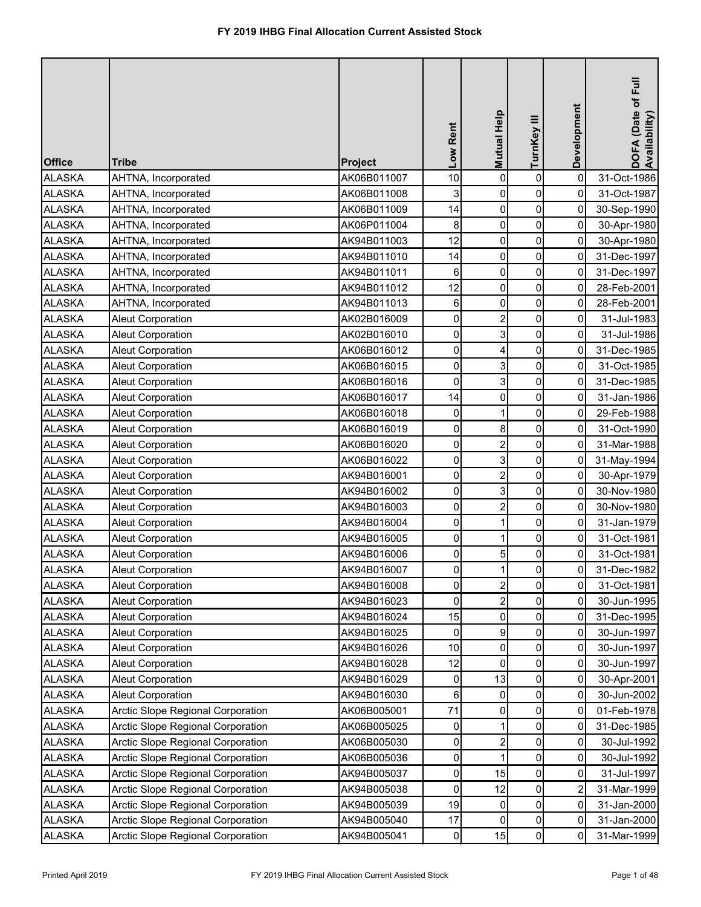| <b>Office</b> | <b>Tribe</b>                             | Project     | Low Rent            | Mutual Help    | TurnKey III  | Development    | DOFA (Date of Full<br>Availability) |
|---------------|------------------------------------------|-------------|---------------------|----------------|--------------|----------------|-------------------------------------|
| <b>ALASKA</b> | AHTNA, Incorporated                      | AK06B011007 | 10                  | $\overline{0}$ | $\mathbf 0$  | $\mathbf 0$    | 31-Oct-1986                         |
| <b>ALASKA</b> | AHTNA, Incorporated                      | AK06B011008 | 3                   | 0              | 0            | 0              | 31-Oct-1987                         |
| <b>ALASKA</b> | AHTNA, Incorporated                      | AK06B011009 | 14                  | $\overline{0}$ | 0            | $\mathbf 0$    | 30-Sep-1990                         |
| <b>ALASKA</b> | AHTNA, Incorporated                      | AK06P011004 | 8                   | 0              | 0            | 0              | 30-Apr-1980                         |
| <b>ALASKA</b> | AHTNA, Incorporated                      | AK94B011003 | 12                  | $\overline{0}$ | 0            | 0              | 30-Apr-1980                         |
| <b>ALASKA</b> | AHTNA, Incorporated                      | AK94B011010 | 14                  | 0              | 0            | 0              | 31-Dec-1997                         |
| <b>ALASKA</b> | AHTNA, Incorporated                      | AK94B011011 | 6                   | $\overline{0}$ | 0            | 0              | 31-Dec-1997                         |
| <b>ALASKA</b> | AHTNA, Incorporated                      | AK94B011012 | 12                  | 0              | 0            | 0              | 28-Feb-2001                         |
| <b>ALASKA</b> | AHTNA, Incorporated                      | AK94B011013 | 6                   | $\overline{0}$ | 0            | 0              | 28-Feb-2001                         |
| <b>ALASKA</b> | <b>Aleut Corporation</b>                 | AK02B016009 | 0                   | $\overline{2}$ | 0            | 0              | 31-Jul-1983                         |
| <b>ALASKA</b> | <b>Aleut Corporation</b>                 | AK02B016010 | $\mathsf{O}\xspace$ | $\overline{3}$ | 0            | 0              | 31-Jul-1986                         |
| <b>ALASKA</b> | <b>Aleut Corporation</b>                 | AK06B016012 | 0                   | 4              | $\mathsf{O}$ | 0              | 31-Dec-1985                         |
| <b>ALASKA</b> | <b>Aleut Corporation</b>                 | AK06B016015 | 0                   | 3              | 0            | 0              | 31-Oct-1985                         |
| <b>ALASKA</b> | <b>Aleut Corporation</b>                 | AK06B016016 | 0                   | 3              | $\mathbf 0$  | 0              | 31-Dec-1985                         |
| <b>ALASKA</b> | <b>Aleut Corporation</b>                 | AK06B016017 | 14                  | 0              | 0            | 0              | 31-Jan-1986                         |
| <b>ALASKA</b> | <b>Aleut Corporation</b>                 | AK06B016018 | 0                   |                | 0            | $\mathbf 0$    | 29-Feb-1988                         |
| <b>ALASKA</b> | <b>Aleut Corporation</b>                 | AK06B016019 | 0                   | 8              | 0            | 0              | 31-Oct-1990                         |
| <b>ALASKA</b> | <b>Aleut Corporation</b>                 | AK06B016020 | 0                   | $\overline{2}$ | 0            | $\mathbf 0$    | 31-Mar-1988                         |
| <b>ALASKA</b> | <b>Aleut Corporation</b>                 | AK06B016022 | 0                   | 3              | 0            | 0              | 31-May-1994                         |
| <b>ALASKA</b> | <b>Aleut Corporation</b>                 | AK94B016001 | 0                   | $\overline{2}$ | 0            | 0              | 30-Apr-1979                         |
| <b>ALASKA</b> | <b>Aleut Corporation</b>                 | AK94B016002 | 0                   | 3              | 0            | 0              | 30-Nov-1980                         |
| <b>ALASKA</b> | <b>Aleut Corporation</b>                 | AK94B016003 | 0                   | 2              | 0            | 0              | 30-Nov-1980                         |
| <b>ALASKA</b> | <b>Aleut Corporation</b>                 | AK94B016004 | $\overline{0}$      |                | 0            | 0              | 31-Jan-1979                         |
| <b>ALASKA</b> | <b>Aleut Corporation</b>                 | AK94B016005 | 0                   |                | 0            | 0              | 31-Oct-1981                         |
| <b>ALASKA</b> | <b>Aleut Corporation</b>                 | AK94B016006 | 0                   | 5              | 0            | 0              | 31-Oct-1981                         |
| <b>ALASKA</b> | <b>Aleut Corporation</b>                 | AK94B016007 | $\mathbf 0$         |                | 0            | 0              | 31-Dec-1982                         |
| <b>ALASKA</b> | <b>Aleut Corporation</b>                 | AK94B016008 | 0                   | 2              | 0            | 0              | 31-Oct-1981                         |
| <b>ALASKA</b> | <b>Aleut Corporation</b>                 | AK94B016023 | 0                   | $\overline{2}$ | 0            | 0              | 30-Jun-1995                         |
| <b>ALASKA</b> | <b>Aleut Corporation</b>                 | AK94B016024 | 15                  | 0              | 0            | 0              | 31-Dec-1995                         |
| <b>ALASKA</b> | <b>Aleut Corporation</b>                 | AK94B016025 | 0                   | 9              | 0            | 0              | 30-Jun-1997                         |
| <b>ALASKA</b> | <b>Aleut Corporation</b>                 | AK94B016026 | 10                  | 0              | 0            | 0              | 30-Jun-1997                         |
| <b>ALASKA</b> | <b>Aleut Corporation</b>                 | AK94B016028 | 12                  | $\Omega$       | 0            | 0              | 30-Jun-1997                         |
| <b>ALASKA</b> | <b>Aleut Corporation</b>                 | AK94B016029 | 0                   | 13             | 0            | 0              | 30-Apr-2001                         |
| <b>ALASKA</b> | <b>Aleut Corporation</b>                 | AK94B016030 | 6                   | $\Omega$       | 0            | 0              | 30-Jun-2002                         |
| <b>ALASKA</b> | <b>Arctic Slope Regional Corporation</b> | AK06B005001 | 71                  | $\overline{0}$ | 0            | 0              | 01-Feb-1978                         |
| <b>ALASKA</b> | Arctic Slope Regional Corporation        | AK06B005025 | 0                   |                | 0            | 0              | 31-Dec-1985                         |
| <b>ALASKA</b> | Arctic Slope Regional Corporation        | AK06B005030 | 0                   |                | 0            | 0              | 30-Jul-1992                         |
| <b>ALASKA</b> | Arctic Slope Regional Corporation        | AK06B005036 | 0                   |                | 0            | 0              | 30-Jul-1992                         |
| <b>ALASKA</b> | <b>Arctic Slope Regional Corporation</b> | AK94B005037 | $\mathbf 0$         | 15             | 0            | 0              | 31-Jul-1997                         |
| <b>ALASKA</b> | Arctic Slope Regional Corporation        | AK94B005038 | 0                   | 12             | 0            | $\overline{2}$ | 31-Mar-1999                         |
| <b>ALASKA</b> | <b>Arctic Slope Regional Corporation</b> | AK94B005039 | 19                  | 0              | 0            | 0              | 31-Jan-2000                         |
| <b>ALASKA</b> | <b>Arctic Slope Regional Corporation</b> | AK94B005040 | 17                  | 0              | 0            | 0              | 31-Jan-2000                         |
| <b>ALASKA</b> | Arctic Slope Regional Corporation        | AK94B005041 | $\pmb{0}$           | 15             | 0            | 0              | 31-Mar-1999                         |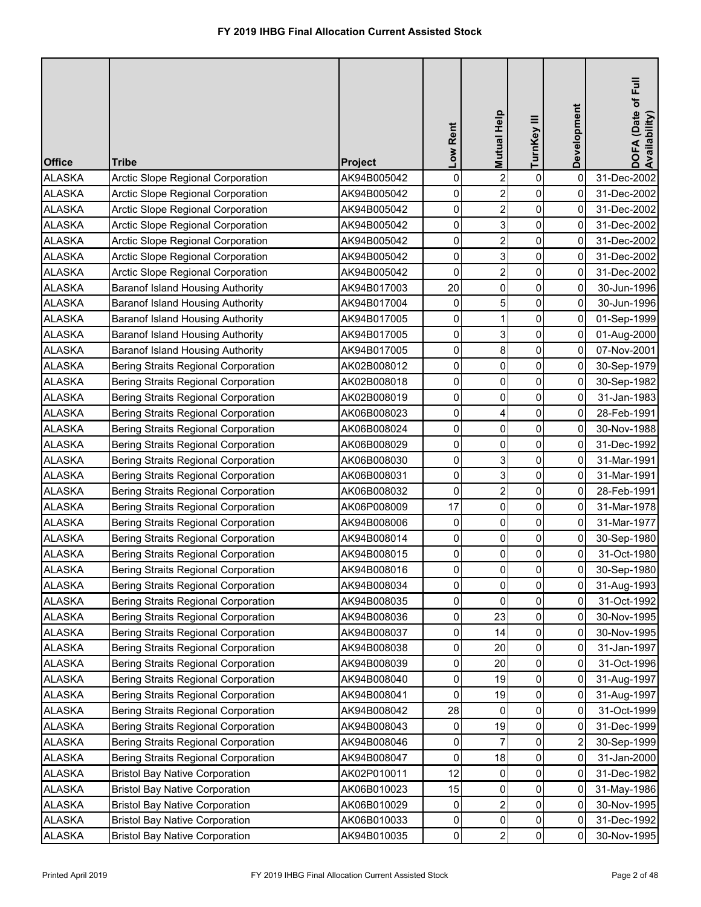| <b>Office</b> | <b>Tribe</b>                               | <b>Project</b> | Low Rent            | Mutual Help             | TurnKey III    | Development             | DOFA (Date of Full<br>Availability) |
|---------------|--------------------------------------------|----------------|---------------------|-------------------------|----------------|-------------------------|-------------------------------------|
| <b>ALASKA</b> | <b>Arctic Slope Regional Corporation</b>   | AK94B005042    | 0                   | $\overline{2}$          | $\mathbf 0$    | $\mathbf 0$             | 31-Dec-2002                         |
| <b>ALASKA</b> | <b>Arctic Slope Regional Corporation</b>   | AK94B005042    | 0                   | $\overline{2}$          | 0              | 0                       | 31-Dec-2002                         |
| <b>ALASKA</b> | Arctic Slope Regional Corporation          | AK94B005042    | 0                   | $\overline{2}$          | 0              | 0                       | 31-Dec-2002                         |
| <b>ALASKA</b> | <b>Arctic Slope Regional Corporation</b>   | AK94B005042    | 0                   | 3                       | 0              | 0                       | 31-Dec-2002                         |
| <b>ALASKA</b> | <b>Arctic Slope Regional Corporation</b>   | AK94B005042    | $\mathsf{O}\xspace$ | $\overline{2}$          | 0              | 0                       | 31-Dec-2002                         |
| <b>ALASKA</b> | Arctic Slope Regional Corporation          | AK94B005042    | 0                   | 3                       | 0              | 0                       | 31-Dec-2002                         |
| <b>ALASKA</b> | Arctic Slope Regional Corporation          | AK94B005042    | 0                   | $\overline{2}$          | 0              | 0                       | 31-Dec-2002                         |
| <b>ALASKA</b> | <b>Baranof Island Housing Authority</b>    | AK94B017003    | 20                  | 0                       | 0              | 0                       | 30-Jun-1996                         |
| <b>ALASKA</b> | <b>Baranof Island Housing Authority</b>    | AK94B017004    | 0                   | 5                       | 0              | 0                       | 30-Jun-1996                         |
| <b>ALASKA</b> | <b>Baranof Island Housing Authority</b>    | AK94B017005    | 0                   | 1                       | 0              | 0                       | 01-Sep-1999                         |
| <b>ALASKA</b> | <b>Baranof Island Housing Authority</b>    | AK94B017005    | 0                   | 3                       | 0              | 0                       | 01-Aug-2000                         |
| <b>ALASKA</b> | <b>Baranof Island Housing Authority</b>    | AK94B017005    | 0                   | 8                       | 0              | 0                       | 07-Nov-2001                         |
| <b>ALASKA</b> | <b>Bering Straits Regional Corporation</b> | AK02B008012    | 0                   | 0                       | 0              | 0                       | 30-Sep-1979                         |
| <b>ALASKA</b> | <b>Bering Straits Regional Corporation</b> | AK02B008018    | 0                   | 0                       | 0              | $\mathbf 0$             | 30-Sep-1982                         |
| <b>ALASKA</b> | <b>Bering Straits Regional Corporation</b> | AK02B008019    | 0                   | 0                       | 0              | 0                       | 31-Jan-1983                         |
| <b>ALASKA</b> | <b>Bering Straits Regional Corporation</b> | AK06B008023    | 0                   | 4                       | 0              | $\mathbf 0$             | 28-Feb-1991                         |
| <b>ALASKA</b> | <b>Bering Straits Regional Corporation</b> | AK06B008024    | 0                   | 0                       | 0              | 0                       | 30-Nov-1988                         |
| <b>ALASKA</b> | <b>Bering Straits Regional Corporation</b> | AK06B008029    | 0                   | 0                       | 0              | 0                       | 31-Dec-1992                         |
| <b>ALASKA</b> | <b>Bering Straits Regional Corporation</b> | AK06B008030    | 0                   | 3                       | 0              | 0                       | 31-Mar-1991                         |
| <b>ALASKA</b> | <b>Bering Straits Regional Corporation</b> | AK06B008031    | $\mathsf{O}\xspace$ | 3                       | 0              | 0                       | 31-Mar-1991                         |
| <b>ALASKA</b> | <b>Bering Straits Regional Corporation</b> | AK06B008032    | 0                   | $\overline{2}$          | 0              | 0                       | 28-Feb-1991                         |
| <b>ALASKA</b> | <b>Bering Straits Regional Corporation</b> | AK06P008009    | 17                  | 0                       | 0              | 0                       | 31-Mar-1978                         |
| <b>ALASKA</b> | Bering Straits Regional Corporation        | AK94B008006    | $\overline{0}$      | $\overline{0}$          | $\overline{0}$ | 0                       | 31-Mar-1977                         |
| <b>ALASKA</b> | <b>Bering Straits Regional Corporation</b> | AK94B008014    | 0                   | 0                       | 0              | 0                       | 30-Sep-1980                         |
| <b>ALASKA</b> | <b>Bering Straits Regional Corporation</b> | AK94B008015    | 0                   | 0                       | $\pmb{0}$      | 0                       | 31-Oct-1980                         |
| <b>ALASKA</b> | <b>Bering Straits Regional Corporation</b> | AK94B008016    | 0                   | 0                       | 0              | 0                       | 30-Sep-1980                         |
| <b>ALASKA</b> | <b>Bering Straits Regional Corporation</b> | AK94B008034    | 0                   | 0                       | 0              | 0                       | 31-Aug-1993                         |
| <b>ALASKA</b> | <b>Bering Straits Regional Corporation</b> | AK94B008035    | 0                   | 0                       | 0              | 0                       | 31-Oct-1992                         |
| <b>ALASKA</b> | <b>Bering Straits Regional Corporation</b> | AK94B008036    | 0                   | 23                      | 0              | 0                       | 30-Nov-1995                         |
| <b>ALASKA</b> | <b>Bering Straits Regional Corporation</b> | AK94B008037    | 0                   | 14                      | 0              | 0                       | 30-Nov-1995                         |
| <b>ALASKA</b> | <b>Bering Straits Regional Corporation</b> | AK94B008038    | 0                   | 20                      | 0              | 0                       | 31-Jan-1997                         |
| <b>ALASKA</b> | <b>Bering Straits Regional Corporation</b> | AK94B008039    | 0                   | 20                      | 0              | 0                       | 31-Oct-1996                         |
| <b>ALASKA</b> | <b>Bering Straits Regional Corporation</b> | AK94B008040    | 0                   | 19                      | 0              | $\mathbf 0$             | 31-Aug-1997                         |
| <b>ALASKA</b> | <b>Bering Straits Regional Corporation</b> | AK94B008041    | 0                   | 19                      | 0              | 0                       | 31-Aug-1997                         |
| <b>ALASKA</b> | <b>Bering Straits Regional Corporation</b> | AK94B008042    | 28                  | 0                       | 0              | 0                       | 31-Oct-1999                         |
| <b>ALASKA</b> | <b>Bering Straits Regional Corporation</b> | AK94B008043    | 0                   | 19                      | 0              | 0                       | 31-Dec-1999                         |
| <b>ALASKA</b> | <b>Bering Straits Regional Corporation</b> | AK94B008046    | 0                   |                         | 0              | $\overline{\mathbf{c}}$ | 30-Sep-1999                         |
| <b>ALASKA</b> | <b>Bering Straits Regional Corporation</b> | AK94B008047    | 0                   | 18                      | 0              | 0                       | 31-Jan-2000                         |
| <b>ALASKA</b> | <b>Bristol Bay Native Corporation</b>      | AK02P010011    | 12                  | 0                       | 0              | 0                       | 31-Dec-1982                         |
| <b>ALASKA</b> | <b>Bristol Bay Native Corporation</b>      | AK06B010023    | 15                  | 0                       | 0              | 0                       | 31-May-1986                         |
| <b>ALASKA</b> | <b>Bristol Bay Native Corporation</b>      | AK06B010029    | 0                   | 2                       | 0              | 0                       | 30-Nov-1995                         |
| <b>ALASKA</b> | <b>Bristol Bay Native Corporation</b>      | AK06B010033    | 0                   | 0                       | 0              | 0                       | 31-Dec-1992                         |
| <b>ALASKA</b> | <b>Bristol Bay Native Corporation</b>      | AK94B010035    | 0                   | $\overline{\mathbf{c}}$ | 0              | 0                       | 30-Nov-1995                         |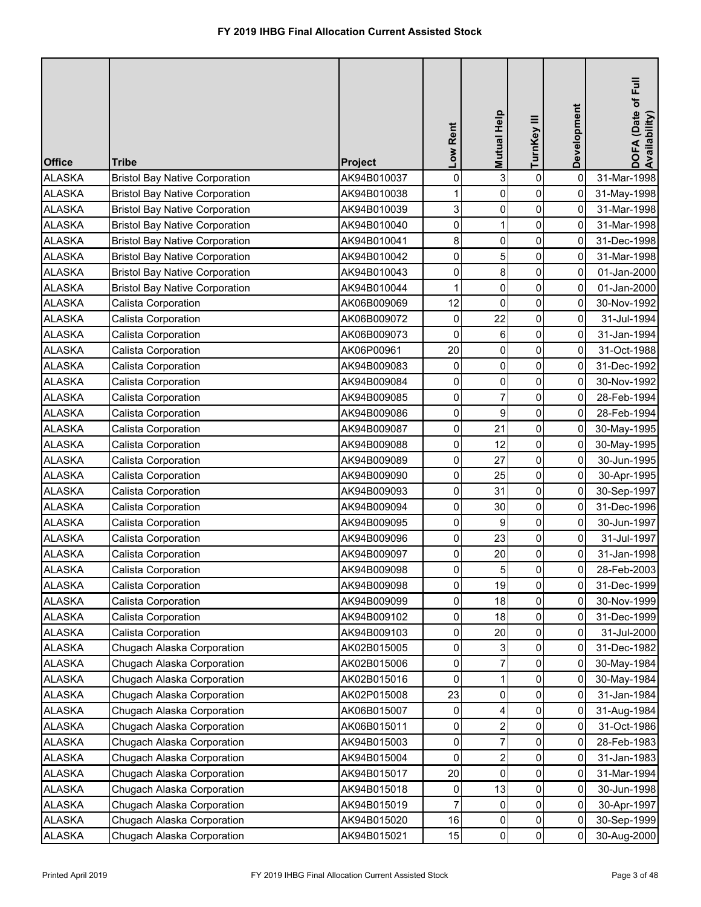| <b>Office</b> | <b>Tribe</b>                          | <b>Project</b> | Low Rent            | <b>Mutual Help</b> | TurnKey III    | Development | DOFA (Date of Full<br>Availability) |
|---------------|---------------------------------------|----------------|---------------------|--------------------|----------------|-------------|-------------------------------------|
| <b>ALASKA</b> | <b>Bristol Bay Native Corporation</b> | AK94B010037    | $\mathbf 0$         | 3                  | $\pmb{0}$      | $\mathbf 0$ | 31-Mar-1998                         |
| <b>ALASKA</b> | <b>Bristol Bay Native Corporation</b> | AK94B010038    | 1                   | 0                  | 0              | 0           | 31-May-1998                         |
| <b>ALASKA</b> | <b>Bristol Bay Native Corporation</b> | AK94B010039    | 3                   | 0                  | 0              | $\mathbf 0$ | 31-Mar-1998                         |
| <b>ALASKA</b> | <b>Bristol Bay Native Corporation</b> | AK94B010040    | 0                   |                    | 0              | 0           | 31-Mar-1998                         |
| <b>ALASKA</b> | <b>Bristol Bay Native Corporation</b> | AK94B010041    | 8                   | 0                  | 0              | $\mathbf 0$ | 31-Dec-1998                         |
| <b>ALASKA</b> | <b>Bristol Bay Native Corporation</b> | AK94B010042    | 0                   | 5                  | 0              | 0           | 31-Mar-1998                         |
| <b>ALASKA</b> | <b>Bristol Bay Native Corporation</b> | AK94B010043    | 0                   | 8                  | 0              | 0           | 01-Jan-2000                         |
| <b>ALASKA</b> | <b>Bristol Bay Native Corporation</b> | AK94B010044    | 1                   | 0                  | 0              | 0           | 01-Jan-2000                         |
| <b>ALASKA</b> | Calista Corporation                   | AK06B009069    | 12                  | $\mathbf 0$        | 0              | 0           | 30-Nov-1992                         |
| <b>ALASKA</b> | Calista Corporation                   | AK06B009072    | 0                   | 22                 | 0              | 0           | 31-Jul-1994                         |
| <b>ALASKA</b> | Calista Corporation                   | AK06B009073    | $\mathbf 0$         | 6                  | 0              | 0           | 31-Jan-1994                         |
| <b>ALASKA</b> | Calista Corporation                   | AK06P00961     | 20                  | $\mathbf 0$        | 0              | 0           | 31-Oct-1988                         |
| <b>ALASKA</b> | Calista Corporation                   | AK94B009083    | 0                   | 0                  | 0              | 0           | 31-Dec-1992                         |
| <b>ALASKA</b> | Calista Corporation                   | AK94B009084    | 0                   | 0                  | 0              | 0           | 30-Nov-1992                         |
| <b>ALASKA</b> | Calista Corporation                   | AK94B009085    | 0                   | 7                  | 0              | 0           | 28-Feb-1994                         |
| <b>ALASKA</b> | Calista Corporation                   | AK94B009086    | 0                   | 9                  | 0              | $\mathbf 0$ | 28-Feb-1994                         |
| <b>ALASKA</b> | Calista Corporation                   | AK94B009087    | 0                   | 21                 | 0              | 0           | 30-May-1995                         |
| <b>ALASKA</b> | Calista Corporation                   | AK94B009088    | 0                   | 12                 | 0              | 0           | 30-May-1995                         |
| <b>ALASKA</b> | Calista Corporation                   | AK94B009089    | 0                   | 27                 | 0              | 0           | 30-Jun-1995                         |
| <b>ALASKA</b> | Calista Corporation                   | AK94B009090    | $\mathsf{O}\xspace$ | 25                 | 0              | 0           | 30-Apr-1995                         |
| <b>ALASKA</b> | Calista Corporation                   | AK94B009093    | 0                   | 31                 | 0              | 0           | 30-Sep-1997                         |
| <b>ALASKA</b> | Calista Corporation                   | AK94B009094    | 0                   | 30                 | 0              | 0           | 31-Dec-1996                         |
| <b>ALASKA</b> | Calista Corporation                   | AK94B009095    | $\overline{0}$      | 9                  | $\overline{0}$ | 0           | 30-Jun-1997                         |
| <b>ALASKA</b> | Calista Corporation                   | AK94B009096    | $\mathbf 0$         | 23                 | 0              | 0           | 31-Jul-1997                         |
| <b>ALASKA</b> | Calista Corporation                   | AK94B009097    | $\mathbf 0$         | 20                 | 0              | 0           | 31-Jan-1998                         |
| <b>ALASKA</b> | Calista Corporation                   | AK94B009098    | $\mathbf 0$         | 5                  | $\pmb{0}$      | 0           | 28-Feb-2003                         |
| <b>ALASKA</b> | Calista Corporation                   | AK94B009098    | 0                   | 19                 | 0              | 0           | 31-Dec-1999                         |
| <b>ALASKA</b> | Calista Corporation                   | AK94B009099    | 0                   | 18                 | 0              | 0           | 30-Nov-1999                         |
| <b>ALASKA</b> | Calista Corporation                   | AK94B009102    | 0                   | 18                 | 0              | 0           | 31-Dec-1999                         |
| <b>ALASKA</b> | Calista Corporation                   | AK94B009103    | 0                   | 20                 | 0              | 0           | 31-Jul-2000                         |
| <b>ALASKA</b> | Chugach Alaska Corporation            | AK02B015005    | 0                   | 3                  | 0              | 0           | 31-Dec-1982                         |
| <b>ALASKA</b> | Chugach Alaska Corporation            | AK02B015006    | 0                   |                    | 0              | 0           | 30-May-1984                         |
| <b>ALASKA</b> | Chugach Alaska Corporation            | AK02B015016    | 0                   |                    | 0              | 0           | 30-May-1984                         |
| <b>ALASKA</b> | Chugach Alaska Corporation            | AK02P015008    | 23                  | 0                  | 0              | 0           | 31-Jan-1984                         |
| <b>ALASKA</b> | Chugach Alaska Corporation            | AK06B015007    | 0                   | 4                  | 0              | 0           | 31-Aug-1984                         |
| <b>ALASKA</b> | Chugach Alaska Corporation            | AK06B015011    | 0                   | 2                  | 0              | 0           | 31-Oct-1986                         |
| <b>ALASKA</b> | Chugach Alaska Corporation            | AK94B015003    | $\mathbf 0$         |                    | 0              | 0           | 28-Feb-1983                         |
| <b>ALASKA</b> | Chugach Alaska Corporation            | AK94B015004    | 0                   | $\overline{2}$     | 0              | 0           | 31-Jan-1983                         |
| <b>ALASKA</b> | Chugach Alaska Corporation            | AK94B015017    | 20                  | 0                  | 0              | 0           | 31-Mar-1994                         |
| <b>ALASKA</b> | Chugach Alaska Corporation            | AK94B015018    | 0                   | 13                 | 0              | 0           | 30-Jun-1998                         |
| <b>ALASKA</b> | Chugach Alaska Corporation            | AK94B015019    | $\overline{7}$      | 0                  | 0              | 0           | 30-Apr-1997                         |
| <b>ALASKA</b> | Chugach Alaska Corporation            | AK94B015020    | 16                  | 0                  | 0              | 0           | 30-Sep-1999                         |
| <b>ALASKA</b> | Chugach Alaska Corporation            | AK94B015021    | 15                  | 0                  | $\pmb{0}$      | 0           | 30-Aug-2000                         |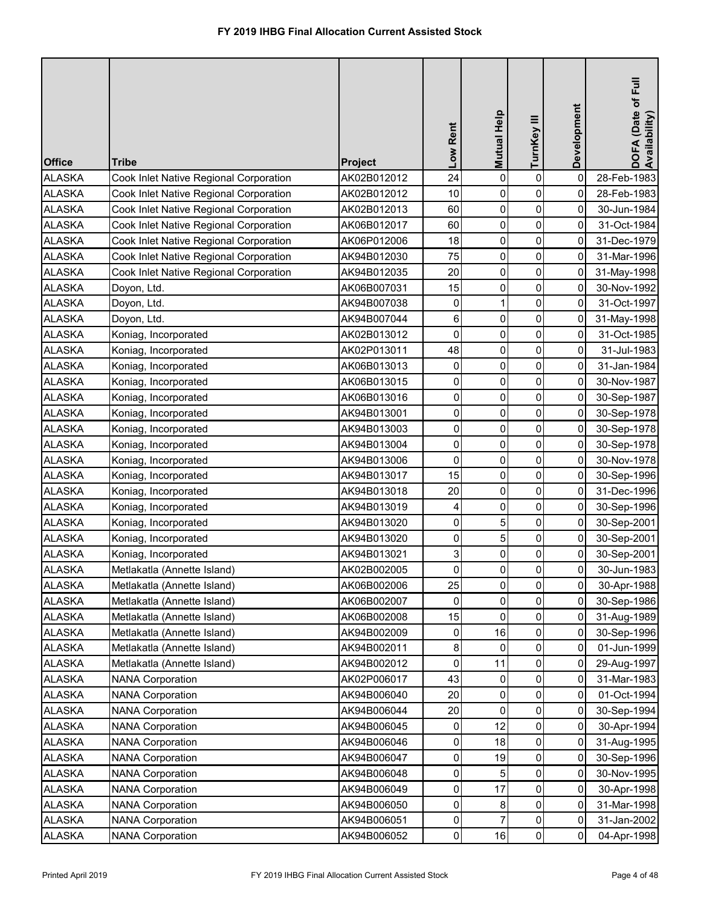| <b>Office</b> | <b>Tribe</b>                           | <b>Project</b> | Low Rent            | <b>Mutual Help</b> | TurnKey III | Development | DOFA (Date of Full<br>Availability) |
|---------------|----------------------------------------|----------------|---------------------|--------------------|-------------|-------------|-------------------------------------|
| <b>ALASKA</b> | Cook Inlet Native Regional Corporation | AK02B012012    | 24                  | 0                  | $\mathbf 0$ | $\mathbf 0$ | 28-Feb-1983                         |
| <b>ALASKA</b> | Cook Inlet Native Regional Corporation | AK02B012012    | 10                  | 0                  | 0           | 0           | 28-Feb-1983                         |
| <b>ALASKA</b> | Cook Inlet Native Regional Corporation | AK02B012013    | 60                  | $\pmb{0}$          | $\pmb{0}$   | 0           | 30-Jun-1984                         |
| <b>ALASKA</b> | Cook Inlet Native Regional Corporation | AK06B012017    | 60                  | $\mathbf 0$        | 0           | 0           | 31-Oct-1984                         |
| <b>ALASKA</b> | Cook Inlet Native Regional Corporation | AK06P012006    | 18                  | 0                  | $\pmb{0}$   | $\mathbf 0$ | 31-Dec-1979                         |
| <b>ALASKA</b> | Cook Inlet Native Regional Corporation | AK94B012030    | 75                  | 0                  | 0           | 0           | 31-Mar-1996                         |
| <b>ALASKA</b> | Cook Inlet Native Regional Corporation | AK94B012035    | 20                  | 0                  | $\pmb{0}$   | 0           | 31-May-1998                         |
| <b>ALASKA</b> | Doyon, Ltd.                            | AK06B007031    | 15                  | 0                  | $\pmb{0}$   | 0           | 30-Nov-1992                         |
| <b>ALASKA</b> | Doyon, Ltd.                            | AK94B007038    | 0                   |                    | 0           | 0           | 31-Oct-1997                         |
| <b>ALASKA</b> | Doyon, Ltd.                            | AK94B007044    | 6                   | $\pmb{0}$          | 0           | 0           | 31-May-1998                         |
| <b>ALASKA</b> | Koniag, Incorporated                   | AK02B013012    | 0                   | 0                  | $\pmb{0}$   | $\mathbf 0$ | 31-Oct-1985                         |
| <b>ALASKA</b> | Koniag, Incorporated                   | AK02P013011    | 48                  | 0                  | $\pmb{0}$   | 0           | 31-Jul-1983                         |
| <b>ALASKA</b> | Koniag, Incorporated                   | AK06B013013    | 0                   | 0                  | 0           | 0           | 31-Jan-1984                         |
| <b>ALASKA</b> | Koniag, Incorporated                   | AK06B013015    | 0                   | 0                  | 0           | 0           | 30-Nov-1987                         |
| <b>ALASKA</b> | Koniag, Incorporated                   | AK06B013016    | 0                   | $\mathbf 0$        | 0           | 0           | 30-Sep-1987                         |
| <b>ALASKA</b> | Koniag, Incorporated                   | AK94B013001    | 0                   | $\mathbf 0$        | 0           | $\mathbf 0$ | 30-Sep-1978                         |
| <b>ALASKA</b> | Koniag, Incorporated                   | AK94B013003    | 0                   | $\mathbf 0$        | 0           | 0           | 30-Sep-1978                         |
| <b>ALASKA</b> | Koniag, Incorporated                   | AK94B013004    | 0                   | $\mathbf 0$        | $\pmb{0}$   | 0           | 30-Sep-1978                         |
| <b>ALASKA</b> | Koniag, Incorporated                   | AK94B013006    | $\mathbf 0$         | $\mathbf 0$        | 0           | 0           | 30-Nov-1978                         |
| <b>ALASKA</b> | Koniag, Incorporated                   | AK94B013017    | 15                  | $\pmb{0}$          | $\pmb{0}$   | 0           | 30-Sep-1996                         |
| <b>ALASKA</b> | Koniag, Incorporated                   | AK94B013018    | 20                  | 0                  | 0           | 0           | 31-Dec-1996                         |
| <b>ALASKA</b> | Koniag, Incorporated                   | AK94B013019    | 4                   | 0                  | 0           | 0           | 30-Sep-1996                         |
| <b>ALASKA</b> | Koniag, Incorporated                   | AK94B013020    | $\overline{0}$      | 5                  | 0           | 0           | 30-Sep-2001                         |
| <b>ALASKA</b> | Koniag, Incorporated                   | AK94B013020    | $\mathbf 0$         | 5                  | 0           | 0           | 30-Sep-2001                         |
| <b>ALASKA</b> | Koniag, Incorporated                   | AK94B013021    | 3                   | 0                  | 0           | 0           | 30-Sep-2001                         |
| <b>ALASKA</b> | Metlakatla (Annette Island)            | AK02B002005    | $\pmb{0}$           | 0                  | 0           | 0           | 30-Jun-1983                         |
| <b>ALASKA</b> | Metlakatla (Annette Island)            | AK06B002006    | 25                  | 0                  | 0           | 0           | 30-Apr-1988                         |
| <b>ALASKA</b> | Metlakatla (Annette Island)            | AK06B002007    | 0                   | 0                  | 0           | 0           | 30-Sep-1986                         |
| <b>ALASKA</b> | Metlakatla (Annette Island)            | AK06B002008    | 15                  | $\mathbf{0}$       | 0           | 0           | 31-Aug-1989                         |
| <b>ALASKA</b> | Metlakatla (Annette Island)            | AK94B002009    | 0                   | 16                 | 0           | 0           | 30-Sep-1996                         |
| <b>ALASKA</b> | Metlakatla (Annette Island)            | AK94B002011    | 8                   | $\mathbf{0}$       | 0           | 0           | 01-Jun-1999                         |
| <b>ALASKA</b> | Metlakatla (Annette Island)            | AK94B002012    | 0                   | 11                 | 0           | 0           | 29-Aug-1997                         |
| <b>ALASKA</b> | <b>NANA Corporation</b>                | AK02P006017    | 43                  | $\Omega$           | 0           | 0           | 31-Mar-1983                         |
| <b>ALASKA</b> | <b>NANA Corporation</b>                | AK94B006040    | 20                  | 0                  | 0           | 0           | 01-Oct-1994                         |
| <b>ALASKA</b> | <b>NANA Corporation</b>                | AK94B006044    | 20                  | 0                  | 0           | 0           | 30-Sep-1994                         |
| <b>ALASKA</b> | <b>NANA Corporation</b>                | AK94B006045    | 0                   | 12                 | 0           | 0           | 30-Apr-1994                         |
| <b>ALASKA</b> | <b>NANA Corporation</b>                | AK94B006046    | 0                   | 18                 | 0           | 0           | 31-Aug-1995                         |
| <b>ALASKA</b> | <b>NANA Corporation</b>                | AK94B006047    | 0                   | 19                 | 0           | 0           | 30-Sep-1996                         |
| <b>ALASKA</b> | <b>NANA Corporation</b>                | AK94B006048    | 0                   | 5                  | 0           | 0           | 30-Nov-1995                         |
| <b>ALASKA</b> | <b>NANA Corporation</b>                | AK94B006049    | $\mathbf 0$         | 17                 | 0           | 0           | 30-Apr-1998                         |
| <b>ALASKA</b> | <b>NANA Corporation</b>                | AK94B006050    | 0                   | 8                  | 0           | 0           | 31-Mar-1998                         |
| <b>ALASKA</b> | <b>NANA Corporation</b>                | AK94B006051    | $\mathsf{O}\xspace$ |                    | $\pmb{0}$   | 0           | 31-Jan-2002                         |
| <b>ALASKA</b> | <b>NANA Corporation</b>                | AK94B006052    | $\pmb{0}$           | 16                 | $\pmb{0}$   | 0           | 04-Apr-1998                         |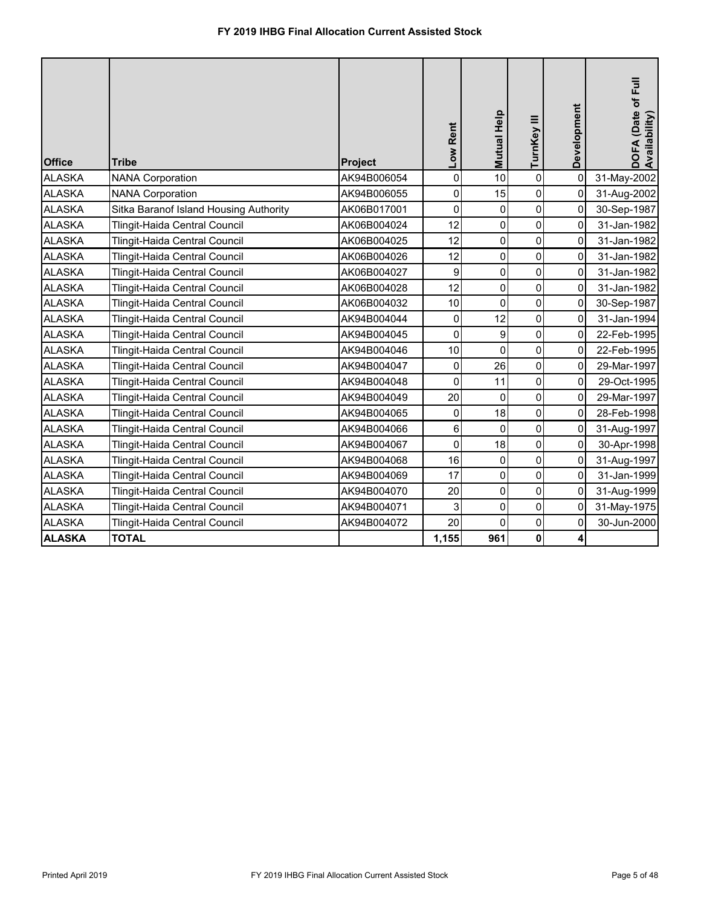| <b>Office</b> | Tribe                                  | Project     | Low Rent            | <b>Mutual Help</b> | TurnKey III    | Development | DOFA (Date of Full<br>Availability) |
|---------------|----------------------------------------|-------------|---------------------|--------------------|----------------|-------------|-------------------------------------|
| <b>ALASKA</b> | <b>NANA Corporation</b>                | AK94B006054 | $\mathbf 0$         | 10                 | $\mathbf 0$    | $\mathbf 0$ | 31-May-2002                         |
| <b>ALASKA</b> | <b>NANA Corporation</b>                | AK94B006055 | $\mathsf{O}\xspace$ | 15                 | 0              | 0           | 31-Aug-2002                         |
| <b>ALASKA</b> | Sitka Baranof Island Housing Authority | AK06B017001 | 0                   | $\pmb{0}$          | $\mathbf 0$    | 0           | 30-Sep-1987                         |
| <b>ALASKA</b> | Tlingit-Haida Central Council          | AK06B004024 | 12                  | 0                  | 0              | 0           | 31-Jan-1982                         |
| <b>ALASKA</b> | Tlingit-Haida Central Council          | AK06B004025 | 12                  | 0                  | 0              | 0           | 31-Jan-1982                         |
| <b>ALASKA</b> | Tlingit-Haida Central Council          | AK06B004026 | 12                  | 0                  | 0              | 0           | 31-Jan-1982                         |
| <b>ALASKA</b> | Tlingit-Haida Central Council          | AK06B004027 | 9                   | 0                  | $\mathbf 0$    | 0           | 31-Jan-1982                         |
| <b>ALASKA</b> | Tlingit-Haida Central Council          | AK06B004028 | 12                  | 0                  | 0              | 0           | 31-Jan-1982                         |
| <b>ALASKA</b> | Tlingit-Haida Central Council          | AK06B004032 | 10                  | $\mathbf 0$        | $\mathbf 0$    | 0           | 30-Sep-1987                         |
| <b>ALASKA</b> | Tlingit-Haida Central Council          | AK94B004044 | 0                   | 12                 | 0              | 0           | 31-Jan-1994                         |
| <b>ALASKA</b> | Tlingit-Haida Central Council          | AK94B004045 | 0                   | 9                  | $\mathbf 0$    | 0           | 22-Feb-1995                         |
| <b>ALASKA</b> | Tlingit-Haida Central Council          | AK94B004046 | 10                  | 0                  | 0              | 0           | 22-Feb-1995                         |
| <b>ALASKA</b> | <b>Tlingit-Haida Central Council</b>   | AK94B004047 | 0                   | 26                 | 0              | 0           | 29-Mar-1997                         |
| <b>ALASKA</b> | Tlingit-Haida Central Council          | AK94B004048 | 0                   | 11                 | 0              | 0           | 29-Oct-1995                         |
| <b>ALASKA</b> | <b>Tlingit-Haida Central Council</b>   | AK94B004049 | 20                  | 0                  | 0              | 0           | 29-Mar-1997                         |
| <b>ALASKA</b> | Tlingit-Haida Central Council          | AK94B004065 | 0                   | 18                 | 0              | 0           | 28-Feb-1998                         |
| <b>ALASKA</b> | Tlingit-Haida Central Council          | AK94B004066 | 6                   | $\overline{0}$     | $\overline{0}$ | 0           | 31-Aug-1997                         |
| <b>ALASKA</b> | <b>Tlingit-Haida Central Council</b>   | AK94B004067 | $\mathbf 0$         | 18                 | 0              | 0           | 30-Apr-1998                         |
| <b>ALASKA</b> | Tlingit-Haida Central Council          | AK94B004068 | 16                  | 0                  | 0              | 0           | 31-Aug-1997                         |
| <b>ALASKA</b> | <b>Tlingit-Haida Central Council</b>   | AK94B004069 | 17                  | 0                  | 0              | 0           | 31-Jan-1999                         |
| <b>ALASKA</b> | Tlingit-Haida Central Council          | AK94B004070 | 20                  | 0                  | 0              | 0           | 31-Aug-1999                         |
| <b>ALASKA</b> | <b>Tlingit-Haida Central Council</b>   | AK94B004071 | 3                   | 0                  | 0              | 0           | 31-May-1975                         |
| <b>ALASKA</b> | Tlingit-Haida Central Council          | AK94B004072 | 20                  | $\overline{0}$     | 0              | 0           | 30-Jun-2000                         |
| <b>ALASKA</b> | <b>TOTAL</b>                           |             | 1,155               | 961                | $\mathbf 0$    | 4           |                                     |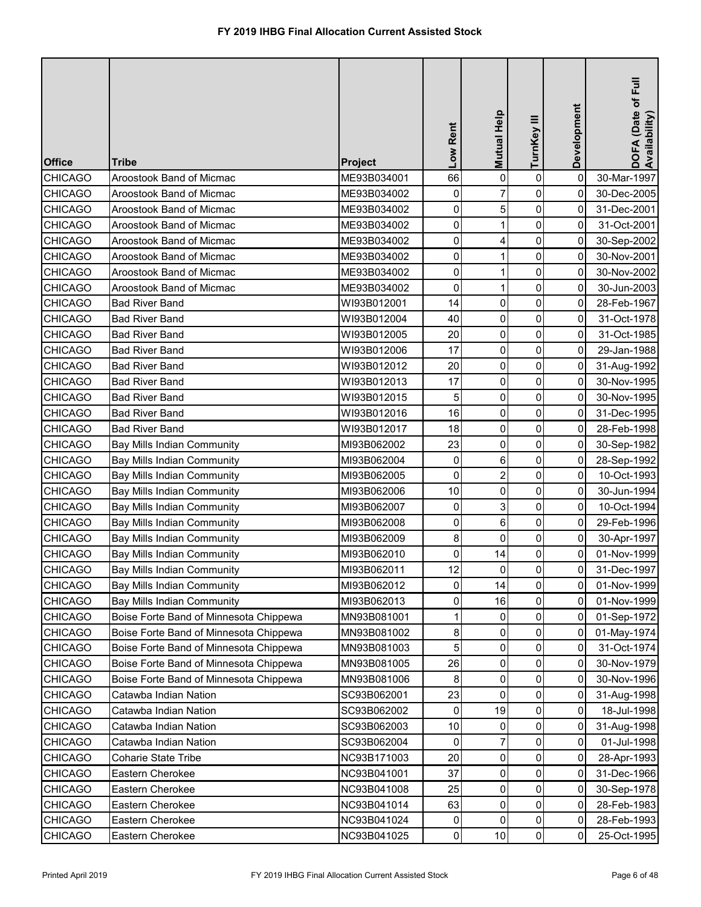| <b>Office</b>  | <b>Tribe</b>                           | Project     | Low Rent            | Mutual Help    | TurnKey III    | Development | DOFA (Date of Full<br>Availability) |
|----------------|----------------------------------------|-------------|---------------------|----------------|----------------|-------------|-------------------------------------|
| <b>CHICAGO</b> | Aroostook Band of Micmac               | ME93B034001 | 66                  | 0              | 0              | $\mathbf 0$ | 30-Mar-1997                         |
| <b>CHICAGO</b> | Aroostook Band of Micmac               | ME93B034002 | 0                   |                | 0              | 0           | 30-Dec-2005                         |
| <b>CHICAGO</b> | Aroostook Band of Micmac               | ME93B034002 | 0                   | 5              | 0              | 0           | 31-Dec-2001                         |
| <b>CHICAGO</b> | Aroostook Band of Micmac               | ME93B034002 | 0                   |                | 0              | 0           | 31-Oct-2001                         |
| <b>CHICAGO</b> | Aroostook Band of Micmac               | ME93B034002 | $\mathsf{O}\xspace$ | 4              | $\pmb{0}$      | 0           | 30-Sep-2002                         |
| <b>CHICAGO</b> | Aroostook Band of Micmac               | ME93B034002 | 0                   |                | 0              | 0           | 30-Nov-2001                         |
| <b>CHICAGO</b> | Aroostook Band of Micmac               | ME93B034002 | $\mathsf{O}\xspace$ |                | 0              | 0           | 30-Nov-2002                         |
| <b>CHICAGO</b> | Aroostook Band of Micmac               | ME93B034002 | 0                   |                | 0              | 0           | 30-Jun-2003                         |
| <b>CHICAGO</b> | <b>Bad River Band</b>                  | WI93B012001 | 14                  | $\pmb{0}$      | $\pmb{0}$      | 0           | 28-Feb-1967                         |
| <b>CHICAGO</b> | <b>Bad River Band</b>                  | WI93B012004 | 40                  | $\mathbf 0$    | 0              | 0           | 31-Oct-1978                         |
| <b>CHICAGO</b> | <b>Bad River Band</b>                  | WI93B012005 | 20                  | $\mathbf 0$    | 0              | 0           | 31-Oct-1985                         |
| <b>CHICAGO</b> | <b>Bad River Band</b>                  | WI93B012006 | 17                  | $\mathbf 0$    | 0              | 0           | 29-Jan-1988                         |
| <b>CHICAGO</b> | <b>Bad River Band</b>                  | WI93B012012 | 20                  | 0              | 0              | 0           | 31-Aug-1992                         |
| <b>CHICAGO</b> | <b>Bad River Band</b>                  | WI93B012013 | 17                  | $\mathbf 0$    | 0              | 0           | 30-Nov-1995                         |
| <b>CHICAGO</b> | <b>Bad River Band</b>                  | WI93B012015 | 5                   | $\mathbf 0$    | 0              | 0           | 30-Nov-1995                         |
| <b>CHICAGO</b> | <b>Bad River Band</b>                  | WI93B012016 | 16                  | $\mathbf 0$    | 0              | 0           | 31-Dec-1995                         |
| <b>CHICAGO</b> | <b>Bad River Band</b>                  | WI93B012017 | 18                  | 0              | 0              | 0           | 28-Feb-1998                         |
| <b>CHICAGO</b> | <b>Bay Mills Indian Community</b>      | MI93B062002 | 23                  | 0              | 0              | 0           | 30-Sep-1982                         |
| <b>CHICAGO</b> | <b>Bay Mills Indian Community</b>      | MI93B062004 | 0                   | 6              | 0              | 0           | 28-Sep-1992                         |
| <b>CHICAGO</b> | <b>Bay Mills Indian Community</b>      | MI93B062005 | $\pmb{0}$           | $\overline{2}$ | $\pmb{0}$      | 0           | 10-Oct-1993                         |
| <b>CHICAGO</b> | <b>Bay Mills Indian Community</b>      | MI93B062006 | 10                  | 0              | 0              | 0           | 30-Jun-1994                         |
| <b>CHICAGO</b> | <b>Bay Mills Indian Community</b>      | MI93B062007 | 0                   | 3              | 0              | 0           | 10-Oct-1994                         |
| <b>CHICAGO</b> | <b>Bay Mills Indian Community</b>      | MI93B062008 | $\overline{0}$      | 6 <sup>1</sup> | $\overline{0}$ | 0           | 29-Feb-1996                         |
| <b>CHICAGO</b> | <b>Bay Mills Indian Community</b>      | MI93B062009 | 8                   | $\Omega$       | 0              | 0           | 30-Apr-1997                         |
| <b>CHICAGO</b> | <b>Bay Mills Indian Community</b>      | MI93B062010 | $\pmb{0}$           | 14             | $\pmb{0}$      | 0           | 01-Nov-1999                         |
| <b>CHICAGO</b> | <b>Bay Mills Indian Community</b>      | MI93B062011 | 12                  | 0              | 0              | 0           | 31-Dec-1997                         |
| <b>CHICAGO</b> | <b>Bay Mills Indian Community</b>      | MI93B062012 | 0                   | 14             | 0              | 0           | 01-Nov-1999                         |
| <b>CHICAGO</b> | <b>Bay Mills Indian Community</b>      | MI93B062013 | 0                   | 16             | 0              | 0           | 01-Nov-1999                         |
| <b>CHICAGO</b> | Boise Forte Band of Minnesota Chippewa | MN93B081001 |                     | $\Omega$       | 0              | 0           | 01-Sep-1972                         |
| <b>CHICAGO</b> | Boise Forte Band of Minnesota Chippewa | MN93B081002 | 8                   | 0              | 0              | 0           | 01-May-1974                         |
| <b>CHICAGO</b> | Boise Forte Band of Minnesota Chippewa | MN93B081003 | 5                   | $\mathbf{0}$   | 0              | 0           | 31-Oct-1974                         |
| <b>CHICAGO</b> | Boise Forte Band of Minnesota Chippewa | MN93B081005 | 26                  | 0              | 0              | 0           | 30-Nov-1979                         |
| <b>CHICAGO</b> | Boise Forte Band of Minnesota Chippewa | MN93B081006 | 8                   | 0              | 0              | 0           | 30-Nov-1996                         |
| <b>CHICAGO</b> | Catawba Indian Nation                  | SC93B062001 | 23                  | $\Omega$       | 0              | 0           | 31-Aug-1998                         |
| <b>CHICAGO</b> | Catawba Indian Nation                  | SC93B062002 | 0                   | 19             | 0              | 0           | 18-Jul-1998                         |
| <b>CHICAGO</b> | Catawba Indian Nation                  | SC93B062003 | 10                  | 0              | 0              | 0           | 31-Aug-1998                         |
| <b>CHICAGO</b> | Catawba Indian Nation                  | SC93B062004 | 0                   |                | 0              | 0           | 01-Jul-1998                         |
| <b>CHICAGO</b> | <b>Coharie State Tribe</b>             | NC93B171003 | 20                  | 0              | 0              | 0           | 28-Apr-1993                         |
| <b>CHICAGO</b> | Eastern Cherokee                       | NC93B041001 | 37                  | 0              | 0              | 0           | 31-Dec-1966                         |
| <b>CHICAGO</b> | Eastern Cherokee                       | NC93B041008 | 25                  | 0              | 0              | 0           | 30-Sep-1978                         |
| <b>CHICAGO</b> | Eastern Cherokee                       | NC93B041014 | 63                  | 0              | 0              | 0           | 28-Feb-1983                         |
| <b>CHICAGO</b> | Eastern Cherokee                       | NC93B041024 | 0                   | 0              | 0              | 0           | 28-Feb-1993                         |
| <b>CHICAGO</b> | Eastern Cherokee                       | NC93B041025 | $\pmb{0}$           | 10             | $\pmb{0}$      | 0           | 25-Oct-1995                         |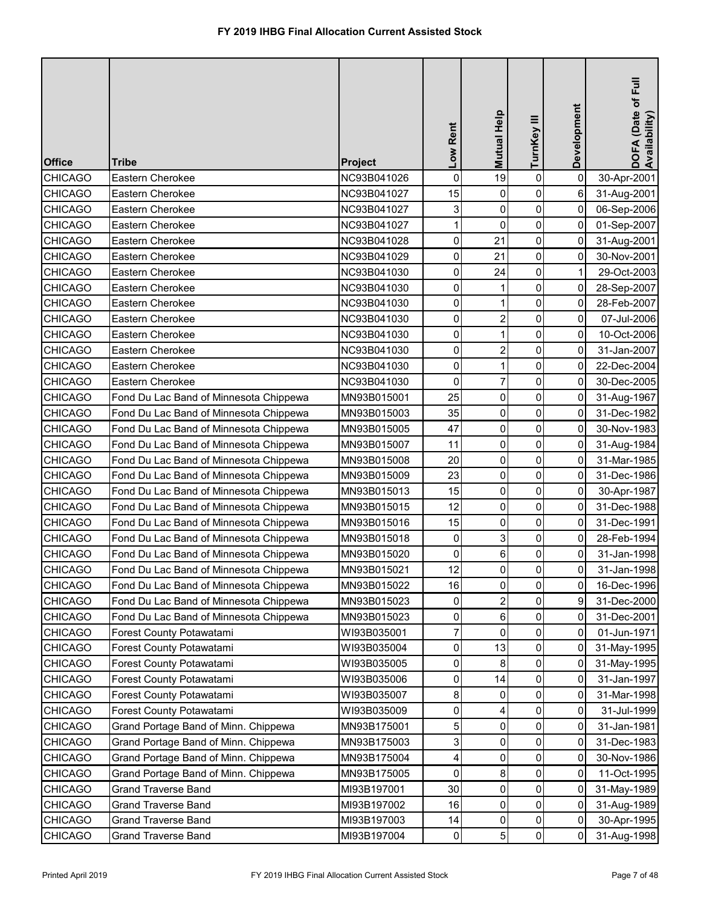| <b>Office</b>  | <b>Tribe</b>                           | Project     | Low Rent            | Mutual Help    | TurnKey III | Development | DOFA (Date of Full<br>Availability) |
|----------------|----------------------------------------|-------------|---------------------|----------------|-------------|-------------|-------------------------------------|
| <b>CHICAGO</b> | Eastern Cherokee                       | NC93B041026 | $\mathsf 0$         | 19             | 0           | $\mathbf 0$ | 30-Apr-2001                         |
| <b>CHICAGO</b> | Eastern Cherokee                       | NC93B041027 | 15                  | 0              | 0           | 6           | 31-Aug-2001                         |
| <b>CHICAGO</b> | Eastern Cherokee                       | NC93B041027 | 3                   | $\mathbf 0$    | $\pmb{0}$   | 0           | 06-Sep-2006                         |
| <b>CHICAGO</b> | Eastern Cherokee                       | NC93B041027 | 1                   | $\mathbf 0$    | 0           | 0           | 01-Sep-2007                         |
| <b>CHICAGO</b> | Eastern Cherokee                       | NC93B041028 | 0                   | 21             | $\pmb{0}$   | 0           | 31-Aug-2001                         |
| <b>CHICAGO</b> | Eastern Cherokee                       | NC93B041029 | 0                   | 21             | 0           | 0           | 30-Nov-2001                         |
| <b>CHICAGO</b> | Eastern Cherokee                       | NC93B041030 | 0                   | 24             | $\pmb{0}$   | 1           | 29-Oct-2003                         |
| <b>CHICAGO</b> | Eastern Cherokee                       | NC93B041030 | 0                   |                | 0           | 0           | 28-Sep-2007                         |
| <b>CHICAGO</b> | Eastern Cherokee                       | NC93B041030 | $\mathsf{O}\xspace$ |                | 0           | 0           | 28-Feb-2007                         |
| <b>CHICAGO</b> | Eastern Cherokee                       | NC93B041030 | 0                   | $\overline{2}$ | 0           | 0           | 07-Jul-2006                         |
| <b>CHICAGO</b> | Eastern Cherokee                       | NC93B041030 | $\mathsf{O}\xspace$ | 1              | 0           | 0           | 10-Oct-2006                         |
| <b>CHICAGO</b> | Eastern Cherokee                       | NC93B041030 | $\pmb{0}$           | $\overline{2}$ | $\pmb{0}$   | 0           | 31-Jan-2007                         |
| <b>CHICAGO</b> | Eastern Cherokee                       | NC93B041030 | $\pmb{0}$           |                | 0           | 0           | 22-Dec-2004                         |
| <b>CHICAGO</b> | Eastern Cherokee                       | NC93B041030 | $\mathbf 0$         | 7              | 0           | 0           | 30-Dec-2005                         |
| <b>CHICAGO</b> | Fond Du Lac Band of Minnesota Chippewa | MN93B015001 | 25                  | $\mathbf 0$    | 0           | 0           | 31-Aug-1967                         |
| <b>CHICAGO</b> | Fond Du Lac Band of Minnesota Chippewa | MN93B015003 | 35                  | $\mathbf 0$    | $\pmb{0}$   | $\mathbf 0$ | 31-Dec-1982                         |
| <b>CHICAGO</b> | Fond Du Lac Band of Minnesota Chippewa | MN93B015005 | 47                  | $\mathbf 0$    | 0           | 0           | 30-Nov-1983                         |
| <b>CHICAGO</b> | Fond Du Lac Band of Minnesota Chippewa | MN93B015007 | 11                  | $\mathbf 0$    | $\pmb{0}$   | 0           | 31-Aug-1984                         |
| <b>CHICAGO</b> | Fond Du Lac Band of Minnesota Chippewa | MN93B015008 | 20                  | $\mathbf 0$    | 0           | 0           | 31-Mar-1985                         |
| <b>CHICAGO</b> | Fond Du Lac Band of Minnesota Chippewa | MN93B015009 | 23                  | $\mathbf 0$    | $\pmb{0}$   | 0           | 31-Dec-1986                         |
| <b>CHICAGO</b> | Fond Du Lac Band of Minnesota Chippewa | MN93B015013 | 15                  | 0              | 0           | 0           | 30-Apr-1987                         |
| <b>CHICAGO</b> | Fond Du Lac Band of Minnesota Chippewa | MN93B015015 | 12                  | 0              | 0           | 0           | 31-Dec-1988                         |
| <b>CHICAGO</b> | Fond Du Lac Band of Minnesota Chippewa | MN93B015016 | 15                  | $\overline{0}$ | 0           | 0           | 31-Dec-1991                         |
| <b>CHICAGO</b> | Fond Du Lac Band of Minnesota Chippewa | MN93B015018 | 0                   |                | 0           | 0           | 28-Feb-1994                         |
| <b>CHICAGO</b> | Fond Du Lac Band of Minnesota Chippewa | MN93B015020 | 0                   | 6              | 0           | 0           | 31-Jan-1998                         |
| <b>CHICAGO</b> | Fond Du Lac Band of Minnesota Chippewa | MN93B015021 | 12                  | 0              | 0           | 0           | 31-Jan-1998                         |
| <b>CHICAGO</b> | Fond Du Lac Band of Minnesota Chippewa | MN93B015022 | 16                  | 0              | 0           | 0           | 16-Dec-1996                         |
| <b>CHICAGO</b> | Fond Du Lac Band of Minnesota Chippewa | MN93B015023 | 0                   |                | 0           | 9           | 31-Dec-2000                         |
| <b>CHICAGO</b> | Fond Du Lac Band of Minnesota Chippewa | MN93B015023 | 0                   | 6              | 0           | 0           | 31-Dec-2001                         |
| <b>CHICAGO</b> | Forest County Potawatami               | WI93B035001 | 7                   | 0              | 0           | 0           | 01-Jun-1971                         |
| <b>CHICAGO</b> | Forest County Potawatami               | WI93B035004 | 0                   | 13             | 0           | 0           | 31-May-1995                         |
| <b>CHICAGO</b> | Forest County Potawatami               | WI93B035005 | 0                   | 8              | 0           | 0           | 31-May-1995                         |
| <b>CHICAGO</b> | Forest County Potawatami               | WI93B035006 | 0                   | 14             | 0           | 0           | 31-Jan-1997                         |
| <b>CHICAGO</b> | Forest County Potawatami               | WI93B035007 | 8                   | 0              | 0           | 0           | 31-Mar-1998                         |
| <b>CHICAGO</b> | Forest County Potawatami               | WI93B035009 | 0                   | 4              | 0           | 0           | 31-Jul-1999                         |
| <b>CHICAGO</b> | Grand Portage Band of Minn. Chippewa   | MN93B175001 | 5                   | 0              | 0           | 0           | 31-Jan-1981                         |
| <b>CHICAGO</b> | Grand Portage Band of Minn. Chippewa   | MN93B175003 | 3                   | 0              | 0           | 0           | 31-Dec-1983                         |
| <b>CHICAGO</b> | Grand Portage Band of Minn. Chippewa   | MN93B175004 | 4                   | 0              | 0           | 0           | 30-Nov-1986                         |
| <b>CHICAGO</b> | Grand Portage Band of Minn. Chippewa   | MN93B175005 | 0                   | 8              | 0           | 0           | 11-Oct-1995                         |
| <b>CHICAGO</b> | <b>Grand Traverse Band</b>             | MI93B197001 | 30                  | 0              | 0           | 0           | 31-May-1989                         |
| <b>CHICAGO</b> | <b>Grand Traverse Band</b>             | MI93B197002 | 16                  | 0              | $\pmb{0}$   | 0           | 31-Aug-1989                         |
| <b>CHICAGO</b> | <b>Grand Traverse Band</b>             | MI93B197003 | 14                  | 0              | 0           | 0           | 30-Apr-1995                         |
| <b>CHICAGO</b> | <b>Grand Traverse Band</b>             | MI93B197004 | $\pmb{0}$           | 5              | $\pmb{0}$   | 0           | 31-Aug-1998                         |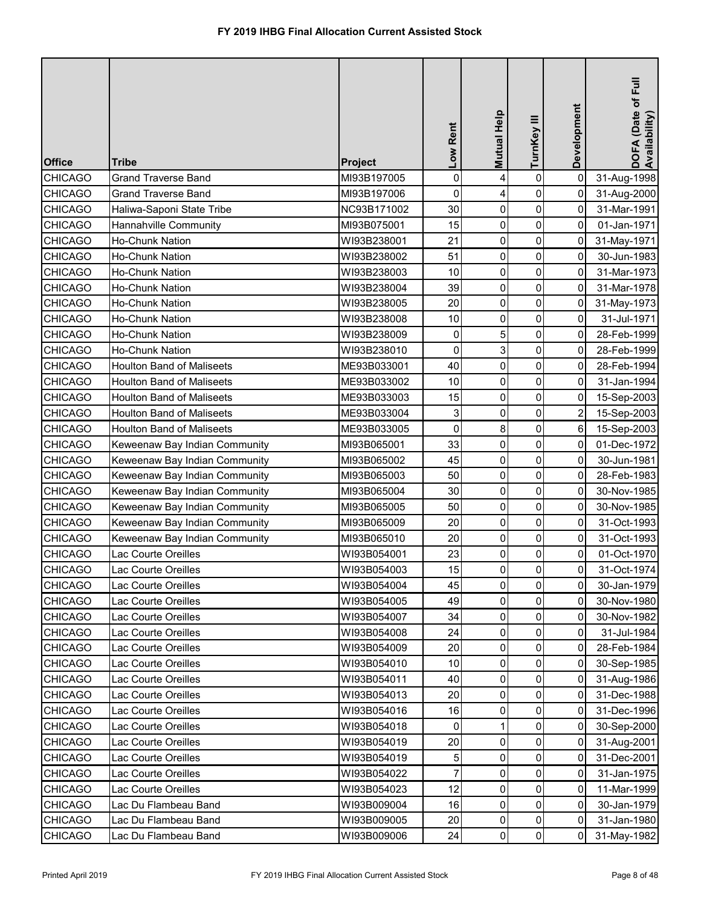| <b>Office</b>  | <b>Tribe</b>                     | Project     | Low Rent    | Mutual Help    | TurnKey III    | Development    | DOFA (Date of Full<br>Availability) |
|----------------|----------------------------------|-------------|-------------|----------------|----------------|----------------|-------------------------------------|
| <b>CHICAGO</b> | <b>Grand Traverse Band</b>       | MI93B197005 | $\pmb{0}$   | 4              | 0              | $\mathbf 0$    | 31-Aug-1998                         |
| <b>CHICAGO</b> | <b>Grand Traverse Band</b>       | MI93B197006 | 0           | 4              | 0              | 0              | 31-Aug-2000                         |
| <b>CHICAGO</b> | Haliwa-Saponi State Tribe        | NC93B171002 | 30          | $\mathbf 0$    | $\pmb{0}$      | $\mathbf 0$    | 31-Mar-1991                         |
| <b>CHICAGO</b> | Hannahville Community            | MI93B075001 | 15          | $\mathbf 0$    | 0              | 0              | 01-Jan-1971                         |
| <b>CHICAGO</b> | Ho-Chunk Nation                  | WI93B238001 | 21          | $\mathbf 0$    | $\pmb{0}$      | 0              | 31-May-1971                         |
| <b>CHICAGO</b> | Ho-Chunk Nation                  | WI93B238002 | 51          | 0              | 0              | 0              | 30-Jun-1983                         |
| <b>CHICAGO</b> | Ho-Chunk Nation                  | WI93B238003 | 10          | 0              | $\pmb{0}$      | 0              | 31-Mar-1973                         |
| <b>CHICAGO</b> | Ho-Chunk Nation                  | WI93B238004 | 39          | 0              | 0              | 0              | 31-Mar-1978                         |
| <b>CHICAGO</b> | Ho-Chunk Nation                  | WI93B238005 | 20          | 0              | 0              | 0              | 31-May-1973                         |
| <b>CHICAGO</b> | <b>Ho-Chunk Nation</b>           | WI93B238008 | 10          | $\mathbf 0$    | 0              | 0              | 31-Jul-1971                         |
| <b>CHICAGO</b> | Ho-Chunk Nation                  | WI93B238009 | $\mathbf 0$ | 5              | 0              | 0              | 28-Feb-1999                         |
| <b>CHICAGO</b> | <b>Ho-Chunk Nation</b>           | WI93B238010 | 0           | 3              | $\pmb{0}$      | 0              | 28-Feb-1999                         |
| <b>CHICAGO</b> | <b>Houlton Band of Maliseets</b> | ME93B033001 | 40          | 0              | 0              | 0              | 28-Feb-1994                         |
| <b>CHICAGO</b> | <b>Houlton Band of Maliseets</b> | ME93B033002 | 10          | $\mathbf 0$    | 0              | 0              | 31-Jan-1994                         |
| <b>CHICAGO</b> | <b>Houlton Band of Maliseets</b> | ME93B033003 | 15          | $\mathbf 0$    | 0              | 0              | 15-Sep-2003                         |
| <b>CHICAGO</b> | <b>Houlton Band of Maliseets</b> | ME93B033004 | 3           | $\mathbf 0$    | 0              | $\overline{2}$ | 15-Sep-2003                         |
| <b>CHICAGO</b> | <b>Houlton Band of Maliseets</b> | ME93B033005 | 0           | 8              | 0              | 6              | 15-Sep-2003                         |
| <b>CHICAGO</b> | Keweenaw Bay Indian Community    | MI93B065001 | 33          | $\mathbf 0$    | $\pmb{0}$      | 0              | 01-Dec-1972                         |
| <b>CHICAGO</b> | Keweenaw Bay Indian Community    | MI93B065002 | 45          | $\mathbf 0$    | 0              | 0              | 30-Jun-1981                         |
| <b>CHICAGO</b> | Keweenaw Bay Indian Community    | MI93B065003 | 50          | $\mathbf 0$    | $\pmb{0}$      | 0              | 28-Feb-1983                         |
| <b>CHICAGO</b> | Keweenaw Bay Indian Community    | MI93B065004 | 30          | 0              | 0              | 0              | 30-Nov-1985                         |
| <b>CHICAGO</b> | Keweenaw Bay Indian Community    | MI93B065005 | 50          | 0              | 0              | 0              | 30-Nov-1985                         |
| <b>CHICAGO</b> | Keweenaw Bay Indian Community    | MI93B065009 | 20          | $\overline{0}$ | $\overline{0}$ | $\overline{0}$ | 31-Oct-1993                         |
| <b>CHICAGO</b> | Keweenaw Bay Indian Community    | MI93B065010 | 20          | $\Omega$       | 0              | 0              | 31-Oct-1993                         |
| <b>CHICAGO</b> | Lac Courte Oreilles              | WI93B054001 | 23          | 0              | 0              | 0              | 01-Oct-1970                         |
| <b>CHICAGO</b> | Lac Courte Oreilles              | WI93B054003 | 15          | 0              | $\pmb{0}$      | 0              | 31-Oct-1974                         |
| <b>CHICAGO</b> | Lac Courte Oreilles              | WI93B054004 | 45          | 0              | 0              | 0              | 30-Jan-1979                         |
| <b>CHICAGO</b> | Lac Courte Oreilles              | WI93B054005 | 49          | 0              | 0              | 0              | 30-Nov-1980                         |
| <b>CHICAGO</b> | Lac Courte Oreilles              | WI93B054007 | 34          | $\mathbf 0$    | 0              | 0              | 30-Nov-1982                         |
| <b>CHICAGO</b> | Lac Courte Oreilles              | WI93B054008 | 24          | 0              | 0              | 0              | 31-Jul-1984                         |
| <b>CHICAGO</b> | Lac Courte Oreilles              | WI93B054009 | 20          | $\mathbf 0$    | 0              | 0              | 28-Feb-1984                         |
| <b>CHICAGO</b> | Lac Courte Oreilles              | WI93B054010 | 10          | $\mathbf{0}$   | 0              | 0              | 30-Sep-1985                         |
| <b>CHICAGO</b> | Lac Courte Oreilles              | WI93B054011 | 40          | $\Omega$       | 0              | 0              | 31-Aug-1986                         |
| <b>CHICAGO</b> | Lac Courte Oreilles              | WI93B054013 | 20          | $\Omega$       | 0              | 0              | 31-Dec-1988                         |
| <b>CHICAGO</b> | Lac Courte Oreilles              | WI93B054016 | 16          | 0              | 0              | 0              | 31-Dec-1996                         |
| <b>CHICAGO</b> | Lac Courte Oreilles              | WI93B054018 | 0           |                | 0              | 0              | 30-Sep-2000                         |
| <b>CHICAGO</b> | Lac Courte Oreilles              | WI93B054019 | 20          | 0              | 0              | 0              | 31-Aug-2001                         |
| <b>CHICAGO</b> | Lac Courte Oreilles              | WI93B054019 | 5           | 0              | 0              | 0              | 31-Dec-2001                         |
| <b>CHICAGO</b> | Lac Courte Oreilles              | WI93B054022 | 7           | 0              | 0              | 0              | 31-Jan-1975                         |
| <b>CHICAGO</b> | Lac Courte Oreilles              | WI93B054023 | 12          | 0              | 0              | 0              | 11-Mar-1999                         |
| <b>CHICAGO</b> | Lac Du Flambeau Band             | WI93B009004 | 16          | 0              | $\pmb{0}$      | 0              | 30-Jan-1979                         |
| <b>CHICAGO</b> | Lac Du Flambeau Band             | WI93B009005 | 20          | 0              | $\pmb{0}$      | 0              | 31-Jan-1980                         |
| <b>CHICAGO</b> | Lac Du Flambeau Band             | WI93B009006 | 24          | 0              | $\pmb{0}$      | 0              | 31-May-1982                         |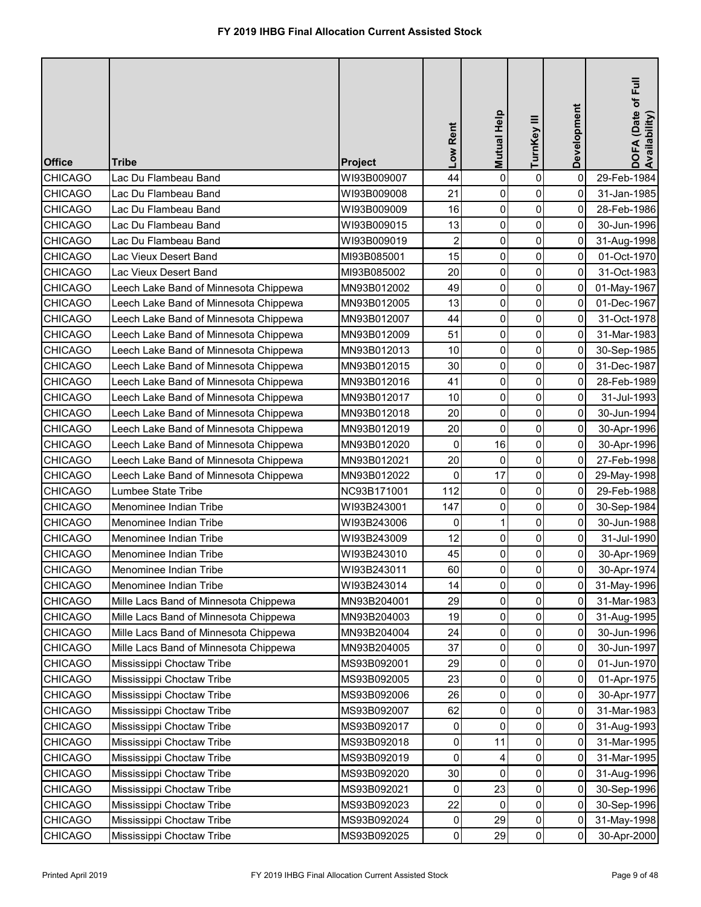| <b>Office</b>  | <b>Tribe</b>                          | <b>Project</b> | Low Rent                | <b>Mutual Help</b> | TurnKey III    | Development    | DOFA (Date of Full<br>Availability) |
|----------------|---------------------------------------|----------------|-------------------------|--------------------|----------------|----------------|-------------------------------------|
| <b>CHICAGO</b> | Lac Du Flambeau Band                  | WI93B009007    | 44                      | $\mathbf 0$        | 0              | $\mathbf 0$    | 29-Feb-1984                         |
| <b>CHICAGO</b> | Lac Du Flambeau Band                  | WI93B009008    | 21                      | 0                  | 0              | 0              | 31-Jan-1985                         |
| <b>CHICAGO</b> | Lac Du Flambeau Band                  | WI93B009009    | 16                      | 0                  | 0              | 0              | 28-Feb-1986                         |
| <b>CHICAGO</b> | Lac Du Flambeau Band                  | WI93B009015    | 13                      | 0                  | 0              | 0              | 30-Jun-1996                         |
| <b>CHICAGO</b> | Lac Du Flambeau Band                  | WI93B009019    | $\overline{\mathbf{c}}$ | 0                  | $\pmb{0}$      | 0              | 31-Aug-1998                         |
| <b>CHICAGO</b> | Lac Vieux Desert Band                 | MI93B085001    | 15                      | 0                  | 0              | 0              | 01-Oct-1970                         |
| <b>CHICAGO</b> | Lac Vieux Desert Band                 | MI93B085002    | 20                      | 0                  | 0              | 0              | 31-Oct-1983                         |
| <b>CHICAGO</b> | Leech Lake Band of Minnesota Chippewa | MN93B012002    | 49                      | 0                  | 0              | 0              | 01-May-1967                         |
| <b>CHICAGO</b> | Leech Lake Band of Minnesota Chippewa | MN93B012005    | 13                      | 0                  | $\pmb{0}$      | 0              | 01-Dec-1967                         |
| <b>CHICAGO</b> | Leech Lake Band of Minnesota Chippewa | MN93B012007    | 44                      | $\mathbf 0$        | 0              | 0              | 31-Oct-1978                         |
| <b>CHICAGO</b> | Leech Lake Band of Minnesota Chippewa | MN93B012009    | 51                      | $\mathbf 0$        | 0              | 0              | 31-Mar-1983                         |
| <b>CHICAGO</b> | Leech Lake Band of Minnesota Chippewa | MN93B012013    | 10                      | $\mathbf 0$        | 0              | 0              | 30-Sep-1985                         |
| <b>CHICAGO</b> | Leech Lake Band of Minnesota Chippewa | MN93B012015    | 30                      | $\pmb{0}$          | 0              | 0              | 31-Dec-1987                         |
| <b>CHICAGO</b> | Leech Lake Band of Minnesota Chippewa | MN93B012016    | 41                      | $\mathbf 0$        | 0              | 0              | 28-Feb-1989                         |
| <b>CHICAGO</b> | Leech Lake Band of Minnesota Chippewa | MN93B012017    | 10                      | $\mathbf 0$        | 0              | 0              | 31-Jul-1993                         |
| <b>CHICAGO</b> | Leech Lake Band of Minnesota Chippewa | MN93B012018    | 20                      | $\mathbf 0$        | 0              | $\mathbf 0$    | 30-Jun-1994                         |
| <b>CHICAGO</b> | Leech Lake Band of Minnesota Chippewa | MN93B012019    | 20                      | $\mathbf 0$        | 0              | 0              | 30-Apr-1996                         |
| <b>CHICAGO</b> | Leech Lake Band of Minnesota Chippewa | MN93B012020    | 0                       | 16                 | 0              | 0              | 30-Apr-1996                         |
| <b>CHICAGO</b> | Leech Lake Band of Minnesota Chippewa | MN93B012021    | 20                      | $\mathbf{0}$       | 0              | 0              | 27-Feb-1998                         |
| <b>CHICAGO</b> | Leech Lake Band of Minnesota Chippewa | MN93B012022    | $\pmb{0}$               | 17                 | $\pmb{0}$      | 0              | 29-May-1998                         |
| <b>CHICAGO</b> | Lumbee State Tribe                    | NC93B171001    | 112                     | 0                  | 0              | 0              | 29-Feb-1988                         |
| <b>CHICAGO</b> | Menominee Indian Tribe                | WI93B243001    | 147                     | 0                  | 0              | 0              | 30-Sep-1984                         |
| <b>CHICAGO</b> | Menominee Indian Tribe                | WI93B243006    | $\overline{0}$          | 1                  | $\overline{0}$ | $\overline{0}$ | 30-Jun-1988                         |
| <b>CHICAGO</b> | Menominee Indian Tribe                | WI93B243009    | 12                      | 0                  | 0              | 0              | 31-Jul-1990                         |
| <b>CHICAGO</b> | Menominee Indian Tribe                | WI93B243010    | 45                      | $\mathbf 0$        | $\pmb{0}$      | 0              | 30-Apr-1969                         |
| <b>CHICAGO</b> | Menominee Indian Tribe                | WI93B243011    | 60                      | 0                  | 0              | 0              | 30-Apr-1974                         |
| <b>CHICAGO</b> | Menominee Indian Tribe                | WI93B243014    | 14                      | 0                  | 0              | 0              | 31-May-1996                         |
| <b>CHICAGO</b> | Mille Lacs Band of Minnesota Chippewa | MN93B204001    | 29                      | 0                  | 0              | 0              | 31-Mar-1983                         |
| <b>CHICAGO</b> | Mille Lacs Band of Minnesota Chippewa | MN93B204003    | 19                      | $\mathbf{0}$       | 0              | 0              | 31-Aug-1995                         |
| <b>CHICAGO</b> | Mille Lacs Band of Minnesota Chippewa | MN93B204004    | 24                      | 0                  | 0              | 0              | 30-Jun-1996                         |
| <b>CHICAGO</b> | Mille Lacs Band of Minnesota Chippewa | MN93B204005    | 37                      | 0                  | 0              | 0              | 30-Jun-1997                         |
| <b>CHICAGO</b> | Mississippi Choctaw Tribe             | MS93B092001    | 29                      | 0                  | 0              | 0              | 01-Jun-1970                         |
| <b>CHICAGO</b> | Mississippi Choctaw Tribe             | MS93B092005    | 23                      | 0                  | $\pmb{0}$      | $\mathbf 0$    | 01-Apr-1975                         |
| <b>CHICAGO</b> | Mississippi Choctaw Tribe             | MS93B092006    | 26                      | 0                  | 0              | 0              | 30-Apr-1977                         |
| <b>CHICAGO</b> | Mississippi Choctaw Tribe             | MS93B092007    | 62                      | 0                  | 0              | 0              | 31-Mar-1983                         |
| <b>CHICAGO</b> | Mississippi Choctaw Tribe             | MS93B092017    | 0                       | $\Omega$           | 0              | 0              | 31-Aug-1993                         |
| <b>CHICAGO</b> | Mississippi Choctaw Tribe             | MS93B092018    | 0                       | 11                 | 0              | 0              | 31-Mar-1995                         |
| <b>CHICAGO</b> | Mississippi Choctaw Tribe             | MS93B092019    | 0                       | 4                  | 0              | 0              | 31-Mar-1995                         |
| <b>CHICAGO</b> | Mississippi Choctaw Tribe             | MS93B092020    | 30                      | $\mathbf{0}$       | 0              | 0              | 31-Aug-1996                         |
| <b>CHICAGO</b> | Mississippi Choctaw Tribe             | MS93B092021    | 0                       | 23                 | 0              | 0              | 30-Sep-1996                         |
| <b>CHICAGO</b> | Mississippi Choctaw Tribe             | MS93B092023    | 22                      | 0                  | 0              | 0              | 30-Sep-1996                         |
| <b>CHICAGO</b> | Mississippi Choctaw Tribe             | MS93B092024    | 0                       | 29                 | 0              | 0              | 31-May-1998                         |
| <b>CHICAGO</b> | Mississippi Choctaw Tribe             | MS93B092025    | $\pmb{0}$               | 29                 | $\pmb{0}$      | 0              | 30-Apr-2000                         |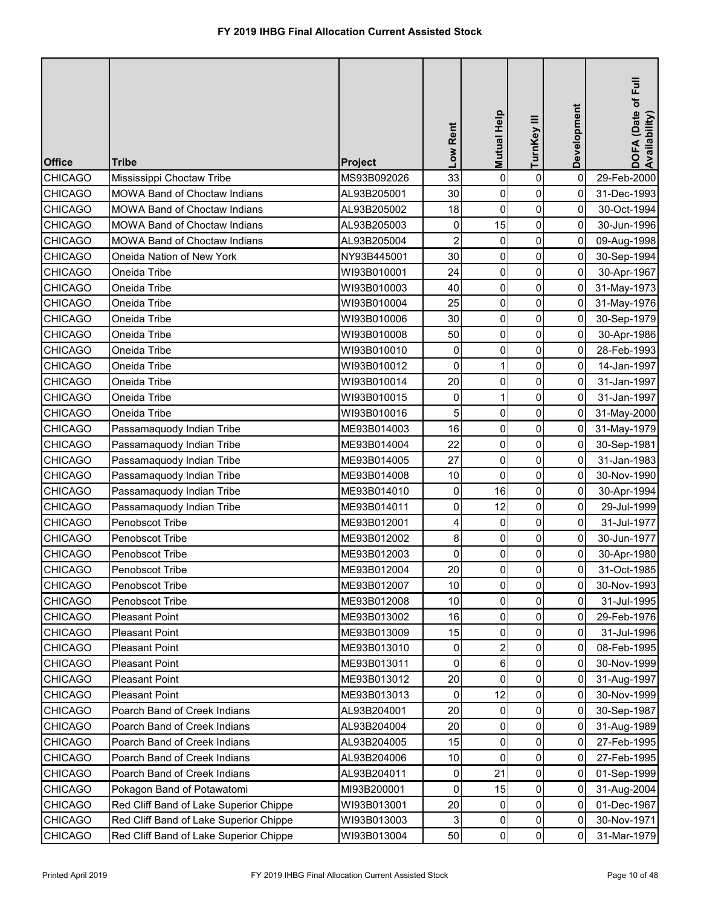| <b>Office</b>  | <b>Tribe</b>                           | Project     | Low Rent                | <b>Mutual Help</b> | TurnKey III         | Development    | DOFA (Date of Full<br>Availability) |
|----------------|----------------------------------------|-------------|-------------------------|--------------------|---------------------|----------------|-------------------------------------|
| <b>CHICAGO</b> | Mississippi Choctaw Tribe              | MS93B092026 | 33                      | 0                  | $\pmb{0}$           | $\pmb{0}$      | 29-Feb-2000                         |
| <b>CHICAGO</b> | <b>MOWA Band of Choctaw Indians</b>    | AL93B205001 | 30                      | 0                  | 0                   | 0              | 31-Dec-1993                         |
| <b>CHICAGO</b> | MOWA Band of Choctaw Indians           | AL93B205002 | 18                      | $\mathbf 0$        | $\mathbf 0$         | 0              | 30-Oct-1994                         |
| <b>CHICAGO</b> | <b>MOWA Band of Choctaw Indians</b>    | AL93B205003 | 0                       | 15                 | 0                   | 0              | 30-Jun-1996                         |
| <b>CHICAGO</b> | <b>MOWA Band of Choctaw Indians</b>    | AL93B205004 | $\overline{\mathbf{c}}$ | 0                  | $\pmb{0}$           | 0              | 09-Aug-1998                         |
| <b>CHICAGO</b> | Oneida Nation of New York              | NY93B445001 | 30                      | 0                  | $\pmb{0}$           | 0              | 30-Sep-1994                         |
| <b>CHICAGO</b> | Oneida Tribe                           | WI93B010001 | 24                      | 0                  | $\pmb{0}$           | $\overline{0}$ | 30-Apr-1967                         |
| <b>CHICAGO</b> | Oneida Tribe                           | WI93B010003 | 40                      | 0                  | $\mathbf 0$         | $\overline{0}$ | 31-May-1973                         |
| <b>CHICAGO</b> | Oneida Tribe                           | WI93B010004 | 25                      | 0                  | $\pmb{0}$           | $\overline{0}$ | 31-May-1976                         |
| <b>CHICAGO</b> | Oneida Tribe                           | WI93B010006 | 30                      | $\mathbf 0$        | $\mathbf 0$         | 0              | 30-Sep-1979                         |
| <b>CHICAGO</b> | Oneida Tribe                           | WI93B010008 | 50                      | 0                  | $\mathsf{O}\xspace$ | 0              | 30-Apr-1986                         |
| <b>CHICAGO</b> | Oneida Tribe                           | WI93B010010 | 0                       | $\mathbf 0$        | 0                   | 0              | 28-Feb-1993                         |
| <b>CHICAGO</b> | Oneida Tribe                           | WI93B010012 | 0                       |                    | 0                   | 0              | 14-Jan-1997                         |
| <b>CHICAGO</b> | Oneida Tribe                           | WI93B010014 | 20                      | $\mathbf 0$        | 0                   | 0              | 31-Jan-1997                         |
| <b>CHICAGO</b> | Oneida Tribe                           | WI93B010015 | 0                       |                    | 0                   | 0              | 31-Jan-1997                         |
| <b>CHICAGO</b> | Oneida Tribe                           | WI93B010016 | 5                       | 0                  | $\pmb{0}$           | 0              | 31-May-2000                         |
| <b>CHICAGO</b> | Passamaquody Indian Tribe              | ME93B014003 | 16                      | 0                  | 0                   | 0              | 31-May-1979                         |
| <b>CHICAGO</b> | Passamaquody Indian Tribe              | ME93B014004 | 22                      | 0                  | $\mathbf 0$         | 0              | 30-Sep-1981                         |
| <b>CHICAGO</b> | Passamaquody Indian Tribe              | ME93B014005 | 27                      | $\mathbf 0$        | 0                   | 0              | 31-Jan-1983                         |
| <b>CHICAGO</b> | Passamaquody Indian Tribe              | ME93B014008 | 10                      | 0                  | $\pmb{0}$           | 0              | 30-Nov-1990                         |
| <b>CHICAGO</b> | Passamaquody Indian Tribe              | ME93B014010 | 0                       | 16                 | $\pmb{0}$           | 0              | 30-Apr-1994                         |
| <b>CHICAGO</b> | Passamaquody Indian Tribe              | ME93B014011 | 0                       | 12                 | $\mathbf 0$         | $\overline{0}$ | 29-Jul-1999                         |
| <b>CHICAGO</b> | Penobscot Tribe                        | ME93B012001 | $\frac{4}{3}$           | $\overline{0}$     | 0                   | οI             | 31-Jul-1977                         |
| <b>CHICAGO</b> | Penobscot Tribe                        | ME93B012002 | 8 <sup>1</sup>          | 0                  | $\mathbf 0$         | 0              | 30-Jun-1977                         |
| <b>CHICAGO</b> | Penobscot Tribe                        | ME93B012003 | $\overline{0}$          | 0                  | $\pmb{0}$           | 0              | 30-Apr-1980                         |
| <b>CHICAGO</b> | Penobscot Tribe                        | ME93B012004 | 20                      | 0                  | 0                   | 0              | 31-Oct-1985                         |
| <b>CHICAGO</b> | Penobscot Tribe                        | ME93B012007 | 10                      | 0                  | 0                   | 0              | 30-Nov-1993                         |
| <b>CHICAGO</b> | Penobscot Tribe                        | ME93B012008 | 10                      | 0                  | 0                   | 0              | 31-Jul-1995                         |
| <b>CHICAGO</b> | <b>Pleasant Point</b>                  | ME93B013002 | 16                      | 0                  | 0                   | 0              | 29-Feb-1976                         |
| <b>CHICAGO</b> | <b>Pleasant Point</b>                  | ME93B013009 | 15                      | $\Omega$           | 0                   | 0              | 31-Jul-1996                         |
| <b>CHICAGO</b> | <b>Pleasant Point</b>                  | ME93B013010 | 0                       | $\overline{2}$     | 0                   | 0              | 08-Feb-1995                         |
| <b>CHICAGO</b> | <b>Pleasant Point</b>                  | ME93B013011 | 0                       | 6                  | 0                   | 0              | 30-Nov-1999                         |
| <b>CHICAGO</b> | <b>Pleasant Point</b>                  | ME93B013012 | 20                      | 0                  | 0                   | 0              | 31-Aug-1997                         |
| <b>CHICAGO</b> | <b>Pleasant Point</b>                  | ME93B013013 | 0                       | 12                 | 0                   | 0              | 30-Nov-1999                         |
| <b>CHICAGO</b> | Poarch Band of Creek Indians           | AL93B204001 | 20                      | 0                  | $\pmb{0}$           | 0              | 30-Sep-1987                         |
| <b>CHICAGO</b> | Poarch Band of Creek Indians           | AL93B204004 | 20                      | 0                  | 0                   | 0              | 31-Aug-1989                         |
| <b>CHICAGO</b> | Poarch Band of Creek Indians           | AL93B204005 | 15                      | 0                  | $\pmb{0}$           | 0              | 27-Feb-1995                         |
| <b>CHICAGO</b> | Poarch Band of Creek Indians           | AL93B204006 | 10                      | $\mathbf{0}$       | $\mathbf 0$         | 0              | 27-Feb-1995                         |
| <b>CHICAGO</b> | Poarch Band of Creek Indians           | AL93B204011 | $\overline{0}$          | 21                 | $\pmb{0}$           | 0              | 01-Sep-1999                         |
| <b>CHICAGO</b> | Pokagon Band of Potawatomi             | MI93B200001 | 0                       | 15                 | $\pmb{0}$           | 0              | 31-Aug-2004                         |
| <b>CHICAGO</b> | Red Cliff Band of Lake Superior Chippe | WI93B013001 | 20                      | 0                  | $\mathsf{O}\xspace$ | 0              | 01-Dec-1967                         |
| <b>CHICAGO</b> | Red Cliff Band of Lake Superior Chippe | WI93B013003 | 3                       | 0                  | $\pmb{0}$           | 0              | 30-Nov-1971                         |
| <b>CHICAGO</b> | Red Cliff Band of Lake Superior Chippe | WI93B013004 | 50                      | 0                  | $\overline{0}$      | 0              | 31-Mar-1979                         |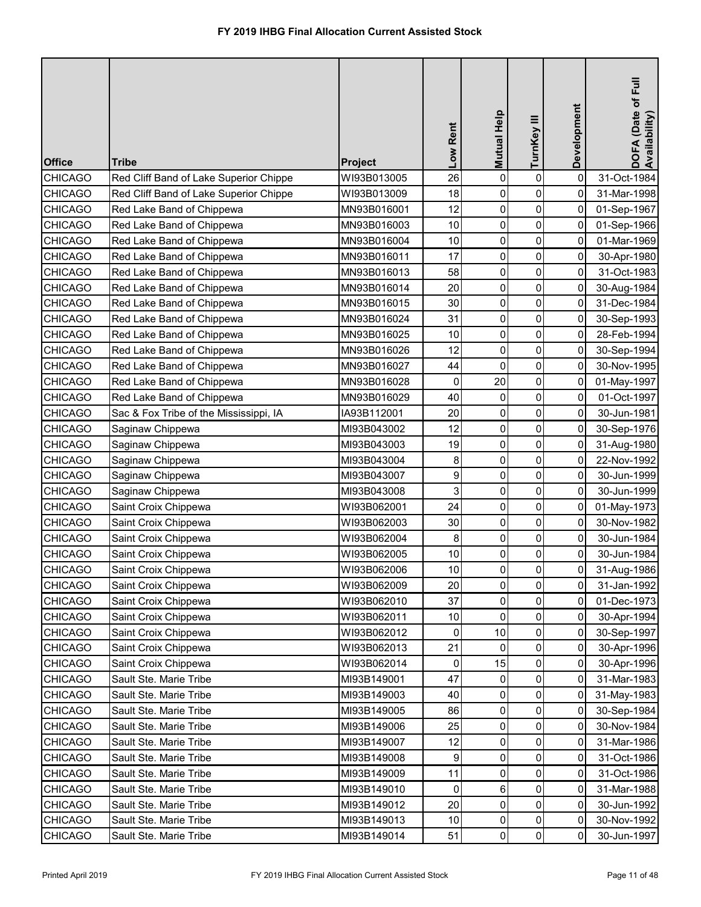| <b>Office</b>  | <b>Tribe</b>                           | <b>Project</b> | Low Rent | Mutual Help    | TurnKey III    | Development | DOFA (Date of Full<br>Availability) |
|----------------|----------------------------------------|----------------|----------|----------------|----------------|-------------|-------------------------------------|
| <b>CHICAGO</b> | Red Cliff Band of Lake Superior Chippe | WI93B013005    | 26       | $\mathbf 0$    | 0              | $\mathbf 0$ | 31-Oct-1984                         |
| <b>CHICAGO</b> | Red Cliff Band of Lake Superior Chippe | WI93B013009    | 18       | 0              | 0              | 0           | 31-Mar-1998                         |
| <b>CHICAGO</b> | Red Lake Band of Chippewa              | MN93B016001    | 12       | 0              | 0              | $\mathbf 0$ | 01-Sep-1967                         |
| <b>CHICAGO</b> | Red Lake Band of Chippewa              | MN93B016003    | 10       | 0              | 0              | 0           | 01-Sep-1966                         |
| <b>CHICAGO</b> | Red Lake Band of Chippewa              | MN93B016004    | 10       | 0              | $\pmb{0}$      | 0           | 01-Mar-1969                         |
| <b>CHICAGO</b> | Red Lake Band of Chippewa              | MN93B016011    | 17       | 0              | 0              | 0           | 30-Apr-1980                         |
| <b>CHICAGO</b> | Red Lake Band of Chippewa              | MN93B016013    | 58       | 0              | 0              | 0           | 31-Oct-1983                         |
| <b>CHICAGO</b> | Red Lake Band of Chippewa              | MN93B016014    | 20       | $\pmb{0}$      | 0              | 0           | 30-Aug-1984                         |
| <b>CHICAGO</b> | Red Lake Band of Chippewa              | MN93B016015    | 30       | 0              | $\pmb{0}$      | 0           | 31-Dec-1984                         |
| <b>CHICAGO</b> | Red Lake Band of Chippewa              | MN93B016024    | 31       | $\pmb{0}$      | 0              | 0           | 30-Sep-1993                         |
| <b>CHICAGO</b> | Red Lake Band of Chippewa              | MN93B016025    | 10       | 0              | 0              | 0           | 28-Feb-1994                         |
| <b>CHICAGO</b> | Red Lake Band of Chippewa              | MN93B016026    | 12       | 0              | 0              | 0           | 30-Sep-1994                         |
| <b>CHICAGO</b> | Red Lake Band of Chippewa              | MN93B016027    | 44       | 0              | 0              | 0           | 30-Nov-1995                         |
| <b>CHICAGO</b> | Red Lake Band of Chippewa              | MN93B016028    | 0        | 20             | 0              | $\mathbf 0$ | 01-May-1997                         |
| <b>CHICAGO</b> | Red Lake Band of Chippewa              | MN93B016029    | 40       | 0              | 0              | 0           | 01-Oct-1997                         |
| <b>CHICAGO</b> | Sac & Fox Tribe of the Mississippi, IA | IA93B112001    | 20       | $\mathbf 0$    | 0              | $\mathbf 0$ | 30-Jun-1981                         |
| <b>CHICAGO</b> | Saginaw Chippewa                       | MI93B043002    | 12       | $\mathbf 0$    | 0              | 0           | 30-Sep-1976                         |
| <b>CHICAGO</b> | Saginaw Chippewa                       | MI93B043003    | 19       | 0              | 0              | 0           | 31-Aug-1980                         |
| <b>CHICAGO</b> | Saginaw Chippewa                       | MI93B043004    | 8        | 0              | 0              | 0           | 22-Nov-1992                         |
| <b>CHICAGO</b> | Saginaw Chippewa                       | MI93B043007    | 9        | 0              | $\pmb{0}$      | 0           | 30-Jun-1999                         |
| <b>CHICAGO</b> | Saginaw Chippewa                       | MI93B043008    | 3        | 0              | 0              | 0           | 30-Jun-1999                         |
| <b>CHICAGO</b> | Saint Croix Chippewa                   | WI93B062001    | 24       | 0              | 0              | 0           | 01-May-1973                         |
| <b>CHICAGO</b> | Saint Croix Chippewa                   | WI93B062003    | 30       | $\overline{0}$ | $\overline{0}$ | 0           | 30-Nov-1982                         |
| <b>CHICAGO</b> | Saint Croix Chippewa                   | WI93B062004    | 8        | 0              | 0              | 0           | 30-Jun-1984                         |
| <b>CHICAGO</b> | Saint Croix Chippewa                   | WI93B062005    | 10       | 0              | $\pmb{0}$      | 0           | 30-Jun-1984                         |
| <b>CHICAGO</b> | Saint Croix Chippewa                   | WI93B062006    | 10       | 0              | 0              | 0           | 31-Aug-1986                         |
| <b>CHICAGO</b> | Saint Croix Chippewa                   | WI93B062009    | 20       | $\mathbf{0}$   | 0              | 0           | 31-Jan-1992                         |
| <b>CHICAGO</b> | Saint Croix Chippewa                   | WI93B062010    | 37       | 0              | 0              | 0           | 01-Dec-1973                         |
| <b>CHICAGO</b> | Saint Croix Chippewa                   | WI93B062011    | 10       | $\mathbf{0}$   | 0              | 0           | 30-Apr-1994                         |
| <b>CHICAGO</b> | Saint Croix Chippewa                   | WI93B062012    | 0        | 10             | 0              | 0           | 30-Sep-1997                         |
| <b>CHICAGO</b> | Saint Croix Chippewa                   | WI93B062013    | 21       | $\mathbf{0}$   | 0              | 0           | 30-Apr-1996                         |
| <b>CHICAGO</b> | Saint Croix Chippewa                   | WI93B062014    | 0        | 15             | 0              | 0           | 30-Apr-1996                         |
| <b>CHICAGO</b> | Sault Ste. Marie Tribe                 | MI93B149001    | 47       | $\Omega$       | 0              | $\mathbf 0$ | 31-Mar-1983                         |
| <b>CHICAGO</b> | Sault Ste. Marie Tribe                 | MI93B149003    | 40       | 0              | 0              | 0           | 31-May-1983                         |
| <b>CHICAGO</b> | Sault Ste. Marie Tribe                 | MI93B149005    | 86       | 0              | 0              | 0           | 30-Sep-1984                         |
| <b>CHICAGO</b> | Sault Ste. Marie Tribe                 | MI93B149006    | 25       | 0              | 0              | 0           | 30-Nov-1984                         |
| <b>CHICAGO</b> | Sault Ste. Marie Tribe                 | MI93B149007    | 12       | 0              | 0              | 0           | 31-Mar-1986                         |
| <b>CHICAGO</b> | Sault Ste. Marie Tribe                 | MI93B149008    | 9        | 0              | 0              | 0           | 31-Oct-1986                         |
| <b>CHICAGO</b> | Sault Ste. Marie Tribe                 | MI93B149009    | 11       | 0              | 0              | 0           | 31-Oct-1986                         |
| <b>CHICAGO</b> | Sault Ste. Marie Tribe                 | MI93B149010    | 0        | 6              | 0              | 0           | 31-Mar-1988                         |
| <b>CHICAGO</b> | Sault Ste. Marie Tribe                 | MI93B149012    | 20       | 0              | 0              | 0           | 30-Jun-1992                         |
| <b>CHICAGO</b> | Sault Ste. Marie Tribe                 | MI93B149013    | 10       | 0              | 0              | 0           | 30-Nov-1992                         |
| <b>CHICAGO</b> | Sault Ste. Marie Tribe                 | MI93B149014    | 51       | $\pmb{0}$      | $\pmb{0}$      | 0           | 30-Jun-1997                         |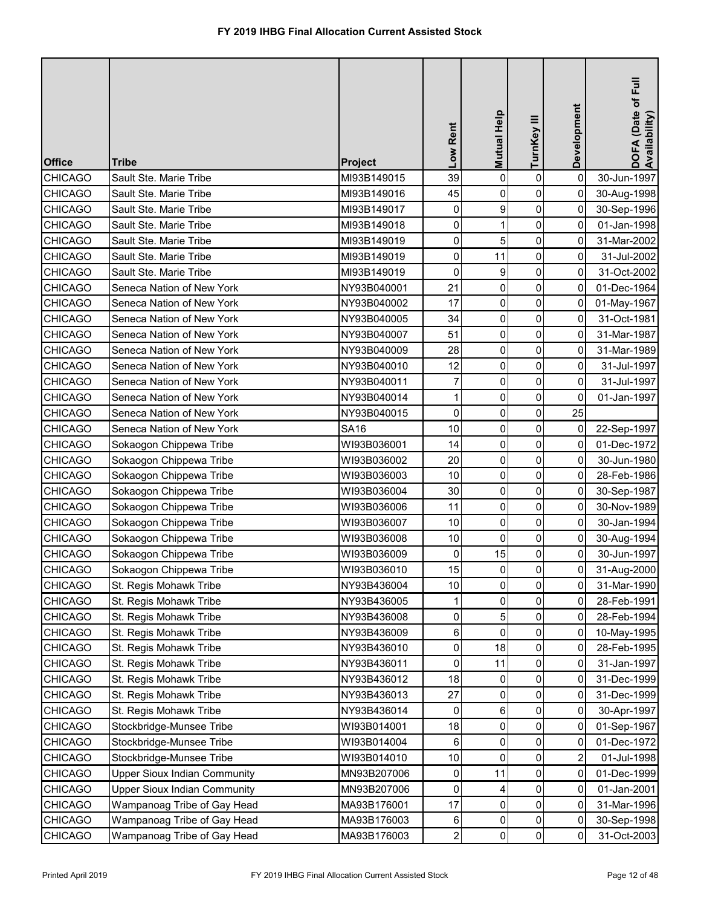| <b>Office</b>  | <b>Tribe</b>                        | <b>Project</b> | Low Rent                | Mutual Help    | TurnKey III    | Development    | DOFA (Date of Full<br>Availability) |
|----------------|-------------------------------------|----------------|-------------------------|----------------|----------------|----------------|-------------------------------------|
| <b>CHICAGO</b> | Sault Ste. Marie Tribe              | MI93B149015    | 39                      | $\mathbf 0$    | $\pmb{0}$      | $\mathbf 0$    | 30-Jun-1997                         |
| <b>CHICAGO</b> | Sault Ste. Marie Tribe              | MI93B149016    | 45                      | 0              | 0              | 0              | 30-Aug-1998                         |
| <b>CHICAGO</b> | Sault Ste. Marie Tribe              | MI93B149017    | 0                       | 9              | $\pmb{0}$      | 0              | 30-Sep-1996                         |
| <b>CHICAGO</b> | Sault Ste. Marie Tribe              | MI93B149018    | 0                       |                | 0              | 0              | 01-Jan-1998                         |
| <b>CHICAGO</b> | Sault Ste. Marie Tribe              | MI93B149019    | $\pmb{0}$               | 5              | $\pmb{0}$      | 0              | 31-Mar-2002                         |
| <b>CHICAGO</b> | Sault Ste. Marie Tribe              | MI93B149019    | $\pmb{0}$               | 11             | 0              | 0              | 31-Jul-2002                         |
| <b>CHICAGO</b> | Sault Ste. Marie Tribe              | MI93B149019    | $\pmb{0}$               | 9              | 0              | 0              | 31-Oct-2002                         |
| <b>CHICAGO</b> | Seneca Nation of New York           | NY93B040001    | 21                      | $\mathbf 0$    | 0              | 0              | 01-Dec-1964                         |
| <b>CHICAGO</b> | Seneca Nation of New York           | NY93B040002    | 17                      | 0              | $\pmb{0}$      | $\mathbf 0$    | 01-May-1967                         |
| <b>CHICAGO</b> | Seneca Nation of New York           | NY93B040005    | 34                      | $\mathbf 0$    | $\pmb{0}$      | 0              | 31-Oct-1981                         |
| <b>CHICAGO</b> | Seneca Nation of New York           | NY93B040007    | 51                      | $\mathbf 0$    | 0              | 0              | 31-Mar-1987                         |
| <b>CHICAGO</b> | Seneca Nation of New York           | NY93B040009    | 28                      | $\mathbf 0$    | 0              | 0              | 31-Mar-1989                         |
| <b>CHICAGO</b> | Seneca Nation of New York           | NY93B040010    | 12                      | 0              | 0              | 0              | 31-Jul-1997                         |
| <b>CHICAGO</b> | Seneca Nation of New York           | NY93B040011    | $\overline{7}$          | $\mathbf 0$    | 0              | 0              | 31-Jul-1997                         |
| <b>CHICAGO</b> | Seneca Nation of New York           | NY93B040014    | 1                       | $\mathbf 0$    | 0              | 0              | 01-Jan-1997                         |
| <b>CHICAGO</b> | Seneca Nation of New York           | NY93B040015    | 0                       | $\mathbf 0$    | $\pmb{0}$      | 25             |                                     |
| <b>CHICAGO</b> | Seneca Nation of New York           | <b>SA16</b>    | 10                      | $\mathbf 0$    | 0              | 0              | 22-Sep-1997                         |
| <b>CHICAGO</b> | Sokaogon Chippewa Tribe             | WI93B036001    | 14                      | $\mathbf 0$    | $\pmb{0}$      | 0              | 01-Dec-1972                         |
| <b>CHICAGO</b> | Sokaogon Chippewa Tribe             | WI93B036002    | 20                      | $\mathbf 0$    | 0              | 0              | 30-Jun-1980                         |
| <b>CHICAGO</b> | Sokaogon Chippewa Tribe             | WI93B036003    | 10                      | 0              | $\pmb{0}$      | 0              | 28-Feb-1986                         |
| <b>CHICAGO</b> | Sokaogon Chippewa Tribe             | WI93B036004    | 30                      | 0              | 0              | 0              | 30-Sep-1987                         |
| <b>CHICAGO</b> | Sokaogon Chippewa Tribe             | WI93B036006    | 11                      | 0              | 0              | 0              | 30-Nov-1989                         |
| <b>CHICAGO</b> | Sokaogon Chippewa Tribe             | WI93B036007    | 10 <sub>1</sub>         | $\overline{0}$ | $\overline{0}$ | $\overline{0}$ | 30-Jan-1994                         |
| <b>CHICAGO</b> | Sokaogon Chippewa Tribe             | WI93B036008    | 10                      | 0              | 0              | 0              | 30-Aug-1994                         |
| <b>CHICAGO</b> | Sokaogon Chippewa Tribe             | WI93B036009    | 0                       | 15             | $\pmb{0}$      | 0              | 30-Jun-1997                         |
| <b>CHICAGO</b> | Sokaogon Chippewa Tribe             | WI93B036010    | 15                      | 0              | 0              | 0              | 31-Aug-2000                         |
| <b>CHICAGO</b> | St. Regis Mohawk Tribe              | NY93B436004    | 10                      | 0              | 0              | 0              | 31-Mar-1990                         |
| <b>CHICAGO</b> | St. Regis Mohawk Tribe              | NY93B436005    |                         | 0              | 0              | 0              | 28-Feb-1991                         |
| <b>CHICAGO</b> | St. Regis Mohawk Tribe              | NY93B436008    | 0                       | 5              | 0              | 0              | 28-Feb-1994                         |
| <b>CHICAGO</b> | St. Regis Mohawk Tribe              | NY93B436009    | 6                       | 0              | 0              | 0              | 10-May-1995                         |
| <b>CHICAGO</b> | St. Regis Mohawk Tribe              | NY93B436010    | 0                       | 18             | 0              | 0              | 28-Feb-1995                         |
| <b>CHICAGO</b> | St. Regis Mohawk Tribe              | NY93B436011    | 0                       | 11             | 0              | 0              | 31-Jan-1997                         |
| <b>CHICAGO</b> | St. Regis Mohawk Tribe              | NY93B436012    | 18                      | $\Omega$       | 0              | 0              | 31-Dec-1999                         |
| <b>CHICAGO</b> | St. Regis Mohawk Tribe              | NY93B436013    | 27                      | 0              | 0              | 0              | 31-Dec-1999                         |
| <b>CHICAGO</b> | St. Regis Mohawk Tribe              | NY93B436014    | 0                       | 6              | 0              | 0              | 30-Apr-1997                         |
| <b>CHICAGO</b> | Stockbridge-Munsee Tribe            | WI93B014001    | 18                      | 0              | 0              | 0              | 01-Sep-1967                         |
| <b>CHICAGO</b> | Stockbridge-Munsee Tribe            | WI93B014004    | 6                       | 0              | 0              | 0              | 01-Dec-1972                         |
| <b>CHICAGO</b> | Stockbridge-Munsee Tribe            | WI93B014010    | 10                      | $\mathbf{0}$   | 0              | $\overline{2}$ | 01-Jul-1998                         |
| <b>CHICAGO</b> | <b>Upper Sioux Indian Community</b> | MN93B207006    | 0                       | 11             | 0              | 0              | 01-Dec-1999                         |
| <b>CHICAGO</b> | <b>Upper Sioux Indian Community</b> | MN93B207006    | $\pmb{0}$               | 4              | 0              | 0              | 01-Jan-2001                         |
| <b>CHICAGO</b> | Wampanoag Tribe of Gay Head         | MA93B176001    | 17                      | 0              | 0              | 0              | 31-Mar-1996                         |
| <b>CHICAGO</b> | Wampanoag Tribe of Gay Head         | MA93B176003    | 6                       | 0              | 0              | 0              | 30-Sep-1998                         |
| <b>CHICAGO</b> | Wampanoag Tribe of Gay Head         | MA93B176003    | $\overline{\mathbf{c}}$ | $\pmb{0}$      | $\pmb{0}$      | 0              | 31-Oct-2003                         |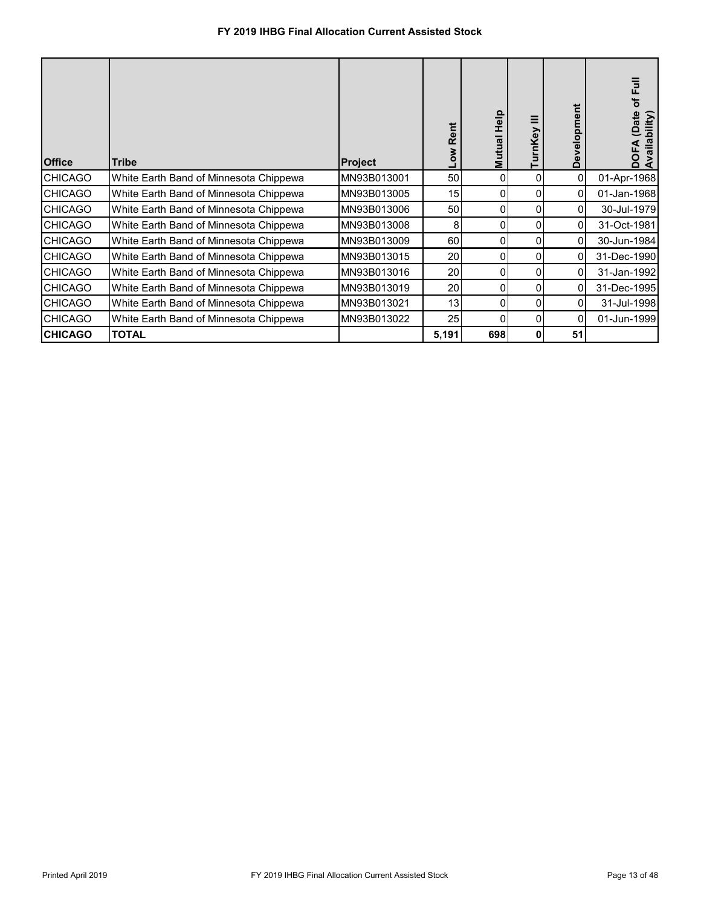| <b>Office</b>  | <b>Tribe</b>                           | <b>Project</b> | Rent<br>Mo⊤ | Help<br>Mutual | nKey     | Development | of Full<br>(Date<br>(bility<br>DOFA<br>Availal |
|----------------|----------------------------------------|----------------|-------------|----------------|----------|-------------|------------------------------------------------|
| <b>CHICAGO</b> | White Earth Band of Minnesota Chippewa | MN93B013001    | 50          | 0              | 0        | 0           | 01-Apr-1968                                    |
| <b>CHICAGO</b> | White Earth Band of Minnesota Chippewa | MN93B013005    | 15          | 0              | 0        | 0           | 01-Jan-1968                                    |
| <b>CHICAGO</b> | White Earth Band of Minnesota Chippewa | MN93B013006    | 50          | 0              | $\Omega$ | 0           | 30-Jul-1979                                    |
| <b>CHICAGO</b> | White Earth Band of Minnesota Chippewa | MN93B013008    | 8           | 0              | 0        | 0           | 31-Oct-1981                                    |
| <b>CHICAGO</b> | White Earth Band of Minnesota Chippewa | MN93B013009    | 60          | 0              | 0        | $\Omega$    | 30-Jun-1984                                    |
| <b>CHICAGO</b> | White Earth Band of Minnesota Chippewa | MN93B013015    | 20          | 0              | 0        | $\Omega$    | 31-Dec-1990                                    |
| <b>CHICAGO</b> | White Earth Band of Minnesota Chippewa | MN93B013016    | 20          | 0              | 0        | 0           | 31-Jan-1992                                    |
| <b>CHICAGO</b> | White Earth Band of Minnesota Chippewa | MN93B013019    | 20          | 0              | 0        | 0           | 31-Dec-1995                                    |
| <b>CHICAGO</b> | White Earth Band of Minnesota Chippewa | MN93B013021    | 13          | 0              | 0        | 0           | 31-Jul-1998                                    |
| <b>CHICAGO</b> | White Earth Band of Minnesota Chippewa | MN93B013022    | 25          |                | 0        | 0           | 01-Jun-1999                                    |
| <b>CHICAGO</b> | <b>TOTAL</b>                           |                | 5,191       | 698            | 0        | 51          |                                                |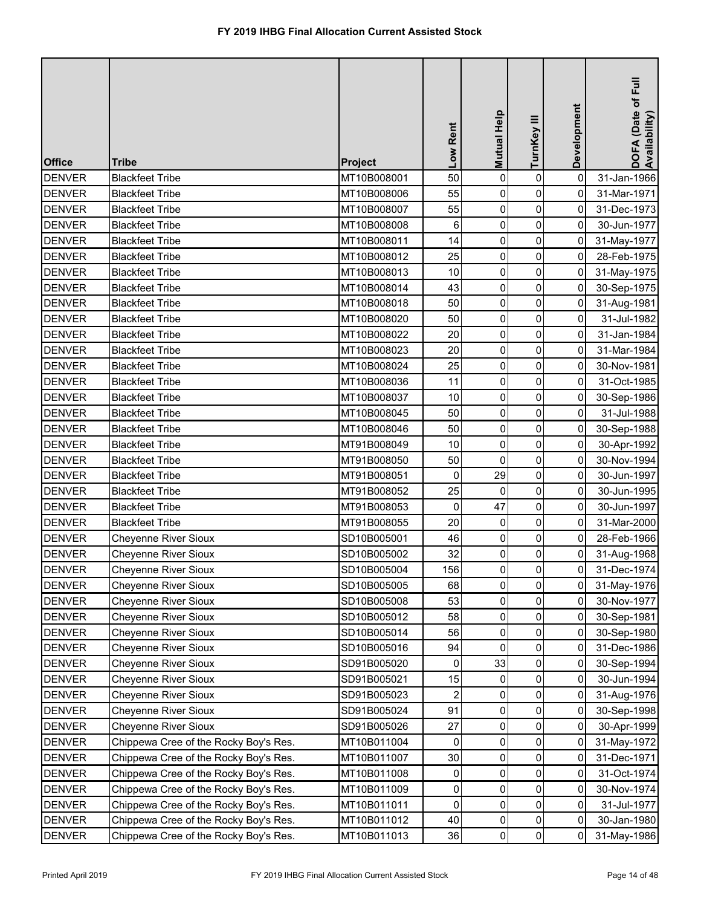| <b>Office</b> | <b>Tribe</b>                          | <b>Project</b> | Low Rent       | Mutual Help    | TurnKey III | Development         | DOFA (Date of Full<br>Availability) |
|---------------|---------------------------------------|----------------|----------------|----------------|-------------|---------------------|-------------------------------------|
| <b>DENVER</b> | <b>Blackfeet Tribe</b>                | MT10B008001    | 50             | $\mathbf 0$    | $\pmb{0}$   | $\mathbf 0$         | 31-Jan-1966                         |
| <b>DENVER</b> | <b>Blackfeet Tribe</b>                | MT10B008006    | 55             | 0              | 0           | 0                   | 31-Mar-1971                         |
| <b>DENVER</b> | <b>Blackfeet Tribe</b>                | MT10B008007    | 55             | 0              | 0           | 0                   | 31-Dec-1973                         |
| <b>DENVER</b> | <b>Blackfeet Tribe</b>                | MT10B008008    | 6              | 0              | 0           | 0                   | 30-Jun-1977                         |
| <b>DENVER</b> | <b>Blackfeet Tribe</b>                | MT10B008011    | 14             | 0              | $\pmb{0}$   | 0                   | 31-May-1977                         |
| <b>DENVER</b> | <b>Blackfeet Tribe</b>                | MT10B008012    | 25             | 0              | 0           | 0                   | 28-Feb-1975                         |
| <b>DENVER</b> | <b>Blackfeet Tribe</b>                | MT10B008013    | 10             | 0              | 0           | 0                   | 31-May-1975                         |
| <b>DENVER</b> | <b>Blackfeet Tribe</b>                | MT10B008014    | 43             | 0              | 0           | 0                   | 30-Sep-1975                         |
| <b>DENVER</b> | <b>Blackfeet Tribe</b>                | MT10B008018    | 50             | $\pmb{0}$      | $\pmb{0}$   | $\mathsf{O}\xspace$ | 31-Aug-1981                         |
| <b>DENVER</b> | <b>Blackfeet Tribe</b>                | MT10B008020    | 50             | 0              | 0           | 0                   | 31-Jul-1982                         |
| <b>DENVER</b> | <b>Blackfeet Tribe</b>                | MT10B008022    | 20             | 0              | 0           | 0                   | 31-Jan-1984                         |
| <b>DENVER</b> | <b>Blackfeet Tribe</b>                | MT10B008023    | 20             | $\mathbf 0$    | 0           | 0                   | 31-Mar-1984                         |
| <b>DENVER</b> | <b>Blackfeet Tribe</b>                | MT10B008024    | 25             | $\pmb{0}$      | $\pmb{0}$   | 0                   | 30-Nov-1981                         |
| <b>DENVER</b> | <b>Blackfeet Tribe</b>                | MT10B008036    | 11             | 0              | 0           | 0                   | 31-Oct-1985                         |
| <b>DENVER</b> | <b>Blackfeet Tribe</b>                | MT10B008037    | 10             | 0              | 0           | 0                   | 30-Sep-1986                         |
| <b>DENVER</b> | <b>Blackfeet Tribe</b>                | MT10B008045    | 50             | $\mathbf 0$    | 0           | 0                   | 31-Jul-1988                         |
| <b>DENVER</b> | <b>Blackfeet Tribe</b>                | MT10B008046    | 50             | 0              | 0           | 0                   | 30-Sep-1988                         |
| <b>DENVER</b> | <b>Blackfeet Tribe</b>                | MT91B008049    | 10             | 0              | 0           | 0                   | 30-Apr-1992                         |
| <b>DENVER</b> | <b>Blackfeet Tribe</b>                | MT91B008050    | 50             | $\mathbf 0$    | 0           | 0                   | 30-Nov-1994                         |
| <b>DENVER</b> | <b>Blackfeet Tribe</b>                | MT91B008051    | 0              | 29             | $\pmb{0}$   | $\mathbf 0$         | 30-Jun-1997                         |
| <b>DENVER</b> | <b>Blackfeet Tribe</b>                | MT91B008052    | 25             | $\mathbf 0$    | 0           | 0                   | 30-Jun-1995                         |
| <b>DENVER</b> | <b>Blackfeet Tribe</b>                | MT91B008053    | 0              | 47             | 0           | 0                   | 30-Jun-1997                         |
| <b>DENVER</b> | <b>Blackfeet Tribe</b>                | MT91B008055    | 20             | $\overline{0}$ | 0           | 0                   | 31-Mar-2000                         |
| <b>DENVER</b> | <b>Cheyenne River Sioux</b>           | SD10B005001    | 46             | 0              | 0           | 0                   | 28-Feb-1966                         |
| <b>DENVER</b> | <b>Cheyenne River Sioux</b>           | SD10B005002    | 32             | 0              | 0           | 0                   | 31-Aug-1968                         |
| <b>DENVER</b> | <b>Cheyenne River Sioux</b>           | SD10B005004    | 156            | 0              | 0           | 0                   | 31-Dec-1974                         |
| <b>DENVER</b> | <b>Cheyenne River Sioux</b>           | SD10B005005    | 68             | 0              | 0           | 0                   | 31-May-1976                         |
| <b>DENVER</b> | <b>Cheyenne River Sioux</b>           | SD10B005008    | 53             | 0              | 0           | 0                   | 30-Nov-1977                         |
| <b>DENVER</b> | <b>Cheyenne River Sioux</b>           | SD10B005012    | 58             | 0              | 0           | 0                   | 30-Sep-1981                         |
| <b>DENVER</b> | <b>Cheyenne River Sioux</b>           | SD10B005014    | 56             | 0              | 0           | 0                   | 30-Sep-1980                         |
| <b>DENVER</b> | <b>Cheyenne River Sioux</b>           | SD10B005016    | 94             | $\mathbf 0$    | 0           | 0                   | 31-Dec-1986                         |
| <b>DENVER</b> | <b>Cheyenne River Sioux</b>           | SD91B005020    | 0              | 33             | 0           | 0                   | 30-Sep-1994                         |
| <b>DENVER</b> | <b>Cheyenne River Sioux</b>           | SD91B005021    | 15             | $\Omega$       | 0           | 0                   | 30-Jun-1994                         |
| <b>DENVER</b> | <b>Cheyenne River Sioux</b>           | SD91B005023    | $\overline{2}$ | 0              | 0           | 0                   | 31-Aug-1976                         |
| <b>DENVER</b> | <b>Cheyenne River Sioux</b>           | SD91B005024    | 91             | 0              | 0           | 0                   | 30-Sep-1998                         |
| <b>DENVER</b> | <b>Cheyenne River Sioux</b>           | SD91B005026    | 27             | 0              | 0           | 0                   | 30-Apr-1999                         |
| <b>DENVER</b> | Chippewa Cree of the Rocky Boy's Res. | MT10B011004    | 0              | 0              | 0           | 0                   | 31-May-1972                         |
| <b>DENVER</b> | Chippewa Cree of the Rocky Boy's Res. | MT10B011007    | 30             | 0              | 0           | 0                   | 31-Dec-1971                         |
| <b>DENVER</b> | Chippewa Cree of the Rocky Boy's Res. | MT10B011008    | 0              | 0              | $\pmb{0}$   | 0                   | 31-Oct-1974                         |
| <b>DENVER</b> | Chippewa Cree of the Rocky Boy's Res. | MT10B011009    | 0              | 0              | 0           | 0                   | 30-Nov-1974                         |
| <b>DENVER</b> | Chippewa Cree of the Rocky Boy's Res. | MT10B011011    | 0              | 0              | 0           | 0                   | 31-Jul-1977                         |
| <b>DENVER</b> | Chippewa Cree of the Rocky Boy's Res. | MT10B011012    | 40             | 0              | 0           | 0                   | 30-Jan-1980                         |
| <b>DENVER</b> | Chippewa Cree of the Rocky Boy's Res. | MT10B011013    | 36             | 0              | $\pmb{0}$   | 0                   | 31-May-1986                         |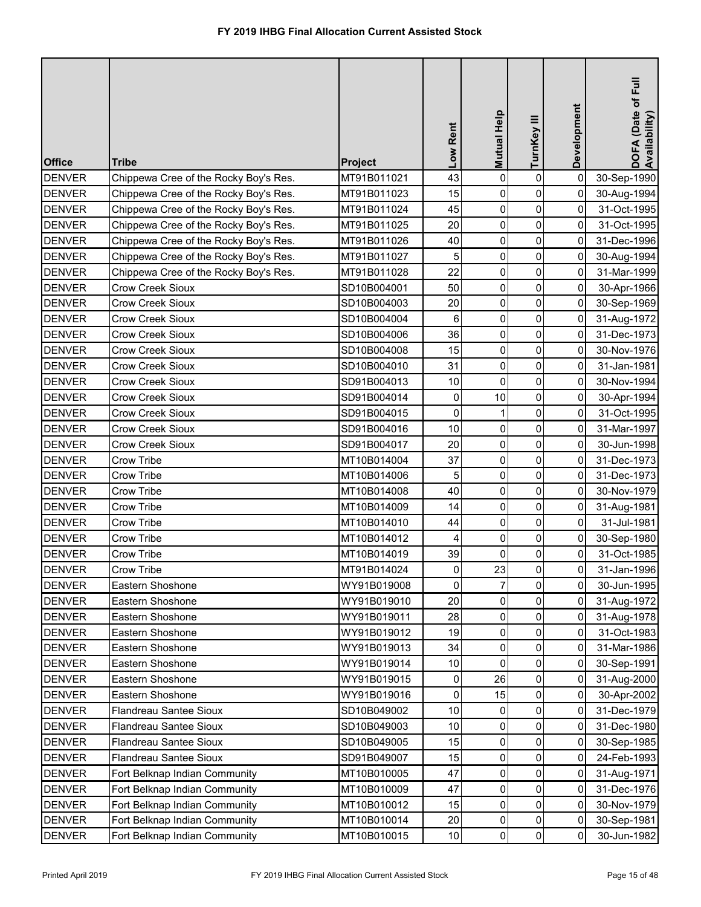| <b>Office</b> | <b>Tribe</b>                          | <b>Project</b> | Low Rent | <b>Mutual Help</b> | TurnKey III    | Development    | DOFA (Date of Full<br>Availability) |
|---------------|---------------------------------------|----------------|----------|--------------------|----------------|----------------|-------------------------------------|
| <b>DENVER</b> | Chippewa Cree of the Rocky Boy's Res. | MT91B011021    | 43       | $\mathbf 0$        | 0              | $\mathbf 0$    | 30-Sep-1990                         |
| <b>DENVER</b> | Chippewa Cree of the Rocky Boy's Res. | MT91B011023    | 15       | 0                  | 0              | 0              | 30-Aug-1994                         |
| <b>DENVER</b> | Chippewa Cree of the Rocky Boy's Res. | MT91B011024    | 45       | 0                  | $\mathsf{O}$   | 0              | 31-Oct-1995                         |
| DENVER        | Chippewa Cree of the Rocky Boy's Res. | MT91B011025    | 20       | 0                  | 0              | 0              | 31-Oct-1995                         |
| <b>DENVER</b> | Chippewa Cree of the Rocky Boy's Res. | MT91B011026    | 40       | 0                  | $\pmb{0}$      | 0              | 31-Dec-1996                         |
| <b>DENVER</b> | Chippewa Cree of the Rocky Boy's Res. | MT91B011027    | 5        | 0                  | 0              | 0              | 30-Aug-1994                         |
| <b>DENVER</b> | Chippewa Cree of the Rocky Boy's Res. | MT91B011028    | 22       | 0                  | 0              | 0              | 31-Mar-1999                         |
| <b>DENVER</b> | <b>Crow Creek Sioux</b>               | SD10B004001    | 50       | 0                  | 0              | 0              | 30-Apr-1966                         |
| <b>DENVER</b> | <b>Crow Creek Sioux</b>               | SD10B004003    | 20       | $\pmb{0}$          | $\pmb{0}$      | 0              | 30-Sep-1969                         |
| <b>DENVER</b> | <b>Crow Creek Sioux</b>               | SD10B004004    | 6        | $\mathbf 0$        | $\pmb{0}$      | 0              | 31-Aug-1972                         |
| <b>DENVER</b> | <b>Crow Creek Sioux</b>               | SD10B004006    | 36       | 0                  | 0              | 0              | 31-Dec-1973                         |
| <b>DENVER</b> | <b>Crow Creek Sioux</b>               | SD10B004008    | 15       | 0                  | 0              | 0              | 30-Nov-1976                         |
| <b>DENVER</b> | <b>Crow Creek Sioux</b>               | SD10B004010    | 31       | $\mathbf 0$        | 0              | 0              | 31-Jan-1981                         |
| <b>DENVER</b> | <b>Crow Creek Sioux</b>               | SD91B004013    | 10       | $\mathbf 0$        | 0              | $\mathbf 0$    | 30-Nov-1994                         |
| <b>DENVER</b> | <b>Crow Creek Sioux</b>               | SD91B004014    | 0        | 10                 | 0              | 0              | 30-Apr-1994                         |
| <b>DENVER</b> | <b>Crow Creek Sioux</b>               | SD91B004015    | 0        | 1                  | 0              | $\mathbf 0$    | 31-Oct-1995                         |
| <b>DENVER</b> | <b>Crow Creek Sioux</b>               | SD91B004016    | 10       | $\mathbf 0$        | 0              | 0              | 31-Mar-1997                         |
| <b>DENVER</b> | <b>Crow Creek Sioux</b>               | SD91B004017    | 20       | 0                  | 0              | 0              | 30-Jun-1998                         |
| <b>DENVER</b> | Crow Tribe                            | MT10B014004    | 37       | 0                  | 0              | 0              | 31-Dec-1973                         |
| <b>DENVER</b> | Crow Tribe                            | MT10B014006    | 5        | 0                  | $\pmb{0}$      | 0              | 31-Dec-1973                         |
| <b>DENVER</b> | Crow Tribe                            | MT10B014008    | 40       | 0                  | 0              | 0              | 30-Nov-1979                         |
| <b>DENVER</b> | Crow Tribe                            | MT10B014009    | 14       | 0                  | 0              | 0              | 31-Aug-1981                         |
| <b>DENVER</b> | Crow Tribe                            | MT10B014010    | 44       | $\overline{0}$     | $\overline{0}$ | $\overline{0}$ | 31-Jul-1981                         |
| <b>DENVER</b> | Crow Tribe                            | MT10B014012    |          | 0                  | 0              | 0              | 30-Sep-1980                         |
| <b>DENVER</b> | Crow Tribe                            | MT10B014019    | 39       | $\Omega$           | $\pmb{0}$      | 0              | 31-Oct-1985                         |
| <b>DENVER</b> | Crow Tribe                            | MT91B014024    | 0        | 23                 | 0              | 0              | 31-Jan-1996                         |
| <b>DENVER</b> | Eastern Shoshone                      | WY91B019008    | 0        |                    | $\overline{0}$ | 0              | 30-Jun-1995                         |
| <b>DENVER</b> | Eastern Shoshone                      | WY91B019010    | 20       | 0                  | 0              | 0              | 31-Aug-1972                         |
| <b>DENVER</b> | Eastern Shoshone                      | WY91B019011    | 28       | 0                  | 0              | 0              | 31-Aug-1978                         |
| <b>DENVER</b> | Eastern Shoshone                      | WY91B019012    | 19       | 0                  | 0              | 0              | 31-Oct-1983                         |
| <b>DENVER</b> | Eastern Shoshone                      | WY91B019013    | 34       | 0                  | 0              | 0              | 31-Mar-1986                         |
| <b>DENVER</b> | Eastern Shoshone                      | WY91B019014    | 10       | $\Omega$           | 0              | 0              | 30-Sep-1991                         |
| <b>DENVER</b> | Eastern Shoshone                      | WY91B019015    | 0        | 26                 | 0              | 0              | 31-Aug-2000                         |
| <b>DENVER</b> | Eastern Shoshone                      | WY91B019016    | 0        | 15                 | 0              | 0              | 30-Apr-2002                         |
| <b>DENVER</b> | <b>Flandreau Santee Sioux</b>         | SD10B049002    | 10       | 0                  | 0              | 0              | 31-Dec-1979                         |
| <b>DENVER</b> | <b>Flandreau Santee Sioux</b>         | SD10B049003    | 10       | 0                  | 0              | 0              | 31-Dec-1980                         |
| <b>DENVER</b> | Flandreau Santee Sioux                | SD10B049005    | 15       | 0                  | 0              | 0              | 30-Sep-1985                         |
| <b>DENVER</b> | Flandreau Santee Sioux                | SD91B049007    | 15       | 0                  | 0              | 0              | 24-Feb-1993                         |
| <b>DENVER</b> | Fort Belknap Indian Community         | MT10B010005    | 47       | 0                  | 0              | 0              | 31-Aug-1971                         |
| <b>DENVER</b> | Fort Belknap Indian Community         | MT10B010009    | 47       | 0                  | 0              | 0              | 31-Dec-1976                         |
| <b>DENVER</b> | Fort Belknap Indian Community         | MT10B010012    | 15       | 0                  | 0              | 0              | 30-Nov-1979                         |
| <b>DENVER</b> | Fort Belknap Indian Community         | MT10B010014    | 20       | 0                  | 0              | 0              | 30-Sep-1981                         |
| <b>DENVER</b> | Fort Belknap Indian Community         | MT10B010015    | 10       | 0                  | 0              | 0              | 30-Jun-1982                         |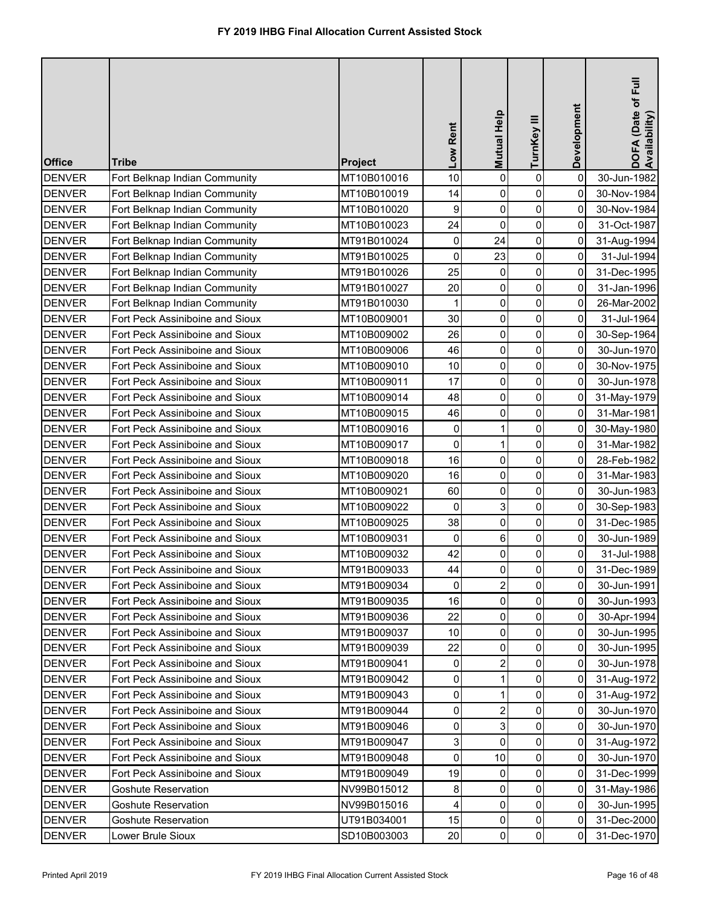| <b>Office</b> | <b>Tribe</b>                    | Project     | Low Rent       | <b>Mutual Help</b> | TurnKey III    | Development    | DOFA (Date of Full<br>Availability) |
|---------------|---------------------------------|-------------|----------------|--------------------|----------------|----------------|-------------------------------------|
| <b>DENVER</b> | Fort Belknap Indian Community   | MT10B010016 | 10             | $\mathbf 0$        | 0              | $\mathbf 0$    | 30-Jun-1982                         |
| <b>DENVER</b> | Fort Belknap Indian Community   | MT10B010019 | 14             | 0                  | 0              | 0              | 30-Nov-1984                         |
| <b>DENVER</b> | Fort Belknap Indian Community   | MT10B010020 | 9              | $\mathbf 0$        | $\pmb{0}$      | 0              | 30-Nov-1984                         |
| <b>DENVER</b> | Fort Belknap Indian Community   | MT10B010023 | 24             | $\mathbf 0$        | 0              | 0              | 31-Oct-1987                         |
| <b>DENVER</b> | Fort Belknap Indian Community   | MT91B010024 | 0              | 24                 | $\pmb{0}$      | 0              | 31-Aug-1994                         |
| <b>DENVER</b> | Fort Belknap Indian Community   | MT91B010025 | 0              | 23                 | 0              | 0              | 31-Jul-1994                         |
| <b>DENVER</b> | Fort Belknap Indian Community   | MT91B010026 | 25             | 0                  | $\pmb{0}$      | 0              | 31-Dec-1995                         |
| <b>DENVER</b> | Fort Belknap Indian Community   | MT91B010027 | 20             | 0                  | 0              | 0              | 31-Jan-1996                         |
| <b>DENVER</b> | Fort Belknap Indian Community   | MT91B010030 | 1              | 0                  | 0              | 0              | 26-Mar-2002                         |
| <b>DENVER</b> | Fort Peck Assiniboine and Sioux | MT10B009001 | 30             | $\pmb{0}$          | 0              | 0              | 31-Jul-1964                         |
| <b>DENVER</b> | Fort Peck Assiniboine and Sioux | MT10B009002 | 26             | 0                  | $\mathbf 0$    | 0              | 30-Sep-1964                         |
| <b>DENVER</b> | Fort Peck Assiniboine and Sioux | MT10B009006 | 46             | 0                  | 0              | 0              | 30-Jun-1970                         |
| <b>DENVER</b> | Fort Peck Assiniboine and Sioux | MT10B009010 | 10             | 0                  | 0              | 0              | 30-Nov-1975                         |
| <b>DENVER</b> | Fort Peck Assiniboine and Sioux | MT10B009011 | 17             | 0                  | 0              | 0              | 30-Jun-1978                         |
| <b>DENVER</b> | Fort Peck Assiniboine and Sioux | MT10B009014 | 48             | $\mathbf 0$        | 0              | 0              | 31-May-1979                         |
| <b>DENVER</b> | Fort Peck Assiniboine and Sioux | MT10B009015 | 46             | $\mathbf 0$        | 0              | $\overline{0}$ | 31-Mar-1981                         |
| <b>DENVER</b> | Fort Peck Assiniboine and Sioux | MT10B009016 | 0              |                    | 0              | 0              | 30-May-1980                         |
| DENVER        | Fort Peck Assiniboine and Sioux | MT10B009017 | $\mathbf 0$    | 1                  | 0              | 0              | 31-Mar-1982                         |
| <b>DENVER</b> | Fort Peck Assiniboine and Sioux | MT10B009018 | 16             | $\mathbf 0$        | 0              | 0              | 28-Feb-1982                         |
| <b>DENVER</b> | Fort Peck Assiniboine and Sioux | MT10B009020 | 16             | 0                  | $\pmb{0}$      | $\mathbf 0$    | 31-Mar-1983                         |
| <b>DENVER</b> | Fort Peck Assiniboine and Sioux | MT10B009021 | 60             | 0                  | 0              | 0              | 30-Jun-1983                         |
| <b>DENVER</b> | Fort Peck Assiniboine and Sioux | MT10B009022 | 0              | 3                  | 0              | 0              | 30-Sep-1983                         |
| <b>DENVER</b> | Fort Peck Assiniboine and Sioux | MT10B009025 | 38             | $\overline{0}$     | $\overline{0}$ | 01             | 31-Dec-1985                         |
| <b>DENVER</b> | Fort Peck Assiniboine and Sioux | MT10B009031 | 0              | 6                  | 0              | 0              | 30-Jun-1989                         |
| <b>DENVER</b> | Fort Peck Assiniboine and Sioux | MT10B009032 | 42             | 0                  | 0              | $\Omega$       | 31-Jul-1988                         |
| <b>DENVER</b> | Fort Peck Assiniboine and Sioux | MT91B009033 | 44             | 0                  | $\pmb{0}$      | 0              | 31-Dec-1989                         |
| <b>DENVER</b> | Fort Peck Assiniboine and Sioux | MT91B009034 | 0              | $\overline{2}$     | 0              | 0              | 30-Jun-1991                         |
| <b>DENVER</b> | Fort Peck Assiniboine and Sioux | MT91B009035 | 16             | 0                  | 0              | 0              | 30-Jun-1993                         |
| <b>DENVER</b> | Fort Peck Assiniboine and Sioux | MT91B009036 | 22             | 0                  | 0              | 0              | 30-Apr-1994                         |
| <b>DENVER</b> | Fort Peck Assiniboine and Sioux | MT91B009037 | 10             | $\mathbf{0}$       | 0              | 0              | 30-Jun-1995                         |
| <b>DENVER</b> | Fort Peck Assiniboine and Sioux | MT91B009039 | 22             | $\mathbf{0}$       | 0              | 0              | 30-Jun-1995                         |
| <b>DENVER</b> | Fort Peck Assiniboine and Sioux | MT91B009041 | 0              | $\overline{2}$     | 0              | 0              | 30-Jun-1978                         |
| <b>DENVER</b> | Fort Peck Assiniboine and Sioux | MT91B009042 | 0              |                    | 0              | 0              | 31-Aug-1972                         |
| <b>DENVER</b> | Fort Peck Assiniboine and Sioux | MT91B009043 | 0              |                    | 0              | 0              | 31-Aug-1972                         |
| <b>DENVER</b> | Fort Peck Assiniboine and Sioux | MT91B009044 | 0              | $\overline{2}$     | 0              | 0              | 30-Jun-1970                         |
| <b>DENVER</b> | Fort Peck Assiniboine and Sioux | MT91B009046 | 0              | 3                  | 0              | 0              | 30-Jun-1970                         |
| <b>DENVER</b> | Fort Peck Assiniboine and Sioux | MT91B009047 | $\overline{3}$ | 0                  | 0              | 0              | 31-Aug-1972                         |
| <b>DENVER</b> | Fort Peck Assiniboine and Sioux | MT91B009048 | $\mathbf 0$    | 10                 | 0              | 0              | 30-Jun-1970                         |
| <b>DENVER</b> | Fort Peck Assiniboine and Sioux | MT91B009049 | 19             | 0                  | 0              | 0              | 31-Dec-1999                         |
| <b>DENVER</b> | <b>Goshute Reservation</b>      | NV99B015012 | 8              | 0                  | 0              | 0              | 31-May-1986                         |
| <b>DENVER</b> | <b>Goshute Reservation</b>      | NV99B015016 | 4              | 0                  | $\pmb{0}$      | 0              | 30-Jun-1995                         |
| <b>DENVER</b> | <b>Goshute Reservation</b>      | UT91B034001 | 15             | 0                  | $\pmb{0}$      | 0              | 31-Dec-2000                         |
| <b>DENVER</b> | Lower Brule Sioux               | SD10B003003 | 20             | 0                  | $\pmb{0}$      | 0              | 31-Dec-1970                         |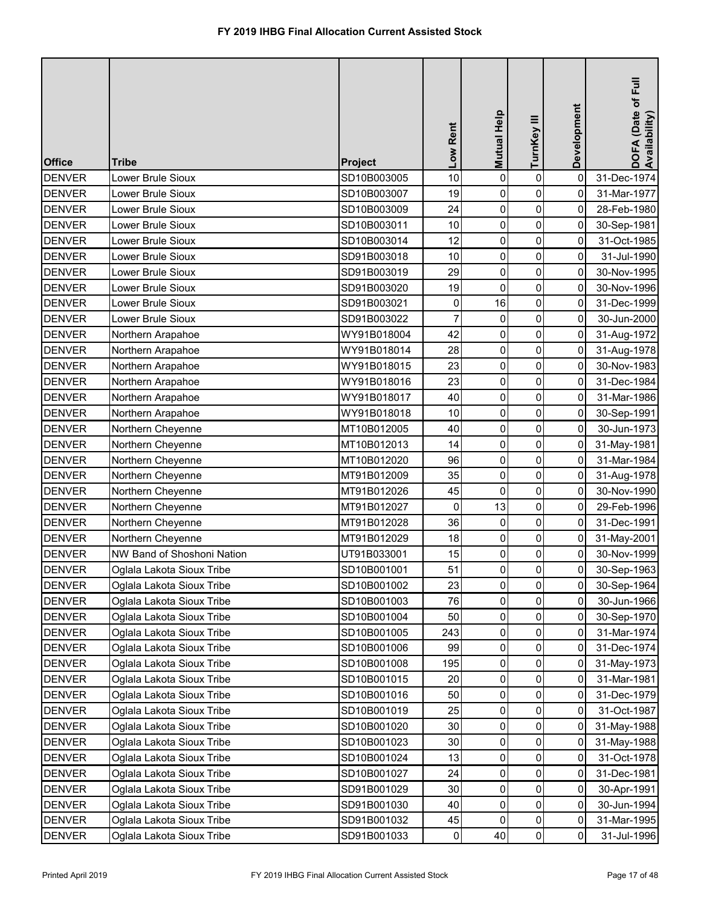| <b>Office</b> | <b>Tribe</b>               | Project     | Low Rent       | <b>Mutual Help</b> | TurnKey III         | Development    | DOFA (Date of Full<br>Availability) |
|---------------|----------------------------|-------------|----------------|--------------------|---------------------|----------------|-------------------------------------|
| <b>DENVER</b> | Lower Brule Sioux          | SD10B003005 | 10             | 0                  | $\pmb{0}$           | 0              | 31-Dec-1974                         |
| <b>DENVER</b> | Lower Brule Sioux          | SD10B003007 | 19             | 0                  | $\mathsf{O}\xspace$ | 0              | 31-Mar-1977                         |
| <b>DENVER</b> | Lower Brule Sioux          | SD10B003009 | 24             | $\pmb{0}$          | $\pmb{0}$           | 0              | 28-Feb-1980                         |
| <b>DENVER</b> | Lower Brule Sioux          | SD10B003011 | 10             | $\mathbf 0$        | $\mathbf 0$         | 0              | 30-Sep-1981                         |
| <b>DENVER</b> | Lower Brule Sioux          | SD10B003014 | 12             | 0                  | $\pmb{0}$           | 0              | 31-Oct-1985                         |
| <b>DENVER</b> | Lower Brule Sioux          | SD91B003018 | 10             | 0                  | 0                   | 0              | 31-Jul-1990                         |
| <b>DENVER</b> | Lower Brule Sioux          | SD91B003019 | 29             | 0                  | $\overline{0}$      | 0              | 30-Nov-1995                         |
| <b>DENVER</b> | Lower Brule Sioux          | SD91B003020 | 19             | 0                  | $\pmb{0}$           | 0              | 30-Nov-1996                         |
| <b>DENVER</b> | Lower Brule Sioux          | SD91B003021 | $\pmb{0}$      | 16                 | $\mathbf 0$         | 0              | 31-Dec-1999                         |
| <b>DENVER</b> | Lower Brule Sioux          | SD91B003022 | $\overline{7}$ | 0                  | $\pmb{0}$           | 0              | 30-Jun-2000                         |
| <b>DENVER</b> | Northern Arapahoe          | WY91B018004 | 42             | $\pmb{0}$          | $\mathbf 0$         | 0              | 31-Aug-1972                         |
| <b>DENVER</b> | Northern Arapahoe          | WY91B018014 | 28             | $\pmb{0}$          | $\mathbf 0$         | $\overline{0}$ | 31-Aug-1978                         |
| <b>DENVER</b> | Northern Arapahoe          | WY91B018015 | 23             | 0                  | $\pmb{0}$           | 0              | 30-Nov-1983                         |
| <b>DENVER</b> | Northern Arapahoe          | WY91B018016 | 23             | 0                  | $\mathsf{O}\xspace$ | 0              | 31-Dec-1984                         |
| <b>DENVER</b> | Northern Arapahoe          | WY91B018017 | 40             | 0                  | $\mathbf 0$         | 0              | 31-Mar-1986                         |
| <b>DENVER</b> | Northern Arapahoe          | WY91B018018 | 10             | $\pmb{0}$          | $\mathsf{O}\xspace$ | 0              | 30-Sep-1991                         |
| <b>DENVER</b> | Northern Cheyenne          | MT10B012005 | 40             | 0                  | 0                   | 0              | 30-Jun-1973                         |
| <b>DENVER</b> | Northern Cheyenne          | MT10B012013 | 14             | 0                  | $\mathsf{O}\xspace$ | 0              | 31-May-1981                         |
| <b>DENVER</b> | Northern Cheyenne          | MT10B012020 | 96             | $\mathbf 0$        | $\mathbf 0$         | 0              | 31-Mar-1984                         |
| <b>DENVER</b> | Northern Cheyenne          | MT91B012009 | 35             | $\pmb{0}$          | $\pmb{0}$           | 0              | 31-Aug-1978                         |
| <b>DENVER</b> | Northern Cheyenne          | MT91B012026 | 45             | 0                  | $\mathsf{O}\xspace$ | 0              | 30-Nov-1990                         |
| <b>DENVER</b> | Northern Cheyenne          | MT91B012027 | 0              | 13                 | $\mathsf{O}\xspace$ | 0              | 29-Feb-1996                         |
| <b>DENVER</b> | Northern Cheyenne          | MT91B012028 | 36             | $\overline{0}$     | $\overline{0}$      | 01             | 31-Dec-1991                         |
| <b>DENVER</b> | Northern Cheyenne          | MT91B012029 | 18             | $\Omega$           | 0                   | 0              | 31-May-2001                         |
| <b>DENVER</b> | NW Band of Shoshoni Nation | UT91B033001 | 15             | 0                  | $\pmb{0}$           | 0              | 30-Nov-1999                         |
| <b>DENVER</b> | Oglala Lakota Sioux Tribe  | SD10B001001 | 51             | 0                  | $\pmb{0}$           | 0              | 30-Sep-1963                         |
| <b>DENVER</b> | Oglala Lakota Sioux Tribe  | SD10B001002 | 23             | 0                  | $\mathbf 0$         | 0              | 30-Sep-1964                         |
| <b>DENVER</b> | Oglala Lakota Sioux Tribe  | SD10B001003 | 76             | 0                  | 0                   | 0              | 30-Jun-1966                         |
| <b>DENVER</b> | Oglala Lakota Sioux Tribe  | SD10B001004 | 50             | 0                  | $\mathbf 0$         | 0              | 30-Sep-1970                         |
| <b>DENVER</b> | Oglala Lakota Sioux Tribe  | SD10B001005 | 243            | 0                  | 0                   | 0              | 31-Mar-1974                         |
| <b>DENVER</b> | Oglala Lakota Sioux Tribe  | SD10B001006 | 99             | 0                  | $\mathbf 0$         | 0              | 31-Dec-1974                         |
| <b>DENVER</b> | Oglala Lakota Sioux Tribe  | SD10B001008 | 195            | 0                  | 0                   | 0              | 31-May-1973                         |
| <b>DENVER</b> | Oglala Lakota Sioux Tribe  | SD10B001015 | 20             | 0                  | $\mathbf 0$         | 0              | 31-Mar-1981                         |
| <b>DENVER</b> | Oglala Lakota Sioux Tribe  | SD10B001016 | 50             | 0                  | 0                   | 0              | 31-Dec-1979                         |
| <b>DENVER</b> | Oglala Lakota Sioux Tribe  | SD10B001019 | 25             | 0                  | $\pmb{0}$           | 0              | 31-Oct-1987                         |
| <b>DENVER</b> | Oglala Lakota Sioux Tribe  | SD10B001020 | 30             | $\mathbf{0}$       | 0                   | 0              | 31-May-1988                         |
| <b>DENVER</b> | Oglala Lakota Sioux Tribe  | SD10B001023 | 30             | 0                  | $\pmb{0}$           | 0              | 31-May-1988                         |
| <b>DENVER</b> | Oglala Lakota Sioux Tribe  | SD10B001024 | 13             | 0                  | 0                   | 0              | 31-Oct-1978                         |
| <b>DENVER</b> | Oglala Lakota Sioux Tribe  | SD10B001027 | 24             | 0                  | $\mathbf 0$         | 0              | 31-Dec-1981                         |
| <b>DENVER</b> | Oglala Lakota Sioux Tribe  | SD91B001029 | 30             | 0                  | $\overline{0}$      | 0              | 30-Apr-1991                         |
| <b>DENVER</b> | Oglala Lakota Sioux Tribe  | SD91B001030 | 40             | 0                  | $\pmb{0}$           | 0              | 30-Jun-1994                         |
| <b>DENVER</b> | Oglala Lakota Sioux Tribe  | SD91B001032 | 45             | 0                  | $\overline{0}$      | 0              | 31-Mar-1995                         |
| <b>DENVER</b> | Oglala Lakota Sioux Tribe  | SD91B001033 | $\overline{0}$ | 40                 | $\overline{0}$      | 0              | 31-Jul-1996                         |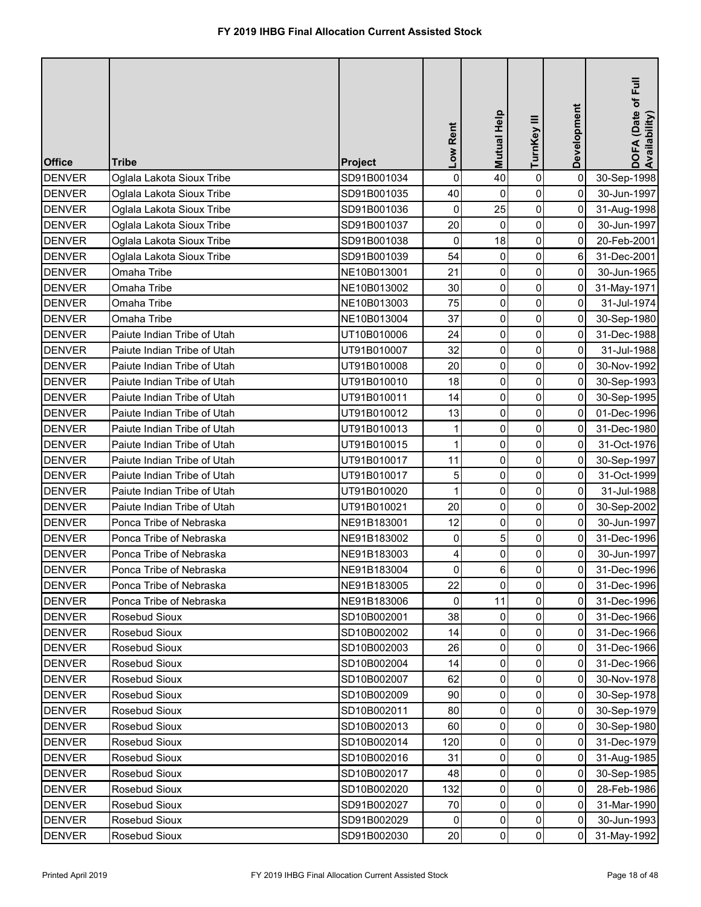| <b>Office</b> | <b>Tribe</b>                | <b>Project</b> | Low Rent    | Mutual Help    | TurnKey III    | Development | DOFA (Date of Full<br>Availability) |
|---------------|-----------------------------|----------------|-------------|----------------|----------------|-------------|-------------------------------------|
| <b>DENVER</b> | Oglala Lakota Sioux Tribe   | SD91B001034    | $\mathbf 0$ | 40             | $\pmb{0}$      | $\mathbf 0$ | 30-Sep-1998                         |
| <b>DENVER</b> | Oglala Lakota Sioux Tribe   | SD91B001035    | 40          | 0              | 0              | 0           | 30-Jun-1997                         |
| <b>DENVER</b> | Oglala Lakota Sioux Tribe   | SD91B001036    | 0           | 25             | 0              | 0           | 31-Aug-1998                         |
| <b>DENVER</b> | Oglala Lakota Sioux Tribe   | SD91B001037    | 20          | $\mathbf 0$    | 0              | 0           | 30-Jun-1997                         |
| <b>DENVER</b> | Oglala Lakota Sioux Tribe   | SD91B001038    | $\pmb{0}$   | 18             | $\pmb{0}$      | 0           | 20-Feb-2001                         |
| <b>DENVER</b> | Oglala Lakota Sioux Tribe   | SD91B001039    | 54          | 0              | 0              | 6           | 31-Dec-2001                         |
| <b>DENVER</b> | Omaha Tribe                 | NE10B013001    | 21          | 0              | $\pmb{0}$      | 0           | 30-Jun-1965                         |
| <b>DENVER</b> | Omaha Tribe                 | NE10B013002    | 30          | 0              | 0              | 0           | 31-May-1971                         |
| <b>DENVER</b> | Omaha Tribe                 | NE10B013003    | 75          | $\pmb{0}$      | 0              | 0           | 31-Jul-1974                         |
| <b>DENVER</b> | Omaha Tribe                 | NE10B013004    | 37          | 0              | 0              | 0           | 30-Sep-1980                         |
| <b>DENVER</b> | Paiute Indian Tribe of Utah | UT10B010006    | 24          | $\pmb{0}$      | 0              | 0           | 31-Dec-1988                         |
| <b>DENVER</b> | Paiute Indian Tribe of Utah | UT91B010007    | 32          | $\mathbf 0$    | 0              | 0           | 31-Jul-1988                         |
| <b>DENVER</b> | Paiute Indian Tribe of Utah | UT91B010008    | 20          | 0              | 0              | 0           | 30-Nov-1992                         |
| <b>DENVER</b> | Paiute Indian Tribe of Utah | UT91B010010    | 18          | 0              | $\mathbf 0$    | 0           | 30-Sep-1993                         |
| <b>DENVER</b> | Paiute Indian Tribe of Utah | UT91B010011    | 14          | $\mathbf 0$    | 0              | 0           | 30-Sep-1995                         |
| <b>DENVER</b> | Paiute Indian Tribe of Utah | UT91B010012    | 13          | 0              | 0              | $\mathbf 0$ | 01-Dec-1996                         |
| <b>DENVER</b> | Paiute Indian Tribe of Utah | UT91B010013    | 1           | 0              | 0              | 0           | 31-Dec-1980                         |
| <b>DENVER</b> | Paiute Indian Tribe of Utah | UT91B010015    | 1           | 0              | 0              | 0           | 31-Oct-1976                         |
| <b>DENVER</b> | Paiute Indian Tribe of Utah | UT91B010017    | 11          | 0              | 0              | 0           | 30-Sep-1997                         |
| <b>DENVER</b> | Paiute Indian Tribe of Utah | UT91B010017    | 5           | 0              | $\pmb{0}$      | 0           | 31-Oct-1999                         |
| <b>DENVER</b> | Paiute Indian Tribe of Utah | UT91B010020    | 1           | 0              | 0              | 0           | 31-Jul-1988                         |
| <b>DENVER</b> | Paiute Indian Tribe of Utah | UT91B010021    | 20          | 0              | 0              | 0           | 30-Sep-2002                         |
| <b>DENVER</b> | Ponca Tribe of Nebraska     | NE91B183001    | 12          | $\overline{0}$ | $\overline{0}$ | 01          | 30-Jun-1997                         |
| <b>DENVER</b> | Ponca Tribe of Nebraska     | NE91B183002    | 0           |                | 0              | 0           | 31-Dec-1996                         |
| <b>DENVER</b> | Ponca Tribe of Nebraska     | NE91B183003    | 4           | $\Omega$       | 0              | 0           | 30-Jun-1997                         |
| <b>DENVER</b> | Ponca Tribe of Nebraska     | NE91B183004    | $\mathbf 0$ | 6              | 0              | 0           | 31-Dec-1996                         |
| <b>DENVER</b> | Ponca Tribe of Nebraska     | NE91B183005    | 22          | 0              | 0              | 0           | 31-Dec-1996                         |
| <b>DENVER</b> | Ponca Tribe of Nebraska     | NE91B183006    | 0           | 11             | 0              | 0           | 31-Dec-1996                         |
| <b>DENVER</b> | Rosebud Sioux               | SD10B002001    | 38          | $\mathbf{0}$   | 0              | 0           | 31-Dec-1966                         |
| <b>DENVER</b> | Rosebud Sioux               | SD10B002002    | 14          | 0              | 0              | 0           | 31-Dec-1966                         |
| <b>DENVER</b> | Rosebud Sioux               | SD10B002003    | 26          | 0              | 0              | 0           | 31-Dec-1966                         |
| <b>DENVER</b> | Rosebud Sioux               | SD10B002004    | 14          | 0              | 0              | 0           | 31-Dec-1966                         |
| <b>DENVER</b> | Rosebud Sioux               | SD10B002007    | 62          | $\Omega$       | 0              | 0           | 30-Nov-1978                         |
| <b>DENVER</b> | Rosebud Sioux               | SD10B002009    | 90          | $\Omega$       | 0              | 0           | 30-Sep-1978                         |
| <b>DENVER</b> | Rosebud Sioux               | SD10B002011    | 80          | 0              | 0              | 0           | 30-Sep-1979                         |
| <b>DENVER</b> | Rosebud Sioux               | SD10B002013    | 60          | 0              | 0              | 0           | 30-Sep-1980                         |
| <b>DENVER</b> | Rosebud Sioux               | SD10B002014    | 120         | 0              | 0              | 0           | 31-Dec-1979                         |
| <b>DENVER</b> | Rosebud Sioux               | SD10B002016    | 31          | 0              | 0              | 0           | 31-Aug-1985                         |
| <b>DENVER</b> | Rosebud Sioux               | SD10B002017    | 48          | 0              | 0              | 0           | 30-Sep-1985                         |
| <b>DENVER</b> | Rosebud Sioux               | SD10B002020    | 132         | 0              | 0              | 0           | 28-Feb-1986                         |
| <b>DENVER</b> | Rosebud Sioux               | SD91B002027    | 70          | 0              | 0              | 0           | 31-Mar-1990                         |
| <b>DENVER</b> | Rosebud Sioux               | SD91B002029    | 0           | 0              | 0              | 0           | 30-Jun-1993                         |
| <b>DENVER</b> | Rosebud Sioux               | SD91B002030    | 20          | 0              | $\pmb{0}$      | 0           | 31-May-1992                         |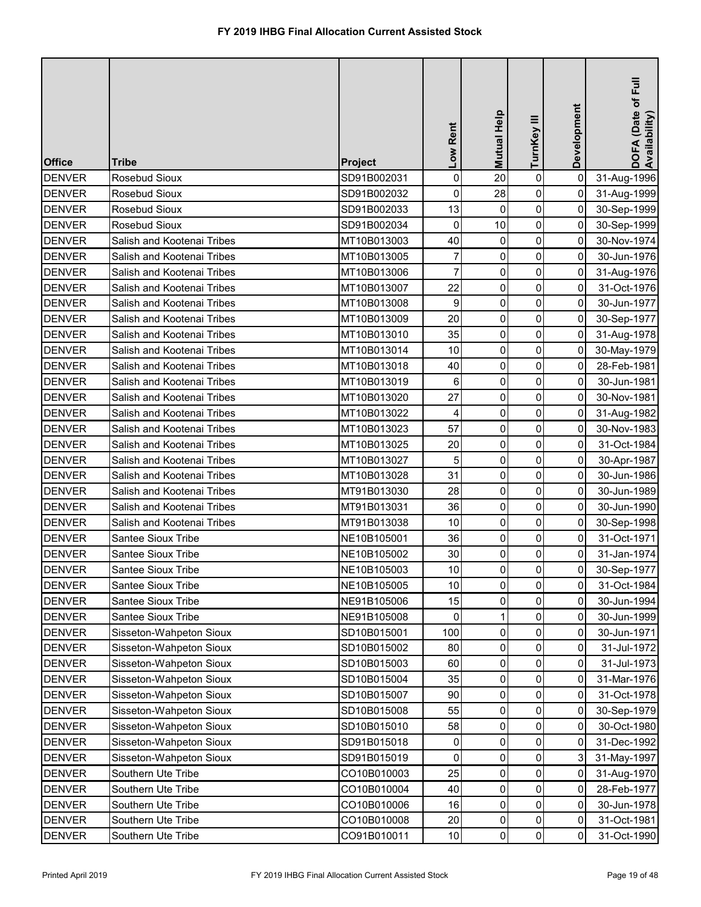| <b>Office</b> | <b>Tribe</b>               | Project     | Low Rent        | <b>Mutual Help</b> | TurnKey III         | Development    | DOFA (Date of Full<br>Availability) |
|---------------|----------------------------|-------------|-----------------|--------------------|---------------------|----------------|-------------------------------------|
| <b>DENVER</b> | Rosebud Sioux              | SD91B002031 | $\mathsf 0$     | 20                 | $\pmb{0}$           | $\pmb{0}$      | 31-Aug-1996                         |
| <b>DENVER</b> | Rosebud Sioux              | SD91B002032 | $\pmb{0}$       | 28                 | $\mathsf{O}\xspace$ | 0              | 31-Aug-1999                         |
| <b>DENVER</b> | <b>Rosebud Sioux</b>       | SD91B002033 | 13              | $\pmb{0}$          | $\pmb{0}$           | 0              | 30-Sep-1999                         |
| <b>DENVER</b> | <b>Rosebud Sioux</b>       | SD91B002034 | 0               | 10                 | $\mathbf 0$         | 0              | 30-Sep-1999                         |
| <b>DENVER</b> | Salish and Kootenai Tribes | MT10B013003 | 40              | 0                  | $\pmb{0}$           | 0              | 30-Nov-1974                         |
| <b>DENVER</b> | Salish and Kootenai Tribes | MT10B013005 | 7               | 0                  | 0                   | 0              | 30-Jun-1976                         |
| <b>DENVER</b> | Salish and Kootenai Tribes | MT10B013006 | $\overline{7}$  | 0                  | $\overline{0}$      | 0              | 31-Aug-1976                         |
| <b>DENVER</b> | Salish and Kootenai Tribes | MT10B013007 | 22              | 0                  | $\pmb{0}$           | 0              | 31-Oct-1976                         |
| <b>DENVER</b> | Salish and Kootenai Tribes | MT10B013008 | 9               | 0                  | $\pmb{0}$           | 0              | 30-Jun-1977                         |
| <b>DENVER</b> | Salish and Kootenai Tribes | MT10B013009 | 20              | 0                  | $\pmb{0}$           | 0              | 30-Sep-1977                         |
| <b>DENVER</b> | Salish and Kootenai Tribes | MT10B013010 | 35              | $\pmb{0}$          | $\pmb{0}$           | 0              | 31-Aug-1978                         |
| <b>DENVER</b> | Salish and Kootenai Tribes | MT10B013014 | 10              | $\mathbf 0$        | $\mathsf{O}\xspace$ | $\overline{0}$ | 30-May-1979                         |
| <b>DENVER</b> | Salish and Kootenai Tribes | MT10B013018 | 40              | 0                  | $\pmb{0}$           | 0              | 28-Feb-1981                         |
| <b>DENVER</b> | Salish and Kootenai Tribes | MT10B013019 | 6               | 0                  | 0                   | 0              | 30-Jun-1981                         |
| <b>DENVER</b> | Salish and Kootenai Tribes | MT10B013020 | 27              | 0                  | $\mathbf 0$         | 0              | 30-Nov-1981                         |
| <b>DENVER</b> | Salish and Kootenai Tribes | MT10B013022 | 4               | 0                  | 0                   | 0              | 31-Aug-1982                         |
| <b>DENVER</b> | Salish and Kootenai Tribes | MT10B013023 | 57              | 0                  | $\mathbf 0$         | 0              | 30-Nov-1983                         |
| <b>DENVER</b> | Salish and Kootenai Tribes | MT10B013025 | 20              | 0                  | $\pmb{0}$           | 0              | 31-Oct-1984                         |
| <b>DENVER</b> | Salish and Kootenai Tribes | MT10B013027 | 5               | $\mathbf 0$        | $\mathbf 0$         | 0              | 30-Apr-1987                         |
| <b>DENVER</b> | Salish and Kootenai Tribes | MT10B013028 | 31              | $\pmb{0}$          | $\pmb{0}$           | 0              | 30-Jun-1986                         |
| <b>DENVER</b> | Salish and Kootenai Tribes | MT91B013030 | 28              | 0                  | $\mathsf{O}\xspace$ | 0              | 30-Jun-1989                         |
| <b>DENVER</b> | Salish and Kootenai Tribes | MT91B013031 | 36              | 0                  | $\mathsf{O}\xspace$ | 0              | 30-Jun-1990                         |
| DENVER        | Salish and Kootenai Tribes | MT91B013038 | 10 <sub>l</sub> | $\overline{0}$     | $\overline{0}$      | 0              | 30-Sep-1998                         |
| <b>DENVER</b> | <b>Santee Sioux Tribe</b>  | NE10B105001 | 36              | $\Omega$           | 0                   | 0              | 31-Oct-1971                         |
| <b>DENVER</b> | Santee Sioux Tribe         | NE10B105002 | 30              | 0                  | $\pmb{0}$           | 0              | 31-Jan-1974                         |
| <b>DENVER</b> | Santee Sioux Tribe         | NE10B105003 | 10 <sub>1</sub> | 0                  | $\pmb{0}$           | 0              | 30-Sep-1977                         |
| <b>DENVER</b> | Santee Sioux Tribe         | NE10B105005 | 10              | $\mathbf{0}$       | $\mathbf 0$         | 0              | 31-Oct-1984                         |
| <b>DENVER</b> | Santee Sioux Tribe         | NE91B105006 | 15              | 0                  | 0                   | 0              | 30-Jun-1994                         |
| <b>DENVER</b> | Santee Sioux Tribe         | NE91B105008 | 0               |                    | $\mathbf 0$         | 0              | 30-Jun-1999                         |
| <b>DENVER</b> | Sisseton-Wahpeton Sioux    | SD10B015001 | 100             | 0                  | 0                   | 0              | 30-Jun-1971                         |
| <b>DENVER</b> | Sisseton-Wahpeton Sioux    | SD10B015002 | 80              | 0                  | $\mathbf 0$         | 0              | 31-Jul-1972                         |
| <b>DENVER</b> | Sisseton-Wahpeton Sioux    | SD10B015003 | 60              | 0                  | 0                   | 0              | 31-Jul-1973                         |
| <b>DENVER</b> | Sisseton-Wahpeton Sioux    | SD10B015004 | 35              | 0                  | $\mathbf 0$         | 0              | 31-Mar-1976                         |
| <b>DENVER</b> | Sisseton-Wahpeton Sioux    | SD10B015007 | 90              | 0                  | 0                   | 0              | 31-Oct-1978                         |
| <b>DENVER</b> | Sisseton-Wahpeton Sioux    | SD10B015008 | 55              | 0                  | $\mathsf{O}\xspace$ | 0              | 30-Sep-1979                         |
| <b>DENVER</b> | Sisseton-Wahpeton Sioux    | SD10B015010 | 58              | $\mathbf{0}$       | 0                   | 0              | 30-Oct-1980                         |
| <b>DENVER</b> | Sisseton-Wahpeton Sioux    | SD91B015018 | 0               | 0                  | $\pmb{0}$           | 0              | 31-Dec-1992                         |
| <b>DENVER</b> | Sisseton-Wahpeton Sioux    | SD91B015019 | 0               | 0                  | $\mathbf 0$         | 3              | 31-May-1997                         |
| <b>DENVER</b> | Southern Ute Tribe         | CO10B010003 | 25              | $\mathbf 0$        | $\mathsf{O}\xspace$ | 0              | 31-Aug-1970                         |
| <b>DENVER</b> | Southern Ute Tribe         | CO10B010004 | 40              | $\mathbf{0}$       | $\overline{0}$      | 0              | 28-Feb-1977                         |
| <b>DENVER</b> | Southern Ute Tribe         | CO10B010006 | 16              | 0                  | $\pmb{0}$           | 0              | 30-Jun-1978                         |
| <b>DENVER</b> | Southern Ute Tribe         | CO10B010008 | 20              | 0                  | $\pmb{0}$           | 0              | 31-Oct-1981                         |
| <b>DENVER</b> | Southern Ute Tribe         | CO91B010011 | 10              | $\pmb{0}$          | $\overline{0}$      | 0              | 31-Oct-1990                         |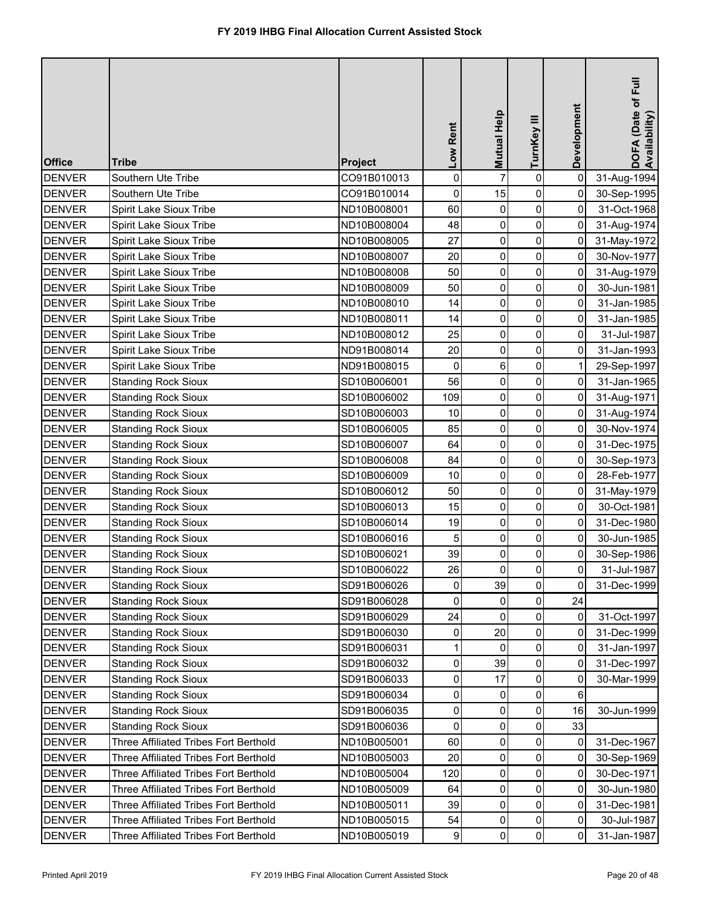| <b>Office</b> | <b>Tribe</b>                                 | <b>Project</b> | Low Rent    | <b>Mutual Help</b> | TurnKey III    | Development | DOFA (Date of Full<br>Availability) |
|---------------|----------------------------------------------|----------------|-------------|--------------------|----------------|-------------|-------------------------------------|
| <b>DENVER</b> | Southern Ute Tribe                           | CO91B010013    | $\mathbf 0$ | $\overline{7}$     | $\pmb{0}$      | $\mathbf 0$ | 31-Aug-1994                         |
| <b>DENVER</b> | Southern Ute Tribe                           | CO91B010014    | 0           | 15                 | 0              | 0           | 30-Sep-1995                         |
| DENVER        | Spirit Lake Sioux Tribe                      | ND10B008001    | 60          | 0                  | $\mathbf 0$    | 0           | 31-Oct-1968                         |
| <b>DENVER</b> | Spirit Lake Sioux Tribe                      | ND10B008004    | 48          | 0                  | 0              | 0           | 31-Aug-1974                         |
| <b>DENVER</b> | Spirit Lake Sioux Tribe                      | ND10B008005    | 27          | 0                  | $\pmb{0}$      | 0           | 31-May-1972                         |
| <b>DENVER</b> | Spirit Lake Sioux Tribe                      | ND10B008007    | 20          | 0                  | 0              | 0           | 30-Nov-1977                         |
| <b>DENVER</b> | Spirit Lake Sioux Tribe                      | ND10B008008    | 50          | 0                  | 0              | 0           | 31-Aug-1979                         |
| <b>DENVER</b> | Spirit Lake Sioux Tribe                      | ND10B008009    | 50          | 0                  | 0              | 0           | 30-Jun-1981                         |
| <b>DENVER</b> | Spirit Lake Sioux Tribe                      | ND10B008010    | 14          | $\pmb{0}$          | $\pmb{0}$      | 0           | 31-Jan-1985                         |
| <b>DENVER</b> | Spirit Lake Sioux Tribe                      | ND10B008011    | 14          | $\boldsymbol{0}$   | 0              | 0           | 31-Jan-1985                         |
| <b>DENVER</b> | Spirit Lake Sioux Tribe                      | ND10B008012    | 25          | 0                  | 0              | 0           | 31-Jul-1987                         |
| <b>DENVER</b> | Spirit Lake Sioux Tribe                      | ND91B008014    | 20          | 0                  | 0              | 0           | 31-Jan-1993                         |
| <b>DENVER</b> | Spirit Lake Sioux Tribe                      | ND91B008015    | 0           | 6                  | 0              |             | 29-Sep-1997                         |
| DENVER        | <b>Standing Rock Sioux</b>                   | SD10B006001    | 56          | 0                  | 0              | $\mathbf 0$ | 31-Jan-1965                         |
| <b>DENVER</b> | <b>Standing Rock Sioux</b>                   | SD10B006002    | 109         | 0                  | 0              | 0           | 31-Aug-1971                         |
| <b>DENVER</b> | <b>Standing Rock Sioux</b>                   | SD10B006003    | 10          | 0                  | 0              | 0           | 31-Aug-1974                         |
| <b>DENVER</b> | <b>Standing Rock Sioux</b>                   | SD10B006005    | 85          | 0                  | 0              | 0           | 30-Nov-1974                         |
| DENVER        | <b>Standing Rock Sioux</b>                   | SD10B006007    | 64          | 0                  | 0              | 0           | 31-Dec-1975                         |
| <b>DENVER</b> | <b>Standing Rock Sioux</b>                   | SD10B006008    | 84          | 0                  | 0              | 0           | 30-Sep-1973                         |
| <b>DENVER</b> | <b>Standing Rock Sioux</b>                   | SD10B006009    | 10          | 0                  | $\pmb{0}$      | 0           | 28-Feb-1977                         |
| <b>DENVER</b> | <b>Standing Rock Sioux</b>                   | SD10B006012    | 50          | 0                  | 0              | 0           | 31-May-1979                         |
| <b>DENVER</b> | <b>Standing Rock Sioux</b>                   | SD10B006013    | 15          | 0                  | 0              | 0           | 30-Oct-1981                         |
| <b>DENVER</b> | <b>Standing Rock Sioux</b>                   | SD10B006014    | 19          | $\overline{0}$     | $\overline{0}$ | 0           | 31-Dec-1980                         |
| <b>DENVER</b> | <b>Standing Rock Sioux</b>                   | SD10B006016    | 5           | 0                  | 0              | 0           | 30-Jun-1985                         |
| <b>DENVER</b> | <b>Standing Rock Sioux</b>                   | SD10B006021    | 39          | $\mathbf 0$        | $\pmb{0}$      | 0           | 30-Sep-1986                         |
| <b>DENVER</b> | <b>Standing Rock Sioux</b>                   | SD10B006022    | 26          | 0                  | 0              | 0           | 31-Jul-1987                         |
| <b>DENVER</b> | <b>Standing Rock Sioux</b>                   | SD91B006026    | 0           | 39                 | 0              | 0           | 31-Dec-1999                         |
| <b>DENVER</b> | <b>Standing Rock Sioux</b>                   | SD91B006028    | 0           | 0                  | 0              | 24          |                                     |
| <b>DENVER</b> | <b>Standing Rock Sioux</b>                   | SD91B006029    | 24          | $\Omega$           | 0              | 0           | 31-Oct-1997                         |
| <b>DENVER</b> | <b>Standing Rock Sioux</b>                   | SD91B006030    | 0           | 20                 | 0              | 0           | 31-Dec-1999                         |
| <b>DENVER</b> | <b>Standing Rock Sioux</b>                   | SD91B006031    | 1           | $\mathbf 0$        | 0              | 0           | 31-Jan-1997                         |
| <b>DENVER</b> | <b>Standing Rock Sioux</b>                   | SD91B006032    | 0           | 39                 | 0              | 0           | 31-Dec-1997                         |
| <b>DENVER</b> | <b>Standing Rock Sioux</b>                   | SD91B006033    | 0           | 17                 | 0              | 0           | 30-Mar-1999                         |
| <b>DENVER</b> | <b>Standing Rock Sioux</b>                   | SD91B006034    | 0           | 0                  | 0              | 6           |                                     |
| <b>DENVER</b> | <b>Standing Rock Sioux</b>                   | SD91B006035    | $\mathbf 0$ | 0                  | 0              | 16          | 30-Jun-1999                         |
| <b>DENVER</b> | <b>Standing Rock Sioux</b>                   | SD91B006036    | 0           | 0                  | 0              | 33          |                                     |
| <b>DENVER</b> | Three Affiliated Tribes Fort Berthold        | ND10B005001    | 60          | 0                  | 0              | 0           | 31-Dec-1967                         |
| <b>DENVER</b> | <b>Three Affiliated Tribes Fort Berthold</b> | ND10B005003    | 20          | 0                  | 0              | 0           | 30-Sep-1969                         |
| <b>DENVER</b> | <b>Three Affiliated Tribes Fort Berthold</b> | ND10B005004    | 120         | 0                  | 0              | 0           | 30-Dec-1971                         |
| <b>DENVER</b> | Three Affiliated Tribes Fort Berthold        | ND10B005009    | 64          | 0                  | 0              | 0           | 30-Jun-1980                         |
| <b>DENVER</b> | Three Affiliated Tribes Fort Berthold        | ND10B005011    | 39          | 0                  | 0              | 0           | 31-Dec-1981                         |
| <b>DENVER</b> | Three Affiliated Tribes Fort Berthold        | ND10B005015    | 54          | 0                  | 0              | 0           | 30-Jul-1987                         |
| <b>DENVER</b> | Three Affiliated Tribes Fort Berthold        | ND10B005019    | 9           | 0                  | 0              | 0           | 31-Jan-1987                         |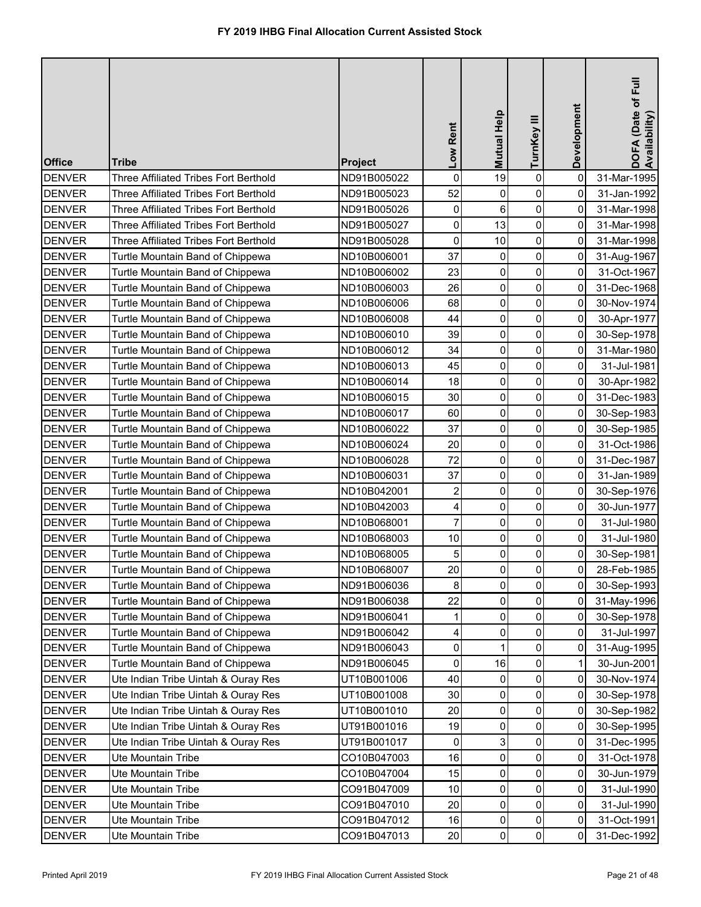| <b>Office</b> | <b>Tribe</b>                                 | Project     | Low Rent                | <b>Mutual Help</b> | TurnKey III         | Development | DOFA (Date of Full<br>Availability) |
|---------------|----------------------------------------------|-------------|-------------------------|--------------------|---------------------|-------------|-------------------------------------|
| <b>DENVER</b> | Three Affiliated Tribes Fort Berthold        | ND91B005022 | $\mathbf 0$             | 19                 | $\pmb{0}$           | $\mathbf 0$ | 31-Mar-1995                         |
| <b>DENVER</b> | <b>Three Affiliated Tribes Fort Berthold</b> | ND91B005023 | 52                      | 0                  | 0                   | 0           | 31-Jan-1992                         |
| <b>DENVER</b> | <b>Three Affiliated Tribes Fort Berthold</b> | ND91B005026 | 0                       | 6                  | $\mathsf{O}\xspace$ | $\mathbf 0$ | 31-Mar-1998                         |
| <b>DENVER</b> | <b>Three Affiliated Tribes Fort Berthold</b> | ND91B005027 | 0                       | 13                 | 0                   | 0           | 31-Mar-1998                         |
| <b>DENVER</b> | <b>Three Affiliated Tribes Fort Berthold</b> | ND91B005028 | 0                       | 10                 | $\mathsf{O}\xspace$ | $\mathbf 0$ | 31-Mar-1998                         |
| <b>DENVER</b> | Turtle Mountain Band of Chippewa             | ND10B006001 | 37                      | 0                  | 0                   | 0           | 31-Aug-1967                         |
| <b>DENVER</b> | Turtle Mountain Band of Chippewa             | ND10B006002 | 23                      | 0                  | $\overline{0}$      | 0           | 31-Oct-1967                         |
| <b>DENVER</b> | Turtle Mountain Band of Chippewa             | ND10B006003 | 26                      | 0                  | 0                   | 0           | 31-Dec-1968                         |
| <b>DENVER</b> | Turtle Mountain Band of Chippewa             | ND10B006006 | 68                      | 0                  | $\mathsf{O}\xspace$ | 0           | 30-Nov-1974                         |
| <b>DENVER</b> | Turtle Mountain Band of Chippewa             | ND10B006008 | 44                      | 0                  | $\mathsf{O}\xspace$ | 0           | 30-Apr-1977                         |
| <b>DENVER</b> | Turtle Mountain Band of Chippewa             | ND10B006010 | 39                      | 0                  | $\overline{0}$      | 0           | 30-Sep-1978                         |
| <b>DENVER</b> | Turtle Mountain Band of Chippewa             | ND10B006012 | 34                      | $\mathbf 0$        | $\mathbf 0$         | 0           | 31-Mar-1980                         |
| <b>DENVER</b> | Turtle Mountain Band of Chippewa             | ND10B006013 | 45                      | 0                  | $\mathsf{O}\xspace$ | 0           | 31-Jul-1981                         |
| <b>DENVER</b> | Turtle Mountain Band of Chippewa             | ND10B006014 | 18                      | $\pmb{0}$          | $\mathsf{O}\xspace$ | 0           | 30-Apr-1982                         |
| <b>DENVER</b> | Turtle Mountain Band of Chippewa             | ND10B006015 | 30                      | $\pmb{0}$          | $\mathbf 0$         | 0           | 31-Dec-1983                         |
| <b>DENVER</b> | Turtle Mountain Band of Chippewa             | ND10B006017 | 60                      | $\pmb{0}$          | 0                   | $\mathbf 0$ | 30-Sep-1983                         |
| <b>DENVER</b> | Turtle Mountain Band of Chippewa             | ND10B006022 | 37                      | $\mathbf 0$        | 0                   | 0           | 30-Sep-1985                         |
| <b>DENVER</b> | Turtle Mountain Band of Chippewa             | ND10B006024 | 20                      | $\pmb{0}$          | 0                   | 0           | 31-Oct-1986                         |
| <b>DENVER</b> | Turtle Mountain Band of Chippewa             | ND10B006028 | 72                      | $\mathbf 0$        | 0                   | 0           | 31-Dec-1987                         |
| <b>DENVER</b> | Turtle Mountain Band of Chippewa             | ND10B006031 | 37                      | 0                  | $\mathsf{O}\xspace$ | 0           | 31-Jan-1989                         |
| <b>DENVER</b> | Turtle Mountain Band of Chippewa             | ND10B042001 | $\overline{\mathbf{c}}$ | $\pmb{0}$          | 0                   | 0           | 30-Sep-1976                         |
| <b>DENVER</b> | Turtle Mountain Band of Chippewa             | ND10B042003 | 4                       | 0                  | $\mathsf{O}\xspace$ | 0           | 30-Jun-1977                         |
| <b>DENVER</b> | Turtle Mountain Band of Chippewa             | ND10B068001 | 7                       | $\overline{0}$     | $\overline{0}$      | 0           | 31-Jul-1980                         |
| <b>DENVER</b> | Turtle Mountain Band of Chippewa             | ND10B068003 | 10                      | 0                  | 0                   | 0           | 31-Jul-1980                         |
| <b>DENVER</b> | Turtle Mountain Band of Chippewa             | ND10B068005 | 5                       | 0                  | $\overline{0}$      | 0           | 30-Sep-1981                         |
| <b>DENVER</b> | Turtle Mountain Band of Chippewa             | ND10B068007 | 20                      | 0                  | $\overline{0}$      | 0           | 28-Feb-1985                         |
| <b>DENVER</b> | Turtle Mountain Band of Chippewa             | ND91B006036 | 8                       | 0                  | 0                   | 0           | 30-Sep-1993                         |
| <b>DENVER</b> | Turtle Mountain Band of Chippewa             | ND91B006038 | 22                      | 0                  | 0                   | 0           | 31-May-1996                         |
| <b>DENVER</b> | Turtle Mountain Band of Chippewa             | ND91B006041 |                         | $\mathbf 0$        | 0                   | 0           | 30-Sep-1978                         |
| <b>DENVER</b> | Turtle Mountain Band of Chippewa             | ND91B006042 | 4                       | 0                  | 0                   | 0           | 31-Jul-1997                         |
| <b>DENVER</b> | Turtle Mountain Band of Chippewa             | ND91B006043 | 0                       |                    | 0                   | 0           | 31-Aug-1995                         |
| DENVER        | Turtle Mountain Band of Chippewa             | ND91B006045 | 0                       | 16                 | 0                   |             | 30-Jun-2001                         |
| <b>DENVER</b> | Ute Indian Tribe Uintah & Ouray Res          | UT10B001006 | 40                      | $\Omega$           | 0                   | 0           | 30-Nov-1974                         |
| <b>DENVER</b> | Ute Indian Tribe Uintah & Ouray Res          | UT10B001008 | 30                      | 0                  | 0                   | 0           | 30-Sep-1978                         |
| <b>DENVER</b> | Ute Indian Tribe Uintah & Ouray Res          | UT10B001010 | 20                      | 0                  | $\mathsf{O}\xspace$ | 0           | 30-Sep-1982                         |
| <b>DENVER</b> | Ute Indian Tribe Uintah & Ouray Res          | UT91B001016 | 19                      | 0                  | 0                   | 0           | 30-Sep-1995                         |
| <b>DENVER</b> | Ute Indian Tribe Uintah & Ouray Res          | UT91B001017 | 0                       | 3                  | $\overline{0}$      | 0           | 31-Dec-1995                         |
| <b>DENVER</b> | Ute Mountain Tribe                           | CO10B047003 | 16                      | 0                  | $\mathbf 0$         | 0           | 31-Oct-1978                         |
| <b>DENVER</b> | Ute Mountain Tribe                           | CO10B047004 | 15                      | 0                  | $\overline{0}$      | 0           | 30-Jun-1979                         |
| <b>DENVER</b> | Ute Mountain Tribe                           | CO91B047009 | 10                      | 0                  | $\overline{0}$      | 0           | 31-Jul-1990                         |
| <b>DENVER</b> | Ute Mountain Tribe                           | CO91B047010 | 20                      | 0                  | $\overline{0}$      | 0           | 31-Jul-1990                         |
| <b>DENVER</b> | Ute Mountain Tribe                           | CO91B047012 | 16                      | 0                  | $\overline{0}$      | 0           | 31-Oct-1991                         |
| <b>DENVER</b> | Ute Mountain Tribe                           | CO91B047013 | 20                      | 0                  | $\overline{0}$      | 0           | 31-Dec-1992                         |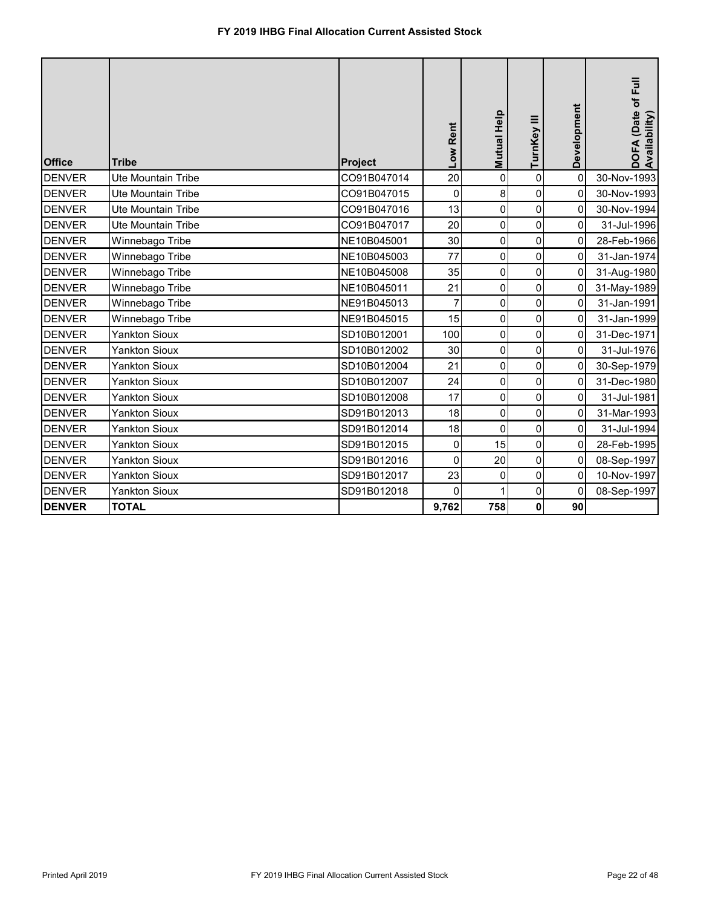| <b>Office</b> | <b>Tribe</b>              | Project     | Low Rent       | <b>Mutual Help</b> | TurnKey III         | Development | DOFA (Date of Full<br>Availability) |
|---------------|---------------------------|-------------|----------------|--------------------|---------------------|-------------|-------------------------------------|
| <b>DENVER</b> | Ute Mountain Tribe        | CO91B047014 | 20             | 0                  | $\pmb{0}$           | 0           | 30-Nov-1993                         |
| <b>DENVER</b> | <b>Ute Mountain Tribe</b> | CO91B047015 | $\pmb{0}$      | 8                  | $\pmb{0}$           | 0           | 30-Nov-1993                         |
| <b>DENVER</b> | <b>Ute Mountain Tribe</b> | CO91B047016 | 13             | 0                  | $\overline{0}$      | 0           | 30-Nov-1994                         |
| <b>DENVER</b> | Ute Mountain Tribe        | CO91B047017 | 20             | $\mathbf 0$        | $\mathbf 0$         | 0           | 31-Jul-1996                         |
| <b>DENVER</b> | Winnebago Tribe           | NE10B045001 | 30             | 0                  | $\mathbf 0$         | 0           | 28-Feb-1966                         |
| <b>DENVER</b> | Winnebago Tribe           | NE10B045003 | 77             | $\mathbf 0$        | $\mathbf 0$         | 0           | 31-Jan-1974                         |
| <b>DENVER</b> | Winnebago Tribe           | NE10B045008 | 35             | 0                  | 0                   | 0           | 31-Aug-1980                         |
| <b>DENVER</b> | Winnebago Tribe           | NE10B045011 | 21             | 0                  | 0                   | 0           | 31-May-1989                         |
| <b>DENVER</b> | Winnebago Tribe           | NE91B045013 | $\overline{7}$ | $\mathbf 0$        | $\mathbf 0$         | 0           | 31-Jan-1991                         |
| <b>DENVER</b> | Winnebago Tribe           | NE91B045015 | 15             | 0                  | $\mathbf 0$         | 0           | 31-Jan-1999                         |
| <b>DENVER</b> | <b>Yankton Sioux</b>      | SD10B012001 | 100            | 0                  | $\mathbf 0$         | 0           | 31-Dec-1971                         |
| <b>DENVER</b> | <b>Yankton Sioux</b>      | SD10B012002 | 30             | $\pmb{0}$          | $\pmb{0}$           | 0           | 31-Jul-1976                         |
| <b>DENVER</b> | <b>Yankton Sioux</b>      | SD10B012004 | 21             | 0                  | 0                   | 0           | 30-Sep-1979                         |
| <b>DENVER</b> | <b>Yankton Sioux</b>      | SD10B012007 | 24             | 0                  | $\overline{0}$      | 0           | 31-Dec-1980                         |
| <b>DENVER</b> | <b>Yankton Sioux</b>      | SD10B012008 | 17             | $\mathbf 0$        | $\mathbf 0$         | 0           | 31-Jul-1981                         |
| <b>DENVER</b> | Yankton Sioux             | SD91B012013 | 18             | 0                  | $\mathbf 0$         | 0           | 31-Mar-1993                         |
| <b>DENVER</b> | <b>Yankton Sioux</b>      | SD91B012014 | 18             | $\mathbf 0$        | $\mathbf 0$         | 0           | 31-Jul-1994                         |
| <b>DENVER</b> | <b>Yankton Sioux</b>      | SD91B012015 | 0              | 15                 | 0                   | 0           | 28-Feb-1995                         |
| <b>DENVER</b> | <b>Yankton Sioux</b>      | SD91B012016 | $\mathbf 0$    | 20                 | $\mathbf 0$         | 0           | 08-Sep-1997                         |
| <b>DENVER</b> | <b>Yankton Sioux</b>      | SD91B012017 | 23             | $\mathbf 0$        | $\mathsf{O}\xspace$ | 0           | 10-Nov-1997                         |
| <b>DENVER</b> | <b>Yankton Sioux</b>      | SD91B012018 | 0              |                    | $\pmb{0}$           | 0           | 08-Sep-1997                         |
| <b>DENVER</b> | <b>TOTAL</b>              |             | 9,762          | 758                | $\pmb{0}$           | 90          |                                     |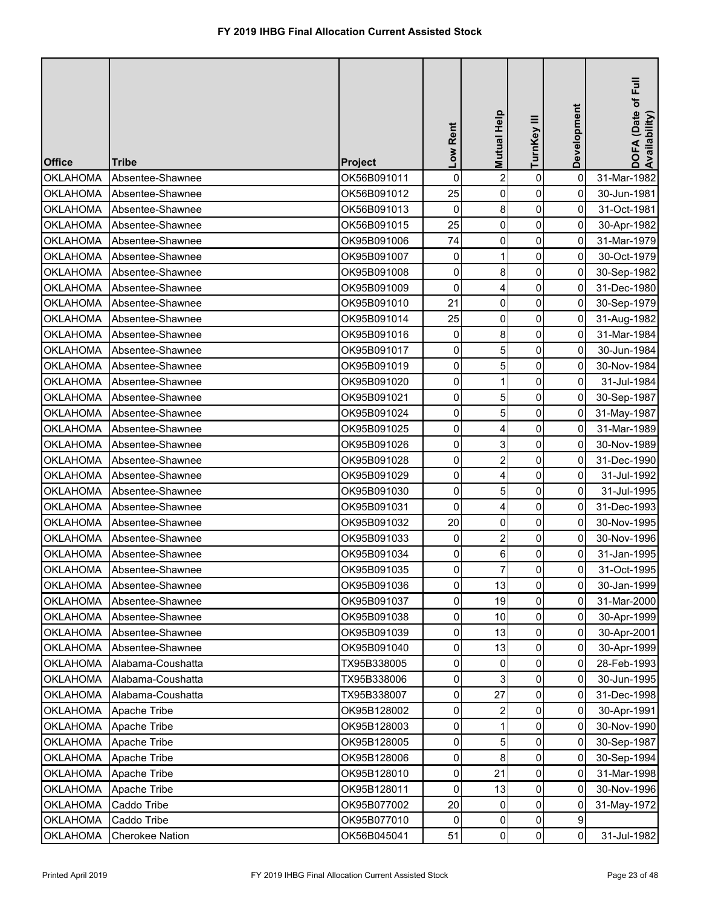| <b>Office</b>   | <b>Tribe</b>           | Project     | Low Rent            | Mutual Help    | TurnKey III    | Development | DOFA (Date of Full<br>Availability) |
|-----------------|------------------------|-------------|---------------------|----------------|----------------|-------------|-------------------------------------|
| <b>OKLAHOMA</b> | Absentee-Shawnee       | OK56B091011 | $\mathbf 0$         | $\overline{2}$ | $\pmb{0}$      | $\mathbf 0$ | 31-Mar-1982                         |
| <b>OKLAHOMA</b> | Absentee-Shawnee       | OK56B091012 | 25                  | $\mathbf 0$    | 0              | 0           | 30-Jun-1981                         |
| <b>OKLAHOMA</b> | Absentee-Shawnee       | OK56B091013 | $\mathbf 0$         | 8              | $\pmb{0}$      | 0           | 31-Oct-1981                         |
| <b>OKLAHOMA</b> | Absentee-Shawnee       | OK56B091015 | 25                  | $\mathbf 0$    | $\pmb{0}$      | 0           | 30-Apr-1982                         |
| <b>OKLAHOMA</b> | Absentee-Shawnee       | OK95B091006 | 74                  | 0              | $\pmb{0}$      | 0           | 31-Mar-1979                         |
| <b>OKLAHOMA</b> | Absentee-Shawnee       | OK95B091007 | 0                   |                | 0              | 0           | 30-Oct-1979                         |
| <b>OKLAHOMA</b> | Absentee-Shawnee       | OK95B091008 | $\mathbf 0$         | 8              | $\pmb{0}$      | 0           | 30-Sep-1982                         |
| <b>OKLAHOMA</b> | Absentee-Shawnee       | OK95B091009 | 0                   | 4              | $\pmb{0}$      | 0           | 31-Dec-1980                         |
| <b>OKLAHOMA</b> | Absentee-Shawnee       | OK95B091010 | 21                  | 0              | 0              | 0           | 30-Sep-1979                         |
| <b>OKLAHOMA</b> | Absentee-Shawnee       | OK95B091014 | 25                  | $\mathbf 0$    | 0              | 0           | 31-Aug-1982                         |
| <b>OKLAHOMA</b> | Absentee-Shawnee       | OK95B091016 | $\pmb{0}$           | 8              | $\pmb{0}$      | 0           | 31-Mar-1984                         |
| <b>OKLAHOMA</b> | Absentee-Shawnee       | OK95B091017 | $\pmb{0}$           | 5              | $\pmb{0}$      | 0           | 30-Jun-1984                         |
| <b>OKLAHOMA</b> | Absentee-Shawnee       | OK95B091019 | $\pmb{0}$           | 5              | 0              | 0           | 30-Nov-1984                         |
| <b>OKLAHOMA</b> | Absentee-Shawnee       | OK95B091020 | $\pmb{0}$           |                | 0              | 0           | 31-Jul-1984                         |
| <b>OKLAHOMA</b> | Absentee-Shawnee       | OK95B091021 | 0                   | 5              | 0              | 0           | 30-Sep-1987                         |
| <b>OKLAHOMA</b> | Absentee-Shawnee       | OK95B091024 | 0                   | 5              | $\pmb{0}$      | 0           | 31-May-1987                         |
| <b>OKLAHOMA</b> | Absentee-Shawnee       | OK95B091025 | 0                   | 4              | 0              | 0           | 31-Mar-1989                         |
| <b>OKLAHOMA</b> | Absentee-Shawnee       | OK95B091026 | 0                   | 3              | $\pmb{0}$      | 0           | 30-Nov-1989                         |
| <b>OKLAHOMA</b> | Absentee-Shawnee       | OK95B091028 | 0                   | $\overline{2}$ | 0              | 0           | 31-Dec-1990                         |
| <b>OKLAHOMA</b> | Absentee-Shawnee       | OK95B091029 | $\mathsf{O}\xspace$ | 4              | $\pmb{0}$      | 0           | 31-Jul-1992                         |
| <b>OKLAHOMA</b> | Absentee-Shawnee       | OK95B091030 | 0                   | 5              | 0              | 0           | 31-Jul-1995                         |
| <b>OKLAHOMA</b> | Absentee-Shawnee       | OK95B091031 | 0                   | 4              | 0              | 0           | 31-Dec-1993                         |
| <b>OKLAHOMA</b> | Absentee-Shawnee       | OK95B091032 | 20                  | $\overline{0}$ | $\overline{0}$ | 01          | 30-Nov-1995                         |
| <b>OKLAHOMA</b> | Absentee-Shawnee       | OK95B091033 | 0                   |                | 0              | 0           | 30-Nov-1996                         |
| <b>OKLAHOMA</b> | Absentee-Shawnee       | OK95B091034 | $\mathbf 0$         | 6              | 0              | 0           | 31-Jan-1995                         |
| <b>OKLAHOMA</b> | Absentee-Shawnee       | OK95B091035 | $\overline{0}$      |                | 0              | 0           | 31-Oct-1995                         |
| <b>OKLAHOMA</b> | Absentee-Shawnee       | OK95B091036 | $\mathbf 0$         | 13             | 0              | 0           | 30-Jan-1999                         |
| <b>OKLAHOMA</b> | Absentee-Shawnee       | OK95B091037 | $\mathbf 0$         | 19             | 0              | 0           | 31-Mar-2000                         |
| <b>OKLAHOMA</b> | Absentee-Shawnee       | OK95B091038 | $\mathbf 0$         | 10             | 0              | 0           | 30-Apr-1999                         |
| <b>OKLAHOMA</b> | Absentee-Shawnee       | OK95B091039 | 0                   | 13             | 0              | 0           | 30-Apr-2001                         |
| <b>OKLAHOMA</b> | Absentee-Shawnee       | OK95B091040 | 0                   | 13             | 0              | 0           | 30-Apr-1999                         |
| <b>OKLAHOMA</b> | Alabama-Coushatta      | TX95B338005 | 0                   | 0              | 0              | 0           | 28-Feb-1993                         |
| <b>OKLAHOMA</b> | Alabama-Coushatta      | TX95B338006 | 0                   | 3              | 0              | 0           | 30-Jun-1995                         |
| <b>OKLAHOMA</b> | Alabama-Coushatta      | TX95B338007 | 0                   | 27             | 0              | 0           | 31-Dec-1998                         |
| <b>OKLAHOMA</b> | Apache Tribe           | OK95B128002 | $\mathbf 0$         | $\overline{2}$ | 0              | 0           | 30-Apr-1991                         |
| <b>OKLAHOMA</b> | Apache Tribe           | OK95B128003 | 0                   |                | 0              | 0           | 30-Nov-1990                         |
| <b>OKLAHOMA</b> | Apache Tribe           | OK95B128005 | $\mathbf 0$         | 5              | 0              | 0           | 30-Sep-1987                         |
| <b>OKLAHOMA</b> | Apache Tribe           | OK95B128006 | $\mathbf 0$         | 8              | 0              | 0           | 30-Sep-1994                         |
| <b>OKLAHOMA</b> | Apache Tribe           | OK95B128010 | $\mathbf 0$         | 21             | 0              | 0           | 31-Mar-1998                         |
| <b>OKLAHOMA</b> | Apache Tribe           | OK95B128011 | 0                   | 13             | 0              | 0           | 30-Nov-1996                         |
| <b>OKLAHOMA</b> | Caddo Tribe            | OK95B077002 | 20                  | 0              | $\pmb{0}$      | 0           | 31-May-1972                         |
| <b>OKLAHOMA</b> | Caddo Tribe            | OK95B077010 | 0                   | 0              | 0              | 9           |                                     |
| <b>OKLAHOMA</b> | <b>Cherokee Nation</b> | OK56B045041 | 51                  | $\mathbf 0$    | $\pmb{0}$      | $\mathbf 0$ | 31-Jul-1982                         |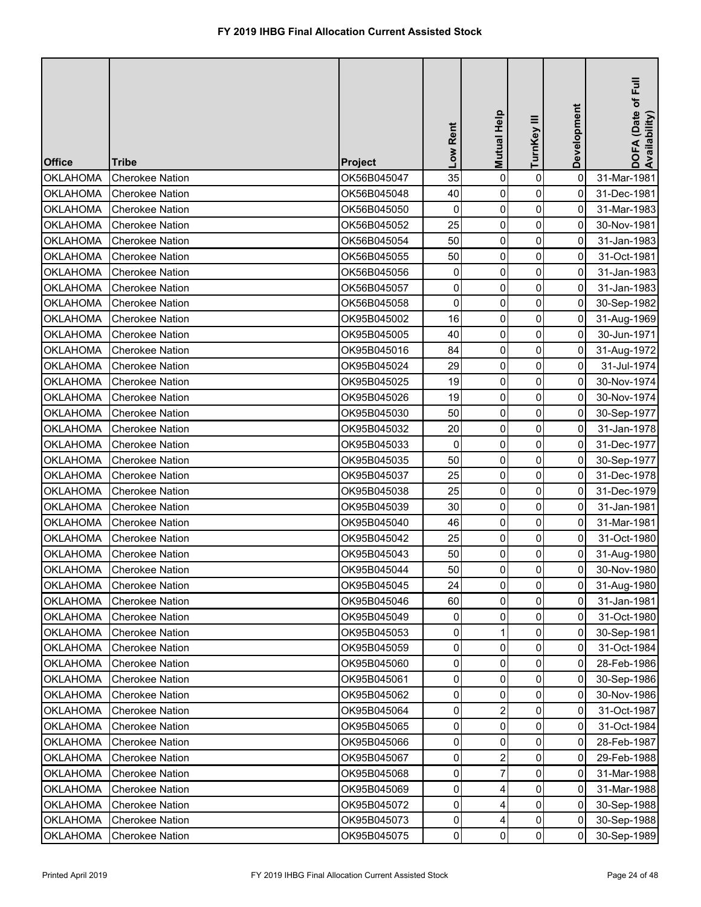| <b>Office</b>   | <b>Tribe</b>           | Project     | Low Rent            | Mutual Help    | TurnKey III    | Development    | DOFA (Date of Full<br>Availability) |
|-----------------|------------------------|-------------|---------------------|----------------|----------------|----------------|-------------------------------------|
| <b>OKLAHOMA</b> | <b>Cherokee Nation</b> | OK56B045047 | 35                  | $\mathbf 0$    | $\pmb{0}$      | $\mathbf 0$    | 31-Mar-1981                         |
| <b>OKLAHOMA</b> | <b>Cherokee Nation</b> | OK56B045048 | 40                  | $\mathbf{0}$   | 0              | 0              | 31-Dec-1981                         |
| <b>OKLAHOMA</b> | <b>Cherokee Nation</b> | OK56B045050 | $\mathbf 0$         | $\mathbf 0$    | $\pmb{0}$      | 0              | 31-Mar-1983                         |
| <b>OKLAHOMA</b> | <b>Cherokee Nation</b> | OK56B045052 | 25                  | $\mathbf 0$    | 0              | 0              | 30-Nov-1981                         |
| <b>OKLAHOMA</b> | <b>Cherokee Nation</b> | OK56B045054 | 50                  | 0              | $\pmb{0}$      | 0              | 31-Jan-1983                         |
| <b>OKLAHOMA</b> | <b>Cherokee Nation</b> | OK56B045055 | 50                  | 0              | 0              | 0              | 31-Oct-1981                         |
| <b>OKLAHOMA</b> | <b>Cherokee Nation</b> | OK56B045056 | 0                   | 0              | $\pmb{0}$      | 0              | 31-Jan-1983                         |
| <b>OKLAHOMA</b> | <b>Cherokee Nation</b> | OK56B045057 | 0                   | 0              | $\mathbf 0$    | 0              | 31-Jan-1983                         |
| <b>OKLAHOMA</b> | <b>Cherokee Nation</b> | OK56B045058 | $\pmb{0}$           | 0              | 0              | 0              | 30-Sep-1982                         |
| <b>OKLAHOMA</b> | <b>Cherokee Nation</b> | OK95B045002 | 16                  | 0              | 0              | 0              | 31-Aug-1969                         |
| <b>OKLAHOMA</b> | <b>Cherokee Nation</b> | OK95B045005 | 40                  | 0              | $\pmb{0}$      | 0              | 30-Jun-1971                         |
| <b>OKLAHOMA</b> | <b>Cherokee Nation</b> | OK95B045016 | 84                  | 0              | $\pmb{0}$      | $\mathbf 0$    | 31-Aug-1972                         |
| <b>OKLAHOMA</b> | <b>Cherokee Nation</b> | OK95B045024 | 29                  | 0              | 0              | $\overline{0}$ | 31-Jul-1974                         |
| <b>OKLAHOMA</b> | <b>Cherokee Nation</b> | OK95B045025 | 19                  | $\mathbf 0$    | 0              | 0              | 30-Nov-1974                         |
| <b>OKLAHOMA</b> | <b>Cherokee Nation</b> | OK95B045026 | 19                  | $\mathbf 0$    | 0              | 0              | 30-Nov-1974                         |
| <b>OKLAHOMA</b> | <b>Cherokee Nation</b> | OK95B045030 | 50                  | $\mathbf 0$    | 0              | 0              | 30-Sep-1977                         |
| <b>OKLAHOMA</b> | <b>Cherokee Nation</b> | OK95B045032 | 20                  | $\mathbf 0$    | 0              | 0              | 31-Jan-1978                         |
| <b>OKLAHOMA</b> | <b>Cherokee Nation</b> | OK95B045033 | $\mathbf 0$         | $\mathbf 0$    | $\pmb{0}$      | 0              | 31-Dec-1977                         |
| <b>OKLAHOMA</b> | <b>Cherokee Nation</b> | OK95B045035 | 50                  | $\mathbf 0$    | $\pmb{0}$      | 0              | 30-Sep-1977                         |
| <b>OKLAHOMA</b> | <b>Cherokee Nation</b> | OK95B045037 | 25                  | 0              | $\pmb{0}$      | 0              | 31-Dec-1978                         |
| <b>OKLAHOMA</b> | <b>Cherokee Nation</b> | OK95B045038 | 25                  | $\mathbf{0}$   | 0              | 0              | 31-Dec-1979                         |
| <b>OKLAHOMA</b> | <b>Cherokee Nation</b> | OK95B045039 | 30                  | 0              | 0              | 0              | 31-Jan-1981                         |
| <b>OKLAHOMA</b> | <b>Cherokee Nation</b> | OK95B045040 | 46                  | $\overline{0}$ | $\overline{0}$ | 01             | 31-Mar-1981                         |
| <b>OKLAHOMA</b> | <b>Cherokee Nation</b> | OK95B045042 | 25                  | 0              | 0              | 0              | 31-Oct-1980                         |
| <b>OKLAHOMA</b> | <b>Cherokee Nation</b> | OK95B045043 | 50                  | 0              | 0              | 0              | 31-Aug-1980                         |
| <b>OKLAHOMA</b> | <b>Cherokee Nation</b> | OK95B045044 | 50                  | 0              | 0              | 0              | 30-Nov-1980                         |
| <b>OKLAHOMA</b> | <b>Cherokee Nation</b> | OK95B045045 | 24                  | 0              | 0              | 0              | 31-Aug-1980                         |
| <b>OKLAHOMA</b> | <b>Cherokee Nation</b> | OK95B045046 | 60                  | 0              | 0              | 0              | 31-Jan-1981                         |
| <b>OKLAHOMA</b> | <b>Cherokee Nation</b> | OK95B045049 | 0                   | $\Omega$       | 0              | 0              | 31-Oct-1980                         |
| <b>OKLAHOMA</b> | <b>Cherokee Nation</b> | OK95B045053 | 0                   |                | 0              | 0              | 30-Sep-1981                         |
| <b>OKLAHOMA</b> | <b>Cherokee Nation</b> | OK95B045059 | 0                   | $\mathbf{0}$   | 0              | 0              | 31-Oct-1984                         |
| <b>OKLAHOMA</b> | <b>Cherokee Nation</b> | OK95B045060 | 0                   | $\Omega$       | 0              | 0              | 28-Feb-1986                         |
| <b>OKLAHOMA</b> | <b>Cherokee Nation</b> | OK95B045061 | 0                   | $\Omega$       | 0              | 0              | 30-Sep-1986                         |
| <b>OKLAHOMA</b> | <b>Cherokee Nation</b> | OK95B045062 | 0                   | $\Omega$       | 0              | 0              | 30-Nov-1986                         |
| <b>OKLAHOMA</b> | <b>Cherokee Nation</b> | OK95B045064 | $\mathbf 0$         | $\overline{2}$ | 0              | 0              | 31-Oct-1987                         |
| <b>OKLAHOMA</b> | <b>Cherokee Nation</b> | OK95B045065 | 0                   | $\Omega$       | 0              | 0              | 31-Oct-1984                         |
| <b>OKLAHOMA</b> | <b>Cherokee Nation</b> | OK95B045066 | $\mathbf 0$         | 0              | 0              | 0              | 28-Feb-1987                         |
| <b>OKLAHOMA</b> | <b>Cherokee Nation</b> | OK95B045067 | 0                   | 2              | 0              | 0              | 29-Feb-1988                         |
| <b>OKLAHOMA</b> | <b>Cherokee Nation</b> | OK95B045068 | $\mathbf 0$         |                | 0              | 0              | 31-Mar-1988                         |
| <b>OKLAHOMA</b> | <b>Cherokee Nation</b> | OK95B045069 | $\mathbf 0$         | 4              | 0              | 0              | 31-Mar-1988                         |
| <b>OKLAHOMA</b> | <b>Cherokee Nation</b> | OK95B045072 | $\overline{0}$      |                | 0              | 0              | 30-Sep-1988                         |
| <b>OKLAHOMA</b> | <b>Cherokee Nation</b> | OK95B045073 | $\mathsf{O}\xspace$ | 4              | 0              | 0              | 30-Sep-1988                         |
| <b>OKLAHOMA</b> | <b>Cherokee Nation</b> | OK95B045075 | $\pmb{0}$           | 0              | $\pmb{0}$      | 0              | 30-Sep-1989                         |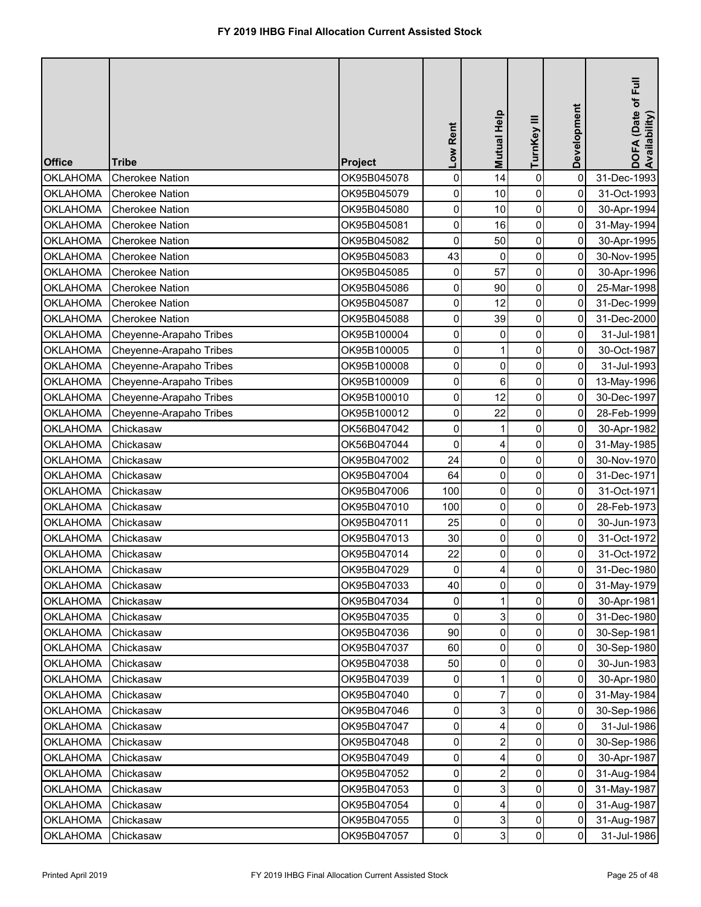| <b>Office</b>   | <b>Tribe</b>            | <b>Project</b> | Low Rent            | Mutual Help    | TurnKey III    | Development         | DOFA (Date of Full<br>Availability) |
|-----------------|-------------------------|----------------|---------------------|----------------|----------------|---------------------|-------------------------------------|
| <b>OKLAHOMA</b> | <b>Cherokee Nation</b>  | OK95B045078    | $\pmb{0}$           | 14             | 0              | $\mathbf 0$         | 31-Dec-1993                         |
| <b>OKLAHOMA</b> | <b>Cherokee Nation</b>  | OK95B045079    | 0                   | 10             | 0              | 0                   | 31-Oct-1993                         |
| <b>OKLAHOMA</b> | <b>Cherokee Nation</b>  | OK95B045080    | 0                   | 10             | $\pmb{0}$      | 0                   | 30-Apr-1994                         |
| <b>OKLAHOMA</b> | <b>Cherokee Nation</b>  | OK95B045081    | 0                   | 16             | 0              | 0                   | 31-May-1994                         |
| <b>OKLAHOMA</b> | <b>Cherokee Nation</b>  | OK95B045082    | 0                   | 50             | $\pmb{0}$      | 0                   | 30-Apr-1995                         |
| <b>OKLAHOMA</b> | <b>Cherokee Nation</b>  | OK95B045083    | 43                  | 0              | 0              | 0                   | 30-Nov-1995                         |
| <b>OKLAHOMA</b> | <b>Cherokee Nation</b>  | OK95B045085    | 0                   | 57             | $\pmb{0}$      | $\mathsf{O}\xspace$ | 30-Apr-1996                         |
| <b>OKLAHOMA</b> | <b>Cherokee Nation</b>  | OK95B045086    | 0                   | 90             | 0              | 0                   | 25-Mar-1998                         |
| <b>OKLAHOMA</b> | <b>Cherokee Nation</b>  | OK95B045087    | 0                   | 12             | 0              | 0                   | 31-Dec-1999                         |
| <b>OKLAHOMA</b> | <b>Cherokee Nation</b>  | OK95B045088    | 0                   | 39             | 0              | 0                   | 31-Dec-2000                         |
| <b>OKLAHOMA</b> | Cheyenne-Arapaho Tribes | OK95B100004    | $\mathsf{O}\xspace$ | 0              | 0              | $\overline{0}$      | 31-Jul-1981                         |
| <b>OKLAHOMA</b> | Cheyenne-Arapaho Tribes | OK95B100005    | $\pmb{0}$           |                | 0              | 0                   | 30-Oct-1987                         |
| <b>OKLAHOMA</b> | Cheyenne-Arapaho Tribes | OK95B100008    | $\mathsf{O}\xspace$ | 0              | 0              | 0                   | 31-Jul-1993                         |
| <b>OKLAHOMA</b> | Cheyenne-Arapaho Tribes | OK95B100009    | 0                   | 6              | 0              | 0                   | 13-May-1996                         |
| <b>OKLAHOMA</b> | Cheyenne-Arapaho Tribes | OK95B100010    | 0                   | 12             | 0              | 0                   | 30-Dec-1997                         |
| <b>OKLAHOMA</b> | Cheyenne-Arapaho Tribes | OK95B100012    | 0                   | 22             | 0              | $\mathbf 0$         | 28-Feb-1999                         |
| <b>OKLAHOMA</b> | Chickasaw               | OK56B047042    | 0                   |                | 0              | 0                   | 30-Apr-1982                         |
| <b>OKLAHOMA</b> | Chickasaw               | OK56B047044    | $\mathbf 0$         | 4              | 0              | 0                   | 31-May-1985                         |
| <b>OKLAHOMA</b> | Chickasaw               | OK95B047002    | 24                  | $\mathbf 0$    | 0              | 0                   | 30-Nov-1970                         |
| <b>OKLAHOMA</b> | Chickasaw               | OK95B047004    | 64                  | $\mathbf 0$    | $\pmb{0}$      | 0                   | 31-Dec-1971                         |
| <b>OKLAHOMA</b> | Chickasaw               | OK95B047006    | 100                 | 0              | 0              | 0                   | 31-Oct-1971                         |
| <b>OKLAHOMA</b> | Chickasaw               | OK95B047010    | 100                 | 0              | 0              | 0                   | 28-Feb-1973                         |
| <b>OKLAHOMA</b> | Chickasaw               | OK95B047011    | 25                  | $\overline{0}$ | $\overline{0}$ | 0                   | 30-Jun-1973                         |
| <b>OKLAHOMA</b> | Chickasaw               | OK95B047013    | 30                  | 0              | 0              | 0                   | 31-Oct-1972                         |
| <b>OKLAHOMA</b> | Chickasaw               | OK95B047014    | 22                  | 0              | 0              | 0                   | 31-Oct-1972                         |
| <b>OKLAHOMA</b> | Chickasaw               | OK95B047029    | 0                   |                | 0              | 0                   | 31-Dec-1980                         |
| <b>OKLAHOMA</b> | Chickasaw               | OK95B047033    | 40                  | 0              | 0              | 0                   | 31-May-1979                         |
| <b>OKLAHOMA</b> | Chickasaw               | OK95B047034    | 0                   |                | 0              | 0                   | 30-Apr-1981                         |
| <b>OKLAHOMA</b> | Chickasaw               | OK95B047035    | 0                   | 3              | 0              | 0                   | 31-Dec-1980                         |
| <b>OKLAHOMA</b> | Chickasaw               | OK95B047036    | 90                  | 0              | 0              | 0                   | 30-Sep-1981                         |
| <b>OKLAHOMA</b> | Chickasaw               | OK95B047037    | 60                  | $\mathbf{0}$   | 0              | 0                   | 30-Sep-1980                         |
| <b>OKLAHOMA</b> | Chickasaw               | OK95B047038    | 50                  | 0              | 0              | 0                   | 30-Jun-1983                         |
| <b>OKLAHOMA</b> | Chickasaw               | OK95B047039    | 0                   |                | 0              | 0                   | 30-Apr-1980                         |
| <b>OKLAHOMA</b> | Chickasaw               | OK95B047040    | 0                   |                | 0              | 0                   | 31-May-1984                         |
| <b>OKLAHOMA</b> | Chickasaw               | OK95B047046    | 0                   | 3              | 0              | 0                   | 30-Sep-1986                         |
| <b>OKLAHOMA</b> | Chickasaw               | OK95B047047    | 0                   | 4              | 0              | 0                   | 31-Jul-1986                         |
| <b>OKLAHOMA</b> | Chickasaw               | OK95B047048    | $\mathbf 0$         |                | 0              | 0                   | 30-Sep-1986                         |
| <b>OKLAHOMA</b> | Chickasaw               | OK95B047049    | 0                   | 4              | 0              | 0                   | 30-Apr-1987                         |
| <b>OKLAHOMA</b> | Chickasaw               | OK95B047052    | 0                   |                | 0              | 0                   | 31-Aug-1984                         |
| <b>OKLAHOMA</b> | Chickasaw               | OK95B047053    | $\mathbf 0$         | 3              | 0              | 0                   | 31-May-1987                         |
| <b>OKLAHOMA</b> | Chickasaw               | OK95B047054    | $\overline{0}$      |                | 0              | 0                   | 31-Aug-1987                         |
| <b>OKLAHOMA</b> | Chickasaw               | OK95B047055    | $\mathsf{O}\xspace$ | 3              | 0              | 0                   | 31-Aug-1987                         |
| <b>OKLAHOMA</b> | Chickasaw               | OK95B047057    | $\pmb{0}$           | 3              | $\pmb{0}$      | $\mathbf 0$         | 31-Jul-1986                         |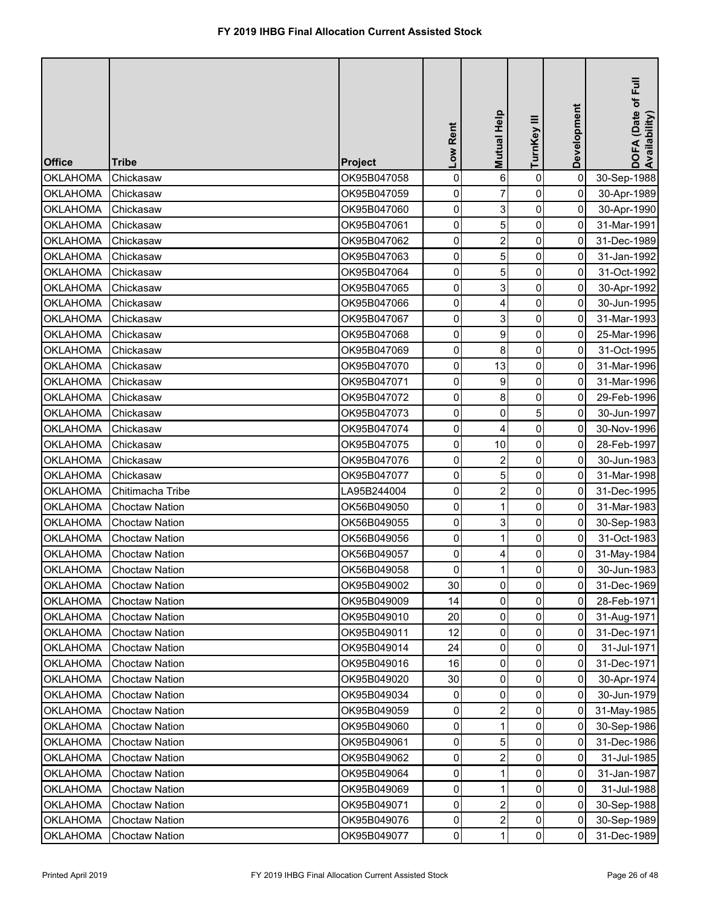| <b>Office</b>   | <b>Tribe</b>          | <b>Project</b> | Low Rent            | Mutual Help    | TurnKey III    | Development | DOFA (Date of Full<br>Availability) |
|-----------------|-----------------------|----------------|---------------------|----------------|----------------|-------------|-------------------------------------|
| <b>OKLAHOMA</b> | Chickasaw             | OK95B047058    | $\pmb{0}$           | 6              | $\pmb{0}$      | 0           | 30-Sep-1988                         |
| <b>OKLAHOMA</b> | Chickasaw             | OK95B047059    | $\pmb{0}$           |                | 0              | 0           | 30-Apr-1989                         |
| <b>OKLAHOMA</b> | Chickasaw             | OK95B047060    | 0                   | 3              | 0              | 0           | 30-Apr-1990                         |
| <b>OKLAHOMA</b> | Chickasaw             | OK95B047061    | 0                   | 5              | 0              | 0           | 31-Mar-1991                         |
| <b>OKLAHOMA</b> | Chickasaw             | OK95B047062    | 0                   | $\overline{2}$ | $\pmb{0}$      | 0           | 31-Dec-1989                         |
| <b>OKLAHOMA</b> | Chickasaw             | OK95B047063    | 0                   | 5              | 0              | 0           | 31-Jan-1992                         |
| <b>OKLAHOMA</b> | Chickasaw             | OK95B047064    | 0                   | 5              | $\pmb{0}$      | 0           | 31-Oct-1992                         |
| <b>OKLAHOMA</b> | Chickasaw             | OK95B047065    | 0                   | 3              | 0              | 0           | 30-Apr-1992                         |
| <b>OKLAHOMA</b> | Chickasaw             | OK95B047066    | $\pmb{0}$           | 4              | $\pmb{0}$      | 0           | 30-Jun-1995                         |
| <b>OKLAHOMA</b> | Chickasaw             | OK95B047067    | 0                   | 3              | 0              | 0           | 31-Mar-1993                         |
| <b>OKLAHOMA</b> | Chickasaw             | OK95B047068    | $\mathsf{O}\xspace$ | 9              | 0              | 0           | 25-Mar-1996                         |
| <b>OKLAHOMA</b> | Chickasaw             | OK95B047069    | $\mathsf{O}\xspace$ | 8              | 0              | 0           | 31-Oct-1995                         |
| <b>OKLAHOMA</b> | Chickasaw             | OK95B047070    | $\pmb{0}$           | 13             | 0              | 0           | 31-Mar-1996                         |
| <b>OKLAHOMA</b> | Chickasaw             | OK95B047071    | 0                   | 9              | 0              | 0           | 31-Mar-1996                         |
| <b>OKLAHOMA</b> | Chickasaw             | OK95B047072    | $\mathsf{O}\xspace$ | 8              | 0              | 0           | 29-Feb-1996                         |
| <b>OKLAHOMA</b> | Chickasaw             | OK95B047073    | $\pmb{0}$           | $\mathbf 0$    | 5              | 0           | 30-Jun-1997                         |
| <b>OKLAHOMA</b> | Chickasaw             | OK95B047074    | 0                   | 4              | 0              | 0           | 30-Nov-1996                         |
| <b>OKLAHOMA</b> | Chickasaw             | OK95B047075    | 0                   | 10             | 0              | 0           | 28-Feb-1997                         |
| <b>OKLAHOMA</b> | Chickasaw             | OK95B047076    | 0                   | $\overline{2}$ | 0              | 0           | 30-Jun-1983                         |
| <b>OKLAHOMA</b> | Chickasaw             | OK95B047077    | 0                   | 5              | $\pmb{0}$      | 0           | 31-Mar-1998                         |
| <b>OKLAHOMA</b> | Chitimacha Tribe      | LA95B244004    | 0                   | $\overline{2}$ | 0              | 0           | 31-Dec-1995                         |
| <b>OKLAHOMA</b> | <b>Choctaw Nation</b> | OK56B049050    | 0                   |                | 0              | 0           | 31-Mar-1983                         |
| <b>OKLAHOMA</b> | <b>Choctaw Nation</b> | OK56B049055    | $\overline{0}$      | 3              | $\overline{0}$ | 01          | 30-Sep-1983                         |
| <b>OKLAHOMA</b> | <b>Choctaw Nation</b> | OK56B049056    | 0                   |                | 0              | 0           | 31-Oct-1983                         |
| <b>OKLAHOMA</b> | <b>Choctaw Nation</b> | OK56B049057    | 0                   | 4              | 0              | 0           | 31-May-1984                         |
| <b>OKLAHOMA</b> | <b>Choctaw Nation</b> | OK56B049058    | 0                   |                | 0              | 0           | 30-Jun-1983                         |
| <b>OKLAHOMA</b> | <b>Choctaw Nation</b> | OK95B049002    | 30                  | 0              | 0              | 0           | 31-Dec-1969                         |
| <b>OKLAHOMA</b> | <b>Choctaw Nation</b> | OK95B049009    | 14                  | 0              | 0              | 0           | 28-Feb-1971                         |
| <b>OKLAHOMA</b> | <b>Choctaw Nation</b> | OK95B049010    | 20                  | $\Omega$       | 0              | 0           | 31-Aug-1971                         |
| <b>OKLAHOMA</b> | <b>Choctaw Nation</b> | OK95B049011    | 12                  | 0              | 0              | 0           | 31-Dec-1971                         |
| <b>OKLAHOMA</b> | <b>Choctaw Nation</b> | OK95B049014    | 24                  | 0              | 0              | 0           | 31-Jul-1971                         |
| <b>OKLAHOMA</b> | <b>Choctaw Nation</b> | OK95B049016    | 16                  | 0              | 0              | 0           | 31-Dec-1971                         |
| <b>OKLAHOMA</b> | <b>Choctaw Nation</b> | OK95B049020    | 30                  | $\Omega$       | 0              | 0           | 30-Apr-1974                         |
| <b>OKLAHOMA</b> | <b>Choctaw Nation</b> | OK95B049034    | 0                   | 0              | 0              | 0           | 30-Jun-1979                         |
| <b>OKLAHOMA</b> | <b>Choctaw Nation</b> | OK95B049059    | 0                   | 2              | 0              | 0           | 31-May-1985                         |
| <b>OKLAHOMA</b> | <b>Choctaw Nation</b> | OK95B049060    | 0                   |                | 0              | 0           | 30-Sep-1986                         |
| <b>OKLAHOMA</b> | <b>Choctaw Nation</b> | OK95B049061    | 0                   | 5              | 0              | 0           | 31-Dec-1986                         |
| <b>OKLAHOMA</b> | <b>Choctaw Nation</b> | OK95B049062    | 0                   |                | 0              | 0           | 31-Jul-1985                         |
| <b>OKLAHOMA</b> | <b>Choctaw Nation</b> | OK95B049064    | $\mathbf 0$         |                | 0              | 0           | 31-Jan-1987                         |
| <b>OKLAHOMA</b> | <b>Choctaw Nation</b> | OK95B049069    | 0                   |                | 0              | 0           | 31-Jul-1988                         |
| <b>OKLAHOMA</b> | <b>Choctaw Nation</b> | OK95B049071    | $\overline{0}$      |                | 0              | 0           | 30-Sep-1988                         |
| <b>OKLAHOMA</b> | <b>Choctaw Nation</b> | OK95B049076    | 0                   | $\overline{2}$ | 0              | 0           | 30-Sep-1989                         |
| <b>OKLAHOMA</b> | <b>Choctaw Nation</b> | OK95B049077    | $\overline{0}$      | 1              | $\pmb{0}$      | $\mathbf 0$ | 31-Dec-1989                         |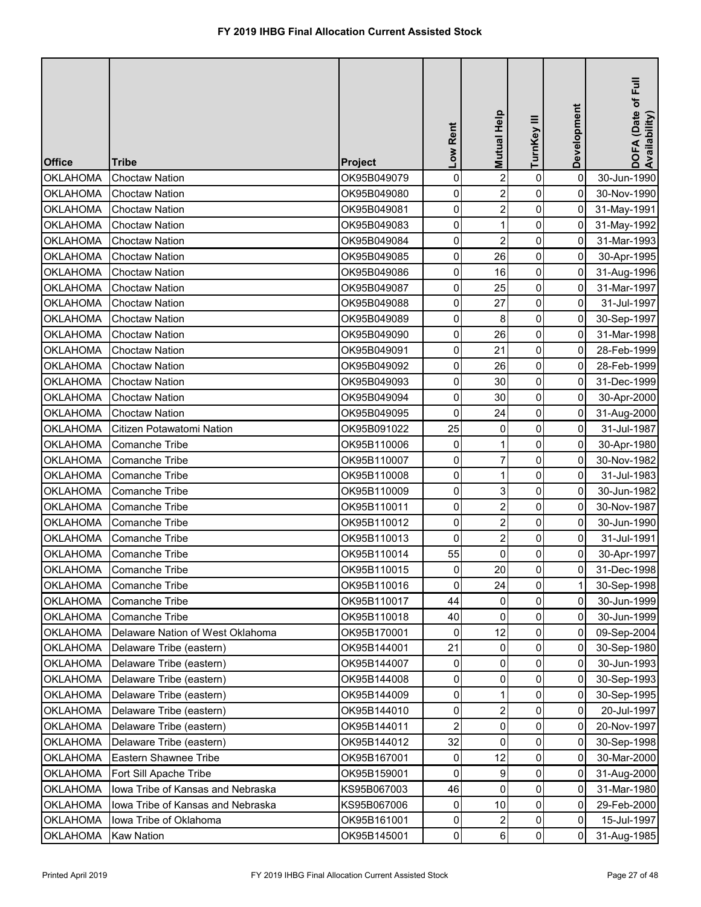| <b>Office</b>   | <b>Tribe</b>                      | <b>Project</b> | Low Rent            | Mutual Help    | TurnKey III    | Development | DOFA (Date of Full<br>Availability) |
|-----------------|-----------------------------------|----------------|---------------------|----------------|----------------|-------------|-------------------------------------|
| <b>OKLAHOMA</b> | <b>Choctaw Nation</b>             | OK95B049079    | $\pmb{0}$           | $\overline{2}$ | $\pmb{0}$      | $\mathbf 0$ | 30-Jun-1990                         |
| <b>OKLAHOMA</b> | <b>Choctaw Nation</b>             | OK95B049080    | 0                   | $\overline{2}$ | 0              | 0           | 30-Nov-1990                         |
| <b>OKLAHOMA</b> | <b>Choctaw Nation</b>             | OK95B049081    | 0                   | $\overline{2}$ | $\pmb{0}$      | 0           | 31-May-1991                         |
| <b>OKLAHOMA</b> | <b>Choctaw Nation</b>             | OK95B049083    | 0                   |                | 0              | 0           | 31-May-1992                         |
| <b>OKLAHOMA</b> | <b>Choctaw Nation</b>             | OK95B049084    | 0                   | $\overline{2}$ | $\pmb{0}$      | 0           | 31-Mar-1993                         |
| <b>OKLAHOMA</b> | <b>Choctaw Nation</b>             | OK95B049085    | 0                   | 26             | $\pmb{0}$      | 0           | 30-Apr-1995                         |
| <b>OKLAHOMA</b> | <b>Choctaw Nation</b>             | OK95B049086    | $\mathsf{O}\xspace$ | 16             | $\pmb{0}$      | 0           | 31-Aug-1996                         |
| <b>OKLAHOMA</b> | <b>Choctaw Nation</b>             | OK95B049087    | 0                   | 25             | $\mathbf 0$    | 0           | 31-Mar-1997                         |
| <b>OKLAHOMA</b> | <b>Choctaw Nation</b>             | OK95B049088    | $\mathsf{O}\xspace$ | 27             | 0              | 0           | 31-Jul-1997                         |
| <b>OKLAHOMA</b> | <b>Choctaw Nation</b>             | OK95B049089    | $\mathsf{O}\xspace$ | 8              | 0              | 0           | 30-Sep-1997                         |
| <b>OKLAHOMA</b> | <b>Choctaw Nation</b>             | OK95B049090    | $\mathsf{O}\xspace$ | 26             | $\pmb{0}$      | 0           | 31-Mar-1998                         |
| <b>OKLAHOMA</b> | <b>Choctaw Nation</b>             | OK95B049091    | 0                   | 21             | $\pmb{0}$      | 0           | 28-Feb-1999                         |
| <b>OKLAHOMA</b> | <b>Choctaw Nation</b>             | OK95B049092    | $\mathsf{O}\xspace$ | 26             | 0              | 0           | 28-Feb-1999                         |
| <b>OKLAHOMA</b> | <b>Choctaw Nation</b>             | OK95B049093    | 0                   | 30             | $\mathbf 0$    | 0           | 31-Dec-1999                         |
| <b>OKLAHOMA</b> | <b>Choctaw Nation</b>             | OK95B049094    | 0                   | 30             | 0              | 0           | 30-Apr-2000                         |
| <b>OKLAHOMA</b> | <b>Choctaw Nation</b>             | OK95B049095    | 0                   | 24             | 0              | 0           | 31-Aug-2000                         |
| <b>OKLAHOMA</b> | Citizen Potawatomi Nation         | OK95B091022    | 25                  | 0              | 0              | 0           | 31-Jul-1987                         |
| <b>OKLAHOMA</b> | <b>Comanche Tribe</b>             | OK95B110006    | 0                   | 1              | $\pmb{0}$      | 0           | 30-Apr-1980                         |
| <b>OKLAHOMA</b> | Comanche Tribe                    | OK95B110007    | 0                   | $\overline{7}$ | 0              | 0           | 30-Nov-1982                         |
| <b>OKLAHOMA</b> | Comanche Tribe                    | OK95B110008    | $\mathsf{O}\xspace$ | 1              | $\pmb{0}$      | 0           | 31-Jul-1983                         |
| <b>OKLAHOMA</b> | <b>Comanche Tribe</b>             | OK95B110009    | 0                   | 3              | 0              | 0           | 30-Jun-1982                         |
| <b>OKLAHOMA</b> | <b>Comanche Tribe</b>             | OK95B110011    | 0                   | $\overline{2}$ | 0              | 0           | 30-Nov-1987                         |
| <b>OKLAHOMA</b> | <b>Comanche Tribe</b>             | OK95B110012    | $\overline{0}$      | $2\vert$       | $\overline{0}$ | 0           | 30-Jun-1990                         |
| <b>OKLAHOMA</b> | <b>Comanche Tribe</b>             | OK95B110013    | 0                   |                | 0              | 0           | 31-Jul-1991                         |
| <b>OKLAHOMA</b> | <b>Comanche Tribe</b>             | OK95B110014    | 55                  | $\Omega$       | 0              | 0           | 30-Apr-1997                         |
| <b>OKLAHOMA</b> | Comanche Tribe                    | OK95B110015    | 0                   | 20             | $\overline{0}$ | 0           | 31-Dec-1998                         |
| <b>OKLAHOMA</b> | <b>Comanche Tribe</b>             | OK95B110016    | $\mathbf 0$         | 24             | 0              | 1           | 30-Sep-1998                         |
| <b>OKLAHOMA</b> | <b>Comanche Tribe</b>             | OK95B110017    | 44                  | 0              | 0              | 0           | 30-Jun-1999                         |
| <b>OKLAHOMA</b> | Comanche Tribe                    | OK95B110018    | 40                  | $\Omega$       | 0              | 0           | 30-Jun-1999                         |
| <b>OKLAHOMA</b> | Delaware Nation of West Oklahoma  | OK95B170001    | 0                   | 12             | 0              | 0           | 09-Sep-2004                         |
| <b>OKLAHOMA</b> | Delaware Tribe (eastern)          | OK95B144001    | 21                  | $\mathbf{0}$   | 0              | 0           | 30-Sep-1980                         |
| <b>OKLAHOMA</b> | Delaware Tribe (eastern)          | OK95B144007    | 0                   | $\Omega$       | 0              | 0           | 30-Jun-1993                         |
| <b>OKLAHOMA</b> | Delaware Tribe (eastern)          | OK95B144008    | 0                   | $\Omega$       | 0              | 0           | 30-Sep-1993                         |
| <b>OKLAHOMA</b> | Delaware Tribe (eastern)          | OK95B144009    | 0                   |                | 0              | 0           | 30-Sep-1995                         |
| <b>OKLAHOMA</b> | Delaware Tribe (eastern)          | OK95B144010    | 0                   | $\overline{2}$ | 0              | 0           | 20-Jul-1997                         |
| <b>OKLAHOMA</b> | Delaware Tribe (eastern)          | OK95B144011    | $\overline{2}$      | $\Omega$       | 0              | 0           | 20-Nov-1997                         |
| <b>OKLAHOMA</b> | Delaware Tribe (eastern)          | OK95B144012    | 32                  | 0              | 0              | 0           | 30-Sep-1998                         |
| <b>OKLAHOMA</b> | Eastern Shawnee Tribe             | OK95B167001    | 0                   | 12             | 0              | 0           | 30-Mar-2000                         |
| <b>OKLAHOMA</b> | Fort Sill Apache Tribe            | OK95B159001    | 0                   | 9              | 0              | 0           | 31-Aug-2000                         |
| <b>OKLAHOMA</b> | Iowa Tribe of Kansas and Nebraska | KS95B067003    | 46                  | $\Omega$       | 0              | 0           | 31-Mar-1980                         |
| <b>OKLAHOMA</b> | Iowa Tribe of Kansas and Nebraska | KS95B067006    | 0                   | 10             | $\pmb{0}$      | 0           | 29-Feb-2000                         |
| <b>OKLAHOMA</b> | Iowa Tribe of Oklahoma            | OK95B161001    | $\mathsf{O}\xspace$ | 2              | $\pmb{0}$      | 0           | 15-Jul-1997                         |
| <b>OKLAHOMA</b> | <b>Kaw Nation</b>                 | OK95B145001    | $\pmb{0}$           | 6              | $\pmb{0}$      | 0           | 31-Aug-1985                         |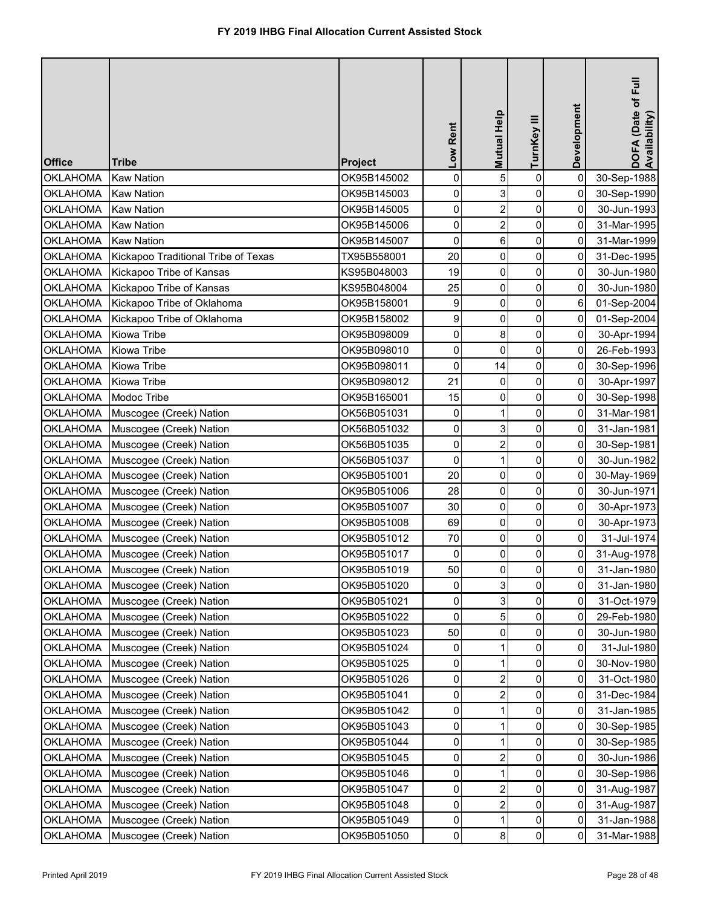| <b>Office</b>   | <b>Tribe</b>                        | <b>Project</b> | Low Rent            | Mutual Help    | TurnKey III    | Development         | DOFA (Date of Full<br>Availability) |
|-----------------|-------------------------------------|----------------|---------------------|----------------|----------------|---------------------|-------------------------------------|
| <b>OKLAHOMA</b> | <b>Kaw Nation</b>                   | OK95B145002    | $\pmb{0}$           | 5              | 0              | $\mathbf 0$         | 30-Sep-1988                         |
| <b>OKLAHOMA</b> | <b>Kaw Nation</b>                   | OK95B145003    | 0                   | 3              | 0              | 0                   | 30-Sep-1990                         |
| <b>OKLAHOMA</b> | <b>Kaw Nation</b>                   | OK95B145005    | 0                   | $\overline{2}$ | $\pmb{0}$      | $\mathbf 0$         | 30-Jun-1993                         |
| <b>OKLAHOMA</b> | <b>Kaw Nation</b>                   | OK95B145006    | 0                   | $\overline{2}$ | 0              | 0                   | 31-Mar-1995                         |
| <b>OKLAHOMA</b> | <b>Kaw Nation</b>                   | OK95B145007    | $\pmb{0}$           | 6              | $\pmb{0}$      | 0                   | 31-Mar-1999                         |
| <b>OKLAHOMA</b> | Kickapoo Traditional Tribe of Texas | TX95B558001    | 20                  | 0              | 0              | 0                   | 31-Dec-1995                         |
| <b>OKLAHOMA</b> | Kickapoo Tribe of Kansas            | KS95B048003    | 19                  | 0              | $\pmb{0}$      | 0                   | 30-Jun-1980                         |
| <b>OKLAHOMA</b> | Kickapoo Tribe of Kansas            | KS95B048004    | 25                  | 0              | 0              | 0                   | 30-Jun-1980                         |
| <b>OKLAHOMA</b> | Kickapoo Tribe of Oklahoma          | OK95B158001    | 9                   | 0              | 0              | 6                   | 01-Sep-2004                         |
| <b>OKLAHOMA</b> | Kickapoo Tribe of Oklahoma          | OK95B158002    | 9                   | $\mathbf 0$    | 0              | 0                   | 01-Sep-2004                         |
| <b>OKLAHOMA</b> | Kiowa Tribe                         | OK95B098009    | $\mathsf{O}\xspace$ | 8              | $\pmb{0}$      | 0                   | 30-Apr-1994                         |
| <b>OKLAHOMA</b> | <b>Kiowa Tribe</b>                  | OK95B098010    | $\pmb{0}$           | $\mathbf 0$    | $\pmb{0}$      | $\mathbf 0$         | 26-Feb-1993                         |
| <b>OKLAHOMA</b> | Kiowa Tribe                         | OK95B098011    | $\pmb{0}$           | 14             | 0              | 0                   | 30-Sep-1996                         |
| <b>OKLAHOMA</b> | Kiowa Tribe                         | OK95B098012    | 21                  | $\mathbf 0$    | 0              | $\mathbf 0$         | 30-Apr-1997                         |
| <b>OKLAHOMA</b> | Modoc Tribe                         | OK95B165001    | 15                  | $\mathbf 0$    | 0              | 0                   | 30-Sep-1998                         |
| <b>OKLAHOMA</b> | Muscogee (Creek) Nation             | OK56B051031    | 0                   |                | 0              | $\mathbf 0$         | 31-Mar-1981                         |
| <b>OKLAHOMA</b> | Muscogee (Creek) Nation             | OK56B051032    | 0                   | 3              | 0              | 0                   | 31-Jan-1981                         |
| <b>OKLAHOMA</b> | Muscogee (Creek) Nation             | OK56B051035    | 0                   | $\overline{2}$ | 0              | 0                   | 30-Sep-1981                         |
| <b>OKLAHOMA</b> | Muscogee (Creek) Nation             | OK56B051037    | $\mathbf 0$         |                | 0              | 0                   | 30-Jun-1982                         |
| <b>OKLAHOMA</b> | Muscogee (Creek) Nation             | OK95B051001    | 20                  | $\mathbf 0$    | $\pmb{0}$      | 0                   | 30-May-1969                         |
| <b>OKLAHOMA</b> | Muscogee (Creek) Nation             | OK95B051006    | 28                  | 0              | 0              | 0                   | 30-Jun-1971                         |
| <b>OKLAHOMA</b> | Muscogee (Creek) Nation             | OK95B051007    | 30                  | 0              | 0              | $\mathsf{O}\xspace$ | 30-Apr-1973                         |
| <b>OKLAHOMA</b> | Muscogee (Creek) Nation             | OK95B051008    | 69                  | $\overline{0}$ | $\overline{0}$ | $\overline{0}$      | 30-Apr-1973                         |
| <b>OKLAHOMA</b> | Muscogee (Creek) Nation             | OK95B051012    | 70                  | 0              | 0              | $\Omega$            | 31-Jul-1974                         |
| OKLAHOMA        | Muscogee (Creek) Nation             | OK95B051017    | 0                   | 0              | $\pmb{0}$      | 0                   | 31-Aug-1978                         |
| <b>OKLAHOMA</b> | Muscogee (Creek) Nation             | OK95B051019    | 50                  | 0              | $\pmb{0}$      | 0                   | 31-Jan-1980                         |
| <b>OKLAHOMA</b> | Muscogee (Creek) Nation             | OK95B051020    | 0                   | 3              | 0              | 0                   | 31-Jan-1980                         |
| <b>OKLAHOMA</b> | Muscogee (Creek) Nation             | OK95B051021    | 0                   | 3              | 0              | 0                   | 31-Oct-1979                         |
| <b>OKLAHOMA</b> | Muscogee (Creek) Nation             | OK95B051022    | $\mathbf 0$         | 5              | 0              | 0                   | 29-Feb-1980                         |
| <b>OKLAHOMA</b> | Muscogee (Creek) Nation             | OK95B051023    | 50                  | 0              | 0              | 0                   | 30-Jun-1980                         |
| <b>OKLAHOMA</b> | Muscogee (Creek) Nation             | OK95B051024    | 0                   |                | 0              | 0                   | 31-Jul-1980                         |
| <b>OKLAHOMA</b> | Muscogee (Creek) Nation             | OK95B051025    | 0                   |                | 0              | 0                   | 30-Nov-1980                         |
| <b>OKLAHOMA</b> | Muscogee (Creek) Nation             | OK95B051026    | 0                   | $\overline{2}$ | 0              | 0                   | 31-Oct-1980                         |
| <b>OKLAHOMA</b> | Muscogee (Creek) Nation             | OK95B051041    | 0                   | 2              | 0              | 0                   | 31-Dec-1984                         |
| <b>OKLAHOMA</b> | Muscogee (Creek) Nation             | OK95B051042    | 0                   |                | 0              | 0                   | 31-Jan-1985                         |
| <b>OKLAHOMA</b> | Muscogee (Creek) Nation             | OK95B051043    | 0                   |                | 0              | 0                   | 30-Sep-1985                         |
| <b>OKLAHOMA</b> | Muscogee (Creek) Nation             | OK95B051044    | $\mathbf 0$         |                | 0              | 0                   | 30-Sep-1985                         |
| <b>OKLAHOMA</b> | Muscogee (Creek) Nation             | OK95B051045    | 0                   | 2              | 0              | 0                   | 30-Jun-1986                         |
| <b>OKLAHOMA</b> | Muscogee (Creek) Nation             | OK95B051046    | $\mathbf 0$         |                | 0              | 0                   | 30-Sep-1986                         |
| <b>OKLAHOMA</b> | Muscogee (Creek) Nation             | OK95B051047    | $\mathbf 0$         | $\overline{2}$ | 0              | 0                   | 31-Aug-1987                         |
| <b>OKLAHOMA</b> | Muscogee (Creek) Nation             | OK95B051048    | $\overline{0}$      | $\overline{2}$ | $\pmb{0}$      | 0                   | 31-Aug-1987                         |
| <b>OKLAHOMA</b> | Muscogee (Creek) Nation             | OK95B051049    | $\mathsf{O}\xspace$ |                | $\pmb{0}$      | 0                   | 31-Jan-1988                         |
| <b>OKLAHOMA</b> | Muscogee (Creek) Nation             | OK95B051050    | $\pmb{0}$           | 8              | $\pmb{0}$      | 0                   | 31-Mar-1988                         |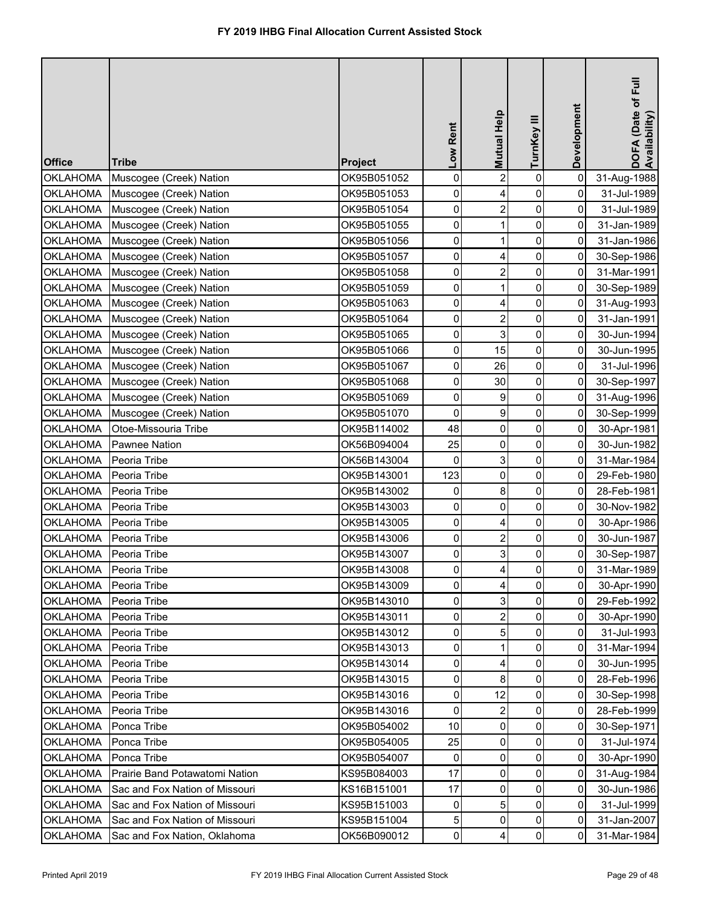| <b>Office</b>   | <b>Tribe</b>                   | Project     | Low Rent       | Mutual Help    | TurnKey III    | Development    | DOFA (Date of Full<br>Availability) |
|-----------------|--------------------------------|-------------|----------------|----------------|----------------|----------------|-------------------------------------|
| <b>OKLAHOMA</b> | Muscogee (Creek) Nation        | OK95B051052 | 0              | $\overline{2}$ | $\pmb{0}$      | $\pmb{0}$      | 31-Aug-1988                         |
| <b>OKLAHOMA</b> | Muscogee (Creek) Nation        | OK95B051053 | 0              | 4              | $\pmb{0}$      | 0              | 31-Jul-1989                         |
| <b>OKLAHOMA</b> | Muscogee (Creek) Nation        | OK95B051054 | 0              | $\overline{2}$ | $\mathbf 0$    | 0              | 31-Jul-1989                         |
| <b>OKLAHOMA</b> | Muscogee (Creek) Nation        | OK95B051055 | 0              |                | 0              | 0              | 31-Jan-1989                         |
| <b>OKLAHOMA</b> | Muscogee (Creek) Nation        | OK95B051056 | 0              | 1              | $\pmb{0}$      | 0              | 31-Jan-1986                         |
| <b>OKLAHOMA</b> | Muscogee (Creek) Nation        | OK95B051057 | 0              | 4              | $\pmb{0}$      | 0              | 30-Sep-1986                         |
| <b>OKLAHOMA</b> | Muscogee (Creek) Nation        | OK95B051058 | 0              | 2              | $\pmb{0}$      | 0              | 31-Mar-1991                         |
| <b>OKLAHOMA</b> | Muscogee (Creek) Nation        | OK95B051059 | 0              | 1              | $\pmb{0}$      | $\overline{0}$ | 30-Sep-1989                         |
| <b>OKLAHOMA</b> | Muscogee (Creek) Nation        | OK95B051063 | $\overline{0}$ | 4              | $\pmb{0}$      | $\overline{0}$ | 31-Aug-1993                         |
| <b>OKLAHOMA</b> | Muscogee (Creek) Nation        | OK95B051064 | 0              | $\overline{2}$ | $\mathbf 0$    | $\overline{0}$ | 31-Jan-1991                         |
| <b>OKLAHOMA</b> | Muscogee (Creek) Nation        | OK95B051065 | 0              | 3              | $\pmb{0}$      | 0              | 30-Jun-1994                         |
| <b>OKLAHOMA</b> | Muscogee (Creek) Nation        | OK95B051066 | 0              | 15             | $\pmb{0}$      | 0              | 30-Jun-1995                         |
| <b>OKLAHOMA</b> | Muscogee (Creek) Nation        | OK95B051067 | 0              | 26             | $\mathbf 0$    | 0              | 31-Jul-1996                         |
| <b>OKLAHOMA</b> | Muscogee (Creek) Nation        | OK95B051068 | 0              | 30             | 0              | 0              | 30-Sep-1997                         |
| <b>OKLAHOMA</b> | Muscogee (Creek) Nation        | OK95B051069 | 0              | 9              | 0              | 0              | 31-Aug-1996                         |
| <b>OKLAHOMA</b> | Muscogee (Creek) Nation        | OK95B051070 | 0              | 9              | $\pmb{0}$      | 0              | 30-Sep-1999                         |
| <b>OKLAHOMA</b> | Otoe-Missouria Tribe           | OK95B114002 | 48             | 0              | $\mathbf 0$    | 0              | 30-Apr-1981                         |
| <b>OKLAHOMA</b> | <b>Pawnee Nation</b>           | OK56B094004 | 25             | 0              | $\mathbf 0$    | 0              | 30-Jun-1982                         |
| <b>OKLAHOMA</b> | Peoria Tribe                   | OK56B143004 | 0              | 3              | 0              | 0              | 31-Mar-1984                         |
| <b>OKLAHOMA</b> | Peoria Tribe                   | OK95B143001 | 123            | 0              | $\pmb{0}$      | 0              | 29-Feb-1980                         |
| <b>OKLAHOMA</b> | Peoria Tribe                   | OK95B143002 | 0              | 8              | $\pmb{0}$      | 0              | 28-Feb-1981                         |
| <b>OKLAHOMA</b> | Peoria Tribe                   | OK95B143003 | $\overline{0}$ | 0              | $\mathbf 0$    | 0              | 30-Nov-1982                         |
| <b>OKLAHOMA</b> | Peoria Tribe                   | OK95B143005 | $\overline{0}$ | 4              | 0              | οI             | 30-Apr-1986                         |
| <b>OKLAHOMA</b> | Peoria Tribe                   | OK95B143006 | 0              |                | 0              | 0              | 30-Jun-1987                         |
| <b>OKLAHOMA</b> | Peoria Tribe                   | OK95B143007 | $\overline{0}$ |                | $\mathbf 0$    | 0              | 30-Sep-1987                         |
| <b>OKLAHOMA</b> | Peoria Tribe                   | OK95B143008 | 0              |                | 0              | 0              | 31-Mar-1989                         |
| <b>OKLAHOMA</b> | Peoria Tribe                   | OK95B143009 | 0              | 4              | $\mathbf 0$    | 0              | 30-Apr-1990                         |
| <b>OKLAHOMA</b> | Peoria Tribe                   | OK95B143010 | 0              | 3              | $\Omega$       | 0              | 29-Feb-1992                         |
| <b>OKLAHOMA</b> | Peoria Tribe                   | OK95B143011 | 0              | $\overline{2}$ | 0              | 0              | 30-Apr-1990                         |
| <b>OKLAHOMA</b> | Peoria Tribe                   | OK95B143012 | 0              |                | 0              | 0              | 31-Jul-1993                         |
| <b>OKLAHOMA</b> | Peoria Tribe                   | OK95B143013 | 0              |                | 0              | 0              | 31-Mar-1994                         |
| <b>OKLAHOMA</b> | Peoria Tribe                   | OK95B143014 | 0              | 4              | 0              | 0              | 30-Jun-1995                         |
| <b>OKLAHOMA</b> | Peoria Tribe                   | OK95B143015 | 0              | 8              | 0              | 0              | 28-Feb-1996                         |
| <b>OKLAHOMA</b> | Peoria Tribe                   | OK95B143016 | 0              | 12             | 0              | 0              | 30-Sep-1998                         |
| <b>OKLAHOMA</b> | Peoria Tribe                   | OK95B143016 | 0              | 2              | $\pmb{0}$      | 0              | 28-Feb-1999                         |
| <b>OKLAHOMA</b> | Ponca Tribe                    | OK95B054002 | 10             | $\mathbf{0}$   | $\mathbf 0$    | 0              | 30-Sep-1971                         |
| <b>OKLAHOMA</b> | Ponca Tribe                    | OK95B054005 | 25             | 0              | $\pmb{0}$      | 0              | 31-Jul-1974                         |
| <b>OKLAHOMA</b> | Ponca Tribe                    | OK95B054007 | 0              | 0              | $\mathbf 0$    | 0              | 30-Apr-1990                         |
| <b>OKLAHOMA</b> | Prairie Band Potawatomi Nation | KS95B084003 | 17             | 0              | $\pmb{0}$      | $\overline{0}$ | 31-Aug-1984                         |
| <b>OKLAHOMA</b> | Sac and Fox Nation of Missouri | KS16B151001 | 17             | 0              | $\mathbf 0$    | 0              | 30-Jun-1986                         |
| <b>OKLAHOMA</b> | Sac and Fox Nation of Missouri | KS95B151003 | 0              | 5              | 0              | 0              | 31-Jul-1999                         |
| <b>OKLAHOMA</b> | Sac and Fox Nation of Missouri | KS95B151004 | $5\vert$       | 0              | $\pmb{0}$      | 0              | 31-Jan-2007                         |
| <b>OKLAHOMA</b> | Sac and Fox Nation, Oklahoma   | OK56B090012 | $\overline{0}$ | 4              | $\overline{0}$ | 0              | 31-Mar-1984                         |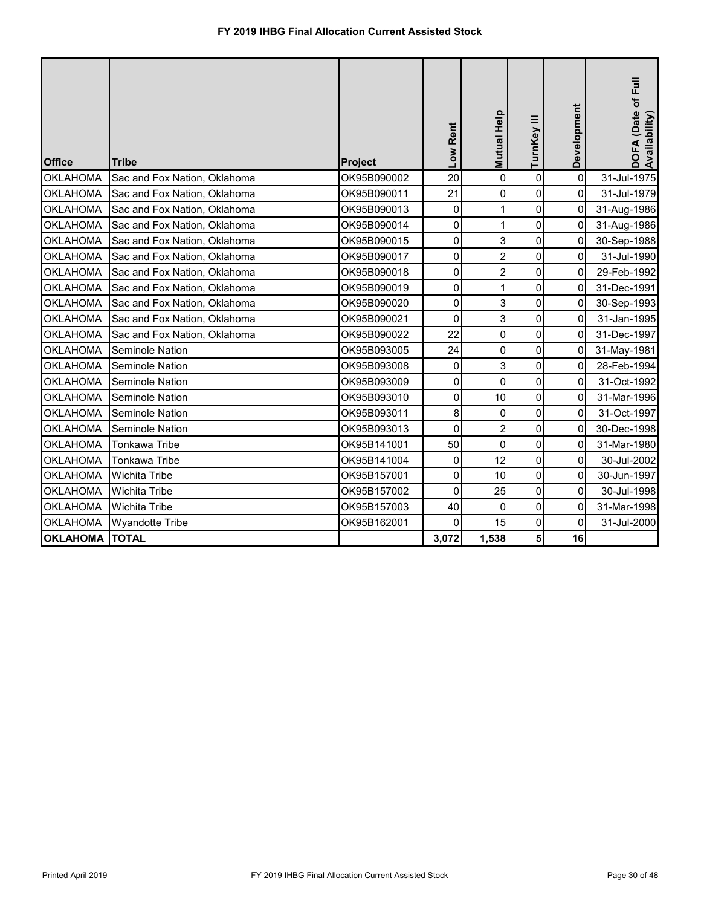| <b>Office</b>   | Tribe                        | <b>Project</b> | Low Rent            | <b>Mutual Help</b> | TurnKey III    | Development | DOFA (Date of Full<br>Availability) |
|-----------------|------------------------------|----------------|---------------------|--------------------|----------------|-------------|-------------------------------------|
| <b>OKLAHOMA</b> | Sac and Fox Nation, Oklahoma | OK95B090002    | 20                  | $\overline{0}$     | $\mathbf 0$    | $\mathbf 0$ | 31-Jul-1975                         |
| <b>OKLAHOMA</b> | Sac and Fox Nation, Oklahoma | OK95B090011    | 21                  | 0                  | $\overline{0}$ | $\mathbf 0$ | 31-Jul-1979                         |
| <b>OKLAHOMA</b> | Sac and Fox Nation, Oklahoma | OK95B090013    | 0                   | 1                  | $\mathbf 0$    | 0           | 31-Aug-1986                         |
| <b>OKLAHOMA</b> | Sac and Fox Nation, Oklahoma | OK95B090014    | 0                   | 1                  | 0              | 0           | 31-Aug-1986                         |
| <b>OKLAHOMA</b> | Sac and Fox Nation, Oklahoma | OK95B090015    | 0                   | 3                  | 0              | 0           | 30-Sep-1988                         |
| <b>OKLAHOMA</b> | Sac and Fox Nation, Oklahoma | OK95B090017    | 0                   | $\overline{2}$     | 0              | 0           | 31-Jul-1990                         |
| <b>OKLAHOMA</b> | Sac and Fox Nation, Oklahoma | OK95B090018    | $\mathbf 0$         | $\overline{2}$     | 0              | 0           | 29-Feb-1992                         |
| <b>OKLAHOMA</b> | Sac and Fox Nation, Oklahoma | OK95B090019    | 0                   | 1                  | 0              | 0           | 31-Dec-1991                         |
| <b>OKLAHOMA</b> | Sac and Fox Nation, Oklahoma | OK95B090020    | 0                   | 3                  | $\mathbf 0$    | 0           | 30-Sep-1993                         |
| <b>OKLAHOMA</b> | Sac and Fox Nation, Oklahoma | OK95B090021    | $\mathbf 0$         | 3                  | $\overline{0}$ | 0           | 31-Jan-1995                         |
| <b>OKLAHOMA</b> | Sac and Fox Nation, Oklahoma | OK95B090022    | 22                  | 0                  | 0              | 0           | 31-Dec-1997                         |
| <b>OKLAHOMA</b> | <b>Seminole Nation</b>       | OK95B093005    | 24                  | $\overline{0}$     | 0              | $\mathbf 0$ | 31-May-1981                         |
| <b>OKLAHOMA</b> | Seminole Nation              | OK95B093008    | 0                   | 3                  | 0              | 0           | 28-Feb-1994                         |
| <b>OKLAHOMA</b> | Seminole Nation              | OK95B093009    | $\mathbf 0$         | $\mathbf 0$        | 0              | 0           | 31-Oct-1992                         |
| <b>OKLAHOMA</b> | <b>Seminole Nation</b>       | OK95B093010    | $\mathsf{O}\xspace$ | 10                 | $\overline{0}$ | 0           | 31-Mar-1996                         |
| <b>OKLAHOMA</b> | <b>Seminole Nation</b>       | OK95B093011    | 8                   | 0                  | 0              | 0           | 31-Oct-1997                         |
| <b>OKLAHOMA</b> | Seminole Nation              | OK95B093013    | $\overline{0}$      | $\overline{2}$     | $\mathbf 0$    | 0           | 30-Dec-1998                         |
| <b>OKLAHOMA</b> | <b>Tonkawa Tribe</b>         | OK95B141001    | 50                  | $\mathbf 0$        | 0              | $\mathbf 0$ | 31-Mar-1980                         |
| <b>OKLAHOMA</b> | <b>Tonkawa Tribe</b>         | OK95B141004    | 0                   | 12                 | $\mathbf 0$    | 0           | 30-Jul-2002                         |
| <b>OKLAHOMA</b> | <b>Wichita Tribe</b>         | OK95B157001    | $\mathsf{O}\xspace$ | 10                 | $\pmb{0}$      | 0           | 30-Jun-1997                         |
| <b>OKLAHOMA</b> | <b>Wichita Tribe</b>         | OK95B157002    | 0                   | 25                 | 0              | 0           | 30-Jul-1998                         |
| <b>OKLAHOMA</b> | Wichita Tribe                | OK95B157003    | 40                  | $\overline{0}$     | $\mathbf 0$    | 0           | 31-Mar-1998                         |
| <b>OKLAHOMA</b> | <b>Wyandotte Tribe</b>       | OK95B162001    | 0                   | 15                 | 0              | 0           | 31-Jul-2000                         |
| <b>OKLAHOMA</b> | <b>TOTAL</b>                 |                | 3,072               | 1,538              | 5 <sup>1</sup> | 16          |                                     |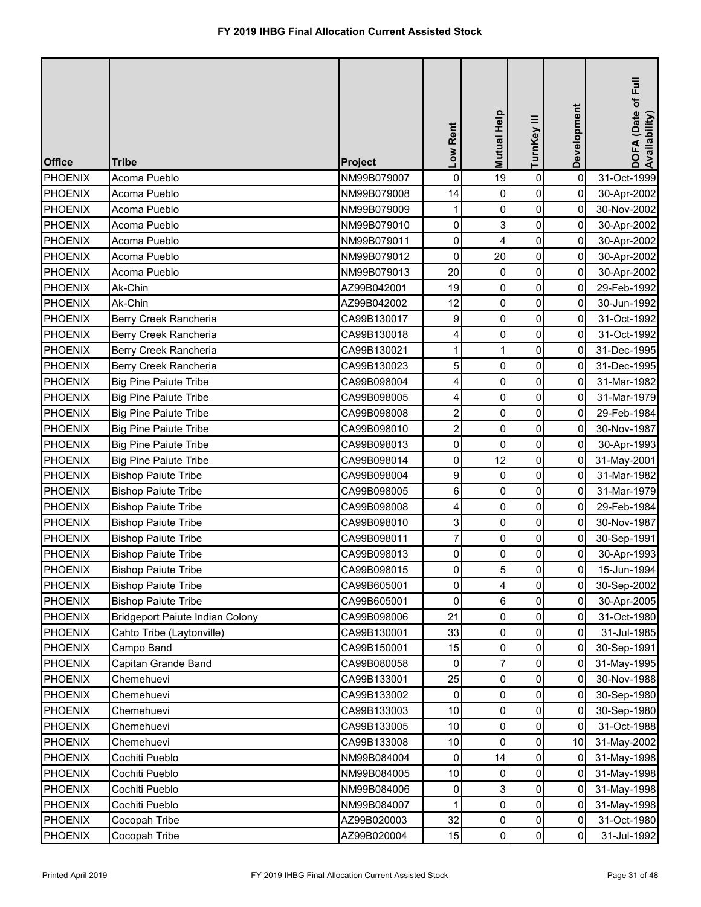| <b>Office</b>  | <b>Tribe</b>                           | <b>Project</b> | Low Rent                | Mutual Help    | TurnKey III    | Development | DOFA (Date of Full<br>Availability) |
|----------------|----------------------------------------|----------------|-------------------------|----------------|----------------|-------------|-------------------------------------|
| <b>PHOENIX</b> | Acoma Pueblo                           | NM99B079007    | $\mathbf 0$             | 19             | $\pmb{0}$      | $\mathbf 0$ | 31-Oct-1999                         |
| PHOENIX        | Acoma Pueblo                           | NM99B079008    | 14                      | 0              | 0              | 0           | 30-Apr-2002                         |
| <b>PHOENIX</b> | Acoma Pueblo                           | NM99B079009    | 1                       | 0              | 0              | $\mathbf 0$ | 30-Nov-2002                         |
| <b>PHOENIX</b> | Acoma Pueblo                           | NM99B079010    | 0                       | 3              | 0              | 0           | 30-Apr-2002                         |
| <b>PHOENIX</b> | Acoma Pueblo                           | NM99B079011    | $\mathsf{O}\xspace$     | 4              | $\pmb{0}$      | 0           | 30-Apr-2002                         |
| <b>PHOENIX</b> | Acoma Pueblo                           | NM99B079012    | 0                       | 20             | 0              | 0           | 30-Apr-2002                         |
| PHOENIX        | Acoma Pueblo                           | NM99B079013    | 20                      | 0              | $\pmb{0}$      | 0           | 30-Apr-2002                         |
| <b>PHOENIX</b> | Ak-Chin                                | AZ99B042001    | 19                      | 0              | 0              | 0           | 29-Feb-1992                         |
| PHOENIX        | Ak-Chin                                | AZ99B042002    | 12                      | $\mathbf 0$    | 0              | 0           | 30-Jun-1992                         |
| PHOENIX        | Berry Creek Rancheria                  | CA99B130017    | 9                       | 0              | 0              | 0           | 31-Oct-1992                         |
| PHOENIX        | Berry Creek Rancheria                  | CA99B130018    | 4                       | $\pmb{0}$      | 0              | 0           | 31-Oct-1992                         |
| PHOENIX        | Berry Creek Rancheria                  | CA99B130021    | 1                       | 1              | 0              | 0           | 31-Dec-1995                         |
| <b>PHOENIX</b> | Berry Creek Rancheria                  | CA99B130023    | 5                       | 0              | 0              | 0           | 31-Dec-1995                         |
| PHOENIX        | <b>Big Pine Paiute Tribe</b>           | CA99B098004    | 4                       | 0              | 0              | 0           | 31-Mar-1982                         |
| <b>PHOENIX</b> | <b>Big Pine Paiute Tribe</b>           | CA99B098005    | 4                       | 0              | 0              | 0           | 31-Mar-1979                         |
| <b>PHOENIX</b> | <b>Big Pine Paiute Tribe</b>           | CA99B098008    | $\overline{\mathbf{c}}$ | 0              | 0              | $\mathbf 0$ | 29-Feb-1984                         |
| <b>PHOENIX</b> | <b>Big Pine Paiute Tribe</b>           | CA99B098010    | $\overline{\mathbf{c}}$ | 0              | 0              | 0           | 30-Nov-1987                         |
| PHOENIX        | <b>Big Pine Paiute Tribe</b>           | CA99B098013    | 0                       | $\mathbf 0$    | 0              | 0           | 30-Apr-1993                         |
| <b>PHOENIX</b> | <b>Big Pine Paiute Tribe</b>           | CA99B098014    | 0                       | 12             | 0              | 0           | 31-May-2001                         |
| <b>PHOENIX</b> | <b>Bishop Paiute Tribe</b>             | CA99B098004    | 9                       | $\mathbf 0$    | $\pmb{0}$      | 0           | 31-Mar-1982                         |
| PHOENIX        | <b>Bishop Paiute Tribe</b>             | CA99B098005    | 6                       | 0              | 0              | 0           | 31-Mar-1979                         |
| PHOENIX        | <b>Bishop Paiute Tribe</b>             | CA99B098008    | 4                       | 0              | 0              | 0           | 29-Feb-1984                         |
| PHOENIX        | <b>Bishop Paiute Tribe</b>             | CA99B098010    | 3 <sup>1</sup>          | $\overline{0}$ | $\overline{0}$ | 0           | 30-Nov-1987                         |
| PHOENIX        | <b>Bishop Paiute Tribe</b>             | CA99B098011    |                         | 0              | 0              | 0           | 30-Sep-1991                         |
| <b>PHOENIX</b> | <b>Bishop Paiute Tribe</b>             | CA99B098013    | 0                       | 0              | 0              | 0           | 30-Apr-1993                         |
| <b>PHOENIX</b> | <b>Bishop Paiute Tribe</b>             | CA99B098015    | $\mathbf 0$             | 5              | 0              | 0           | 15-Jun-1994                         |
| <b>PHOENIX</b> | <b>Bishop Paiute Tribe</b>             | CA99B605001    | 0                       | 4              | 0              | 0           | 30-Sep-2002                         |
| <b>PHOENIX</b> | <b>Bishop Paiute Tribe</b>             | CA99B605001    | 0                       | 6              | 0              | 0           | 30-Apr-2005                         |
| <b>PHOENIX</b> | <b>Bridgeport Paiute Indian Colony</b> | CA99B098006    | 21                      | 0              | 0              | 0           | 31-Oct-1980                         |
| <b>PHOENIX</b> | Cahto Tribe (Laytonville)              | CA99B130001    | 33                      | 0              | 0              | 0           | 31-Jul-1985                         |
| <b>PHOENIX</b> | Campo Band                             | CA99B150001    | 15                      | 0              | 0              | 0           | 30-Sep-1991                         |
| <b>PHOENIX</b> | Capitan Grande Band                    | CA99B080058    | 0                       |                | 0              | 0           | 31-May-1995                         |
| <b>PHOENIX</b> | Chemehuevi                             | CA99B133001    | 25                      | 0              | 0              | 0           | 30-Nov-1988                         |
| <b>PHOENIX</b> | Chemehuevi                             | CA99B133002    | 0                       | $\Omega$       | 0              | 0           | 30-Sep-1980                         |
| <b>PHOENIX</b> | Chemehuevi                             | CA99B133003    | 10                      | 0              | 0              | 0           | 30-Sep-1980                         |
| <b>PHOENIX</b> | Chemehuevi                             | CA99B133005    | 10                      | 0              | 0              | 0           | 31-Oct-1988                         |
| <b>PHOENIX</b> | Chemehuevi                             | CA99B133008    | 10                      | 0              | $\pmb{0}$      | 10          | 31-May-2002                         |
| <b>PHOENIX</b> | Cochiti Pueblo                         | NM99B084004    | 0                       | 14             | 0              | 0           | 31-May-1998                         |
| <b>PHOENIX</b> | Cochiti Pueblo                         | NM99B084005    | 10                      | 0              | 0              | 0           | 31-May-1998                         |
| <b>PHOENIX</b> | Cochiti Pueblo                         | NM99B084006    | 0                       | 3              | 0              | 0           | 31-May-1998                         |
| <b>PHOENIX</b> | Cochiti Pueblo                         | NM99B084007    |                         | 0              | 0              | 0           | 31-May-1998                         |
| <b>PHOENIX</b> | Cocopah Tribe                          | AZ99B020003    | 32                      | 0              | 0              | 0           | 31-Oct-1980                         |
| <b>PHOENIX</b> | Cocopah Tribe                          | AZ99B020004    | 15                      | 0              | $\pmb{0}$      | 0           | 31-Jul-1992                         |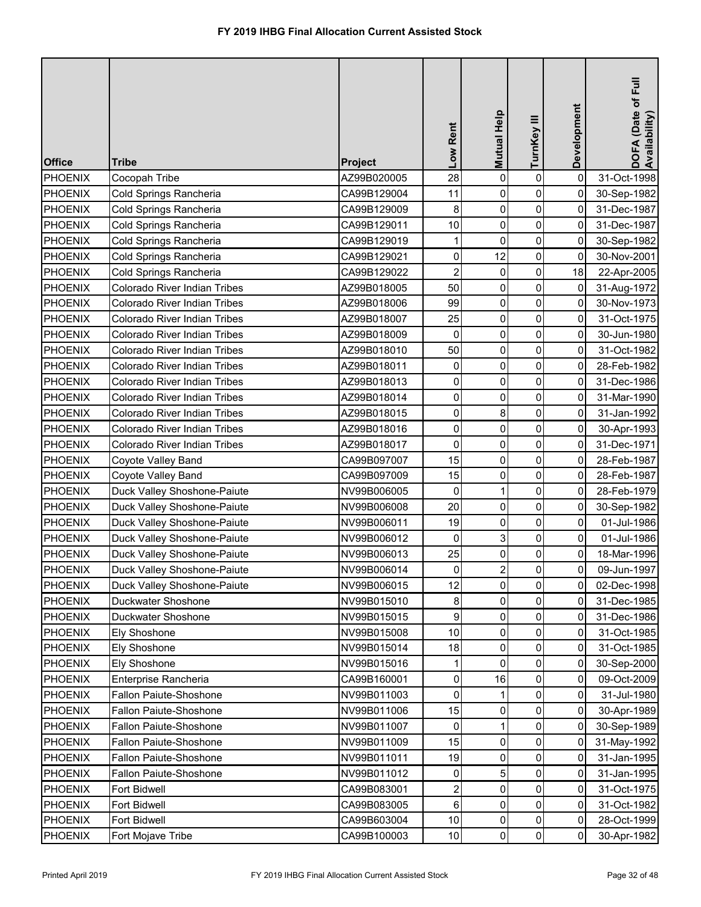| <b>Office</b>  | <b>Tribe</b>                        | <b>Project</b> | Low Rent                | <b>Mutual Help</b> | TurnKey III    | Development    | DOFA (Date of Full<br>Availability) |
|----------------|-------------------------------------|----------------|-------------------------|--------------------|----------------|----------------|-------------------------------------|
| <b>PHOENIX</b> | Cocopah Tribe                       | AZ99B020005    | 28                      | 0                  | $\pmb{0}$      | $\mathbf 0$    | 31-Oct-1998                         |
| <b>PHOENIX</b> | Cold Springs Rancheria              | CA99B129004    | 11                      | 0                  | 0              | 0              | 30-Sep-1982                         |
| <b>PHOENIX</b> | Cold Springs Rancheria              | CA99B129009    | 8                       | 0                  | 0              | $\mathbf 0$    | 31-Dec-1987                         |
| <b>PHOENIX</b> | Cold Springs Rancheria              | CA99B129011    | 10                      | 0                  | 0              | 0              | 31-Dec-1987                         |
| PHOENIX        | Cold Springs Rancheria              | CA99B129019    | 1                       | 0                  | $\pmb{0}$      | $\mathbf 0$    | 30-Sep-1982                         |
| <b>PHOENIX</b> | Cold Springs Rancheria              | CA99B129021    | 0                       | 12                 | 0              | 0              | 30-Nov-2001                         |
| <b>PHOENIX</b> | <b>Cold Springs Rancheria</b>       | CA99B129022    | $\overline{c}$          | $\boldsymbol{0}$   | 0              | 18             | 22-Apr-2005                         |
| PHOENIX        | Colorado River Indian Tribes        | AZ99B018005    | 50                      | 0                  | 0              | 0              | 31-Aug-1972                         |
| <b>PHOENIX</b> | Colorado River Indian Tribes        | AZ99B018006    | 99                      | $\pmb{0}$          | 0              | 0              | 30-Nov-1973                         |
| PHOENIX        | Colorado River Indian Tribes        | AZ99B018007    | 25                      | 0                  | 0              | 0              | 31-Oct-1975                         |
| PHOENIX        | <b>Colorado River Indian Tribes</b> | AZ99B018009    | 0                       | $\pmb{0}$          | 0              | 0              | 30-Jun-1980                         |
| PHOENIX        | Colorado River Indian Tribes        | AZ99B018010    | 50                      | $\mathbf 0$        | 0              | 0              | 31-Oct-1982                         |
| <b>PHOENIX</b> | <b>Colorado River Indian Tribes</b> | AZ99B018011    | 0                       | 0                  | 0              | 0              | 28-Feb-1982                         |
| <b>PHOENIX</b> | Colorado River Indian Tribes        | AZ99B018013    | 0                       | 0                  | 0              | 0              | 31-Dec-1986                         |
| <b>PHOENIX</b> | Colorado River Indian Tribes        | AZ99B018014    | 0                       | $\boldsymbol{0}$   | 0              | 0              | 31-Mar-1990                         |
| <b>PHOENIX</b> | Colorado River Indian Tribes        | AZ99B018015    | 0                       | 8                  | 0              | $\mathbf 0$    | 31-Jan-1992                         |
| <b>PHOENIX</b> | Colorado River Indian Tribes        | AZ99B018016    | 0                       | 0                  | 0              | 0              | 30-Apr-1993                         |
| <b>PHOENIX</b> | Colorado River Indian Tribes        | AZ99B018017    | 0                       | 0                  | 0              | $\mathbf 0$    | 31-Dec-1971                         |
| <b>PHOENIX</b> | Coyote Valley Band                  | CA99B097007    | 15                      | 0                  | 0              | 0              | 28-Feb-1987                         |
| <b>PHOENIX</b> | Coyote Valley Band                  | CA99B097009    | 15                      | 0                  | $\pmb{0}$      | 0              | 28-Feb-1987                         |
| <b>PHOENIX</b> | Duck Valley Shoshone-Paiute         | NV99B006005    | 0                       | 1                  | 0              | 0              | 28-Feb-1979                         |
| PHOENIX        | Duck Valley Shoshone-Paiute         | NV99B006008    | 20                      | 0                  | 0              | 0              | 30-Sep-1982                         |
| PHOENIX        | Duck Valley Shoshone-Paiute         | NV99B006011    | 19                      | $\overline{0}$     | $\overline{0}$ | $\overline{0}$ | 01-Jul-1986                         |
| <b>PHOENIX</b> | Duck Valley Shoshone-Paiute         | NV99B006012    | 0                       |                    | 0              | 0              | 01-Jul-1986                         |
| <b>PHOENIX</b> | Duck Valley Shoshone-Paiute         | NV99B006013    | 25                      | 0                  | 0              | 0              | 18-Mar-1996                         |
| <b>PHOENIX</b> | Duck Valley Shoshone-Paiute         | NV99B006014    | 0                       |                    | $\overline{0}$ | 0              | 09-Jun-1997                         |
| <b>PHOENIX</b> | Duck Valley Shoshone-Paiute         | NV99B006015    | 12                      | 0                  | 0              | 0              | 02-Dec-1998                         |
| <b>PHOENIX</b> | Duckwater Shoshone                  | NV99B015010    | 8                       | 0                  | 0              | 0              | 31-Dec-1985                         |
| <b>PHOENIX</b> | Duckwater Shoshone                  | NV99B015015    | 9                       | 0                  | 0              | 0              | 31-Dec-1986                         |
| <b>PHOENIX</b> | Ely Shoshone                        | NV99B015008    | 10                      | 0                  | 0              | 0              | 31-Oct-1985                         |
| <b>PHOENIX</b> | Ely Shoshone                        | NV99B015014    | 18                      | 0                  | 0              | 0              | 31-Oct-1985                         |
| <b>PHOENIX</b> | Ely Shoshone                        | NV99B015016    |                         | $\Omega$           | 0              | 0              | 30-Sep-2000                         |
| <b>PHOENIX</b> | Enterprise Rancheria                | CA99B160001    | 0                       | 16                 | 0              | 0              | 09-Oct-2009                         |
| <b>PHOENIX</b> | <b>Fallon Paiute-Shoshone</b>       | NV99B011003    | 0                       |                    | 0              | 0              | 31-Jul-1980                         |
| <b>PHOENIX</b> | <b>Fallon Paiute-Shoshone</b>       | NV99B011006    | 15                      | 0                  | 0              | 0              | 30-Apr-1989                         |
| <b>PHOENIX</b> | <b>Fallon Paiute-Shoshone</b>       | NV99B011007    | 0                       |                    | 0              | 0              | 30-Sep-1989                         |
| <b>PHOENIX</b> | <b>Fallon Paiute-Shoshone</b>       | NV99B011009    | 15                      | 0                  | 0              | 0              | 31-May-1992                         |
| <b>PHOENIX</b> | <b>Fallon Paiute-Shoshone</b>       | NV99B011011    | 19                      | 0                  | 0              | 0              | 31-Jan-1995                         |
| <b>PHOENIX</b> | <b>Fallon Paiute-Shoshone</b>       | NV99B011012    | 0                       | 5                  | 0              | 0              | 31-Jan-1995                         |
| <b>PHOENIX</b> | Fort Bidwell                        | CA99B083001    | $\overline{\mathbf{c}}$ | 0                  | 0              | 0              | 31-Oct-1975                         |
| <b>PHOENIX</b> | Fort Bidwell                        | CA99B083005    | 6                       | 0                  | 0              | 0              | 31-Oct-1982                         |
| <b>PHOENIX</b> | Fort Bidwell                        | CA99B603004    | 10                      | 0                  | 0              | 0              | 28-Oct-1999                         |
| <b>PHOENIX</b> | Fort Mojave Tribe                   | CA99B100003    | 10                      | 0                  | $\pmb{0}$      | 0              | 30-Apr-1982                         |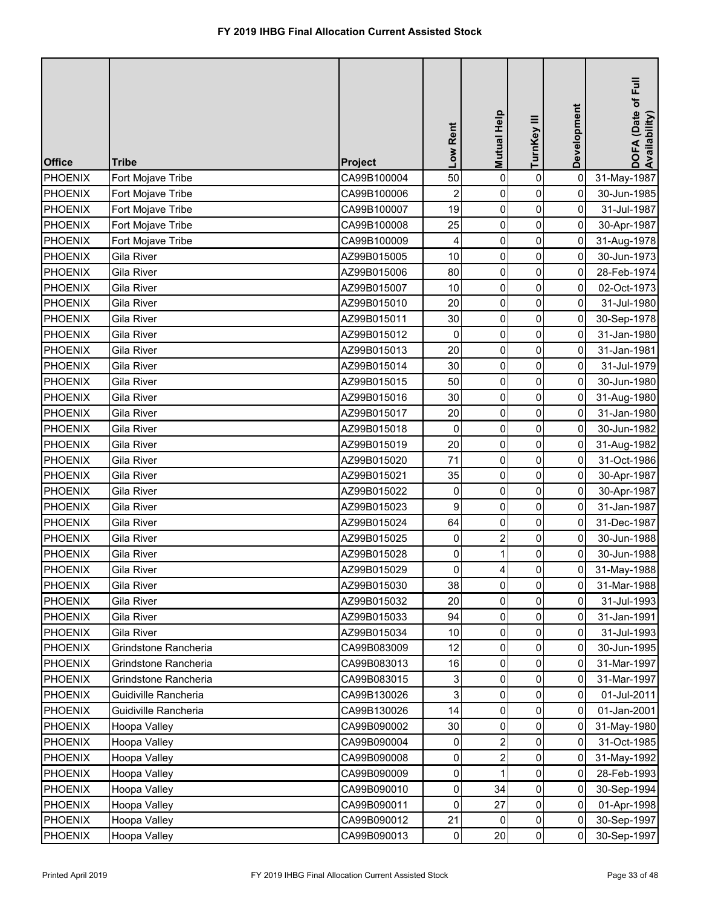| <b>Office</b>  | <b>Tribe</b>         | Project     | Low Rent                | Mutual Help    | TurnKey III         | Development | DOFA (Date of Full<br>Availability) |
|----------------|----------------------|-------------|-------------------------|----------------|---------------------|-------------|-------------------------------------|
| PHOENIX        | Fort Mojave Tribe    | CA99B100004 | 50                      | $\mathbf 0$    | $\pmb{0}$           | $\mathbf 0$ | 31-May-1987                         |
| <b>PHOENIX</b> | Fort Mojave Tribe    | CA99B100006 | $\overline{\mathbf{c}}$ | 0              | 0                   | 0           | 30-Jun-1985                         |
| <b>PHOENIX</b> | Fort Mojave Tribe    | CA99B100007 | 19                      | 0              | $\mathsf{O}\xspace$ | 0           | 31-Jul-1987                         |
| <b>PHOENIX</b> | Fort Mojave Tribe    | CA99B100008 | 25                      | 0              | $\mathsf{O}\xspace$ | 0           | 30-Apr-1987                         |
| <b>PHOENIX</b> | Fort Mojave Tribe    | CA99B100009 | 4                       | 0              | $\mathsf{O}\xspace$ | 0           | 31-Aug-1978                         |
| <b>PHOENIX</b> | Gila River           | AZ99B015005 | 10                      | 0              | $\mathsf{O}\xspace$ | 0           | 30-Jun-1973                         |
| <b>PHOENIX</b> | Gila River           | AZ99B015006 | 80                      | 0              | $\overline{0}$      | 0           | 28-Feb-1974                         |
| PHOENIX        | Gila River           | AZ99B015007 | 10                      | 0              | $\mathbf 0$         | 0           | 02-Oct-1973                         |
| PHOENIX        | Gila River           | AZ99B015010 | 20                      | 0              | $\overline{0}$      | 0           | 31-Jul-1980                         |
| <b>PHOENIX</b> | Gila River           | AZ99B015011 | 30                      | 0              | $\mathsf{O}\xspace$ | 0           | 30-Sep-1978                         |
| PHOENIX        | <b>Gila River</b>    | AZ99B015012 | $\mathbf 0$             | 0              | $\overline{0}$      | 0           | 31-Jan-1980                         |
| <b>PHOENIX</b> | <b>Gila River</b>    | AZ99B015013 | 20                      | 0              | $\mathsf{O}\xspace$ | 0           | 31-Jan-1981                         |
| <b>PHOENIX</b> | Gila River           | AZ99B015014 | 30                      | 0              | $\overline{0}$      | 0           | 31-Jul-1979                         |
| <b>PHOENIX</b> | <b>Gila River</b>    | AZ99B015015 | 50                      | 0              | $\overline{0}$      | 0           | 30-Jun-1980                         |
| <b>PHOENIX</b> | Gila River           | AZ99B015016 | 30                      | 0              | 0                   | 0           | 31-Aug-1980                         |
| <b>PHOENIX</b> | <b>Gila River</b>    | AZ99B015017 | 20                      | 0              | $\mathbf 0$         | $\mathbf 0$ | 31-Jan-1980                         |
| <b>PHOENIX</b> | Gila River           | AZ99B015018 | 0                       | 0              | $\mathbf 0$         | 0           | 30-Jun-1982                         |
| <b>PHOENIX</b> | <b>Gila River</b>    | AZ99B015019 | 20                      | 0              | $\mathsf{O}\xspace$ | 0           | 31-Aug-1982                         |
| <b>PHOENIX</b> | Gila River           | AZ99B015020 | 71                      | 0              | 0                   | 0           | 31-Oct-1986                         |
| <b>PHOENIX</b> | <b>Gila River</b>    | AZ99B015021 | 35                      | 0              | $\mathsf{O}\xspace$ | 0           | 30-Apr-1987                         |
| <b>PHOENIX</b> | Gila River           | AZ99B015022 | 0                       | 0              | $\mathsf{O}\xspace$ | 0           | 30-Apr-1987                         |
| <b>PHOENIX</b> | Gila River           | AZ99B015023 | 9                       | 0              | $\overline{0}$      | 0           | 31-Jan-1987                         |
| <b>PHOENIX</b> | Gila River           | AZ99B015024 | 64                      | $\overline{0}$ | $\overline{0}$      | 0           | 31-Dec-1987                         |
| PHOENIX        | Gila River           | AZ99B015025 | 0                       |                | 0                   | 0           | 30-Jun-1988                         |
| <b>PHOENIX</b> | Gila River           | AZ99B015028 | 0                       |                | $\overline{0}$      | 0           | 30-Jun-1988                         |
| <b>PHOENIX</b> | Gila River           | AZ99B015029 | $\mathbf 0$             |                | $\overline{0}$      | 0           | 31-May-1988                         |
| <b>PHOENIX</b> | Gila River           | AZ99B015030 | 38                      | 0              | 0                   | 0           | 31-Mar-1988                         |
| <b>PHOENIX</b> | Gila River           | AZ99B015032 | 20                      | 0              | 0                   | 0           | 31-Jul-1993                         |
| <b>PHOENIX</b> | Gila River           | AZ99B015033 | 94                      | 0              | 0                   | 0           | 31-Jan-1991                         |
| <b>PHOENIX</b> | Gila River           | AZ99B015034 | 10                      | 0              | 0                   | 0           | 31-Jul-1993                         |
| <b>PHOENIX</b> | Grindstone Rancheria | CA99B083009 | 12                      | 0              | 0                   | 0           | 30-Jun-1995                         |
| <b>PHOENIX</b> | Grindstone Rancheria | CA99B083013 | 16                      | 0              | 0                   | 0           | 31-Mar-1997                         |
| <b>PHOENIX</b> | Grindstone Rancheria | CA99B083015 | 3                       | 0              | 0                   | 0           | 31-Mar-1997                         |
| <b>PHOENIX</b> | Guidiville Rancheria | CA99B130026 | $\overline{3}$          | 0              | 0                   | 0           | 01-Jul-2011                         |
| <b>PHOENIX</b> | Guidiville Rancheria | CA99B130026 | 14                      | 0              | $\mathsf{O}\xspace$ | 0           | 01-Jan-2001                         |
| <b>PHOENIX</b> | Hoopa Valley         | CA99B090002 | 30                      | 0              | 0                   | 0           | 31-May-1980                         |
| <b>PHOENIX</b> | Hoopa Valley         | CA99B090004 | 0                       |                | $\overline{0}$      | 0           | 31-Oct-1985                         |
| <b>PHOENIX</b> | Hoopa Valley         | CA99B090008 | 0                       |                | 0                   | 0           | 31-May-1992                         |
| <b>PHOENIX</b> | Hoopa Valley         | CA99B090009 | 0                       |                | 0                   | 0           | 28-Feb-1993                         |
| <b>PHOENIX</b> | Hoopa Valley         | CA99B090010 | $\overline{0}$          | 34             | $\overline{0}$      | 0           | 30-Sep-1994                         |
| <b>PHOENIX</b> | Hoopa Valley         | CA99B090011 | $\mathbf 0$             | 27             | $\overline{0}$      | 0           | 01-Apr-1998                         |
| <b>PHOENIX</b> | Hoopa Valley         | CA99B090012 | 21                      | $\mathbf{0}$   | $\overline{0}$      | 0           | 30-Sep-1997                         |
| <b>PHOENIX</b> | Hoopa Valley         | CA99B090013 | $\overline{0}$          | 20             | $\overline{0}$      | 0           | 30-Sep-1997                         |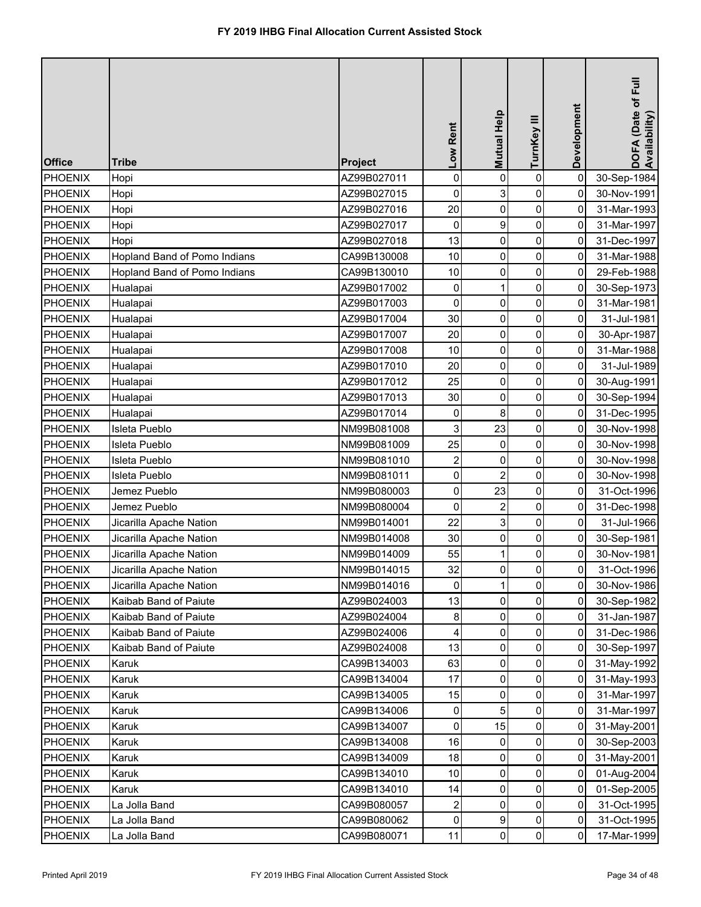| <b>Office</b>  | <b>Tribe</b>                 | Project     | Low Rent                | Mutual Help    | TurnKey III    | Development | DOFA (Date of Full<br>Availability) |
|----------------|------------------------------|-------------|-------------------------|----------------|----------------|-------------|-------------------------------------|
| <b>PHOENIX</b> | Hopi                         | AZ99B027011 | $\mathbf 0$             | $\mathbf 0$    | $\pmb{0}$      | $\mathbf 0$ | 30-Sep-1984                         |
| PHOENIX        | Hopi                         | AZ99B027015 | $\pmb{0}$               | 3              | 0              | 0           | 30-Nov-1991                         |
| <b>PHOENIX</b> | Hopi                         | AZ99B027016 | 20                      | $\mathbf 0$    | 0              | $\mathbf 0$ | 31-Mar-1993                         |
| <b>PHOENIX</b> | Hopi                         | AZ99B027017 | 0                       | 9              | 0              | 0           | 31-Mar-1997                         |
| <b>PHOENIX</b> | Hopi                         | AZ99B027018 | 13                      | 0              | 0              | $\mathbf 0$ | 31-Dec-1997                         |
| PHOENIX        | Hopland Band of Pomo Indians | CA99B130008 | 10                      | 0              | 0              | 0           | 31-Mar-1988                         |
| <b>PHOENIX</b> | Hopland Band of Pomo Indians | CA99B130010 | 10                      | 0              | 0              | 0           | 29-Feb-1988                         |
| <b>PHOENIX</b> | Hualapai                     | AZ99B017002 | 0                       |                | 0              | 0           | 30-Sep-1973                         |
| <b>PHOENIX</b> | Hualapai                     | AZ99B017003 | 0                       | 0              | 0              | 0           | 31-Mar-1981                         |
| <b>PHOENIX</b> | Hualapai                     | AZ99B017004 | 30                      | 0              | 0              | 0           | 31-Jul-1981                         |
| PHOENIX        | Hualapai                     | AZ99B017007 | 20                      | 0              | $\pmb{0}$      | 0           | 30-Apr-1987                         |
| PHOENIX        | Hualapai                     | AZ99B017008 | 10                      | 0              | 0              | 0           | 31-Mar-1988                         |
| <b>PHOENIX</b> | Hualapai                     | AZ99B017010 | 20                      | 0              | 0              | 0           | 31-Jul-1989                         |
| PHOENIX        | Hualapai                     | AZ99B017012 | 25                      | $\mathbf 0$    | $\mathbf 0$    | 0           | 30-Aug-1991                         |
| <b>PHOENIX</b> | Hualapai                     | AZ99B017013 | 30                      | $\pmb{0}$      | $\overline{0}$ | 0           | 30-Sep-1994                         |
| PHOENIX        | Hualapai                     | AZ99B017014 | $\pmb{0}$               | 8              | $\mathbf 0$    | 0           | 31-Dec-1995                         |
| PHOENIX        | <b>Isleta Pueblo</b>         | NM99B081008 | 3                       | 23             | $\mathbf 0$    | 0           | 30-Nov-1998                         |
| <b>PHOENIX</b> | Isleta Pueblo                | NM99B081009 | 25                      | $\mathbf 0$    | 0              | 0           | 30-Nov-1998                         |
| <b>PHOENIX</b> | Isleta Pueblo                | NM99B081010 | $\overline{\mathbf{c}}$ | 0              | 0              | 0           | 30-Nov-1998                         |
| <b>PHOENIX</b> | Isleta Pueblo                | NM99B081011 | 0                       | $\overline{2}$ | 0              | $\mathbf 0$ | 30-Nov-1998                         |
| <b>PHOENIX</b> | Jemez Pueblo                 | NM99B080003 | 0                       | 23             | 0              | 0           | 31-Oct-1996                         |
| <b>PHOENIX</b> | Jemez Pueblo                 | NM99B080004 | 0                       | $\overline{2}$ | 0              | 0           | 31-Dec-1998                         |
| PHOENIX        | Jicarilla Apache Nation      | NM99B014001 | 22                      | 3              | 01             | 01          | 31-Jul-1966                         |
| <b>PHOENIX</b> | Jicarilla Apache Nation      | NM99B014008 | 30                      | 0              | 0              | 0           | 30-Sep-1981                         |
| <b>PHOENIX</b> | Jicarilla Apache Nation      | NM99B014009 | 55                      |                | 0              | 0           | 30-Nov-1981                         |
| <b>PHOENIX</b> | Jicarilla Apache Nation      | NM99B014015 | 32                      | 0              | 0              | 0           | 31-Oct-1996                         |
| <b>PHOENIX</b> | Jicarilla Apache Nation      | NM99B014016 | 0                       |                | 0              | 0           | 30-Nov-1986                         |
| <b>PHOENIX</b> | Kaibab Band of Paiute        | AZ99B024003 | 13                      | 0              | 0              | 0           | 30-Sep-1982                         |
| <b>PHOENIX</b> | Kaibab Band of Paiute        | AZ99B024004 | 8                       | 0              | 0              | 0           | 31-Jan-1987                         |
| <b>PHOENIX</b> | Kaibab Band of Paiute        | AZ99B024006 | 4                       | 0              | 0              | 0           | 31-Dec-1986                         |
| <b>PHOENIX</b> | Kaibab Band of Paiute        | AZ99B024008 | 13                      | 0              | 0              | 0           | 30-Sep-1997                         |
| <b>PHOENIX</b> | Karuk                        | CA99B134003 | 63                      | 0              | 0              | 0           | 31-May-1992                         |
| PHOENIX        | Karuk                        | CA99B134004 | 17                      | 0              | 0              | 0           | 31-May-1993                         |
| <b>PHOENIX</b> | Karuk                        | CA99B134005 | 15                      | 0              | 0              | 0           | 31-Mar-1997                         |
| <b>PHOENIX</b> | Karuk                        | CA99B134006 | 0                       | 5              | 0              | 0           | 31-Mar-1997                         |
| <b>PHOENIX</b> | Karuk                        | CA99B134007 | 0                       | 15             | 0              | 0           | 31-May-2001                         |
| <b>PHOENIX</b> | Karuk                        | CA99B134008 | 16                      | $\Omega$       | 0              | 0           | 30-Sep-2003                         |
| <b>PHOENIX</b> | Karuk                        | CA99B134009 | 18                      | 0              | 0              | 0           | 31-May-2001                         |
| <b>PHOENIX</b> | Karuk                        | CA99B134010 | 10                      | 0              | 0              | 0           | 01-Aug-2004                         |
| <b>PHOENIX</b> | Karuk                        | CA99B134010 | 14                      | 0              | 0              | 0           | 01-Sep-2005                         |
| <b>PHOENIX</b> | La Jolla Band                | CA99B080057 | 2                       | 0              | 0              | 0           | 31-Oct-1995                         |
| <b>PHOENIX</b> | La Jolla Band                | CA99B080062 | $\mathsf{O}\xspace$     | 9              | 0              | 0           | 31-Oct-1995                         |
| <b>PHOENIX</b> | La Jolla Band                | CA99B080071 | 11                      | 0              | 0              | 0           | 17-Mar-1999                         |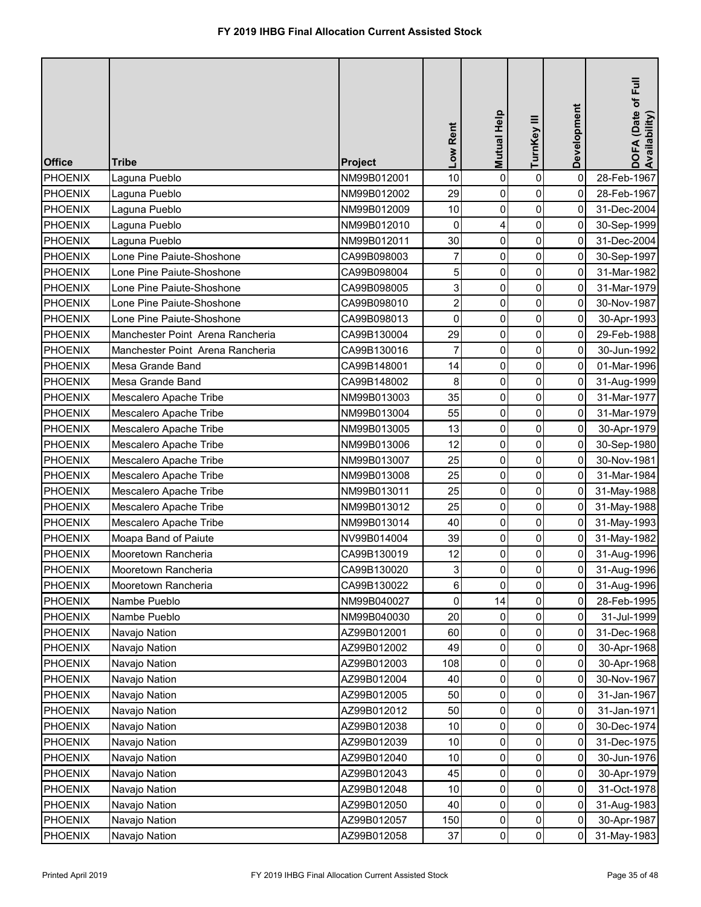| <b>Office</b>  | <b>Tribe</b>                     | <b>Project</b> | Low Rent                | Mutual Help      | TurnKey III    | Development | DOFA (Date of Full<br>Availability) |
|----------------|----------------------------------|----------------|-------------------------|------------------|----------------|-------------|-------------------------------------|
| <b>PHOENIX</b> | Laguna Pueblo                    | NM99B012001    | 10                      | 0                | $\pmb{0}$      | $\mathbf 0$ | 28-Feb-1967                         |
| <b>PHOENIX</b> | Laguna Pueblo                    | NM99B012002    | 29                      | 0                | 0              | 0           | 28-Feb-1967                         |
| <b>PHOENIX</b> | Laguna Pueblo                    | NM99B012009    | 10                      | 0                | 0              | 0           | 31-Dec-2004                         |
| <b>PHOENIX</b> | Laguna Pueblo                    | NM99B012010    | 0                       | 4                | 0              | 0           | 30-Sep-1999                         |
| <b>PHOENIX</b> | Laguna Pueblo                    | NM99B012011    | 30                      | 0                | $\pmb{0}$      | 0           | 31-Dec-2004                         |
| <b>PHOENIX</b> | Lone Pine Paiute-Shoshone        | CA99B098003    | $\overline{7}$          | 0                | 0              | 0           | 30-Sep-1997                         |
| PHOENIX        | Lone Pine Paiute-Shoshone        | CA99B098004    | 5                       | 0                | $\pmb{0}$      | 0           | 31-Mar-1982                         |
| PHOENIX        | Lone Pine Paiute-Shoshone        | CA99B098005    | 3                       | 0                | 0              | 0           | 31-Mar-1979                         |
| <b>PHOENIX</b> | Lone Pine Paiute-Shoshone        | CA99B098010    | $\overline{\mathbf{c}}$ | $\pmb{0}$        | 0              | 0           | 30-Nov-1987                         |
| PHOENIX        | Lone Pine Paiute-Shoshone        | CA99B098013    | $\mathbf 0$             | 0                | 0              | 0           | 30-Apr-1993                         |
| <b>PHOENIX</b> | Manchester Point Arena Rancheria | CA99B130004    | 29                      | $\pmb{0}$        | 0              | 0           | 29-Feb-1988                         |
| PHOENIX        | Manchester Point Arena Rancheria | CA99B130016    | $\overline{7}$          | $\mathbf 0$      | $\mathbf 0$    | 0           | 30-Jun-1992                         |
| PHOENIX        | Mesa Grande Band                 | CA99B148001    | 14                      | 0                | $\mathbf 0$    | 0           | 01-Mar-1996                         |
| <b>PHOENIX</b> | <b>Mesa Grande Band</b>          | CA99B148002    | 8                       | 0                | $\mathbf 0$    | 0           | 31-Aug-1999                         |
| <b>PHOENIX</b> | Mescalero Apache Tribe           | NM99B013003    | 35                      | $\boldsymbol{0}$ | 0              | 0           | 31-Mar-1977                         |
| <b>PHOENIX</b> | Mescalero Apache Tribe           | NM99B013004    | 55                      | 0                | 0              | $\mathbf 0$ | 31-Mar-1979                         |
| PHOENIX        | Mescalero Apache Tribe           | NM99B013005    | 13                      | 0                | 0              | 0           | 30-Apr-1979                         |
| <b>PHOENIX</b> | Mescalero Apache Tribe           | NM99B013006    | 12                      | 0                | 0              | 0           | 30-Sep-1980                         |
| <b>PHOENIX</b> | Mescalero Apache Tribe           | NM99B013007    | 25                      | 0                | 0              | 0           | 30-Nov-1981                         |
| <b>PHOENIX</b> | Mescalero Apache Tribe           | NM99B013008    | 25                      | 0                | $\pmb{0}$      | 0           | 31-Mar-1984                         |
| <b>PHOENIX</b> | Mescalero Apache Tribe           | NM99B013011    | 25                      | 0                | 0              | 0           | 31-May-1988                         |
| PHOENIX        | Mescalero Apache Tribe           | NM99B013012    | 25                      | 0                | 0              | 0           | 31-May-1988                         |
| <b>PHOENIX</b> | Mescalero Apache Tribe           | NM99B013014    | 40                      | $\overline{0}$   | $\overline{0}$ | 01          | 31-May-1993                         |
| PHOENIX        | Moapa Band of Paiute             | NV99B014004    | 39                      | 0                | 0              | 0           | 31-May-1982                         |
| <b>PHOENIX</b> | Mooretown Rancheria              | CA99B130019    | 12                      | 0                | 0              | 0           | 31-Aug-1996                         |
| <b>PHOENIX</b> | Mooretown Rancheria              | CA99B130020    | 3                       | 0                | $\pmb{0}$      | 0           | 31-Aug-1996                         |
| <b>PHOENIX</b> | Mooretown Rancheria              | CA99B130022    | 6                       | 0                | 0              | 0           | 31-Aug-1996                         |
| <b>PHOENIX</b> | Nambe Pueblo                     | NM99B040027    | 0                       | 14               | 0              | 0           | 28-Feb-1995                         |
| <b>PHOENIX</b> | Nambe Pueblo                     | NM99B040030    | 20                      | 0                | 0              | 0           | 31-Jul-1999                         |
| <b>PHOENIX</b> | Navajo Nation                    | AZ99B012001    | 60                      | 0                | 0              | 0           | 31-Dec-1968                         |
| <b>PHOENIX</b> | Navajo Nation                    | AZ99B012002    | 49                      | 0                | 0              | 0           | 30-Apr-1968                         |
| <b>PHOENIX</b> | Navajo Nation                    | AZ99B012003    | 108                     | 0                | 0              | 0           | 30-Apr-1968                         |
| <b>PHOENIX</b> | Navajo Nation                    | AZ99B012004    | 40                      | $\Omega$         | 0              | 0           | 30-Nov-1967                         |
| <b>PHOENIX</b> | Navajo Nation                    | AZ99B012005    | 50                      | $\Omega$         | 0              | 0           | 31-Jan-1967                         |
| <b>PHOENIX</b> | Navajo Nation                    | AZ99B012012    | 50                      | 0                | 0              | 0           | 31-Jan-1971                         |
| <b>PHOENIX</b> | Navajo Nation                    | AZ99B012038    | 10                      | 0                | 0              | 0           | 30-Dec-1974                         |
| <b>PHOENIX</b> | Navajo Nation                    | AZ99B012039    | 10                      | 0                | 0              | 0           | 31-Dec-1975                         |
| <b>PHOENIX</b> | Navajo Nation                    | AZ99B012040    | 10                      | 0                | 0              | 0           | 30-Jun-1976                         |
| <b>PHOENIX</b> | Navajo Nation                    | AZ99B012043    | 45                      | 0                | 0              | 0           | 30-Apr-1979                         |
| <b>PHOENIX</b> | Navajo Nation                    | AZ99B012048    | 10                      | 0                | 0              | 0           | 31-Oct-1978                         |
| <b>PHOENIX</b> | Navajo Nation                    | AZ99B012050    | 40                      | 0                | 0              | 0           | 31-Aug-1983                         |
| <b>PHOENIX</b> | Navajo Nation                    | AZ99B012057    | 150                     | 0                | 0              | 0           | 30-Apr-1987                         |
| <b>PHOENIX</b> | Navajo Nation                    | AZ99B012058    | 37                      | 0                | $\pmb{0}$      | 0           | 31-May-1983                         |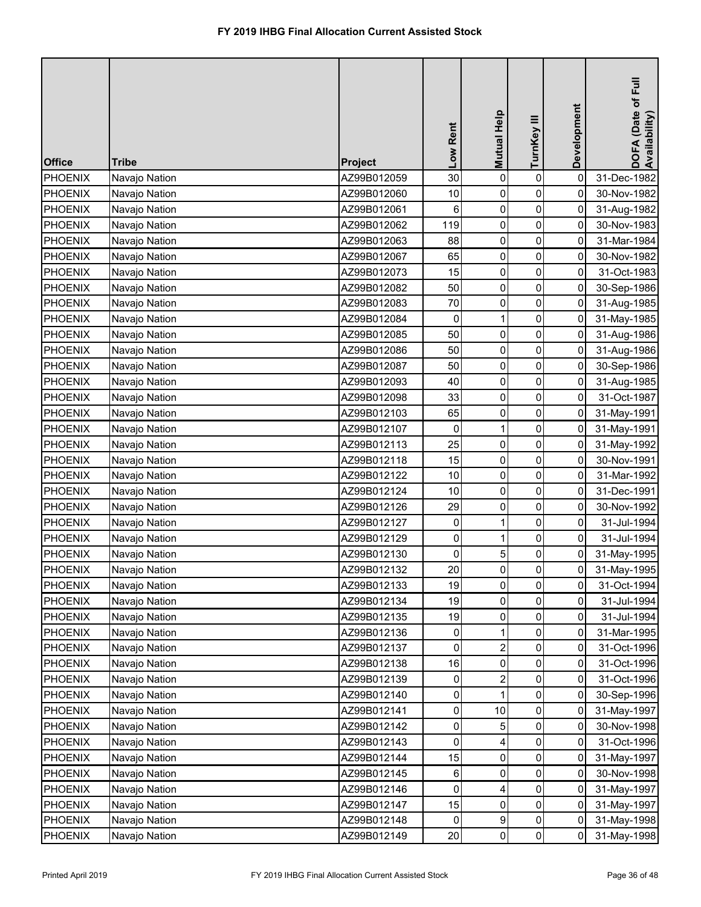| <b>Office</b>  | <b>Tribe</b>  | Project     | Low Rent            | Mutual Help | TurnKey III    | Development | DOFA (Date of Full<br>Availability) |
|----------------|---------------|-------------|---------------------|-------------|----------------|-------------|-------------------------------------|
| <b>PHOENIX</b> | Navajo Nation | AZ99B012059 | 30                  | 0           | $\pmb{0}$      | $\mathbf 0$ | 31-Dec-1982                         |
| <b>PHOENIX</b> | Navajo Nation | AZ99B012060 | 10                  | 0           | 0              | 0           | 30-Nov-1982                         |
| <b>PHOENIX</b> | Navajo Nation | AZ99B012061 | 6                   | 0           | 0              | $\mathbf 0$ | 31-Aug-1982                         |
| <b>PHOENIX</b> | Navajo Nation | AZ99B012062 | 119                 | 0           | 0              | 0           | 30-Nov-1983                         |
| PHOENIX        | Navajo Nation | AZ99B012063 | 88                  | 0           | $\pmb{0}$      | $\mathbf 0$ | 31-Mar-1984                         |
| <b>PHOENIX</b> | Navajo Nation | AZ99B012067 | 65                  | 0           | 0              | 0           | 30-Nov-1982                         |
| <b>PHOENIX</b> | Navajo Nation | AZ99B012073 | 15                  | 0           | 0              | 0           | 31-Oct-1983                         |
| PHOENIX        | Navajo Nation | AZ99B012082 | 50                  | 0           | 0              | 0           | 30-Sep-1986                         |
| PHOENIX        | Navajo Nation | AZ99B012083 | 70                  | 0           | $\pmb{0}$      | 0           | 31-Aug-1985                         |
| PHOENIX        | Navajo Nation | AZ99B012084 | 0                   | 1           | 0              | 0           | 31-May-1985                         |
| PHOENIX        | Navajo Nation | AZ99B012085 | 50                  | 0           | 0              | 0           | 31-Aug-1986                         |
| PHOENIX        | Navajo Nation | AZ99B012086 | 50                  | 0           | 0              | 0           | 31-Aug-1986                         |
| PHOENIX        | Navajo Nation | AZ99B012087 | 50                  | $\pmb{0}$   | $\pmb{0}$      | 0           | 30-Sep-1986                         |
| PHOENIX        | Navajo Nation | AZ99B012093 | 40                  | 0           | 0              | 0           | 31-Aug-1985                         |
| <b>PHOENIX</b> | Navajo Nation | AZ99B012098 | 33                  | 0           | 0              | 0           | 31-Oct-1987                         |
| <b>PHOENIX</b> | Navajo Nation | AZ99B012103 | 65                  | 0           | 0              | 0           | 31-May-1991                         |
| <b>PHOENIX</b> | Navajo Nation | AZ99B012107 | 0                   |             | 0              | 0           | 31-May-1991                         |
| <b>PHOENIX</b> | Navajo Nation | AZ99B012113 | 25                  | 0           | 0              | 0           | 31-May-1992                         |
| <b>PHOENIX</b> | Navajo Nation | AZ99B012118 | 15                  | 0           | 0              | 0           | 30-Nov-1991                         |
| <b>PHOENIX</b> | Navajo Nation | AZ99B012122 | 10                  | 0           | $\pmb{0}$      | $\mathbf 0$ | 31-Mar-1992                         |
| <b>PHOENIX</b> | Navajo Nation | AZ99B012124 | 10                  | 0           | 0              | 0           | 31-Dec-1991                         |
| PHOENIX        | Navajo Nation | AZ99B012126 | 29                  | 0           | 0              | 0           | 30-Nov-1992                         |
| PHOENIX        | Navajo Nation | AZ99B012127 | $\overline{0}$      |             | 0              | 01          | 31-Jul-1994                         |
| <b>PHOENIX</b> | Navajo Nation | AZ99B012129 | $\mathsf{O}\xspace$ |             | 0              | 0           | 31-Jul-1994                         |
| <b>PHOENIX</b> | Navajo Nation | AZ99B012130 | 0                   | 5           | 0              | 0           | 31-May-1995                         |
| <b>PHOENIX</b> | Navajo Nation | AZ99B012132 | 20                  | 0           | 0              | 0           | 31-May-1995                         |
| <b>PHOENIX</b> | Navajo Nation | AZ99B012133 | 19                  | 0           | 0              | 0           | 31-Oct-1994                         |
| <b>PHOENIX</b> | Navajo Nation | AZ99B012134 | 19                  | 0           | 0              | 0           | 31-Jul-1994                         |
| <b>PHOENIX</b> | Navajo Nation | AZ99B012135 | 19                  | 0           | 0              | 0           | 31-Jul-1994                         |
| <b>PHOENIX</b> | Navajo Nation | AZ99B012136 | 0                   |             | 0              | 0           | 31-Mar-1995                         |
| <b>PHOENIX</b> | Navajo Nation | AZ99B012137 | 0                   | 2           | 0              | 0           | 31-Oct-1996                         |
| <b>PHOENIX</b> | Navajo Nation | AZ99B012138 | 16                  | 0           | 0              | 0           | 31-Oct-1996                         |
| <b>PHOENIX</b> | Navajo Nation | AZ99B012139 | 0                   | 2           | 0              | 0           | 31-Oct-1996                         |
| <b>PHOENIX</b> | Navajo Nation | AZ99B012140 | 0                   |             | 0              | 0           | 30-Sep-1996                         |
| <b>PHOENIX</b> | Navajo Nation | AZ99B012141 | $\mathsf{O}\xspace$ | 10          | 0              | 0           | 31-May-1997                         |
| <b>PHOENIX</b> | Navajo Nation | AZ99B012142 | 0                   | 5           | 0              | 0           | 30-Nov-1998                         |
| <b>PHOENIX</b> | Navajo Nation | AZ99B012143 | 0                   |             | 0              | 0           | 31-Oct-1996                         |
| <b>PHOENIX</b> | Navajo Nation | AZ99B012144 | 15                  | 0           | 0              | 0           | 31-May-1997                         |
| <b>PHOENIX</b> | Navajo Nation | AZ99B012145 | 6                   | 0           | 0              | 0           | 30-Nov-1998                         |
| <b>PHOENIX</b> | Navajo Nation | AZ99B012146 | 0                   | 4           | 0              | 0           | 31-May-1997                         |
| <b>PHOENIX</b> | Navajo Nation | AZ99B012147 | 15                  | 0           | 0              | 0           | 31-May-1997                         |
| <b>PHOENIX</b> | Navajo Nation | AZ99B012148 | 0                   | 9           | 0              | 0           | 31-May-1998                         |
| <b>PHOENIX</b> | Navajo Nation | AZ99B012149 | 20                  | 0           | $\overline{0}$ | 0           | 31-May-1998                         |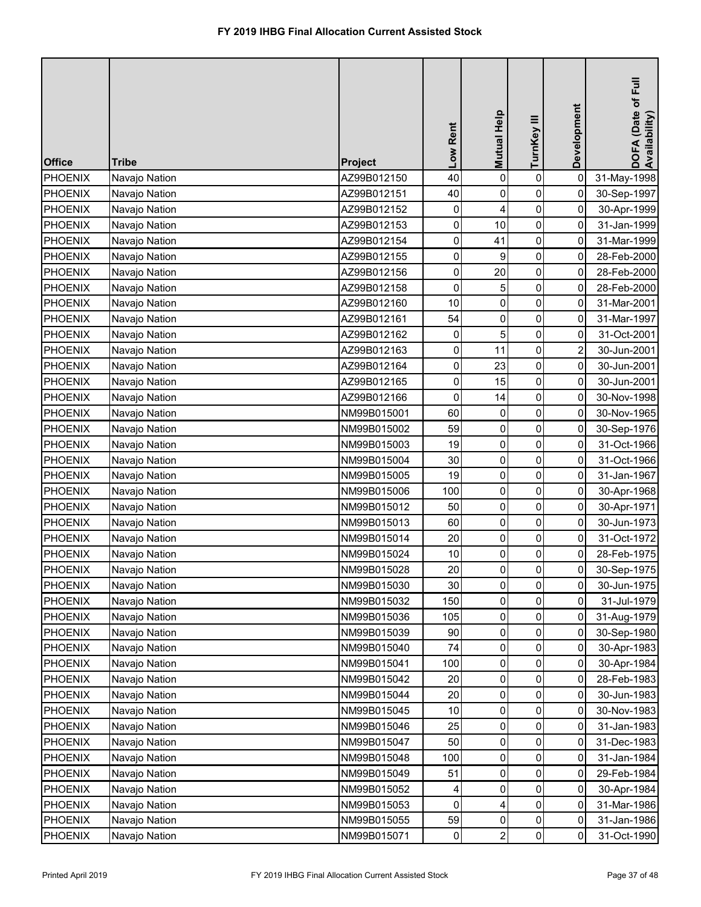| <b>Office</b>  | <b>Tribe</b>  | Project     | Low Rent            | Mutual Help    | TurnKey III | Development    | DOFA (Date of Full<br>Availability) |
|----------------|---------------|-------------|---------------------|----------------|-------------|----------------|-------------------------------------|
| <b>PHOENIX</b> | Navajo Nation | AZ99B012150 | 40                  | 0              | $\pmb{0}$   | $\mathbf 0$    | 31-May-1998                         |
| <b>PHOENIX</b> | Navajo Nation | AZ99B012151 | 40                  | 0              | 0           | 0              | 30-Sep-1997                         |
| <b>PHOENIX</b> | Navajo Nation | AZ99B012152 | 0                   | 4              | 0           | $\mathbf 0$    | 30-Apr-1999                         |
| <b>PHOENIX</b> | Navajo Nation | AZ99B012153 | 0                   | 10             | 0           | 0              | 31-Jan-1999                         |
| <b>PHOENIX</b> | Navajo Nation | AZ99B012154 | 0                   | 41             | $\pmb{0}$   | $\mathbf 0$    | 31-Mar-1999                         |
| <b>PHOENIX</b> | Navajo Nation | AZ99B012155 | 0                   | 9              | 0           | 0              | 28-Feb-2000                         |
| <b>PHOENIX</b> | Navajo Nation | AZ99B012156 | 0                   | 20             | 0           | $\mathbf 0$    | 28-Feb-2000                         |
| <b>PHOENIX</b> | Navajo Nation | AZ99B012158 | 0                   | 5              | 0           | 0              | 28-Feb-2000                         |
| <b>PHOENIX</b> | Navajo Nation | AZ99B012160 | 10                  | 0              | $\pmb{0}$   | 0              | 31-Mar-2001                         |
| PHOENIX        | Navajo Nation | AZ99B012161 | 54                  | 0              | 0           | 0              | 31-Mar-1997                         |
| PHOENIX        | Navajo Nation | AZ99B012162 | 0                   | 5              | 0           | 0              | 31-Oct-2001                         |
| PHOENIX        | Navajo Nation | AZ99B012163 | $\mathsf{O}\xspace$ | 11             | 0           | $\overline{2}$ | 30-Jun-2001                         |
| <b>PHOENIX</b> | Navajo Nation | AZ99B012164 | $\pmb{0}$           | 23             | $\pmb{0}$   | 0              | 30-Jun-2001                         |
| PHOENIX        | Navajo Nation | AZ99B012165 | 0                   | 15             | 0           | 0              | 30-Jun-2001                         |
| PHOENIX        | Navajo Nation | AZ99B012166 | 0                   | 14             | 0           | 0              | 30-Nov-1998                         |
| <b>PHOENIX</b> | Navajo Nation | NM99B015001 | 60                  | $\mathbf 0$    | $\mathbf 0$ | 0              | 30-Nov-1965                         |
| <b>PHOENIX</b> | Navajo Nation | NM99B015002 | 59                  | 0              | 0           | 0              | 30-Sep-1976                         |
| <b>PHOENIX</b> | Navajo Nation | NM99B015003 | 19                  | 0              | 0           | $\mathbf 0$    | 31-Oct-1966                         |
| <b>PHOENIX</b> | Navajo Nation | NM99B015004 | 30                  | 0              | 0           | 0              | 31-Oct-1966                         |
| <b>PHOENIX</b> | Navajo Nation | NM99B015005 | 19                  | 0              | 0           | $\mathbf 0$    | 31-Jan-1967                         |
| PHOENIX        | Navajo Nation | NM99B015006 | 100                 | 0              | 0           | 0              | 30-Apr-1968                         |
| PHOENIX        | Navajo Nation | NM99B015012 | 50                  | 0              | 0           | 0              | 30-Apr-1971                         |
| PHOENIX        | Navajo Nation | NM99B015013 | 60                  | $\overline{0}$ | 0           | 0              | 30-Jun-1973                         |
| <b>PHOENIX</b> | Navajo Nation | NM99B015014 | 20                  | 0              | 0           | 0              | 31-Oct-1972                         |
| <b>PHOENIX</b> | Navajo Nation | NM99B015024 | 10                  | 0              | 0           | 0              | 28-Feb-1975                         |
| <b>PHOENIX</b> | Navajo Nation | NM99B015028 | 20                  | 0              | 0           | 0              | 30-Sep-1975                         |
| <b>PHOENIX</b> | Navajo Nation | NM99B015030 | 30                  | 0              | 0           | 0              | 30-Jun-1975                         |
| <b>PHOENIX</b> | Navajo Nation | NM99B015032 | 150                 | 0              | 0           | 0              | 31-Jul-1979                         |
| <b>PHOENIX</b> | Navajo Nation | NM99B015036 | 105                 | 0              | 0           | 0              | 31-Aug-1979                         |
| <b>PHOENIX</b> | Navajo Nation | NM99B015039 | 90                  | 0              | 0           | 0              | 30-Sep-1980                         |
| <b>PHOENIX</b> | Navajo Nation | NM99B015040 | 74                  | 0              | 0           | 0              | 30-Apr-1983                         |
| <b>PHOENIX</b> | Navajo Nation | NM99B015041 | 100                 | 0              | 0           | 0              | 30-Apr-1984                         |
| <b>PHOENIX</b> | Navajo Nation | NM99B015042 | 20                  | $\Omega$       | 0           | 0              | 28-Feb-1983                         |
| <b>PHOENIX</b> | Navajo Nation | NM99B015044 | 20                  | 0              | 0           | 0              | 30-Jun-1983                         |
| <b>PHOENIX</b> | Navajo Nation | NM99B015045 | 10                  | 0              | 0           | 0              | 30-Nov-1983                         |
| <b>PHOENIX</b> | Navajo Nation | NM99B015046 | 25                  | 0              | 0           | 0              | 31-Jan-1983                         |
| <b>PHOENIX</b> | Navajo Nation | NM99B015047 | 50                  | 0              | 0           | 0              | 31-Dec-1983                         |
| <b>PHOENIX</b> | Navajo Nation | NM99B015048 | 100                 | 0              | 0           | 0              | 31-Jan-1984                         |
| <b>PHOENIX</b> | Navajo Nation | NM99B015049 | 51                  | 0              | 0           | 0              | 29-Feb-1984                         |
| <b>PHOENIX</b> | Navajo Nation | NM99B015052 | 4                   | 0              | 0           | 0              | 30-Apr-1984                         |
| <b>PHOENIX</b> | Navajo Nation | NM99B015053 | 0                   |                | 0           | 0              | 31-Mar-1986                         |
| <b>PHOENIX</b> | Navajo Nation | NM99B015055 | 59                  | 0              | 0           | 0              | 31-Jan-1986                         |
| <b>PHOENIX</b> | Navajo Nation | NM99B015071 | $\pmb{0}$           | $\overline{2}$ | $\pmb{0}$   | 0              | 31-Oct-1990                         |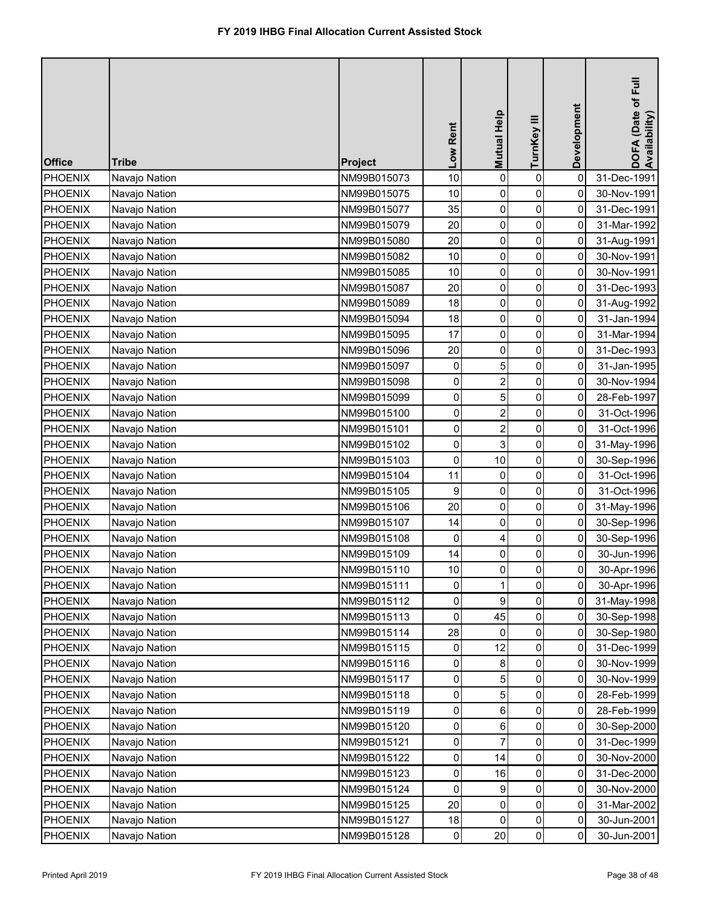| <b>Office</b>  | <b>Tribe</b>  | Project     | Low Rent    | Mutual Help             | TurnKey III    | Development | DOFA (Date of Full<br>Availability) |
|----------------|---------------|-------------|-------------|-------------------------|----------------|-------------|-------------------------------------|
| PHOENIX        | Navajo Nation | NM99B015073 | 10          | 0                       | $\pmb{0}$      | $\mathbf 0$ | 31-Dec-1991                         |
| <b>PHOENIX</b> | Navajo Nation | NM99B015075 | 10          | 0                       | 0              | 0           | 30-Nov-1991                         |
| <b>PHOENIX</b> | Navajo Nation | NM99B015077 | 35          | 0                       | 0              | $\mathbf 0$ | 31-Dec-1991                         |
| <b>PHOENIX</b> | Navajo Nation | NM99B015079 | 20          | 0                       | 0              | 0           | 31-Mar-1992                         |
| PHOENIX        | Navajo Nation | NM99B015080 | 20          | 0                       | $\pmb{0}$      | 0           | 31-Aug-1991                         |
| <b>PHOENIX</b> | Navajo Nation | NM99B015082 | 10          | 0                       | 0              | 0           | 30-Nov-1991                         |
| <b>PHOENIX</b> | Navajo Nation | NM99B015085 | 10          | 0                       | 0              | $\mathbf 0$ | 30-Nov-1991                         |
| <b>PHOENIX</b> | Navajo Nation | NM99B015087 | 20          | 0                       | 0              | 0           | 31-Dec-1993                         |
| <b>PHOENIX</b> | Navajo Nation | NM99B015089 | 18          | 0                       | $\pmb{0}$      | 0           | 31-Aug-1992                         |
| PHOENIX        | Navajo Nation | NM99B015094 | 18          | 0                       | 0              | 0           | 31-Jan-1994                         |
| PHOENIX        | Navajo Nation | NM99B015095 | 17          | 0                       | 0              | 0           | 31-Mar-1994                         |
| <b>PHOENIX</b> | Navajo Nation | NM99B015096 | 20          | 0                       | 0              | 0           | 31-Dec-1993                         |
| PHOENIX        | Navajo Nation | NM99B015097 | 0           | 5                       | $\pmb{0}$      | 0           | 31-Jan-1995                         |
| <b>PHOENIX</b> | Navajo Nation | NM99B015098 | 0           | $\overline{2}$          | 0              | 0           | 30-Nov-1994                         |
| PHOENIX        | Navajo Nation | NM99B015099 | 0           | 5                       | $\overline{0}$ | 0           | 28-Feb-1997                         |
| <b>PHOENIX</b> | Navajo Nation | NM99B015100 | 0           | $\overline{2}$          | 0              | 0           | 31-Oct-1996                         |
| <b>PHOENIX</b> | Navajo Nation | NM99B015101 | 0           | $\overline{\mathbf{c}}$ | 0              | 0           | 31-Oct-1996                         |
| <b>PHOENIX</b> | Navajo Nation | NM99B015102 | 0           | 3                       | 0              | 0           | 31-May-1996                         |
| <b>PHOENIX</b> | Navajo Nation | NM99B015103 | 0           | 10                      | 0              | 0           | 30-Sep-1996                         |
| <b>PHOENIX</b> | Navajo Nation | NM99B015104 | 11          | $\mathbf 0$             | 0              | $\mathbf 0$ | 31-Oct-1996                         |
| <b>PHOENIX</b> | Navajo Nation | NM99B015105 | 9           | 0                       | 0              | 0           | 31-Oct-1996                         |
| <b>PHOENIX</b> | Navajo Nation | NM99B015106 | 20          | 0                       | 0              | 0           | 31-May-1996                         |
| PHOENIX        | Navajo Nation | NM99B015107 | 14          | $\overline{0}$          | 0              | 0           | 30-Sep-1996                         |
| <b>PHOENIX</b> | Navajo Nation | NM99B015108 | 0           |                         | 0              | 0           | 30-Sep-1996                         |
| <b>PHOENIX</b> | Navajo Nation | NM99B015109 | 14          | 0                       | 0              | 0           | 30-Jun-1996                         |
| <b>PHOENIX</b> | Navajo Nation | NM99B015110 | 10          | 0                       | 0              | 0           | 30-Apr-1996                         |
| <b>PHOENIX</b> | Navajo Nation | NM99B015111 | 0           |                         | 0              | 0           | 30-Apr-1996                         |
| <b>PHOENIX</b> | Navajo Nation | NM99B015112 | $\mathbf 0$ | 9                       | 0              | 0           | 31-May-1998                         |
| <b>PHOENIX</b> | Navajo Nation | NM99B015113 | 0           | 45                      | 0              | 0           | 30-Sep-1998                         |
| <b>PHOENIX</b> | Navajo Nation | NM99B015114 | 28          | 0                       | 0              | 0           | 30-Sep-1980                         |
| <b>PHOENIX</b> | Navajo Nation | NM99B015115 | 0           | 12                      | 0              | 0           | 31-Dec-1999                         |
| <b>PHOENIX</b> | Navajo Nation | NM99B015116 | 0           | 8                       | 0              | 0           | 30-Nov-1999                         |
| <b>PHOENIX</b> | Navajo Nation | NM99B015117 | 0           |                         | 0              | 0           | 30-Nov-1999                         |
| <b>PHOENIX</b> | Navajo Nation | NM99B015118 | 0           | 5                       | 0              | 0           | 28-Feb-1999                         |
| <b>PHOENIX</b> | Navajo Nation | NM99B015119 | 0           | 6                       | 0              | 0           | 28-Feb-1999                         |
| <b>PHOENIX</b> | Navajo Nation | NM99B015120 | 0           | 6                       | 0              | 0           | 30-Sep-2000                         |
| <b>PHOENIX</b> | Navajo Nation | NM99B015121 | 0           |                         | 0              | 0           | 31-Dec-1999                         |
| <b>PHOENIX</b> | Navajo Nation | NM99B015122 | 0           | 14                      | 0              | 0           | 30-Nov-2000                         |
| <b>PHOENIX</b> | Navajo Nation | NM99B015123 | $\mathbf 0$ | 16                      | 0              | 0           | 31-Dec-2000                         |
| <b>PHOENIX</b> | Navajo Nation | NM99B015124 | 0           | 9                       | 0              | 0           | 30-Nov-2000                         |
| <b>PHOENIX</b> | Navajo Nation | NM99B015125 | 20          | 0                       | 0              | 0           | 31-Mar-2002                         |
| <b>PHOENIX</b> | Navajo Nation | NM99B015127 | 18          | $\mathbf{0}$            | 0              | 0           | 30-Jun-2001                         |
| <b>PHOENIX</b> | Navajo Nation | NM99B015128 | $\pmb{0}$   | 20                      | $\pmb{0}$      | 0           | 30-Jun-2001                         |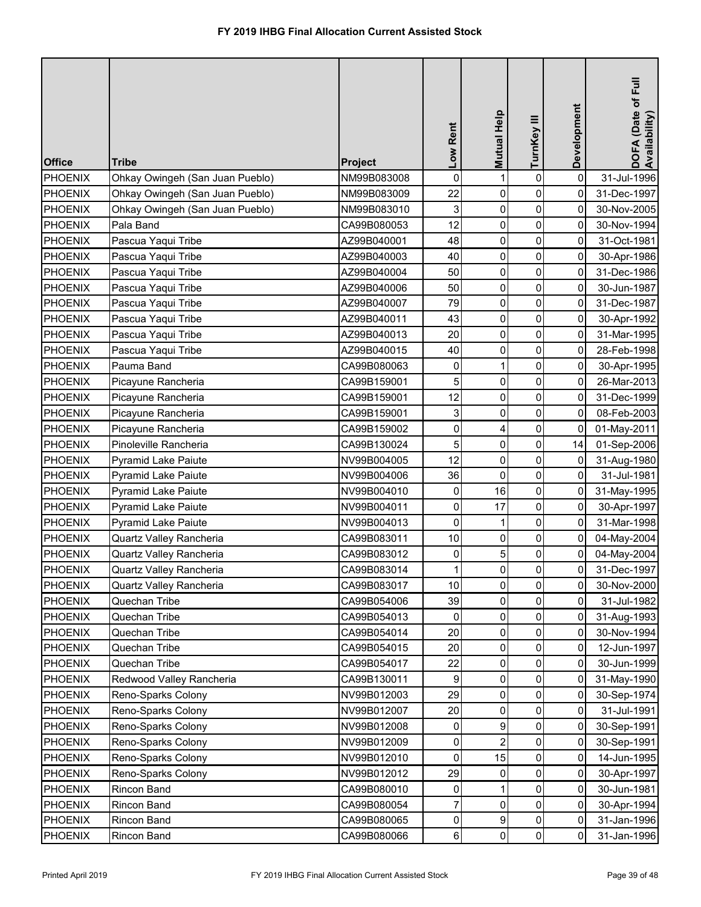| <b>Office</b>  | <b>Tribe</b>                    | <b>Project</b> | Low Rent       | <b>Mutual Help</b> | TurnKey III    | Development         | DOFA (Date of Full<br>Availability) |
|----------------|---------------------------------|----------------|----------------|--------------------|----------------|---------------------|-------------------------------------|
| <b>PHOENIX</b> | Ohkay Owingeh (San Juan Pueblo) | NM99B083008    | $\mathbf 0$    |                    | $\pmb{0}$      | $\mathbf 0$         | 31-Jul-1996                         |
| <b>PHOENIX</b> | Ohkay Owingeh (San Juan Pueblo) | NM99B083009    | 22             | 0                  | 0              | 0                   | 31-Dec-1997                         |
| <b>PHOENIX</b> | Ohkay Owingeh (San Juan Pueblo) | NM99B083010    | 3              | 0                  | $\pmb{0}$      | 0                   | 30-Nov-2005                         |
| <b>PHOENIX</b> | Pala Band                       | CA99B080053    | 12             | 0                  | 0              | 0                   | 30-Nov-1994                         |
| <b>PHOENIX</b> | Pascua Yaqui Tribe              | AZ99B040001    | 48             | 0                  | $\pmb{0}$      | 0                   | 31-Oct-1981                         |
| <b>PHOENIX</b> | Pascua Yaqui Tribe              | AZ99B040003    | 40             | 0                  | 0              | 0                   | 30-Apr-1986                         |
| <b>PHOENIX</b> | Pascua Yaqui Tribe              | AZ99B040004    | 50             | 0                  | $\pmb{0}$      | 0                   | 31-Dec-1986                         |
| <b>PHOENIX</b> | Pascua Yaqui Tribe              | AZ99B040006    | 50             | 0                  | 0              | 0                   | 30-Jun-1987                         |
| <b>PHOENIX</b> | Pascua Yaqui Tribe              | AZ99B040007    | 79             | 0                  | $\pmb{0}$      | 0                   | 31-Dec-1987                         |
| <b>PHOENIX</b> | Pascua Yaqui Tribe              | AZ99B040011    | 43             | $\mathbf 0$        | $\pmb{0}$      | 0                   | 30-Apr-1992                         |
| <b>PHOENIX</b> | Pascua Yaqui Tribe              | AZ99B040013    | 20             | $\mathbf 0$        | 0              | 0                   | 31-Mar-1995                         |
| <b>PHOENIX</b> | Pascua Yaqui Tribe              | AZ99B040015    | 40             | $\mathbf 0$        | 0              | 0                   | 28-Feb-1998                         |
| <b>PHOENIX</b> | Pauma Band                      | CA99B080063    | 0              |                    | 0              | 0                   | 30-Apr-1995                         |
| <b>PHOENIX</b> | Picayune Rancheria              | CA99B159001    | 5              | $\mathbf 0$        | 0              | 0                   | 26-Mar-2013                         |
| <b>PHOENIX</b> | Picayune Rancheria              | CA99B159001    | 12             | $\mathbf 0$        | 0              | 0                   | 31-Dec-1999                         |
| <b>PHOENIX</b> | Picayune Rancheria              | CA99B159001    | 3              | $\mathbf 0$        | 0              | $\mathbf 0$         | 08-Feb-2003                         |
| <b>PHOENIX</b> | Picayune Rancheria              | CA99B159002    | 0              | 4                  | 0              | 0                   | 01-May-2011                         |
| <b>PHOENIX</b> | Pinoleville Rancheria           | CA99B130024    | 5              | 0                  | $\pmb{0}$      | 14                  | 01-Sep-2006                         |
| <b>PHOENIX</b> | Pyramid Lake Paiute             | NV99B004005    | 12             | $\mathbf 0$        | 0              | 0                   | 31-Aug-1980                         |
| <b>PHOENIX</b> | Pyramid Lake Paiute             | NV99B004006    | 36             | 0                  | $\pmb{0}$      | $\mathsf{O}\xspace$ | 31-Jul-1981                         |
| <b>PHOENIX</b> | <b>Pyramid Lake Paiute</b>      | NV99B004010    | 0              | 16                 | 0              | 0                   | 31-May-1995                         |
| <b>PHOENIX</b> | Pyramid Lake Paiute             | NV99B004011    | $\mathbf 0$    | 17                 | 0              | 0                   | 30-Apr-1997                         |
| PHOENIX        | <b>Pyramid Lake Paiute</b>      | NV99B004013    | $\overline{0}$ |                    | $\overline{0}$ | $\overline{0}$      | 31-Mar-1998                         |
| <b>PHOENIX</b> | Quartz Valley Rancheria         | CA99B083011    | 10             | 0                  | 0              | 0                   | 04-May-2004                         |
| <b>PHOENIX</b> | Quartz Valley Rancheria         | CA99B083012    | 0              | 5                  | $\pmb{0}$      | $\mathbf 0$         | 04-May-2004                         |
| <b>PHOENIX</b> | <b>Quartz Valley Rancheria</b>  | CA99B083014    |                | 0                  | 0              | 0                   | 31-Dec-1997                         |
| <b>PHOENIX</b> | Quartz Valley Rancheria         | CA99B083017    | 10             | $\mathbf 0$        | 0              | 0                   | 30-Nov-2000                         |
| <b>PHOENIX</b> | Quechan Tribe                   | CA99B054006    | 39             | 0                  | 0              | 0                   | 31-Jul-1982                         |
| <b>PHOENIX</b> | Quechan Tribe                   | CA99B054013    | 0              | $\Omega$           | 0              | 0                   | 31-Aug-1993                         |
| <b>PHOENIX</b> | Quechan Tribe                   | CA99B054014    | 20             | 0                  | 0              | 0                   | 30-Nov-1994                         |
| <b>PHOENIX</b> | Quechan Tribe                   | CA99B054015    | 20             | $\mathbf 0$        | 0              | 0                   | 12-Jun-1997                         |
| <b>PHOENIX</b> | Quechan Tribe                   | CA99B054017    | 22             | $\Omega$           | 0              | 0                   | 30-Jun-1999                         |
| <b>PHOENIX</b> | Redwood Valley Rancheria        | CA99B130011    | 9              | $\Omega$           | 0              | 0                   | 31-May-1990                         |
| <b>PHOENIX</b> | Reno-Sparks Colony              | NV99B012003    | 29             | 0                  | 0              | 0                   | 30-Sep-1974                         |
| <b>PHOENIX</b> | Reno-Sparks Colony              | NV99B012007    | 20             | 0                  | 0              | 0                   | 31-Jul-1991                         |
| <b>PHOENIX</b> | Reno-Sparks Colony              | NV99B012008    | 0              | 9                  | 0              | 0                   | 30-Sep-1991                         |
| <b>PHOENIX</b> | Reno-Sparks Colony              | NV99B012009    | 0              |                    | 0              | 0                   | 30-Sep-1991                         |
| <b>PHOENIX</b> | Reno-Sparks Colony              | NV99B012010    | 0              | 15                 | 0              | 0                   | 14-Jun-1995                         |
| <b>PHOENIX</b> | Reno-Sparks Colony              | NV99B012012    | 29             | 0                  | 0              | 0                   | 30-Apr-1997                         |
| <b>PHOENIX</b> | Rincon Band                     | CA99B080010    | 0              |                    | 0              | 0                   | 30-Jun-1981                         |
| <b>PHOENIX</b> | Rincon Band                     | CA99B080054    | $\overline{7}$ | 0                  | 0              | 0                   | 30-Apr-1994                         |
| <b>PHOENIX</b> | Rincon Band                     | CA99B080065    | 0              | 9                  | 0              | 0                   | 31-Jan-1996                         |
| <b>PHOENIX</b> | Rincon Band                     | CA99B080066    | 6              | 0                  | $\pmb{0}$      | 0                   | 31-Jan-1996                         |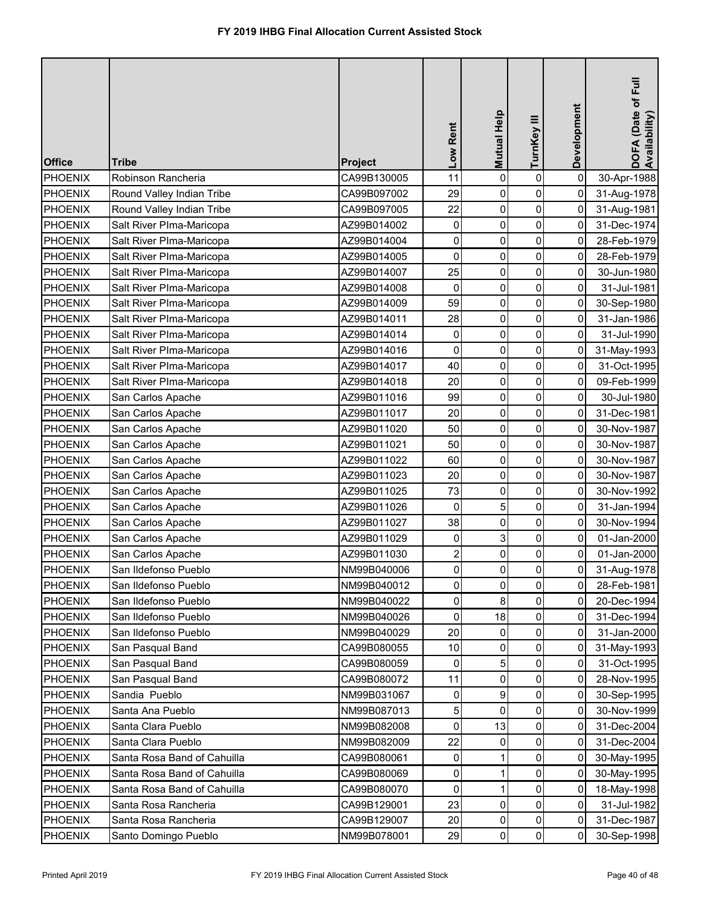| <b>Office</b>  | <b>Tribe</b>                | <b>Project</b> | Low Rent                | <b>Mutual Help</b> | TurnKey III    | Development    | DOFA (Date of Full<br>Availability) |
|----------------|-----------------------------|----------------|-------------------------|--------------------|----------------|----------------|-------------------------------------|
| PHOENIX        | Robinson Rancheria          | CA99B130005    | 11                      | $\mathbf 0$        | $\pmb{0}$      | $\mathbf 0$    | 30-Apr-1988                         |
| PHOENIX        | Round Valley Indian Tribe   | CA99B097002    | 29                      | 0                  | 0              | 0              | 31-Aug-1978                         |
| <b>PHOENIX</b> | Round Valley Indian Tribe   | CA99B097005    | 22                      | $\mathbf 0$        | $\pmb{0}$      | 0              | 31-Aug-1981                         |
| <b>PHOENIX</b> | Salt River PIma-Maricopa    | AZ99B014002    | 0                       | 0                  | 0              | 0              | 31-Dec-1974                         |
| <b>PHOENIX</b> | Salt River PIma-Maricopa    | AZ99B014004    | $\pmb{0}$               | 0                  | $\pmb{0}$      | 0              | 28-Feb-1979                         |
| <b>PHOENIX</b> | Salt River PIma-Maricopa    | AZ99B014005    | 0                       | 0                  | 0              | 0              | 28-Feb-1979                         |
| PHOENIX        | Salt River PIma-Maricopa    | AZ99B014007    | 25                      | 0                  | $\pmb{0}$      | 0              | 30-Jun-1980                         |
| PHOENIX        | Salt River Plma-Maricopa    | AZ99B014008    | 0                       | $\mathbf 0$        | 0              | $\mathbf 0$    | 31-Jul-1981                         |
| <b>PHOENIX</b> | Salt River Plma-Maricopa    | AZ99B014009    | 59                      | 0                  | $\pmb{0}$      | 0              | 30-Sep-1980                         |
| <b>PHOENIX</b> | Salt River Plma-Maricopa    | AZ99B014011    | 28                      | $\pmb{0}$          | $\mathbf 0$    | 0              | 31-Jan-1986                         |
| <b>PHOENIX</b> | Salt River Plma-Maricopa    | AZ99B014014    | 0                       | $\mathbf 0$        | 0              | 0              | 31-Jul-1990                         |
| <b>PHOENIX</b> | Salt River Plma-Maricopa    | AZ99B014016    | $\mathbf 0$             | $\mathbf 0$        | 0              | 0              | 31-May-1993                         |
| <b>PHOENIX</b> | Salt River Plma-Maricopa    | AZ99B014017    | 40                      | 0                  | 0              | 0              | 31-Oct-1995                         |
| <b>PHOENIX</b> | Salt River Plma-Maricopa    | AZ99B014018    | 20                      | $\mathbf 0$        | 0              | 0              | 09-Feb-1999                         |
| <b>PHOENIX</b> | San Carlos Apache           | AZ99B011016    | 99                      | $\mathbf 0$        | 0              | 0              | 30-Jul-1980                         |
| <b>PHOENIX</b> | San Carlos Apache           | AZ99B011017    | 20                      | $\mathbf 0$        | 0              | $\mathbf 0$    | 31-Dec-1981                         |
| <b>PHOENIX</b> | San Carlos Apache           | AZ99B011020    | 50                      | $\mathbf 0$        | 0              | 0              | 30-Nov-1987                         |
| <b>PHOENIX</b> | San Carlos Apache           | AZ99B011021    | 50                      | 0                  | 0              | 0              | 30-Nov-1987                         |
| <b>PHOENIX</b> | San Carlos Apache           | AZ99B011022    | 60                      | 0                  | 0              | 0              | 30-Nov-1987                         |
| <b>PHOENIX</b> | San Carlos Apache           | AZ99B011023    | 20                      | 0                  | $\pmb{0}$      | 0              | 30-Nov-1987                         |
| <b>PHOENIX</b> | San Carlos Apache           | AZ99B011025    | 73                      | 0                  | 0              | 0              | 30-Nov-1992                         |
| <b>PHOENIX</b> | San Carlos Apache           | AZ99B011026    | $\mathbf 0$             | 5                  | 0              | 0              | 31-Jan-1994                         |
| <b>PHOENIX</b> | San Carlos Apache           | AZ99B011027    | 38                      | 0                  | $\overline{0}$ | $\overline{0}$ | 30-Nov-1994                         |
| <b>PHOENIX</b> | San Carlos Apache           | AZ99B011029    | 0                       | 3                  | 0              | 0              | 01-Jan-2000                         |
| <b>PHOENIX</b> | San Carlos Apache           | AZ99B011030    | $\overline{\mathbf{c}}$ | $\mathbf 0$        | $\mathbf 0$    | 0              | 01-Jan-2000                         |
| <b>PHOENIX</b> | San Ildefonso Pueblo        | NM99B040006    | $\mathbf 0$             | 0                  | 0              | 0              | 31-Aug-1978                         |
| <b>PHOENIX</b> | San Ildefonso Pueblo        | NM99B040012    | 0                       | 0                  | $\mathsf{O}$   | 0              | 28-Feb-1981                         |
| <b>PHOENIX</b> | San Ildefonso Pueblo        | NM99B040022    | 0                       | 8                  | 0              | 0              | 20-Dec-1994                         |
| <b>PHOENIX</b> | San Ildefonso Pueblo        | NM99B040026    | 0                       | 18                 | 0              | 0              | 31-Dec-1994                         |
| <b>PHOENIX</b> | San Ildefonso Pueblo        | NM99B040029    | 20                      | 0                  | 0              | 0              | 31-Jan-2000                         |
| <b>PHOENIX</b> | San Pasqual Band            | CA99B080055    | 10                      | $\mathbf{0}$       | 0              | 0              | 31-May-1993                         |
| <b>PHOENIX</b> | San Pasqual Band            | CA99B080059    | 0                       | 5                  | 0              | 0              | 31-Oct-1995                         |
| <b>PHOENIX</b> | San Pasqual Band            | CA99B080072    | 11                      | 0                  | 0              | $\mathbf 0$    | 28-Nov-1995                         |
| PHOENIX        | Sandia Pueblo               | NM99B031067    | 0                       | 9                  | 0              | 0              | 30-Sep-1995                         |
| <b>PHOENIX</b> | Santa Ana Pueblo            | NM99B087013    | 5 <sup>1</sup>          | 0                  | 0              | 0              | 30-Nov-1999                         |
| <b>PHOENIX</b> | Santa Clara Pueblo          | NM99B082008    | 0                       | 13                 | 0              | 0              | 31-Dec-2004                         |
| <b>PHOENIX</b> | Santa Clara Pueblo          | NM99B082009    | 22                      | 0                  | 0              | 0              | 31-Dec-2004                         |
| <b>PHOENIX</b> | Santa Rosa Band of Cahuilla | CA99B080061    | 0                       |                    | 0              | 0              | 30-May-1995                         |
| <b>PHOENIX</b> | Santa Rosa Band of Cahuilla | CA99B080069    | $\mathbf 0$             |                    | 0              | 0              | 30-May-1995                         |
| <b>PHOENIX</b> | Santa Rosa Band of Cahuilla | CA99B080070    | 0                       |                    | 0              | 0              | 18-May-1998                         |
| <b>PHOENIX</b> | Santa Rosa Rancheria        | CA99B129001    | 23                      | 0                  | 0              | 0              | 31-Jul-1982                         |
| <b>PHOENIX</b> | Santa Rosa Rancheria        | CA99B129007    | 20                      | 0                  | 0              | 0              | 31-Dec-1987                         |
| <b>PHOENIX</b> | Santo Domingo Pueblo        | NM99B078001    | 29                      | 0                  | $\pmb{0}$      | 0              | 30-Sep-1998                         |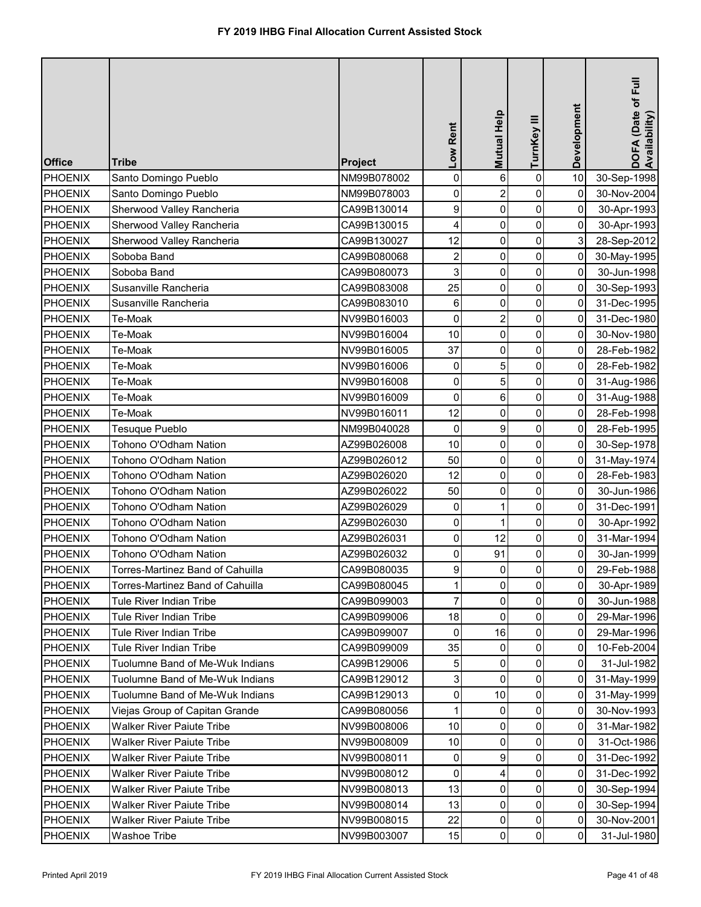| <b>Office</b>  | <b>Tribe</b>                     | <b>Project</b> | Low Rent                | Mutual Help    | TurnKey III    | Development    | DOFA (Date of Full<br>Availability) |
|----------------|----------------------------------|----------------|-------------------------|----------------|----------------|----------------|-------------------------------------|
| <b>PHOENIX</b> | Santo Domingo Pueblo             | NM99B078002    | $\pmb{0}$               | 6              | $\pmb{0}$      | 10             | 30-Sep-1998                         |
| <b>PHOENIX</b> | Santo Domingo Pueblo             | NM99B078003    | 0                       | $\overline{2}$ | 0              | 0              | 30-Nov-2004                         |
| <b>PHOENIX</b> | Sherwood Valley Rancheria        | CA99B130014    | 9                       | 0              | $\pmb{0}$      | 0              | 30-Apr-1993                         |
| <b>PHOENIX</b> | Sherwood Valley Rancheria        | CA99B130015    | 4                       | 0              | 0              | 0              | 30-Apr-1993                         |
| <b>PHOENIX</b> | Sherwood Valley Rancheria        | CA99B130027    | 12                      | 0              | $\pmb{0}$      | 3              | 28-Sep-2012                         |
| <b>PHOENIX</b> | Soboba Band                      | CA99B080068    | $\overline{\mathbf{c}}$ | 0              | 0              | 0              | 30-May-1995                         |
| PHOENIX        | Soboba Band                      | CA99B080073    | 3                       | 0              | $\pmb{0}$      | 0              | 30-Jun-1998                         |
| <b>PHOENIX</b> | Susanville Rancheria             | CA99B083008    | 25                      | $\pmb{0}$      | 0              | 0              | 30-Sep-1993                         |
| <b>PHOENIX</b> | Susanville Rancheria             | CA99B083010    | 6                       | $\pmb{0}$      | $\pmb{0}$      | 0              | 31-Dec-1995                         |
| <b>PHOENIX</b> | Te-Moak                          | NV99B016003    | $\pmb{0}$               | $\overline{2}$ | $\pmb{0}$      | 0              | 31-Dec-1980                         |
| <b>PHOENIX</b> | Te-Moak                          | NV99B016004    | 10                      | 0              | 0              | 0              | 30-Nov-1980                         |
| <b>PHOENIX</b> | Te-Moak                          | NV99B016005    | 37                      | 0              | 0              | 0              | 28-Feb-1982                         |
| <b>PHOENIX</b> | Te-Moak                          | NV99B016006    | 0                       | 5              | 0              | 0              | 28-Feb-1982                         |
| <b>PHOENIX</b> | Te-Moak                          | NV99B016008    | 0                       | 5              | 0              | 0              | 31-Aug-1986                         |
| <b>PHOENIX</b> | Te-Moak                          | NV99B016009    | 0                       | 6              | 0              | 0              | 31-Aug-1988                         |
| <b>PHOENIX</b> | Te-Moak                          | NV99B016011    | 12                      | $\mathbf 0$    | 0              | $\mathbf 0$    | 28-Feb-1998                         |
| <b>PHOENIX</b> | <b>Tesuque Pueblo</b>            | NM99B040028    | 0                       | 9              | 0              | 0              | 28-Feb-1995                         |
| <b>PHOENIX</b> | Tohono O'Odham Nation            | AZ99B026008    | 10                      | 0              | $\pmb{0}$      | 0              | 30-Sep-1978                         |
| <b>PHOENIX</b> | Tohono O'Odham Nation            | AZ99B026012    | 50                      | 0              | 0              | 0              | 31-May-1974                         |
| <b>PHOENIX</b> | Tohono O'Odham Nation            | AZ99B026020    | 12                      | 0              | $\pmb{0}$      | 0              | 28-Feb-1983                         |
| <b>PHOENIX</b> | Tohono O'Odham Nation            | AZ99B026022    | 50                      | 0              | 0              | 0              | 30-Jun-1986                         |
| <b>PHOENIX</b> | Tohono O'Odham Nation            | AZ99B026029    | 0                       |                | 0              | 0              | 31-Dec-1991                         |
| PHOENIX        | Tohono O'Odham Nation            | AZ99B026030    | $\overline{0}$          | 1              | $\overline{0}$ | $\overline{0}$ | 30-Apr-1992                         |
| <b>PHOENIX</b> | Tohono O'Odham Nation            | AZ99B026031    | $\overline{0}$          | 12             | 0              | 0              | 31-Mar-1994                         |
| <b>PHOENIX</b> | Tohono O'Odham Nation            | AZ99B026032    | $\mathsf{O}\xspace$     | 91             | 0              | 0              | 30-Jan-1999                         |
| <b>PHOENIX</b> | Torres-Martinez Band of Cahuilla | CA99B080035    | 9                       | 0              | 0              | 0              | 29-Feb-1988                         |
| <b>PHOENIX</b> | Torres-Martinez Band of Cahuilla | CA99B080045    | 1                       | 0              | 0              | 0              | 30-Apr-1989                         |
| <b>PHOENIX</b> | <b>Tule River Indian Tribe</b>   | CA99B099003    | 7                       | 0              | 0              | 0              | 30-Jun-1988                         |
| <b>PHOENIX</b> | Tule River Indian Tribe          | CA99B099006    | 18                      | $\Omega$       | 0              | 0              | 29-Mar-1996                         |
| <b>PHOENIX</b> | Tule River Indian Tribe          | CA99B099007    | 0                       | 16             | 0              | 0              | 29-Mar-1996                         |
| <b>PHOENIX</b> | Tule River Indian Tribe          | CA99B099009    | 35                      | $\mathbf{0}$   | 0              | 0              | 10-Feb-2004                         |
| <b>PHOENIX</b> | Tuolumne Band of Me-Wuk Indians  | CA99B129006    | 5                       | $\mathbf{0}$   | 0              | 0              | 31-Jul-1982                         |
| <b>PHOENIX</b> | Tuolumne Band of Me-Wuk Indians  | CA99B129012    | 3                       | $\Omega$       | $\mathbf 0$    | 0              | 31-May-1999                         |
| <b>PHOENIX</b> | Tuolumne Band of Me-Wuk Indians  | CA99B129013    | 0                       | 10             | 0              | 0              | 31-May-1999                         |
| <b>PHOENIX</b> | Viejas Group of Capitan Grande   | CA99B080056    | 1                       | 0              | $\pmb{0}$      | 0              | 30-Nov-1993                         |
| <b>PHOENIX</b> | <b>Walker River Paiute Tribe</b> | NV99B008006    | 10                      | 0              | 0              | 0              | 31-Mar-1982                         |
| <b>PHOENIX</b> | <b>Walker River Paiute Tribe</b> | NV99B008009    | 10                      | 0              | 0              | 0              | 31-Oct-1986                         |
| <b>PHOENIX</b> | <b>Walker River Paiute Tribe</b> | NV99B008011    | $\mathbf 0$             | 9              | 0              | 0              | 31-Dec-1992                         |
| <b>PHOENIX</b> | <b>Walker River Paiute Tribe</b> | NV99B008012    | $\mathbf 0$             | 4              | 0              | 0              | 31-Dec-1992                         |
| <b>PHOENIX</b> | <b>Walker River Paiute Tribe</b> | NV99B008013    | 13                      | 0              | 0              | 0              | 30-Sep-1994                         |
| <b>PHOENIX</b> | <b>Walker River Paiute Tribe</b> | NV99B008014    | 13                      | 0              | 0              | 0              | 30-Sep-1994                         |
| <b>PHOENIX</b> | <b>Walker River Paiute Tribe</b> | NV99B008015    | 22                      | 0              | 0              | 0              | 30-Nov-2001                         |
| <b>PHOENIX</b> | <b>Washoe Tribe</b>              | NV99B003007    | 15                      | $\pmb{0}$      | $\pmb{0}$      | 0              | 31-Jul-1980                         |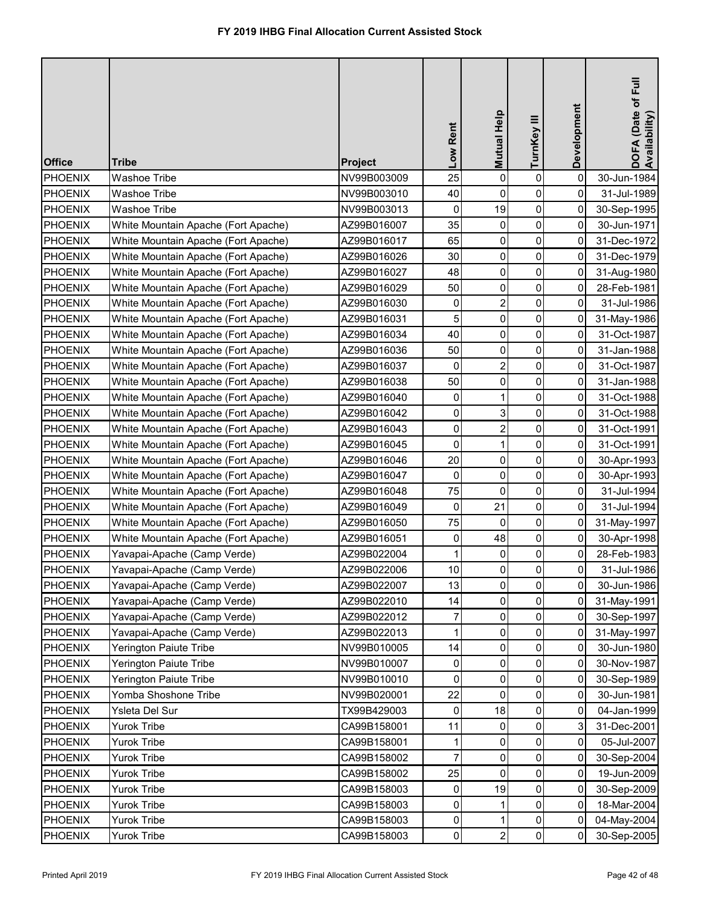| <b>Office</b>  | <b>Tribe</b>                        | <b>Project</b> | Low Rent            | Mutual Help    | TurnKey III | Development    | DOFA (Date of Full<br>Availability) |
|----------------|-------------------------------------|----------------|---------------------|----------------|-------------|----------------|-------------------------------------|
| <b>PHOENIX</b> | <b>Washoe Tribe</b>                 | NV99B003009    | 25                  | 0              | 0           | $\mathbf 0$    | 30-Jun-1984                         |
| <b>PHOENIX</b> | <b>Washoe Tribe</b>                 | NV99B003010    | 40                  | $\mathbf 0$    | 0           | 0              | 31-Jul-1989                         |
| PHOENIX        | <b>Washoe Tribe</b>                 | NV99B003013    | 0                   | 19             | $\pmb{0}$   | 0              | 30-Sep-1995                         |
| <b>PHOENIX</b> | White Mountain Apache (Fort Apache) | AZ99B016007    | 35                  | 0              | 0           | 0              | 30-Jun-1971                         |
| <b>PHOENIX</b> | White Mountain Apache (Fort Apache) | AZ99B016017    | 65                  | 0              | $\pmb{0}$   | 0              | 31-Dec-1972                         |
| <b>PHOENIX</b> | White Mountain Apache (Fort Apache) | AZ99B016026    | 30                  | 0              | 0           | 0              | 31-Dec-1979                         |
| <b>PHOENIX</b> | White Mountain Apache (Fort Apache) | AZ99B016027    | 48                  | 0              | $\pmb{0}$   | 0              | 31-Aug-1980                         |
| <b>PHOENIX</b> | White Mountain Apache (Fort Apache) | AZ99B016029    | 50                  | 0              | $\pmb{0}$   | 0              | 28-Feb-1981                         |
| PHOENIX        | White Mountain Apache (Fort Apache) | AZ99B016030    | 0                   | $\overline{2}$ | 0           | 0              | 31-Jul-1986                         |
| <b>PHOENIX</b> | White Mountain Apache (Fort Apache) | AZ99B016031    | 5                   | $\pmb{0}$      | 0           | 0              | 31-May-1986                         |
| PHOENIX        | White Mountain Apache (Fort Apache) | AZ99B016034    | 40                  | 0              | $\pmb{0}$   | $\mathbf 0$    | 31-Oct-1987                         |
| <b>PHOENIX</b> | White Mountain Apache (Fort Apache) | AZ99B016036    | 50                  | 0              | $\pmb{0}$   | 0              | 31-Jan-1988                         |
| <b>PHOENIX</b> | White Mountain Apache (Fort Apache) | AZ99B016037    | 0                   | $\overline{2}$ | 0           | 0              | 31-Oct-1987                         |
| <b>PHOENIX</b> | White Mountain Apache (Fort Apache) | AZ99B016038    | 50                  | 0              | 0           | 0              | 31-Jan-1988                         |
| <b>PHOENIX</b> | White Mountain Apache (Fort Apache) | AZ99B016040    | 0                   |                | 0           | 0              | 31-Oct-1988                         |
| <b>PHOENIX</b> | White Mountain Apache (Fort Apache) | AZ99B016042    | 0                   | 3              | 0           | $\mathbf 0$    | 31-Oct-1988                         |
| <b>PHOENIX</b> | White Mountain Apache (Fort Apache) | AZ99B016043    | 0                   | $\overline{2}$ | 0           | 0              | 31-Oct-1991                         |
| <b>PHOENIX</b> | White Mountain Apache (Fort Apache) | AZ99B016045    | 0                   | 1              | $\pmb{0}$   | 0              | 31-Oct-1991                         |
| <b>PHOENIX</b> | White Mountain Apache (Fort Apache) | AZ99B016046    | 20                  | $\mathbf 0$    | 0           | 0              | 30-Apr-1993                         |
| PHOENIX        | White Mountain Apache (Fort Apache) | AZ99B016047    | 0                   | 0              | $\pmb{0}$   | 0              | 30-Apr-1993                         |
| <b>PHOENIX</b> | White Mountain Apache (Fort Apache) | AZ99B016048    | 75                  | 0              | 0           | 0              | 31-Jul-1994                         |
| <b>PHOENIX</b> | White Mountain Apache (Fort Apache) | AZ99B016049    | 0                   | 21             | 0           | 0              | 31-Jul-1994                         |
| <b>PHOENIX</b> | White Mountain Apache (Fort Apache) | AZ99B016050    | 75                  | $\overline{0}$ | 0           | $\overline{0}$ | 31-May-1997                         |
| <b>PHOENIX</b> | White Mountain Apache (Fort Apache) | AZ99B016051    | 0                   | 48             | 0           | 0              | 30-Apr-1998                         |
| <b>PHOENIX</b> | Yavapai-Apache (Camp Verde)         | AZ99B022004    |                     | $\Omega$       | 0           | 0              | 28-Feb-1983                         |
| <b>PHOENIX</b> | Yavapai-Apache (Camp Verde)         | AZ99B022006    | 10                  | 0              | 0           | 0              | 31-Jul-1986                         |
| <b>PHOENIX</b> | Yavapai-Apache (Camp Verde)         | AZ99B022007    | 13                  | 0              | 0           | 0              | 30-Jun-1986                         |
| <b>PHOENIX</b> | Yavapai-Apache (Camp Verde)         | AZ99B022010    | 14                  | 0              | 0           | 0              | 31-May-1991                         |
| <b>PHOENIX</b> | Yavapai-Apache (Camp Verde)         | AZ99B022012    | 7                   | 0              | 0           | 0              | 30-Sep-1997                         |
| <b>PHOENIX</b> | Yavapai-Apache (Camp Verde)         | AZ99B022013    |                     | 0              | 0           | 0              | 31-May-1997                         |
| <b>PHOENIX</b> | <b>Yerington Paiute Tribe</b>       | NV99B010005    | 14                  | $\mathbf{0}$   | 0           | 0              | 30-Jun-1980                         |
| <b>PHOENIX</b> | <b>Yerington Paiute Tribe</b>       | NV99B010007    | 0                   | 0              | 0           | 0              | 30-Nov-1987                         |
| <b>PHOENIX</b> | <b>Yerington Paiute Tribe</b>       | NV99B010010    | 0                   | $\Omega$       | 0           | 0              | 30-Sep-1989                         |
| <b>PHOENIX</b> | Yomba Shoshone Tribe                | NV99B020001    | 22                  | $\Omega$       | 0           | 0              | 30-Jun-1981                         |
| <b>PHOENIX</b> | Ysleta Del Sur                      | TX99B429003    | 0                   | 18             | 0           | 0              | 04-Jan-1999                         |
| <b>PHOENIX</b> | <b>Yurok Tribe</b>                  | CA99B158001    | 11                  | 0              | 0           | 3              | 31-Dec-2001                         |
| <b>PHOENIX</b> | <b>Yurok Tribe</b>                  | CA99B158001    |                     | 0              | 0           | 0              | 05-Jul-2007                         |
| <b>PHOENIX</b> | <b>Yurok Tribe</b>                  | CA99B158002    | $\overline{7}$      | 0              | 0           | 0              | 30-Sep-2004                         |
| <b>PHOENIX</b> | <b>Yurok Tribe</b>                  | CA99B158002    | 25                  | 0              | 0           | 0              | 19-Jun-2009                         |
| <b>PHOENIX</b> | <b>Yurok Tribe</b>                  | CA99B158003    | 0                   | 19             | 0           | 0              | 30-Sep-2009                         |
| <b>PHOENIX</b> | <b>Yurok Tribe</b>                  | CA99B158003    | $\mathbf 0$         |                | $\pmb{0}$   | 0              | 18-Mar-2004                         |
| <b>PHOENIX</b> | <b>Yurok Tribe</b>                  | CA99B158003    | $\mathsf{O}\xspace$ |                | 0           | 0              | 04-May-2004                         |
| <b>PHOENIX</b> | <b>Yurok Tribe</b>                  | CA99B158003    | $\pmb{0}$           | $\overline{2}$ | $\pmb{0}$   | 0              | 30-Sep-2005                         |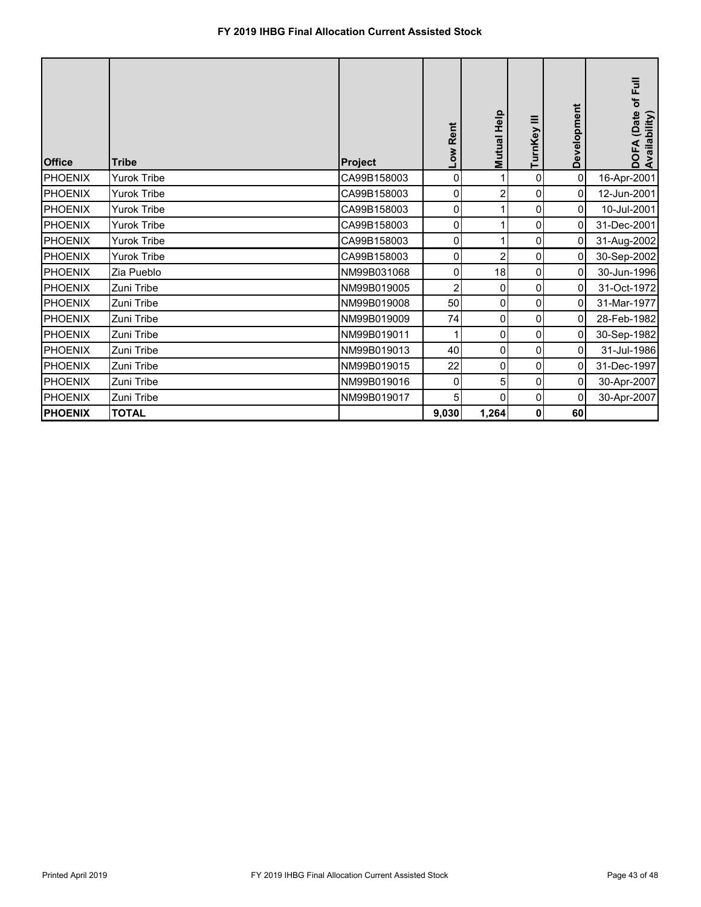| <b>Office</b>  | <b>Tribe</b>       | Project     | Rent<br><b>NOT</b> | <b>Mutual Help</b> | TurnKey III         | Development    | of Full<br>(Date<br>DOFA (Date<br>Availability) |
|----------------|--------------------|-------------|--------------------|--------------------|---------------------|----------------|-------------------------------------------------|
| PHOENIX        | <b>Yurok Tribe</b> | CA99B158003 | $\overline{0}$     |                    | 0                   | $\overline{0}$ | 16-Apr-2001                                     |
| <b>PHOENIX</b> | <b>Yurok Tribe</b> | CA99B158003 | 0                  | $\overline{2}$     | 0                   | 0              | 12-Jun-2001                                     |
| PHOENIX        | <b>Yurok Tribe</b> | CA99B158003 | 0                  |                    | 0                   | 0              | 10-Jul-2001                                     |
| <b>PHOENIX</b> | <b>Yurok Tribe</b> | CA99B158003 | $\mathbf 0$        |                    | $\mathbf 0$         | 0              | 31-Dec-2001                                     |
| <b>PHOENIX</b> | <b>Yurok Tribe</b> | CA99B158003 | $\mathbf 0$        |                    | 0                   | 0              | 31-Aug-2002                                     |
| <b>PHOENIX</b> | <b>Yurok Tribe</b> | CA99B158003 | 0                  | 2                  | 0                   | 0              | 30-Sep-2002                                     |
| <b>PHOENIX</b> | Zia Pueblo         | NM99B031068 | 0                  | 18                 | 0                   | 0              | 30-Jun-1996                                     |
| <b>PHOENIX</b> | Zuni Tribe         | NM99B019005 | 2                  | 0                  | 0                   | 0              | 31-Oct-1972                                     |
| <b>PHOENIX</b> | Zuni Tribe         | NM99B019008 | 50                 | 0                  | 0                   | 0              | 31-Mar-1977                                     |
| <b>PHOENIX</b> | Zuni Tribe         | NM99B019009 | 74                 | 0                  | $\mathsf{O}\xspace$ | 0              | 28-Feb-1982                                     |
| <b>PHOENIX</b> | Zuni Tribe         | NM99B019011 | 1                  | 0                  | 0                   | 0              | 30-Sep-1982                                     |
| <b>PHOENIX</b> | Zuni Tribe         | NM99B019013 | 40                 | 0                  | 0                   | 0              | 31-Jul-1986                                     |
| <b>PHOENIX</b> | Zuni Tribe         | NM99B019015 | 22                 | 0                  | $\mathbf 0$         | 0              | 31-Dec-1997                                     |
| <b>PHOENIX</b> | Zuni Tribe         | NM99B019016 | 0                  | 5                  | $\mathbf 0$         | 0              | 30-Apr-2007                                     |
| <b>PHOENIX</b> | Zuni Tribe         | NM99B019017 | 5 <sup>1</sup>     | $\Omega$           | 0                   | 0              | 30-Apr-2007                                     |
| <b>PHOENIX</b> | <b>TOTAL</b>       |             | 9,030              | 1,264              | 0                   | 60             |                                                 |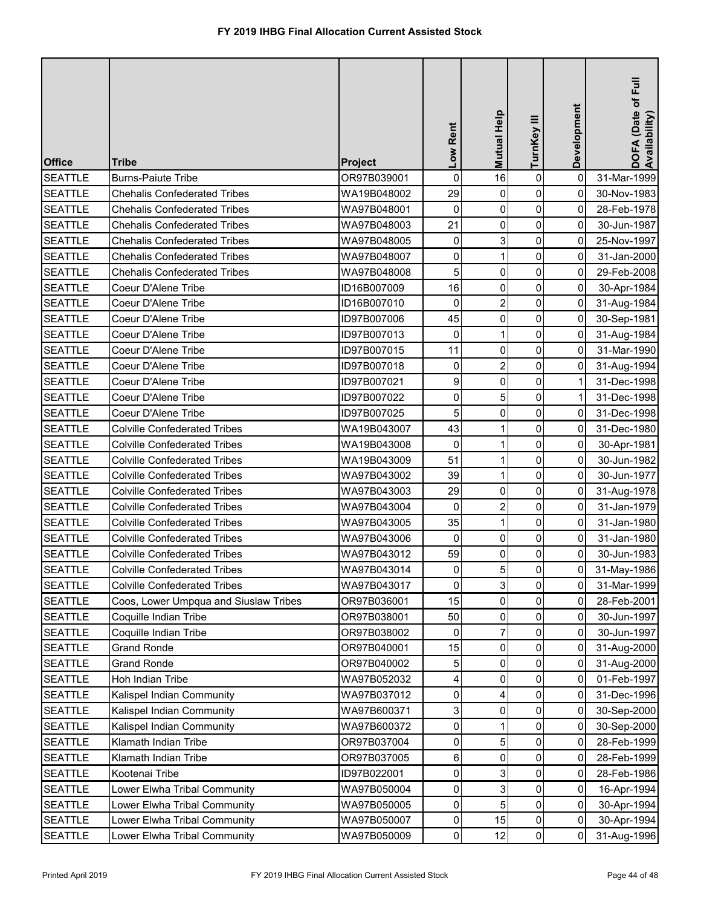| <b>Office</b>  | <b>Tribe</b>                          | <b>Project</b> | Low Rent       | <b>Mutual Help</b> | TurnKey III         | Development    | DOFA (Date of Full<br>Availability) |
|----------------|---------------------------------------|----------------|----------------|--------------------|---------------------|----------------|-------------------------------------|
| <b>SEATTLE</b> | <b>Burns-Paiute Tribe</b>             | OR97B039001    | $\mathsf 0$    | 16                 | $\pmb{0}$           | $\pmb{0}$      | 31-Mar-1999                         |
| <b>SEATTLE</b> | <b>Chehalis Confederated Tribes</b>   | WA19B048002    | 29             | 0                  | $\pmb{0}$           | 0              | 30-Nov-1983                         |
| <b>SEATTLE</b> | <b>Chehalis Confederated Tribes</b>   | WA97B048001    | $\pmb{0}$      | 0                  | $\pmb{0}$           | 0              | 28-Feb-1978                         |
| <b>SEATTLE</b> | <b>Chehalis Confederated Tribes</b>   | WA97B048003    | 21             | 0                  | $\pmb{0}$           | 0              | 30-Jun-1987                         |
| <b>SEATTLE</b> | <b>Chehalis Confederated Tribes</b>   | WA97B048005    | $\pmb{0}$      | 3                  | $\pmb{0}$           | 0              | 25-Nov-1997                         |
| <b>SEATTLE</b> | <b>Chehalis Confederated Tribes</b>   | WA97B048007    | $\pmb{0}$      | 1                  | 0                   | 0              | 31-Jan-2000                         |
| <b>SEATTLE</b> | <b>Chehalis Confederated Tribes</b>   | WA97B048008    | 5              | 0                  | $\pmb{0}$           | 0              | 29-Feb-2008                         |
| <b>SEATTLE</b> | Coeur D'Alene Tribe                   | ID16B007009    | 16             | 0                  | $\mathbf 0$         | 0              | 30-Apr-1984                         |
| <b>SEATTLE</b> | Coeur D'Alene Tribe                   | ID16B007010    | $\pmb{0}$      | $\overline{2}$     | $\overline{0}$      | $\overline{0}$ | 31-Aug-1984                         |
| <b>SEATTLE</b> | Coeur D'Alene Tribe                   | ID97B007006    | 45             | 0                  | $\pmb{0}$           | $\overline{0}$ | 30-Sep-1981                         |
| <b>SEATTLE</b> | Coeur D'Alene Tribe                   | ID97B007013    | 0              | 1                  | $\mathbf 0$         | $\overline{0}$ | 31-Aug-1984                         |
| <b>SEATTLE</b> | Coeur D'Alene Tribe                   | ID97B007015    | 11             | 0                  | $\mathsf{O}\xspace$ | $\overline{0}$ | 31-Mar-1990                         |
| <b>SEATTLE</b> | Coeur D'Alene Tribe                   | ID97B007018    | 0              | $\overline{2}$     | $\pmb{0}$           | $\overline{0}$ | 31-Aug-1994                         |
| <b>SEATTLE</b> | Coeur D'Alene Tribe                   | ID97B007021    | 9              | $\mathbf 0$        | $\mathbf 0$         | 1              | 31-Dec-1998                         |
| <b>SEATTLE</b> | Coeur D'Alene Tribe                   | ID97B007022    | 0              | 5                  | 0                   | 1              | 31-Dec-1998                         |
| <b>SEATTLE</b> | Coeur D'Alene Tribe                   | ID97B007025    | 5              | 0                  | 0                   | 0              | 31-Dec-1998                         |
| <b>SEATTLE</b> | <b>Colville Confederated Tribes</b>   | WA19B043007    | 43             | 1                  | $\mathbf 0$         | 0              | 31-Dec-1980                         |
| <b>SEATTLE</b> | <b>Colville Confederated Tribes</b>   | WA19B043008    | $\pmb{0}$      | 1                  | $\mathsf{O}\xspace$ | 0              | 30-Apr-1981                         |
| <b>SEATTLE</b> | <b>Colville Confederated Tribes</b>   | WA19B043009    | 51             | 1                  | 0                   | 0              | 30-Jun-1982                         |
| <b>SEATTLE</b> | <b>Colville Confederated Tribes</b>   | WA97B043002    | 39             | 1                  | $\overline{0}$      | 0              | 30-Jun-1977                         |
| <b>SEATTLE</b> | <b>Colville Confederated Tribes</b>   | WA97B043003    | 29             | 0                  | $\pmb{0}$           | 0              | 31-Aug-1978                         |
| <b>SEATTLE</b> | <b>Colville Confederated Tribes</b>   | WA97B043004    | $\pmb{0}$      | $\overline{2}$     | $\mathbf 0$         | 0              | 31-Jan-1979                         |
| <b>SEATTLE</b> | <b>Colville Confederated Tribes</b>   | WA97B043005    | 35             | 1 <sup>1</sup>     | 0                   | 0              | 31-Jan-1980                         |
| <b>SEATTLE</b> | <b>Colville Confederated Tribes</b>   | WA97B043006    | 0              | 0                  | $\mathbf 0$         | 0              | 31-Jan-1980                         |
| <b>SEATTLE</b> | <b>Colville Confederated Tribes</b>   | WA97B043012    | 59             | 0                  | $\mathbf 0$         | 0              | 30-Jun-1983                         |
| <b>SEATTLE</b> | <b>Colville Confederated Tribes</b>   | WA97B043014    | 0              | 5                  | 0                   | 0              | 31-May-1986                         |
| <b>SEATTLE</b> | <b>Colville Confederated Tribes</b>   | WA97B043017    | $\mathbf 0$    | 3                  | $\mathbf 0$         | 0              | 31-Mar-1999                         |
| <b>SEATTLE</b> | Coos, Lower Umpqua and Siuslaw Tribes | OR97B036001    | 15             | 0                  | $\mathbf 0$         | 0              | 28-Feb-2001                         |
| <b>SEATTLE</b> | Coquille Indian Tribe                 | OR97B038001    | 50             | 0                  | 0                   | 0              | 30-Jun-1997                         |
| <b>SEATTLE</b> | Coquille Indian Tribe                 | OR97B038002    | 0              |                    | 0                   | 0              | 30-Jun-1997                         |
| <b>SEATTLE</b> | <b>Grand Ronde</b>                    | OR97B040001    | 15             | 0                  | 0                   | 0              | 31-Aug-2000                         |
| <b>SEATTLE</b> | <b>Grand Ronde</b>                    | OR97B040002    | 5              | $\Omega$           | 0                   | 0              | 31-Aug-2000                         |
| <b>SEATTLE</b> | Hoh Indian Tribe                      | WA97B052032    | 4              | 0                  | $\pmb{0}$           | 0              | 01-Feb-1997                         |
| <b>SEATTLE</b> | Kalispel Indian Community             | WA97B037012    | 0              | 4                  | $\mathbf 0$         | 0              | 31-Dec-1996                         |
| <b>SEATTLE</b> | Kalispel Indian Community             | WA97B600371    | 3              | 0                  | $\mathbf 0$         | 0              | 30-Sep-2000                         |
| <b>SEATTLE</b> | Kalispel Indian Community             | WA97B600372    | 0              |                    | $\mathbf 0$         | 0              | 30-Sep-2000                         |
| <b>SEATTLE</b> | Klamath Indian Tribe                  | OR97B037004    | 0              | 5                  | $\mathbf 0$         | 0              | 28-Feb-1999                         |
| <b>SEATTLE</b> | Klamath Indian Tribe                  | OR97B037005    | 6              | 0                  | $\mathbf 0$         | 0              | 28-Feb-1999                         |
| <b>SEATTLE</b> | Kootenai Tribe                        | ID97B022001    | 0              | 3                  | $\pmb{0}$           | 0              | 28-Feb-1986                         |
| <b>SEATTLE</b> | Lower Elwha Tribal Community          | WA97B050004    | 0              | 3                  | 0                   | 0              | 16-Apr-1994                         |
| <b>SEATTLE</b> | Lower Elwha Tribal Community          | WA97B050005    | $\overline{0}$ | 5                  | 0                   | 0              | 30-Apr-1994                         |
| <b>SEATTLE</b> | Lower Elwha Tribal Community          | WA97B050007    | $\pmb{0}$      | 15                 | $\overline{0}$      | 0              | 30-Apr-1994                         |
| <b>SEATTLE</b> | Lower Elwha Tribal Community          | WA97B050009    | $\overline{0}$ | 12                 | $\overline{0}$      | 0              | 31-Aug-1996                         |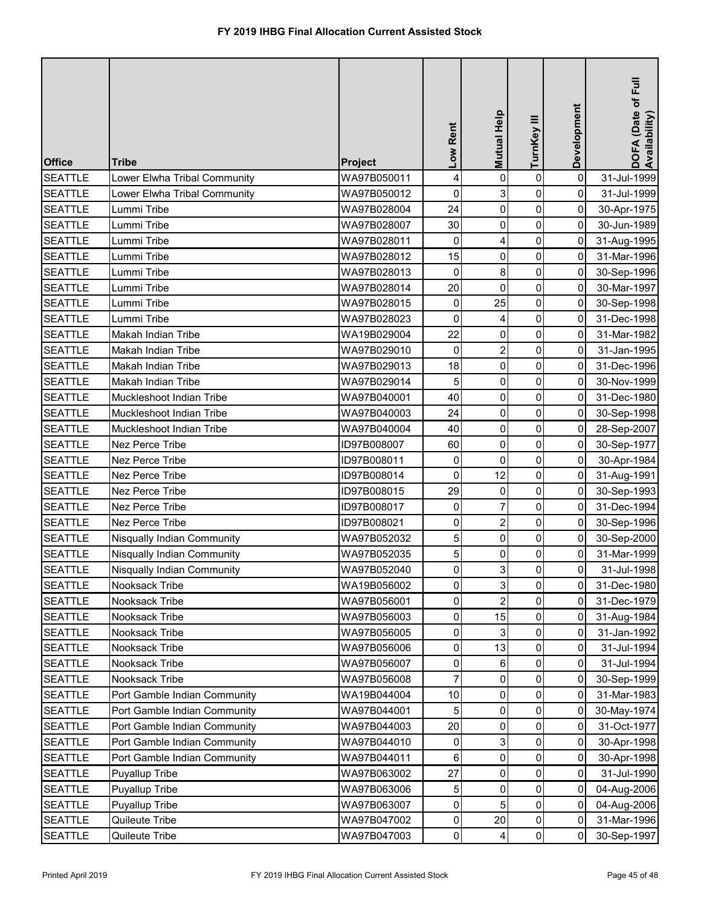| <b>Office</b>  | <b>Tribe</b>                      | Project     | Low Rent       | Mutual Help    | TurnKey III    | Development | DOFA (Date of Full<br>Availability) |
|----------------|-----------------------------------|-------------|----------------|----------------|----------------|-------------|-------------------------------------|
| <b>SEATTLE</b> | Lower Elwha Tribal Community      | WA97B050011 | 4              | 0              | $\pmb{0}$      | $\mathbf 0$ | 31-Jul-1999                         |
| <b>SEATTLE</b> | Lower Elwha Tribal Community      | WA97B050012 | 0              | 3              | 0              | 0           | 31-Jul-1999                         |
| <b>SEATTLE</b> | Lummi Tribe                       | WA97B028004 | 24             | 0              | 0              | 0           | 30-Apr-1975                         |
| <b>SEATTLE</b> | Lummi Tribe                       | WA97B028007 | 30             | 0              | 0              | 0           | 30-Jun-1989                         |
| <b>SEATTLE</b> | Lummi Tribe                       | WA97B028011 | 0              | 4              | $\pmb{0}$      | 0           | 31-Aug-1995                         |
| <b>SEATTLE</b> | Lummi Tribe                       | WA97B028012 | 15             | 0              | 0              | 0           | 31-Mar-1996                         |
| <b>SEATTLE</b> | Lummi Tribe                       | WA97B028013 | 0              | 8              | 0              | 0           | 30-Sep-1996                         |
| <b>SEATTLE</b> | Lummi Tribe                       | WA97B028014 | 20             | $\mathbf 0$    | 0              | 0           | 30-Mar-1997                         |
| <b>SEATTLE</b> | Lummi Tribe                       | WA97B028015 | $\pmb{0}$      | 25             | $\pmb{0}$      | 0           | 30-Sep-1998                         |
| <b>SEATTLE</b> | Lummi Tribe                       | WA97B028023 | $\mathbf 0$    | 4              | 0              | 0           | 31-Dec-1998                         |
| <b>SEATTLE</b> | Makah Indian Tribe                | WA19B029004 | 22             | 0              | 0              | 0           | 31-Mar-1982                         |
| <b>SEATTLE</b> | Makah Indian Tribe                | WA97B029010 | $\mathbf 0$    | $\overline{2}$ | 0              | 0           | 31-Jan-1995                         |
| <b>SEATTLE</b> | Makah Indian Tribe                | WA97B029013 | 18             | $\mathbf 0$    | 0              | 0           | 31-Dec-1996                         |
| <b>SEATTLE</b> | <b>Makah Indian Tribe</b>         | WA97B029014 | 5              | 0              | 0              | $\mathbf 0$ | 30-Nov-1999                         |
| <b>SEATTLE</b> | Muckleshoot Indian Tribe          | WA97B040001 | 40             | 0              | 0              | 0           | 31-Dec-1980                         |
| <b>SEATTLE</b> | Muckleshoot Indian Tribe          | WA97B040003 | 24             | 0              | 0              | 0           | 30-Sep-1998                         |
| <b>SEATTLE</b> | Muckleshoot Indian Tribe          | WA97B040004 | 40             | 0              | 0              | 0           | 28-Sep-2007                         |
| <b>SEATTLE</b> | <b>Nez Perce Tribe</b>            | ID97B008007 | 60             | 0              | 0              | 0           | 30-Sep-1977                         |
| <b>SEATTLE</b> | Nez Perce Tribe                   | ID97B008011 | 0              | 0              | 0              | 0           | 30-Apr-1984                         |
| <b>SEATTLE</b> | <b>Nez Perce Tribe</b>            | ID97B008014 | $\pmb{0}$      | 12             | $\pmb{0}$      | 0           | 31-Aug-1991                         |
| <b>SEATTLE</b> | Nez Perce Tribe                   | ID97B008015 | 29             | $\mathbf 0$    | 0              | 0           | 30-Sep-1993                         |
| <b>SEATTLE</b> | <b>Nez Perce Tribe</b>            | ID97B008017 | $\mathbf 0$    | 7              | 0              | 0           | 31-Dec-1994                         |
| <b>SEATTLE</b> | Nez Perce Tribe                   | ID97B008021 | $\overline{0}$ | 2              | $\overline{0}$ | 0           | 30-Sep-1996                         |
| <b>SEATTLE</b> | <b>Nisqually Indian Community</b> | WA97B052032 | 5              | 0              | 0              | 0           | 30-Sep-2000                         |
| <b>SEATTLE</b> | Nisqually Indian Community        | WA97B052035 | 5              | $\Omega$       | $\mathbf 0$    | 0           | 31-Mar-1999                         |
| <b>SEATTLE</b> | <b>Nisqually Indian Community</b> | WA97B052040 | $\mathbf 0$    | 3              | 0              | 0           | 31-Jul-1998                         |
| <b>SEATTLE</b> | Nooksack Tribe                    | WA19B056002 | 0              | 3              | 0              | 0           | 31-Dec-1980                         |
| <b>SEATTLE</b> | <b>Nooksack Tribe</b>             | WA97B056001 | 0              |                | 0              | 0           | 31-Dec-1979                         |
| <b>SEATTLE</b> | Nooksack Tribe                    | WA97B056003 | 0              | 15             | 0              | 0           | 31-Aug-1984                         |
| <b>SEATTLE</b> | Nooksack Tribe                    | WA97B056005 | 0              |                | 0              | 0           | 31-Jan-1992                         |
| <b>SEATTLE</b> | Nooksack Tribe                    | WA97B056006 | $\mathbf 0$    | 13             | 0              | 0           | 31-Jul-1994                         |
| <b>SEATTLE</b> | Nooksack Tribe                    | WA97B056007 | 0              | 6              | 0              | 0           | 31-Jul-1994                         |
| <b>SEATTLE</b> | Nooksack Tribe                    | WA97B056008 | 7              | $\Omega$       | 0              | $\mathbf 0$ | 30-Sep-1999                         |
| <b>SEATTLE</b> | Port Gamble Indian Community      | WA19B044004 | 10             | 0              | 0              | 0           | 31-Mar-1983                         |
| <b>SEATTLE</b> | Port Gamble Indian Community      | WA97B044001 | 5              | 0              | 0              | 0           | 30-May-1974                         |
| <b>SEATTLE</b> | Port Gamble Indian Community      | WA97B044003 | 20             | 0              | 0              | 0           | 31-Oct-1977                         |
| <b>SEATTLE</b> | Port Gamble Indian Community      | WA97B044010 | 0              | 3              | 0              | 0           | 30-Apr-1998                         |
| <b>SEATTLE</b> | Port Gamble Indian Community      | WA97B044011 | 6              | 0              | 0              | 0           | 30-Apr-1998                         |
| <b>SEATTLE</b> | <b>Puyallup Tribe</b>             | WA97B063002 | 27             | 0              | 0              | 0           | 31-Jul-1990                         |
| <b>SEATTLE</b> | Puyallup Tribe                    | WA97B063006 | 5              | 0              | 0              | 0           | 04-Aug-2006                         |
| <b>SEATTLE</b> | Puyallup Tribe                    | WA97B063007 | $\mathbf 0$    | 5              | 0              | 0           | 04-Aug-2006                         |
| <b>SEATTLE</b> | Quileute Tribe                    | WA97B047002 | 0              | 20             | 0              | 0           | 31-Mar-1996                         |
| <b>SEATTLE</b> | Quileute Tribe                    | WA97B047003 | $\pmb{0}$      | 4              | $\pmb{0}$      | 0           | 30-Sep-1997                         |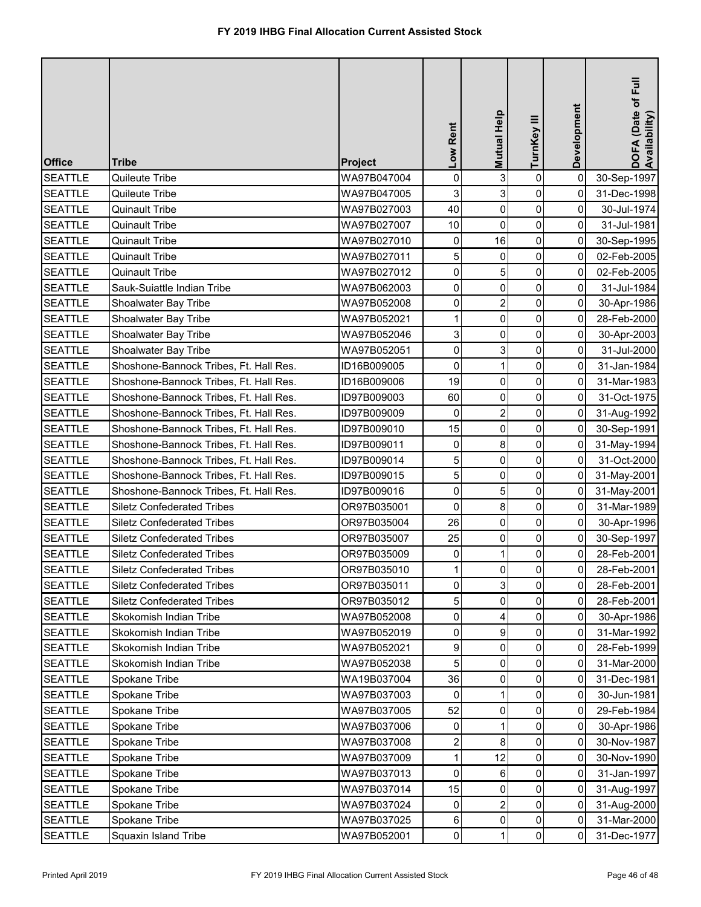| <b>Office</b>  | <b>Tribe</b>                           | <b>Project</b> | Low Rent                | Mutual Help    | TurnKey III    | Development | DOFA (Date of Full<br>Availability) |
|----------------|----------------------------------------|----------------|-------------------------|----------------|----------------|-------------|-------------------------------------|
| <b>SEATTLE</b> | Quileute Tribe                         | WA97B047004    | $\mathbf 0$             | 3              | $\pmb{0}$      | $\mathbf 0$ | 30-Sep-1997                         |
| <b>SEATTLE</b> | Quileute Tribe                         | WA97B047005    | 3                       | 3              | 0              | 0           | 31-Dec-1998                         |
| <b>SEATTLE</b> | <b>Quinault Tribe</b>                  | WA97B027003    | 40                      | 0              | 0              | 0           | 30-Jul-1974                         |
| <b>SEATTLE</b> | <b>Quinault Tribe</b>                  | WA97B027007    | 10                      | $\mathbf 0$    | 0              | 0           | 31-Jul-1981                         |
| <b>SEATTLE</b> | <b>Quinault Tribe</b>                  | WA97B027010    | 0                       | 16             | $\pmb{0}$      | 0           | 30-Sep-1995                         |
| <b>SEATTLE</b> | <b>Quinault Tribe</b>                  | WA97B027011    | 5                       | 0              | 0              | 0           | 02-Feb-2005                         |
| <b>SEATTLE</b> | <b>Quinault Tribe</b>                  | WA97B027012    | $\mathbf 0$             | 5              | 0              | 0           | 02-Feb-2005                         |
| <b>SEATTLE</b> | Sauk-Suiattle Indian Tribe             | WA97B062003    | 0                       | 0              | $\mathbf 0$    | 0           | 31-Jul-1984                         |
| <b>SEATTLE</b> | Shoalwater Bay Tribe                   | WA97B052008    | $\mathsf{O}\xspace$     | $\overline{2}$ | $\overline{0}$ | 0           | 30-Apr-1986                         |
| <b>SEATTLE</b> | Shoalwater Bay Tribe                   | WA97B052021    | 1                       | 0              | 0              | 0           | 28-Feb-2000                         |
| <b>SEATTLE</b> | Shoalwater Bay Tribe                   | WA97B052046    | 3                       | 0              | $\overline{0}$ | 0           | 30-Apr-2003                         |
| <b>SEATTLE</b> | Shoalwater Bay Tribe                   | WA97B052051    | $\mathsf{O}\xspace$     | 3              | $\overline{0}$ | 0           | 31-Jul-2000                         |
| <b>SEATTLE</b> | Shoshone-Bannock Tribes, Ft. Hall Res. | ID16B009005    | $\pmb{0}$               |                | $\overline{0}$ | 0           | 31-Jan-1984                         |
| <b>SEATTLE</b> | Shoshone-Bannock Tribes, Ft. Hall Res. | ID16B009006    | 19                      | 0              | $\mathbf 0$    | 0           | 31-Mar-1983                         |
| <b>SEATTLE</b> | Shoshone-Bannock Tribes, Ft. Hall Res. | ID97B009003    | 60                      | 0              | $\overline{0}$ | 0           | 31-Oct-1975                         |
| <b>SEATTLE</b> | Shoshone-Bannock Tribes, Ft. Hall Res. | ID97B009009    | 0                       | $\overline{2}$ | $\mathbf 0$    | $\mathbf 0$ | 31-Aug-1992                         |
| <b>SEATTLE</b> | Shoshone-Bannock Tribes, Ft. Hall Res. | ID97B009010    | 15                      | $\mathbf 0$    | 0              | 0           | 30-Sep-1991                         |
| <b>SEATTLE</b> | Shoshone-Bannock Tribes, Ft. Hall Res. | ID97B009011    | 0                       | 8              | 0              | 0           | 31-May-1994                         |
| <b>SEATTLE</b> | Shoshone-Bannock Tribes, Ft. Hall Res. | ID97B009014    | 5                       | 0              | 0              | 0           | 31-Oct-2000                         |
| <b>SEATTLE</b> | Shoshone-Bannock Tribes, Ft. Hall Res. | ID97B009015    | 5 <sup>1</sup>          | 0              | $\pmb{0}$      | 0           | 31-May-2001                         |
| <b>SEATTLE</b> | Shoshone-Bannock Tribes, Ft. Hall Res. | ID97B009016    | $\mathsf{O}\xspace$     | 5              | 0              | 0           | 31-May-2001                         |
| <b>SEATTLE</b> | <b>Siletz Confederated Tribes</b>      | OR97B035001    | $\mathsf{O}\xspace$     | 8              | 0              | 0           | 31-Mar-1989                         |
| <b>SEATTLE</b> | <b>Siletz Confederated Tribes</b>      | OR97B035004    | 26                      | $\overline{0}$ | $\overline{0}$ | 01          | 30-Apr-1996                         |
| <b>SEATTLE</b> | <b>Siletz Confederated Tribes</b>      | OR97B035007    | 25                      | 0              | $\overline{0}$ | 0           | 30-Sep-1997                         |
| <b>SEATTLE</b> | <b>Siletz Confederated Tribes</b>      | OR97B035009    | 0                       |                | 0              | 0           | 28-Feb-2001                         |
| <b>SEATTLE</b> | <b>Siletz Confederated Tribes</b>      | OR97B035010    |                         | 0              | 0              | 0           | 28-Feb-2001                         |
| <b>SEATTLE</b> | <b>Siletz Confederated Tribes</b>      | OR97B035011    | $\mathbf 0$             | 3              | 0              | 0           | 28-Feb-2001                         |
| <b>SEATTLE</b> | <b>Siletz Confederated Tribes</b>      | OR97B035012    | 5                       | 0              | 0              | 0           | 28-Feb-2001                         |
| <b>SEATTLE</b> | Skokomish Indian Tribe                 | WA97B052008    | 0                       | 4              | 0              | 0           | 30-Apr-1986                         |
| <b>SEATTLE</b> | Skokomish Indian Tribe                 | WA97B052019    | $\mathbf 0$             | 9              | 0              | 0           | 31-Mar-1992                         |
| <b>SEATTLE</b> | Skokomish Indian Tribe                 | WA97B052021    | 9                       | 0              | 0              | 0           | 28-Feb-1999                         |
| <b>SEATTLE</b> | Skokomish Indian Tribe                 | WA97B052038    | 5                       | 0              | 0              | 0           | 31-Mar-2000                         |
| <b>SEATTLE</b> | Spokane Tribe                          | WA19B037004    | 36                      | $\Omega$       | 0              | 0           | 31-Dec-1981                         |
| <b>SEATTLE</b> | Spokane Tribe                          | WA97B037003    | 0                       |                | 0              | 0           | 30-Jun-1981                         |
| <b>SEATTLE</b> | Spokane Tribe                          | WA97B037005    | 52                      | 0              | 0              | 0           | 29-Feb-1984                         |
| <b>SEATTLE</b> | Spokane Tribe                          | WA97B037006    | 0                       |                | 0              | 0           | 30-Apr-1986                         |
| <b>SEATTLE</b> | Spokane Tribe                          | WA97B037008    | $\overline{\mathbf{c}}$ | 8              | 0              | 0           | 30-Nov-1987                         |
| <b>SEATTLE</b> | Spokane Tribe                          | WA97B037009    | 1                       | 12             | 0              | 0           | 30-Nov-1990                         |
| <b>SEATTLE</b> | Spokane Tribe                          | WA97B037013    | 0                       | 6              | 0              | 0           | 31-Jan-1997                         |
| <b>SEATTLE</b> | Spokane Tribe                          | WA97B037014    | 15                      | 0              | 0              | 0           | 31-Aug-1997                         |
| <b>SEATTLE</b> | Spokane Tribe                          | WA97B037024    | 0                       |                | 0              | 0           | 31-Aug-2000                         |
| <b>SEATTLE</b> | Spokane Tribe                          | WA97B037025    | $6\vert$                | 0              | 0              | 0           | 31-Mar-2000                         |
| <b>SEATTLE</b> | Squaxin Island Tribe                   | WA97B052001    | $\pmb{0}$               |                | $\pmb{0}$      | 0           | 31-Dec-1977                         |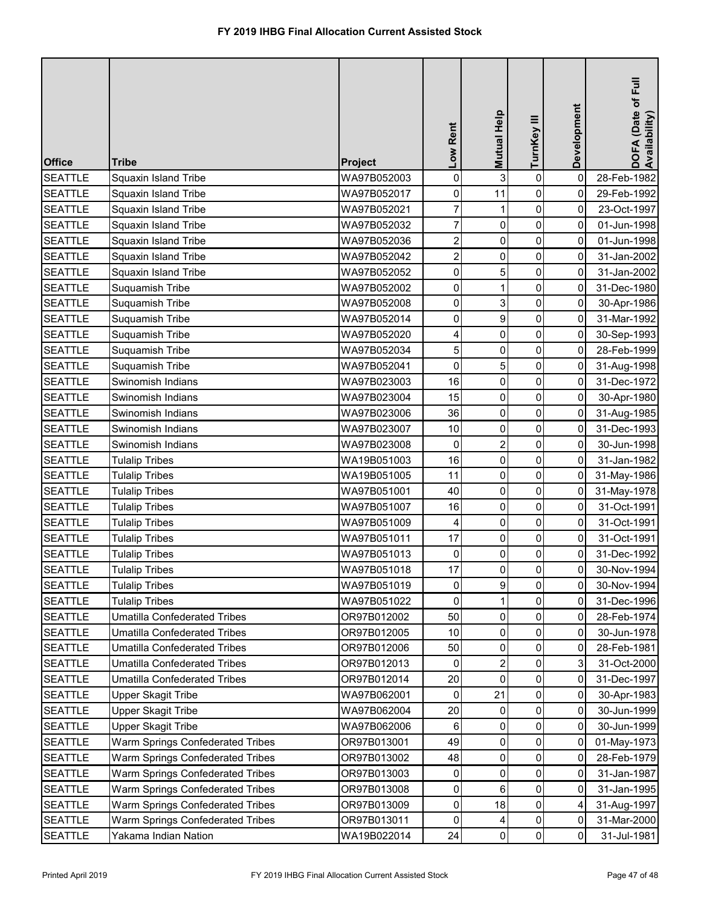| <b>Office</b>  | <b>Tribe</b>                        | <b>Project</b> | Low Rent                | Mutual Help    | TurnKey III    | Development | DOFA (Date of Full<br>Availability) |
|----------------|-------------------------------------|----------------|-------------------------|----------------|----------------|-------------|-------------------------------------|
| <b>SEATTLE</b> | Squaxin Island Tribe                | WA97B052003    | $\mathbf 0$             | 3              | $\pmb{0}$      | $\mathbf 0$ | 28-Feb-1982                         |
| <b>SEATTLE</b> | Squaxin Island Tribe                | WA97B052017    | 0                       | 11             | 0              | 0           | 29-Feb-1992                         |
| <b>SEATTLE</b> | Squaxin Island Tribe                | WA97B052021    | $\overline{7}$          | 1              | 0              | 0           | 23-Oct-1997                         |
| <b>SEATTLE</b> | Squaxin Island Tribe                | WA97B052032    | $\overline{7}$          | 0              | 0              | 0           | 01-Jun-1998                         |
| <b>SEATTLE</b> | Squaxin Island Tribe                | WA97B052036    | $\overline{\mathbf{c}}$ | 0              | 0              | $\mathbf 0$ | 01-Jun-1998                         |
| <b>SEATTLE</b> | Squaxin Island Tribe                | WA97B052042    | $\overline{c}$          | 0              | 0              | 0           | 31-Jan-2002                         |
| <b>SEATTLE</b> | Squaxin Island Tribe                | WA97B052052    | $\mathbf 0$             | 5              | 0              | 0           | 31-Jan-2002                         |
| <b>SEATTLE</b> | Suquamish Tribe                     | WA97B052002    | 0                       |                | 0              | 0           | 31-Dec-1980                         |
| <b>SEATTLE</b> | Suquamish Tribe                     | WA97B052008    | $\mathsf{O}\xspace$     | 3              | 0              | 0           | 30-Apr-1986                         |
| <b>SEATTLE</b> | Suquamish Tribe                     | WA97B052014    | 0                       | 9              | 0              | 0           | 31-Mar-1992                         |
| <b>SEATTLE</b> | Suquamish Tribe                     | WA97B052020    | 4                       | $\mathbf 0$    | 0              | 0           | 30-Sep-1993                         |
| <b>SEATTLE</b> | Suquamish Tribe                     | WA97B052034    | 5                       | $\mathbf 0$    | 0              | 0           | 28-Feb-1999                         |
| <b>SEATTLE</b> | Suquamish Tribe                     | WA97B052041    | $\pmb{0}$               | 5              | 0              | 0           | 31-Aug-1998                         |
| <b>SEATTLE</b> | Swinomish Indians                   | WA97B023003    | 16                      | 0              | 0              | 0           | 31-Dec-1972                         |
| <b>SEATTLE</b> | Swinomish Indians                   | WA97B023004    | 15                      | 0              | 0              | 0           | 30-Apr-1980                         |
| <b>SEATTLE</b> | Swinomish Indians                   | WA97B023006    | 36                      | 0              | 0              | $\mathbf 0$ | 31-Aug-1985                         |
| <b>SEATTLE</b> | Swinomish Indians                   | WA97B023007    | 10                      | 0              | 0              | 0           | 31-Dec-1993                         |
| <b>SEATTLE</b> | Swinomish Indians                   | WA97B023008    | 0                       | $\overline{2}$ | 0              | 0           | 30-Jun-1998                         |
| <b>SEATTLE</b> | <b>Tulalip Tribes</b>               | WA19B051003    | 16                      | 0              | 0              | 0           | 31-Jan-1982                         |
| <b>SEATTLE</b> | <b>Tulalip Tribes</b>               | WA19B051005    | 11                      | 0              | $\pmb{0}$      | 0           | 31-May-1986                         |
| <b>SEATTLE</b> | <b>Tulalip Tribes</b>               | WA97B051001    | 40                      | 0              | 0              | 0           | 31-May-1978                         |
| <b>SEATTLE</b> | <b>Tulalip Tribes</b>               | WA97B051007    | 16                      | 0              | 0              | 0           | 31-Oct-1991                         |
| <b>SEATTLE</b> | <b>Tulalip Tribes</b>               | WA97B051009    | $\vert 4 \vert$         | $\overline{0}$ | $\overline{0}$ | 0           | 31-Oct-1991                         |
| <b>SEATTLE</b> | <b>Tulalip Tribes</b>               | WA97B051011    | 17                      | 0              | 0              | 0           | 31-Oct-1991                         |
| <b>SEATTLE</b> | <b>Tulalip Tribes</b>               | WA97B051013    | 0                       | 0              | 0              | 0           | 31-Dec-1992                         |
| <b>SEATTLE</b> | <b>Tulalip Tribes</b>               | WA97B051018    | 17                      | 0              | 0              | 0           | 30-Nov-1994                         |
| <b>SEATTLE</b> | <b>Tulalip Tribes</b>               | WA97B051019    | 0                       | 9              | 0              | 0           | 30-Nov-1994                         |
| <b>SEATTLE</b> | <b>Tulalip Tribes</b>               | WA97B051022    | 0                       |                | 0              | 0           | 31-Dec-1996                         |
| <b>SEATTLE</b> | <b>Umatilla Confederated Tribes</b> | OR97B012002    | 50                      | 0              | 0              | 0           | 28-Feb-1974                         |
| <b>SEATTLE</b> | <b>Umatilla Confederated Tribes</b> | OR97B012005    | 10                      | 0              | 0              | 0           | 30-Jun-1978                         |
| <b>SEATTLE</b> | <b>Umatilla Confederated Tribes</b> | OR97B012006    | 50                      | 0              | 0              | 0           | 28-Feb-1981                         |
| <b>SEATTLE</b> | <b>Umatilla Confederated Tribes</b> | OR97B012013    | $\Omega$                | 2              | 0              | 3           | 31-Oct-2000                         |
| <b>SEATTLE</b> | <b>Umatilla Confederated Tribes</b> | OR97B012014    | 20                      | $\Omega$       | 0              | 0           | 31-Dec-1997                         |
| <b>SEATTLE</b> | Upper Skagit Tribe                  | WA97B062001    | 0                       | 21             | 0              | 0           | 30-Apr-1983                         |
| <b>SEATTLE</b> | Upper Skagit Tribe                  | WA97B062004    | 20                      | 0              | 0              | 0           | 30-Jun-1999                         |
| <b>SEATTLE</b> | Upper Skagit Tribe                  | WA97B062006    | 6                       | $\Omega$       | 0              | 0           | 30-Jun-1999                         |
| <b>SEATTLE</b> | Warm Springs Confederated Tribes    | OR97B013001    | 49                      | 0              | $\mathbf 0$    | 0           | 01-May-1973                         |
| <b>SEATTLE</b> | Warm Springs Confederated Tribes    | OR97B013002    | 48                      | 0              | 0              | 0           | 28-Feb-1979                         |
| <b>SEATTLE</b> | Warm Springs Confederated Tribes    | OR97B013003    | 0                       | 0              | 0              | 0           | 31-Jan-1987                         |
| <b>SEATTLE</b> | Warm Springs Confederated Tribes    | OR97B013008    | $\mathbf 0$             | 6              | 0              | 0           | 31-Jan-1995                         |
| <b>SEATTLE</b> | Warm Springs Confederated Tribes    | OR97B013009    | $\pmb{0}$               | 18             | 0              | 4           | 31-Aug-1997                         |
| <b>SEATTLE</b> | Warm Springs Confederated Tribes    | OR97B013011    | 0                       | 4              | 0              | 0           | 31-Mar-2000                         |
| <b>SEATTLE</b> | Yakama Indian Nation                | WA19B022014    | 24                      | 0              | $\pmb{0}$      | 0           | 31-Jul-1981                         |